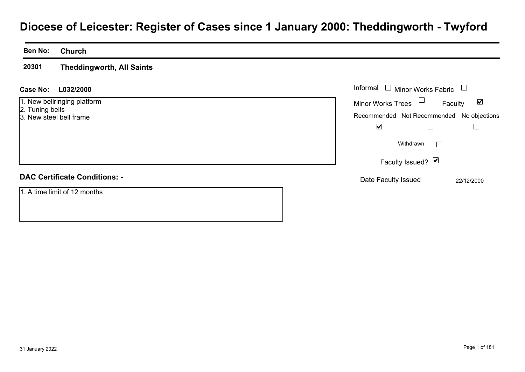# **Diocese of Leicester: Register of Cases since 1 January 2000: Theddingworth - Twyford**

#### **Ben No:Church**

**20301Theddingworth, All Saints**

## **L032/2000Case No:** Informal

1. New bellringing platform

- 2. Tuning bells
- 3. New steel bell frame

## **DAC Certificate Conditions: -**

1. A time limit of 12 months

| Informal<br>$\Box$ Minor Works Fabric     |            |
|-------------------------------------------|------------|
| <b>Minor Works Trees</b>                  | Faculty    |
| Recommended Not Recommended No objections |            |
| V                                         |            |
| Withdrawn                                 |            |
| Faculty Issued? Ø                         |            |
| Date Faculty Issued                       | 22/12/2000 |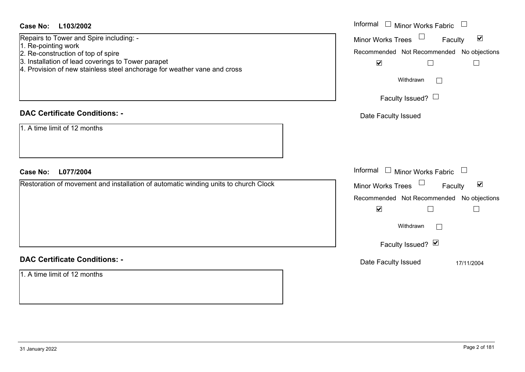| <b>Case No:</b><br>L103/2002                                                                                                                                         | Informal<br>$\Box$ Minor Works Fabric<br>$\begin{array}{c} \hline \end{array}$                    |
|----------------------------------------------------------------------------------------------------------------------------------------------------------------------|---------------------------------------------------------------------------------------------------|
| Repairs to Tower and Spire including: -<br>1. Re-pointing work                                                                                                       | Minor Works Trees<br>$\blacktriangledown$<br>Faculty<br>Recommended Not Recommended No objections |
| 2. Re-construction of top of spire<br>3. Installation of lead coverings to Tower parapet<br>4. Provision of new stainless steel anchorage for weather vane and cross | $\blacktriangledown$<br>$\Box$<br>$\Box$                                                          |
|                                                                                                                                                                      | Withdrawn<br>$\Box$                                                                               |
|                                                                                                                                                                      | Faculty Issued? $\Box$                                                                            |
| <b>DAC Certificate Conditions: -</b>                                                                                                                                 | Date Faculty Issued                                                                               |
| 1. A time limit of 12 months                                                                                                                                         |                                                                                                   |
| <b>Case No:</b><br>L077/2004                                                                                                                                         | Informal<br>Minor Works Fabric<br>$\pm$<br>$\begin{array}{c} \hline \end{array}$                  |
| Restoration of movement and installation of automatic winding units to church Clock                                                                                  | Minor Works Trees $\Box$<br>$\blacktriangledown$<br>Faculty                                       |
|                                                                                                                                                                      | Recommended Not Recommended No objections<br>$\blacktriangledown$<br>$\Box$                       |
|                                                                                                                                                                      | $\Box$<br>Withdrawn<br>$\Box$                                                                     |
|                                                                                                                                                                      | Faculty Issued? Ø                                                                                 |
| <b>DAC Certificate Conditions: -</b>                                                                                                                                 | Date Faculty Issued<br>17/11/2004                                                                 |
| 1. A time limit of 12 months                                                                                                                                         |                                                                                                   |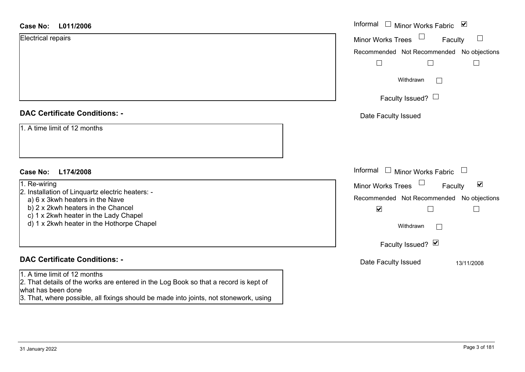| <b>Case No:</b><br>L011/2006                                                                                                               | Informal<br>Minor Works Fabric ⊠                     |
|--------------------------------------------------------------------------------------------------------------------------------------------|------------------------------------------------------|
| <b>Electrical repairs</b>                                                                                                                  | $\Box$<br><b>Minor Works Trees</b><br>Faculty        |
|                                                                                                                                            | Recommended Not Recommended No objections            |
|                                                                                                                                            | $\mathbb{R}^n$                                       |
|                                                                                                                                            | Withdrawn<br>$\Box$                                  |
|                                                                                                                                            | Faculty Issued? $\Box$                               |
| <b>DAC Certificate Conditions: -</b>                                                                                                       | Date Faculty Issued                                  |
| 1. A time limit of 12 months                                                                                                               |                                                      |
|                                                                                                                                            |                                                      |
|                                                                                                                                            |                                                      |
| <b>Case No:</b><br>L174/2008                                                                                                               | Informal<br>$\Box$ Minor Works Fabric<br>$\Box$      |
| 1. Re-wiring                                                                                                                               | $\blacktriangledown$<br>Minor Works Trees<br>Faculty |
| 2. Installation of Linquartz electric heaters: -<br>a) 6 x 3kwh heaters in the Nave                                                        | Recommended Not Recommended No objections            |
| b) 2 x 2kwh heaters in the Chancel<br>c) 1 x 2kwh heater in the Lady Chapel                                                                | $\blacktriangledown$                                 |
| d) 1 x 2kwh heater in the Hothorpe Chapel                                                                                                  | Withdrawn<br>$\Box$                                  |
|                                                                                                                                            | Faculty Issued? Ø                                    |
| <b>DAC Certificate Conditions: -</b>                                                                                                       | Date Faculty Issued<br>13/11/2008                    |
| 1. A time limit of 12 months<br>2. That details of the works are entered in the Log Book so that a record is kept of<br>what has been done |                                                      |

3. That, where possible, all fixings should be made into joints, not stonework, using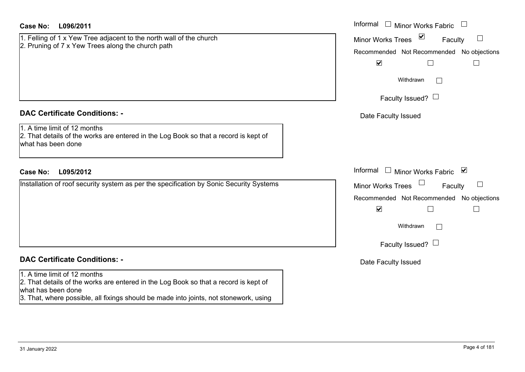| <b>Case No:</b><br>L096/2011                                                                                                               | Informal $\Box$ Minor Works Fabric $\Box$                             |
|--------------------------------------------------------------------------------------------------------------------------------------------|-----------------------------------------------------------------------|
| 1. Felling of 1 x Yew Tree adjacent to the north wall of the church                                                                        | $\blacktriangledown$<br>$\Box$<br><b>Minor Works Trees</b><br>Faculty |
| 2. Pruning of 7 x Yew Trees along the church path                                                                                          | Recommended Not Recommended No objections                             |
|                                                                                                                                            | $\blacktriangledown$<br>$\vert \ \ \vert$<br>$\vert$ $\vert$          |
|                                                                                                                                            | Withdrawn<br>I.                                                       |
|                                                                                                                                            | Faculty Issued? $\Box$                                                |
| <b>DAC Certificate Conditions: -</b>                                                                                                       | Date Faculty Issued                                                   |
| 1. A time limit of 12 months<br>2. That details of the works are entered in the Log Book so that a record is kept of<br>what has been done |                                                                       |
|                                                                                                                                            |                                                                       |
| <b>Case No:</b><br>L095/2012                                                                                                               | Informal<br>$\Box$<br>Minor Works Fabric ⊠                            |
| Installation of roof security system as per the specification by Sonic Security Systems                                                    | $\Box$<br><b>Minor Works Trees</b><br>Faculty                         |
|                                                                                                                                            | Recommended Not Recommended No objections                             |
|                                                                                                                                            | $\blacktriangledown$<br>$\Box$                                        |
|                                                                                                                                            | Withdrawn<br>$\mathbb{R}^n$                                           |
|                                                                                                                                            | Faculty Issued? $\Box$                                                |
| <b>DAC Certificate Conditions: -</b>                                                                                                       | Date Faculty Issued                                                   |
| 1. A time limit of 12 months<br>2. That details of the works are entered in the Log Book so that a record is kept of<br>what has been done |                                                                       |
| 3. That, where possible, all fixings should be made into joints, not stonework, using                                                      |                                                                       |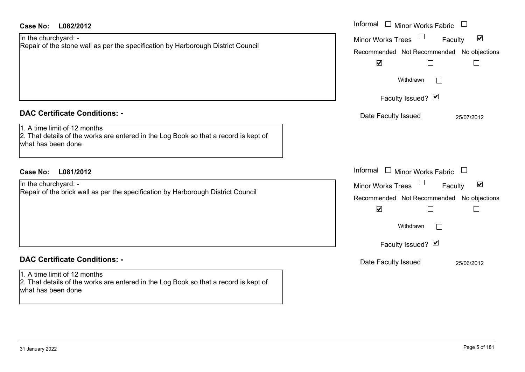| Case No:<br>L082/2012                                                                                                                                                              | Informal $\Box$ Minor Works Fabric                                                                                                                                                                                                 |
|------------------------------------------------------------------------------------------------------------------------------------------------------------------------------------|------------------------------------------------------------------------------------------------------------------------------------------------------------------------------------------------------------------------------------|
| In the churchyard: -<br>Repair of the stone wall as per the specification by Harborough District Council                                                                           | $\blacktriangledown$<br><b>Minor Works Trees</b><br>Faculty<br>Recommended Not Recommended No objections<br>$\blacktriangledown$<br>$\Box$<br>$\Box$                                                                               |
|                                                                                                                                                                                    | Withdrawn<br>Faculty Issued? Ø                                                                                                                                                                                                     |
| <b>DAC Certificate Conditions: -</b><br>1. A time limit of 12 months<br>2. That details of the works are entered in the Log Book so that a record is kept of<br>what has been done | Date Faculty Issued<br>25/07/2012                                                                                                                                                                                                  |
| <b>Case No:</b><br>L081/2012<br>In the churchyard: -<br>Repair of the brick wall as per the specification by Harborough District Council                                           | Informal<br>$\Box$ Minor Works Fabric<br>$\blacktriangledown$<br><b>Minor Works Trees</b><br>Faculty<br>Recommended Not Recommended<br>No objections<br>$\blacktriangledown$<br>$\Box$<br>$\Box$<br>Withdrawn<br>Faculty Issued? Ø |
| <b>DAC Certificate Conditions: -</b><br>1. A time limit of 12 months<br>2. That details of the works are entered in the Log Book so that a record is kept of<br>what has been done | Date Faculty Issued<br>25/06/2012                                                                                                                                                                                                  |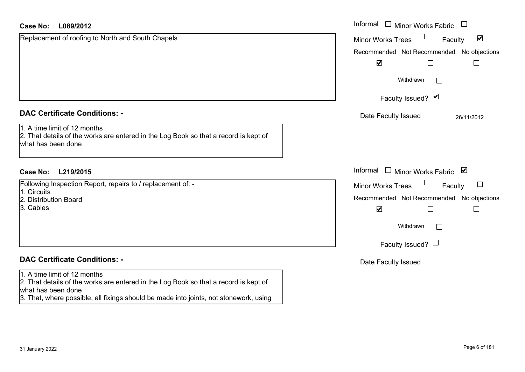| <b>Case No:</b><br>L089/2012                                                                                                               | Informal<br>$\mathcal{L}_{\mathcal{A}}$<br><b>Minor Works Fabric</b> |
|--------------------------------------------------------------------------------------------------------------------------------------------|----------------------------------------------------------------------|
| Replacement of roofing to North and South Chapels                                                                                          | $\blacktriangledown$<br><b>Minor Works Trees</b><br>Faculty          |
|                                                                                                                                            | Recommended Not Recommended No objections                            |
|                                                                                                                                            | $\blacktriangledown$                                                 |
|                                                                                                                                            | Withdrawn<br>$\Box$                                                  |
|                                                                                                                                            | Faculty Issued? Ø                                                    |
| <b>DAC Certificate Conditions: -</b>                                                                                                       | Date Faculty Issued<br>26/11/2012                                    |
| 1. A time limit of 12 months<br>2. That details of the works are entered in the Log Book so that a record is kept of<br>what has been done |                                                                      |
| <b>Case No:</b><br>L219/2015                                                                                                               | Informal<br>$\mathbf{1}$<br>Minor Works Fabric<br>⊻                  |
| Following Inspection Report, repairs to / replacement of: -<br>1. Circuits                                                                 | ப<br><b>Minor Works Trees</b><br>Faculty                             |
| 2. Distribution Board                                                                                                                      | Recommended Not Recommended No objections                            |
| 3. Cables                                                                                                                                  | $\blacktriangledown$                                                 |
|                                                                                                                                            | Withdrawn<br>$\Box$                                                  |
|                                                                                                                                            | Faculty Issued? $\Box$                                               |
| <b>DAC Certificate Conditions: -</b>                                                                                                       | Date Faculty Issued                                                  |
| 1. A time limit of 12 months                                                                                                               |                                                                      |
| 2. That details of the works are entered in the Log Book so that a record is kept of<br>what has been done                                 |                                                                      |
| 3. That, where possible, all fixings should be made into joints, not stonework, using                                                      |                                                                      |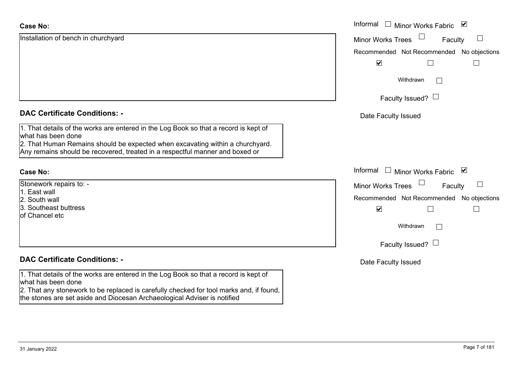| <b>Case No:</b>                                                                                                                                                                                                                                                             | Informal □ Minor Works Fabric ☑               |
|-----------------------------------------------------------------------------------------------------------------------------------------------------------------------------------------------------------------------------------------------------------------------------|-----------------------------------------------|
| Installation of bench in churchyard                                                                                                                                                                                                                                         | <b>Minor Works Trees</b><br>$\Box$<br>Faculty |
|                                                                                                                                                                                                                                                                             | Recommended Not Recommended<br>No objections  |
|                                                                                                                                                                                                                                                                             | $\blacktriangledown$                          |
|                                                                                                                                                                                                                                                                             | Withdrawn                                     |
|                                                                                                                                                                                                                                                                             | Faculty Issued? $\Box$                        |
| <b>DAC Certificate Conditions: -</b>                                                                                                                                                                                                                                        | Date Faculty Issued                           |
| 1. That details of the works are entered in the Log Book so that a record is kept of<br>what has been done<br>2. That Human Remains should be expected when excavating within a churchyard.<br>Any remains should be recovered, treated in a respectful manner and boxed or |                                               |
|                                                                                                                                                                                                                                                                             |                                               |
| <b>Case No:</b>                                                                                                                                                                                                                                                             | Informal □ Minor Works Fabric ⊠               |
| Stonework repairs to: -                                                                                                                                                                                                                                                     | <b>Minor Works Trees</b><br>$\Box$<br>Faculty |
| 1. East wall                                                                                                                                                                                                                                                                | Recommended Not Recommended No objections     |
| 2. South wall<br>3. Southeast buttress<br>of Chancel etc                                                                                                                                                                                                                    | $\blacktriangledown$<br>$\mathbf{I}$          |
|                                                                                                                                                                                                                                                                             | Withdrawn<br>$\perp$                          |
|                                                                                                                                                                                                                                                                             | Faculty Issued? $\Box$                        |
| <b>DAC Certificate Conditions: -</b>                                                                                                                                                                                                                                        | Date Faculty Issued                           |
| 1. That details of the works are entered in the Log Book so that a record is kept of                                                                                                                                                                                        |                                               |
| what has been done<br>2. That any stonework to be replaced is carefully checked for tool marks and, if found,                                                                                                                                                               |                                               |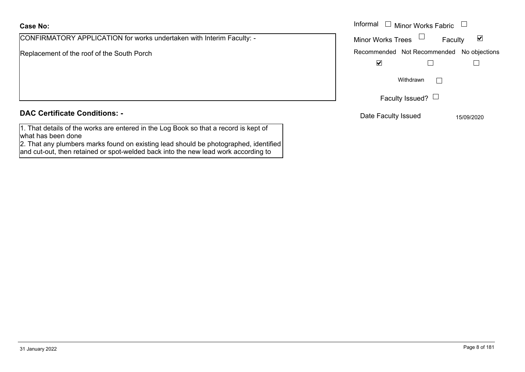CONFIRMATORY APPLICATION for works undertaken with Interim Faculty: -

Replacement of the roof of the South Porch

## **DAC Certificate Conditions: -**

1. That details of the works are entered in the Log Book so that a record is kept of what has been done

2. That any plumbers marks found on existing lead should be photographed, identified and cut-out, then retained or spot-welded back into the new lead work according to

|                                                                 | Informal $\Box$<br>Minor Works Fabric $\Box$                |
|-----------------------------------------------------------------|-------------------------------------------------------------|
| MATORY APPLICATION for works undertaken with Interim Faculty: - | <b>Minor Works Trees</b><br>$\blacktriangledown$<br>Faculty |
| nent of the roof of the South Porch                             | Recommended Not Recommended No objections                   |
|                                                                 | $\blacktriangledown$                                        |
|                                                                 | Withdrawn                                                   |
|                                                                 | Faculty Issued? $\Box$                                      |
| rtificate Conditions: -                                         | Date Faculty Issued<br>15/09/2020                           |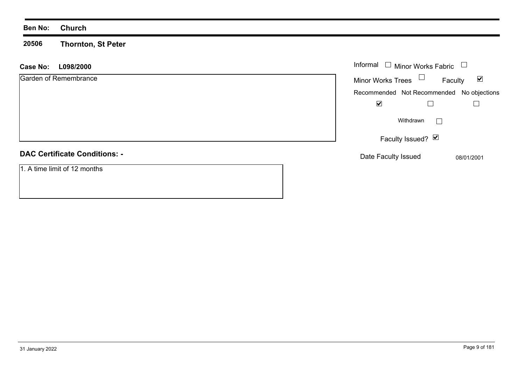## **Ben No: Church**

**20506 Thornton, St Peter**

| <b>Case No:</b><br>L098/2000         | Informal $\Box$ Minor Works Fabric<br>$\begin{array}{c} \hline \end{array}$ |
|--------------------------------------|-----------------------------------------------------------------------------|
| Garden of Remembrance                | Minor Works Trees $\Box$<br>$\blacktriangledown$<br>Faculty                 |
|                                      | Recommended Not Recommended No objections                                   |
|                                      | ☑                                                                           |
|                                      | Withdrawn                                                                   |
|                                      | Faculty Issued? $\boxed{\triangleright}$                                    |
| <b>DAC Certificate Conditions: -</b> | Date Faculty Issued<br>08/01/2001                                           |
| 1. A time limit of 12 months         |                                                                             |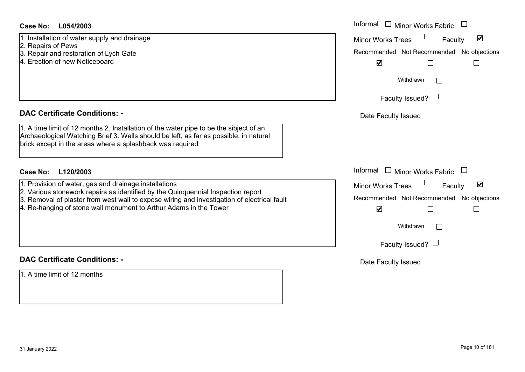| Case No: | L054/2003 |
|----------|-----------|
|----------|-----------|

- 2. Repairs of Pews
- 3. Repair and restoration of Lych Gate
- 4. Erection of new Noticeboard

## **DAC Certificate Conditions: -**

- 1. Provision of water, gas and drainage installations
- 2. Various stonework repairs as identified by the Quinquennial Inspection report
- 3. Removal of plaster from west wall to expose wiring and investigation of electrical fault
- 4. Re-hanging of stone wall monument to Arthur Adams in the Tower

## **DAC Certificate Conditions: -**

1. A time limit of 12 months

| <b>Case No:</b><br>L054/2003                                                                                                                                                                                                                                                                                  | Informal □ Minor Works Fabric                                                                                                       |
|---------------------------------------------------------------------------------------------------------------------------------------------------------------------------------------------------------------------------------------------------------------------------------------------------------------|-------------------------------------------------------------------------------------------------------------------------------------|
| 1. Installation of water supply and drainage<br>2. Repairs of Pews                                                                                                                                                                                                                                            | $\blacktriangledown$<br><b>Minor Works Trees</b><br>Faculty<br>Recommended Not Recommended No objections                            |
| 3. Repair and restoration of Lych Gate<br>4. Erection of new Noticeboard                                                                                                                                                                                                                                      | $\blacktriangledown$<br>$\mathbf{I}$                                                                                                |
|                                                                                                                                                                                                                                                                                                               | Withdrawn                                                                                                                           |
|                                                                                                                                                                                                                                                                                                               | Faculty Issued? $\Box$                                                                                                              |
| <b>DAC Certificate Conditions: -</b>                                                                                                                                                                                                                                                                          | Date Faculty Issued                                                                                                                 |
| 1. A time limit of 12 months 2. Installation of the water pipe to be the sibject of an<br>Archaeological Watching Brief 3. Walls should be left, as far as possible, in natural<br>brick except in the areas where a splashback was required                                                                  |                                                                                                                                     |
| <b>Case No:</b><br>L120/2003                                                                                                                                                                                                                                                                                  | Informal □ Minor Works Fabric                                                                                                       |
| 1. Provision of water, gas and drainage installations<br>2. Various stonework repairs as identified by the Quinquennial Inspection report<br>3. Removal of plaster from west wall to expose wiring and investigation of electrical fault<br>4. Re-hanging of stone wall monument to Arthur Adams in the Tower | $\blacktriangledown$<br><b>Minor Works Trees</b><br>Faculty<br>No objections<br>Recommended Not Recommended<br>$\blacktriangledown$ |
|                                                                                                                                                                                                                                                                                                               | Withdrawn<br>$\mathbf{1}$                                                                                                           |
|                                                                                                                                                                                                                                                                                                               | Faculty Issued? $\Box$                                                                                                              |
| <b>DAC Certificate Conditions: -</b>                                                                                                                                                                                                                                                                          | Date Faculty Issued                                                                                                                 |
| 1. A time limit of 12 months                                                                                                                                                                                                                                                                                  |                                                                                                                                     |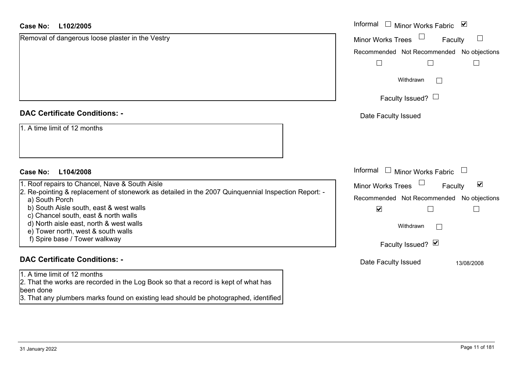| <b>Case No:</b><br>L102/2005                                                                                                                                                                                                              | Informal □ Minor Works Fabric<br>$\blacktriangledown$ |
|-------------------------------------------------------------------------------------------------------------------------------------------------------------------------------------------------------------------------------------------|-------------------------------------------------------|
| Removal of dangerous loose plaster in the Vestry                                                                                                                                                                                          | <b>Minor Works Trees</b><br>⊔<br>Faculty              |
|                                                                                                                                                                                                                                           | Recommended Not Recommended No objections             |
|                                                                                                                                                                                                                                           | $\Box$                                                |
|                                                                                                                                                                                                                                           | Withdrawn<br>$\mathbf{L}$                             |
|                                                                                                                                                                                                                                           | Faculty Issued? $\Box$                                |
| <b>DAC Certificate Conditions: -</b>                                                                                                                                                                                                      | Date Faculty Issued                                   |
| 1. A time limit of 12 months                                                                                                                                                                                                              |                                                       |
|                                                                                                                                                                                                                                           |                                                       |
| L104/2008<br><b>Case No:</b>                                                                                                                                                                                                              | Informal<br>$\Box$ Minor Works Fabric                 |
| 1. Roof repairs to Chancel, Nave & South Aisle                                                                                                                                                                                            | $\blacktriangledown$<br>Minor Works Trees<br>Faculty  |
| 2. Re-pointing & replacement of stonework as detailed in the 2007 Quinquennial Inspection Report: -<br>a) South Porch                                                                                                                     | Recommended Not Recommended No objections             |
| b) South Aisle south, east & west walls                                                                                                                                                                                                   | $\blacktriangledown$                                  |
| c) Chancel south, east & north walls<br>d) North aisle east, north & west walls                                                                                                                                                           | Withdrawn<br>$\Box$                                   |
| e) Tower north, west & south walls                                                                                                                                                                                                        |                                                       |
| f) Spire base / Tower walkway                                                                                                                                                                                                             | Faculty Issued? Ø                                     |
| <b>DAC Certificate Conditions: -</b>                                                                                                                                                                                                      | Date Faculty Issued<br>13/08/2008                     |
| 1. A time limit of 12 months                                                                                                                                                                                                              |                                                       |
| 2. That the works are recorded in the Log Book so that a record is kept of what has<br>been done                                                                                                                                          |                                                       |
| $\mathbf{r}$ , and the state of the state of the state of the state of the state of the state of the state of the state of the state of the state of the state of the state of the state of the state of the state of the state o<br>$-1$ |                                                       |

3. That any plumbers marks found on existing lead should be photographed, identified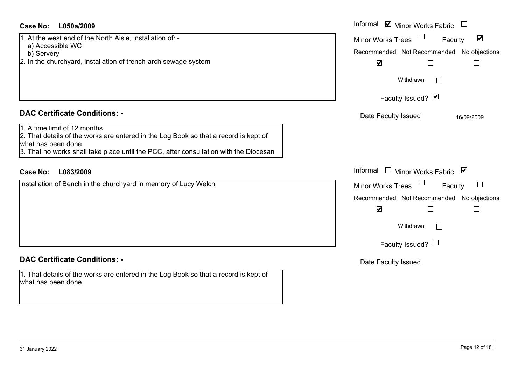| Case No:<br>L050a/2009                                                                                                                     | Informal ☑ Minor Works Fabric                        |
|--------------------------------------------------------------------------------------------------------------------------------------------|------------------------------------------------------|
| 1. At the west end of the North Aisle, installation of: -<br>a) Accessible WC                                                              | Minor Works Trees<br>☑<br>Faculty                    |
| b) Servery                                                                                                                                 | Recommended Not Recommended No objections            |
| 2. In the churchyard, installation of trench-arch sewage system                                                                            | $\blacktriangledown$                                 |
|                                                                                                                                            | Withdrawn<br>$\perp$                                 |
|                                                                                                                                            | Faculty Issued? Ø                                    |
| <b>DAC Certificate Conditions: -</b>                                                                                                       | Date Faculty Issued<br>16/09/2009                    |
| 1. A time limit of 12 months<br>2. That details of the works are entered in the Log Book so that a record is kept of<br>what has been done |                                                      |
| 3. That no works shall take place until the PCC, after consultation with the Diocesan                                                      |                                                      |
| <b>Case No:</b><br>L083/2009                                                                                                               | Informal $\square$<br><b>Minor Works Fabric</b><br>⊻ |
| Installation of Bench in the churchyard in memory of Lucy Welch                                                                            | Minor Works Trees<br>Faculty                         |
|                                                                                                                                            | Recommended Not Recommended No objections            |
|                                                                                                                                            | $\blacktriangledown$<br>$\mathcal{L}$                |
|                                                                                                                                            | Withdrawn<br>$\perp$                                 |
|                                                                                                                                            | Faculty Issued? $\Box$                               |

## **DAC Certificate Conditions: -**

1. That details of the works are entered in the Log Book so that a record is kept of what has been done

## Date Faculty Issued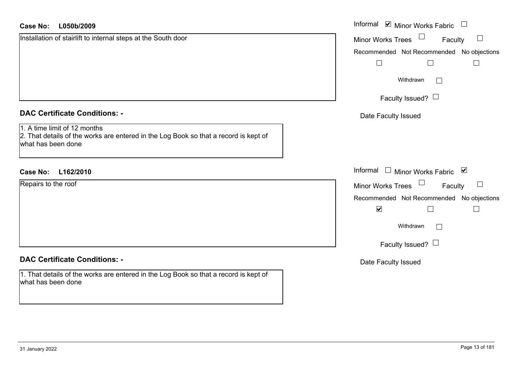| <b>Case No:</b><br>L050b/2009                                                                                                              | Informal ⊠ Minor Works Fabric             |
|--------------------------------------------------------------------------------------------------------------------------------------------|-------------------------------------------|
| Installation of stairlift to internal steps at the South door                                                                              | <b>Minor Works Trees</b><br>ப<br>Faculty  |
|                                                                                                                                            | Recommended Not Recommended No objections |
|                                                                                                                                            | $\vert \ \ \vert$                         |
|                                                                                                                                            | Withdrawn<br>$\Box$                       |
|                                                                                                                                            | Faculty Issued? $\Box$                    |
| <b>DAC Certificate Conditions: -</b>                                                                                                       | Date Faculty Issued                       |
| 1. A time limit of 12 months<br>2. That details of the works are entered in the Log Book so that a record is kept of<br>what has been done |                                           |
| L162/2010<br><b>Case No:</b>                                                                                                               | Informal $\Box$ Minor Works Fabric $\Box$ |
| Repairs to the roof                                                                                                                        | <b>Minor Works Trees</b><br>Faculty       |
|                                                                                                                                            | Recommended Not Recommended No objections |
|                                                                                                                                            | $\blacktriangledown$<br>П                 |
|                                                                                                                                            | Withdrawn                                 |
|                                                                                                                                            | Faculty Issued? $\Box$                    |
| <b>DAC Certificate Conditions: -</b>                                                                                                       | Date Faculty Issued                       |
| 1. That details of the works are entered in the Log Book so that a record is kept of<br>what has been done                                 |                                           |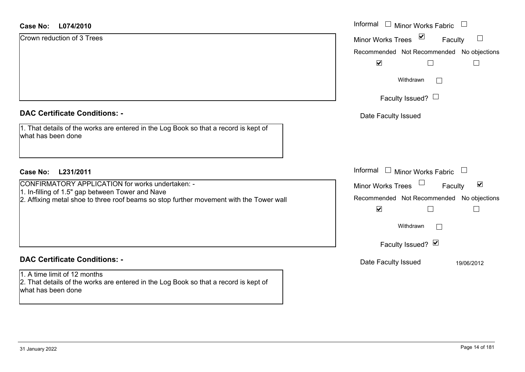#### **L074/2010Case No:**

| <b>Case No:</b><br>L074/2010                                                                                                                | Informal □ Minor Works Fabric                                         |
|---------------------------------------------------------------------------------------------------------------------------------------------|-----------------------------------------------------------------------|
| Crown reduction of 3 Trees                                                                                                                  | Minor Works Trees ⊠<br>$\Box$<br>Faculty                              |
|                                                                                                                                             | Recommended Not Recommended No objections                             |
|                                                                                                                                             | $\blacktriangledown$<br>$\vert \ \ \vert$                             |
|                                                                                                                                             | Withdrawn<br>$\Box$                                                   |
|                                                                                                                                             | Faculty Issued? $\Box$                                                |
| <b>DAC Certificate Conditions: -</b>                                                                                                        | Date Faculty Issued                                                   |
| 1. That details of the works are entered in the Log Book so that a record is kept of<br>what has been done                                  |                                                                       |
| <b>Case No:</b><br>L231/2011                                                                                                                | Informal $\Box$ Minor Works Fabric $\Box$                             |
| CONFIRMATORY APPLICATION for works undertaken: -                                                                                            | Minor Works Trees<br>$\blacktriangleright$<br>Faculty                 |
| 1. In-filling of 1.5" gap between Tower and Nave<br>2. Affixing metal shoe to three roof beams so stop further movement with the Tower wall | Recommended Not Recommended No objections                             |
|                                                                                                                                             | $\blacktriangledown$<br>$\overline{\phantom{a}}$<br>$\vert \ \ \vert$ |
|                                                                                                                                             | Withdrawn<br>$\Box$                                                   |
|                                                                                                                                             | Faculty Issued? Ø                                                     |
| <b>DAC Certificate Conditions: -</b>                                                                                                        | Date Faculty Issued<br>19/06/2012                                     |
| 1. A time limit of 12 months<br>2. That details of the works are entered in the Log Book so that a record is kept of<br>what has been done  |                                                                       |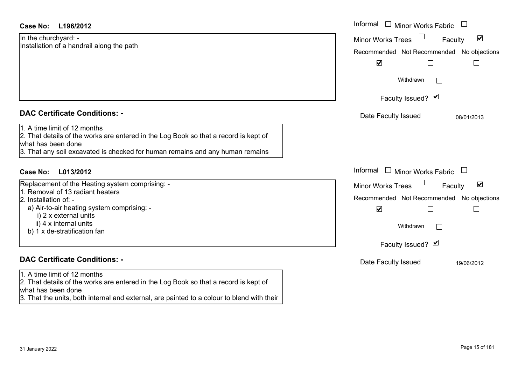| <b>Case No:</b><br>L196/2012                                                                                                                                                                                                | Informal<br>$\Box$ Minor Works Fabric $\Box$                                                                                                         |
|-----------------------------------------------------------------------------------------------------------------------------------------------------------------------------------------------------------------------------|------------------------------------------------------------------------------------------------------------------------------------------------------|
| In the churchyard: -<br>Installation of a handrail along the path                                                                                                                                                           | $\blacktriangledown$<br><b>Minor Works Trees</b><br>Faculty<br>Recommended Not Recommended No objections<br>$\blacktriangledown$<br>$\Box$<br>$\Box$ |
|                                                                                                                                                                                                                             | Withdrawn<br>$\mathbb{R}^n$                                                                                                                          |
|                                                                                                                                                                                                                             | Faculty Issued? Ø                                                                                                                                    |
| <b>DAC Certificate Conditions: -</b>                                                                                                                                                                                        | Date Faculty Issued<br>08/01/2013                                                                                                                    |
| 1. A time limit of 12 months<br>2. That details of the works are entered in the Log Book so that a record is kept of<br>what has been done<br>3. That any soil excavated is checked for human remains and any human remains |                                                                                                                                                      |
| <b>Case No:</b><br>L013/2012                                                                                                                                                                                                | Informal<br>Minor Works Fabric                                                                                                                       |
| Replacement of the Heating system comprising: -                                                                                                                                                                             | $\blacktriangledown$<br><b>Minor Works Trees</b><br>Faculty                                                                                          |
| 1. Removal of 13 radiant heaters<br>2. Installation of: -                                                                                                                                                                   | Recommended Not Recommended No objections                                                                                                            |
| a) Air-to-air heating system comprising: -<br>i) 2 x external units                                                                                                                                                         | $\blacktriangledown$                                                                                                                                 |
| ii) 4 x internal units<br>b) 1 x de-stratification fan                                                                                                                                                                      | Withdrawn<br>$\mathbf{I}$                                                                                                                            |
|                                                                                                                                                                                                                             | Faculty Issued? Ø                                                                                                                                    |
| <b>DAC Certificate Conditions: -</b>                                                                                                                                                                                        | Date Faculty Issued<br>19/06/2012                                                                                                                    |
| 1. A time limit of 12 months<br>2. That details of the works are entered in the Log Book so that a record is kept of<br>lwhat has been done                                                                                 |                                                                                                                                                      |

what has been done 3. That the units, both internal and external, are painted to a colour to blend with their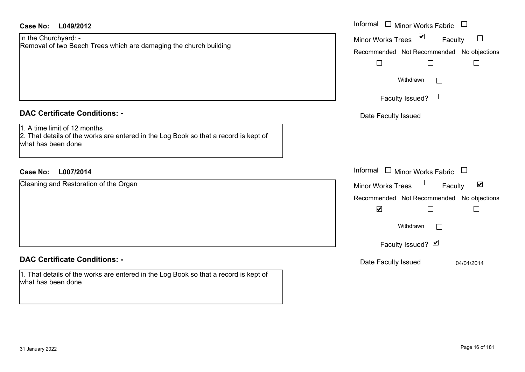| <b>Case No:</b><br>L049/2012                                                                                                                                                       | Informal $\Box$ Minor Works Fabric                                                                                                                                   |
|------------------------------------------------------------------------------------------------------------------------------------------------------------------------------------|----------------------------------------------------------------------------------------------------------------------------------------------------------------------|
| In the Churchyard: -<br>Removal of two Beech Trees which are damaging the church building                                                                                          | Minor Works Trees ⊠<br>$\Box$<br>Faculty<br>Recommended Not Recommended No objections<br>$\Box$<br>$\Box$<br>$\Box$<br>Withdrawn<br>$\Box$<br>Faculty Issued? $\Box$ |
| <b>DAC Certificate Conditions: -</b><br>1. A time limit of 12 months<br>2. That details of the works are entered in the Log Book so that a record is kept of<br>what has been done | Date Faculty Issued                                                                                                                                                  |
| <b>Case No:</b><br>L007/2014                                                                                                                                                       | Informal<br>$\Box$ Minor Works Fabric $\;\Box$                                                                                                                       |
| Cleaning and Restoration of the Organ                                                                                                                                              | Minor Works Trees<br>$\blacktriangledown$<br>Faculty<br>Recommended Not Recommended No objections<br>$\blacktriangledown$<br>$\Box$<br>$\Box$                        |
|                                                                                                                                                                                    | Withdrawn<br>$\Box$<br>Faculty Issued? Ø                                                                                                                             |
| <b>DAC Certificate Conditions: -</b><br>1. That details of the works are entered in the Log Book so that a record is kept of<br>what has been done                                 | Date Faculty Issued<br>04/04/2014                                                                                                                                    |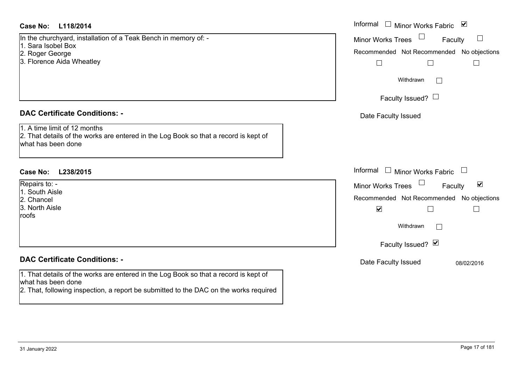## **L118/2014Case No:** Informal

In the churchyard, installation of a Teak Bench in memory of: -

- 1. Sara Isobel Box
- 2. Roger George
- 3. Florence Aida Wheatley

## **DAC Certificate Conditions: -**

1. A time limit of 12 months

2. That details of the works are entered in the Log Book so that a record is kept of what has been done

## **L238/2015Case No:** Informal

Repairs to: - 1. South Aisle

2. Chancel

3. North Aisle

roofs

## **DAC Certificate Conditions: -**

1. That details of the works are entered in the Log Book so that a record is kept of what has been done

2. That, following inspection, a report be submitted to the DAC on the works required

| Informal                                  |                        | Minor Works Fabric        | ⊻          |   |
|-------------------------------------------|------------------------|---------------------------|------------|---|
| <b>Minor Works Trees</b>                  |                        |                           | Faculty    |   |
| Recommended Not Recommended No objections |                        |                           |            |   |
|                                           |                        |                           |            |   |
|                                           | Withdrawn              |                           |            |   |
|                                           | Faculty Issued? $\Box$ |                           |            |   |
| Date Faculty Issued                       |                        |                           |            |   |
|                                           |                        |                           |            |   |
|                                           |                        |                           |            |   |
| Informal                                  |                        | <b>Minor Works Fabric</b> |            |   |
| <b>Minor Works Trees</b>                  |                        |                           | Faculty    | ⊻ |
| Recommended Not Recommended No objections |                        |                           |            |   |
| $\blacktriangledown$                      |                        |                           |            |   |
|                                           | Withdrawn              |                           |            |   |
|                                           | Faculty Issued? Ø      |                           |            |   |
| Date Faculty Issued                       |                        |                           | 08/02/2016 |   |
|                                           |                        |                           |            |   |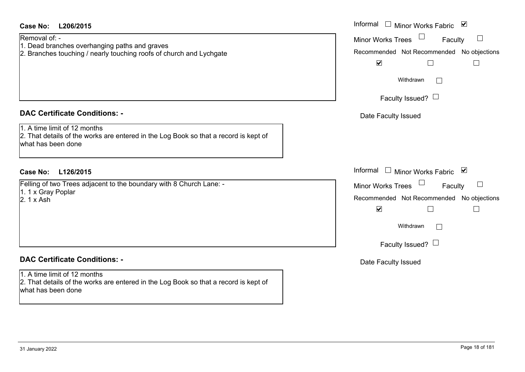| Case No:<br>L206/2015                                                                                                                                                              | Informal $\Box$ Minor Works Fabric $\Box$                                                                                                                                                     |
|------------------------------------------------------------------------------------------------------------------------------------------------------------------------------------|-----------------------------------------------------------------------------------------------------------------------------------------------------------------------------------------------|
| Removal of: -<br>1. Dead branches overhanging paths and graves<br>2. Branches touching / nearly touching roofs of church and Lychgate                                              | <b>Minor Works Trees</b><br>$\Box$<br>Faculty<br>Recommended Not Recommended No objections<br>$\blacktriangledown$<br>$\Box$<br>$\sqcup$<br>Withdrawn<br>I.                                   |
|                                                                                                                                                                                    | Faculty Issued? $\Box$                                                                                                                                                                        |
| <b>DAC Certificate Conditions: -</b><br>1. A time limit of 12 months<br>2. That details of the works are entered in the Log Book so that a record is kept of<br>what has been done | Date Faculty Issued                                                                                                                                                                           |
| Case No:<br>L126/2015                                                                                                                                                              | Informal<br>$\Box$ Minor Works Fabric $\Box$                                                                                                                                                  |
| Felling of two Trees adjacent to the boundary with 8 Church Lane: -<br>1. 1 x Gray Poplar<br>2. 1 x Ash                                                                            | <b>Minor Works Trees</b><br>Faculty<br>Recommended Not Recommended No objections<br>$\blacktriangledown$<br>$\mathbb{R}^n$<br>$\overline{\phantom{0}}$<br>Withdrawn<br>Faculty Issued? $\Box$ |
| <b>DAC Certificate Conditions: -</b>                                                                                                                                               | Date Faculty Issued                                                                                                                                                                           |
| 1. A time limit of 12 months<br>2. That details of the works are entered in the Log Book so that a record is kept of<br>what has been done                                         |                                                                                                                                                                                               |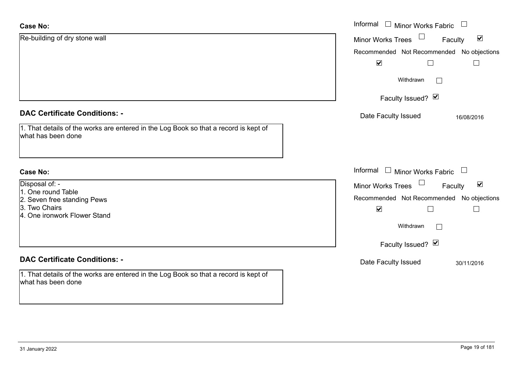| <b>Case No:</b>                                                                                            | Informal □ Minor Works Fabric                               |  |  |  |
|------------------------------------------------------------------------------------------------------------|-------------------------------------------------------------|--|--|--|
| Re-building of dry stone wall                                                                              | $\blacktriangledown$<br>Minor Works Trees<br>Faculty        |  |  |  |
|                                                                                                            | No objections<br>Recommended Not Recommended                |  |  |  |
|                                                                                                            | $\blacktriangledown$                                        |  |  |  |
|                                                                                                            | Withdrawn                                                   |  |  |  |
|                                                                                                            | Faculty Issued? Ø                                           |  |  |  |
| <b>DAC Certificate Conditions: -</b>                                                                       | Date Faculty Issued<br>16/08/2016                           |  |  |  |
| 1. That details of the works are entered in the Log Book so that a record is kept of<br>what has been done |                                                             |  |  |  |
| <b>Case No:</b>                                                                                            | Informal<br>$\Box$ Minor Works Fabric $\Box$                |  |  |  |
| Disposal of: -                                                                                             | $\blacktriangledown$<br><b>Minor Works Trees</b><br>Faculty |  |  |  |
| 1. One round Table                                                                                         | Recommended Not Recommended<br>No objections                |  |  |  |
| 2. Seven free standing Pews<br>3. Two Chairs                                                               | $\blacktriangledown$<br>Г<br>$\Box$                         |  |  |  |
| 4. One ironwork Flower Stand                                                                               |                                                             |  |  |  |
|                                                                                                            | Withdrawn                                                   |  |  |  |
|                                                                                                            | Faculty Issued? Ø                                           |  |  |  |
| <b>DAC Certificate Conditions: -</b>                                                                       | Date Faculty Issued<br>30/11/2016                           |  |  |  |
| 1. That details of the works are entered in the Log Book so that a record is kept of<br>what has been done |                                                             |  |  |  |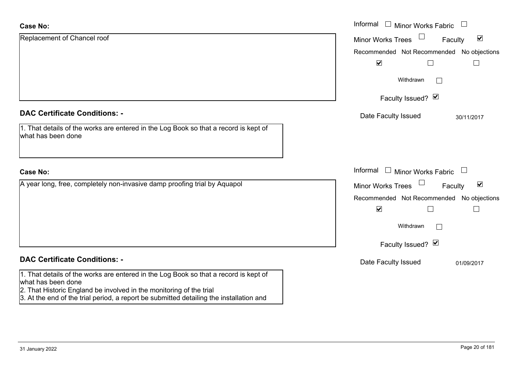| <b>Case No:</b>                                                                                                                                                                                                                                                              | Informal □ Minor Works Fabric                               |
|------------------------------------------------------------------------------------------------------------------------------------------------------------------------------------------------------------------------------------------------------------------------------|-------------------------------------------------------------|
| Replacement of Chancel roof                                                                                                                                                                                                                                                  | $\blacktriangledown$<br><b>Minor Works Trees</b><br>Faculty |
|                                                                                                                                                                                                                                                                              | Recommended Not Recommended No objections                   |
|                                                                                                                                                                                                                                                                              | $\blacktriangledown$                                        |
|                                                                                                                                                                                                                                                                              | Withdrawn<br>$\mathbf{1}$                                   |
|                                                                                                                                                                                                                                                                              | Faculty Issued? Ø                                           |
| <b>DAC Certificate Conditions: -</b>                                                                                                                                                                                                                                         | Date Faculty Issued<br>30/11/2017                           |
| 1. That details of the works are entered in the Log Book so that a record is kept of<br>what has been done                                                                                                                                                                   |                                                             |
| <b>Case No:</b>                                                                                                                                                                                                                                                              | Informal $\Box$ Minor Works Fabric<br>$\Box$                |
| A year long, free, completely non-invasive damp proofing trial by Aquapol                                                                                                                                                                                                    | $\blacktriangledown$<br>Faculty<br><b>Minor Works Trees</b> |
|                                                                                                                                                                                                                                                                              | Recommended Not Recommended No objections                   |
|                                                                                                                                                                                                                                                                              | $\blacktriangledown$<br>$\Box$                              |
|                                                                                                                                                                                                                                                                              | Withdrawn                                                   |
|                                                                                                                                                                                                                                                                              | Faculty Issued? Ø                                           |
| <b>DAC Certificate Conditions: -</b>                                                                                                                                                                                                                                         | Date Faculty Issued<br>01/09/2017                           |
| 1. That details of the works are entered in the Log Book so that a record is kept of<br>what has been done<br>2. That Historic England be involved in the monitoring of the trial<br>3. At the end of the trial period, a report be submitted detailing the installation and |                                                             |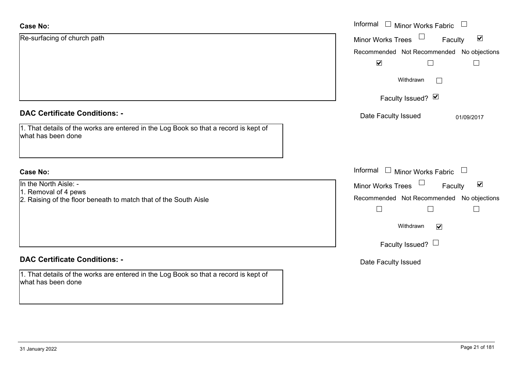| <b>Case No:</b>                                                                                            | Informal<br>Minor Works Fabric                              |  |  |  |
|------------------------------------------------------------------------------------------------------------|-------------------------------------------------------------|--|--|--|
| Re-surfacing of church path                                                                                | $\blacktriangledown$<br><b>Minor Works Trees</b><br>Faculty |  |  |  |
|                                                                                                            | Recommended Not Recommended No objections                   |  |  |  |
|                                                                                                            | $\blacktriangleright$                                       |  |  |  |
|                                                                                                            | Withdrawn<br>$\mathbb{R}^n$                                 |  |  |  |
|                                                                                                            | Faculty Issued? Ø                                           |  |  |  |
| <b>DAC Certificate Conditions: -</b>                                                                       | Date Faculty Issued<br>01/09/2017                           |  |  |  |
| 1. That details of the works are entered in the Log Book so that a record is kept of<br>what has been done |                                                             |  |  |  |
| <b>Case No:</b>                                                                                            | Informal $\Box$ Minor Works Fabric $\Box$                   |  |  |  |
| In the North Aisle: -                                                                                      | $\blacktriangledown$<br>Minor Works Trees<br>Faculty        |  |  |  |
| 1. Removal of 4 pews<br>2. Raising of the floor beneath to match that of the South Aisle                   | Recommended Not Recommended No objections                   |  |  |  |
|                                                                                                            | $\Box$<br>$\Box$<br>$\mathbf{I}$                            |  |  |  |
|                                                                                                            | Withdrawn<br>$\blacktriangledown$                           |  |  |  |
|                                                                                                            | Faculty Issued? $\Box$                                      |  |  |  |
| <b>DAC Certificate Conditions: -</b>                                                                       | Date Faculty Issued                                         |  |  |  |
| 1. That details of the works are entered in the Log Book so that a record is kept of<br>what has been done |                                                             |  |  |  |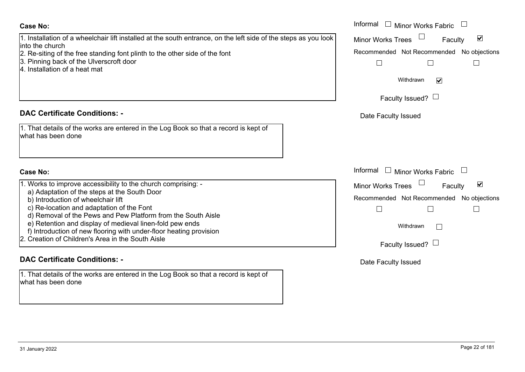## **Case No:**

## 1. Installation of a wheelchair lift installed at the south entrance, on the left side of the steps as you lool into the church

- 2. Re-siting of the free standing font plinth to the other side of the font
- 3. Pinning back of the Ulverscroft door
- 4. Installation of a heat mat

## **DAC Certificate Conditions: -**

| 1. That details of the works are entered in the Log Book so that a record is kept of |  |
|--------------------------------------------------------------------------------------|--|
| what has been done                                                                   |  |

## **Case No:**

|  |  |  | 1. Works to improve accessibility to the church comprising: - |  |  |  |  |
|--|--|--|---------------------------------------------------------------|--|--|--|--|
|--|--|--|---------------------------------------------------------------|--|--|--|--|

- a) Adaptation of the steps at the South Door
- b) Introduction of wheelchair lift
- c) Re-location and adaptation of the Font
- d) Removal of the Pews and Pew Platform from the South Aisle
- e) Retention and display of medieval linen-fold pew ends
- f) Introduction of new flooring with under-floor heating provision
- 2. Creation of Children's Area in the South Aisle

# **DAC Certificate Conditions: -**

1. That details of the works are entered in the Log Book so that a record is kept of what has been done

|                                                                                                                                                                                                                                                                                                                                                                                                 | Informal □ Minor Works Fabric                                                                                                            |
|-------------------------------------------------------------------------------------------------------------------------------------------------------------------------------------------------------------------------------------------------------------------------------------------------------------------------------------------------------------------------------------------------|------------------------------------------------------------------------------------------------------------------------------------------|
| ation of a wheelchair lift installed at the south entrance, on the left side of the steps as you look<br>:hurch                                                                                                                                                                                                                                                                                 | $\overline{\mathbf{v}}$<br><b>Minor Works Trees</b><br>Faculty                                                                           |
| ng of the free standing font plinth to the other side of the font<br>g back of the Ulverscroft door<br>ation of a heat mat                                                                                                                                                                                                                                                                      | Recommended Not Recommended No objections                                                                                                |
|                                                                                                                                                                                                                                                                                                                                                                                                 | Withdrawn<br>$\blacktriangledown$                                                                                                        |
|                                                                                                                                                                                                                                                                                                                                                                                                 | Faculty Issued? $\Box$                                                                                                                   |
| rtificate Conditions: -                                                                                                                                                                                                                                                                                                                                                                         | Date Faculty Issued                                                                                                                      |
| etails of the works are entered in the Log Book so that a record is kept of<br>been done                                                                                                                                                                                                                                                                                                        |                                                                                                                                          |
|                                                                                                                                                                                                                                                                                                                                                                                                 | Informal<br>$\Box$ Minor Works Fabric                                                                                                    |
| to improve accessibility to the church comprising: -<br>ptation of the steps at the South Door<br>oduction of wheelchair lift<br>location and adaptation of the Font<br>noval of the Pews and Pew Platform from the South Aisle<br>ention and display of medieval linen-fold pew ends<br>duction of new flooring with under-floor heating provision<br>on of Children's Area in the South Aisle | $\blacktriangledown$<br>Minor Works Trees<br>Faculty<br>Recommended Not Recommended No objections<br>Withdrawn<br>Faculty Issued? $\Box$ |

Date Faculty Issued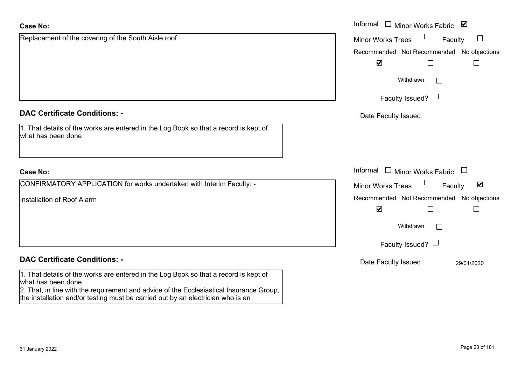| <b>Case No:</b>                                                                                                                                                            | Informal<br>Minor Works Fabric ⊠                            |
|----------------------------------------------------------------------------------------------------------------------------------------------------------------------------|-------------------------------------------------------------|
| Replacement of the covering of the South Aisle roof                                                                                                                        | $\Box$<br><b>Minor Works Trees</b><br>Faculty               |
|                                                                                                                                                                            | Recommended Not Recommended No objections                   |
|                                                                                                                                                                            | $\blacktriangledown$                                        |
|                                                                                                                                                                            | Withdrawn<br>$\mathbf{L}$                                   |
|                                                                                                                                                                            | Faculty Issued? $\Box$                                      |
| <b>DAC Certificate Conditions: -</b>                                                                                                                                       | Date Faculty Issued                                         |
| 1. That details of the works are entered in the Log Book so that a record is kept of<br>what has been done                                                                 |                                                             |
| <b>Case No:</b>                                                                                                                                                            | Informal<br>$\perp$<br>Minor Works Fabric                   |
| CONFIRMATORY APPLICATION for works undertaken with Interim Faculty: -                                                                                                      | $\blacktriangledown$<br><b>Minor Works Trees</b><br>Faculty |
| Installation of Roof Alarm                                                                                                                                                 | Recommended Not Recommended No objections                   |
|                                                                                                                                                                            | $\blacktriangledown$                                        |
|                                                                                                                                                                            | Withdrawn                                                   |
|                                                                                                                                                                            | Faculty Issued? $\Box$                                      |
| <b>DAC Certificate Conditions: -</b>                                                                                                                                       | Date Faculty Issued<br>29/01/2020                           |
| 1. That details of the works are entered in the Log Book so that a record is kept of<br>what has been done                                                                 |                                                             |
| 2. That, in line with the requirement and advice of the Ecclesiastical Insurance Group,<br>the installation and/or testing must be carried out by an electrician who is an |                                                             |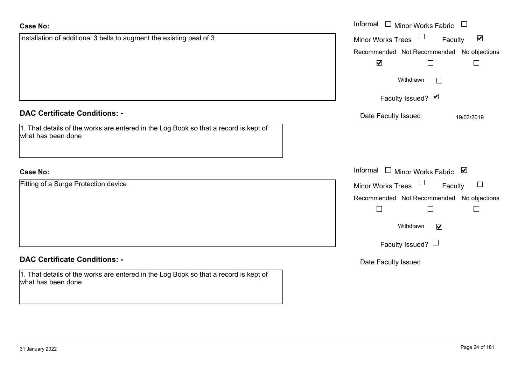| Case No:                                                                                                   | Informal $\Box$ Minor Works Fabric $\Box$            |
|------------------------------------------------------------------------------------------------------------|------------------------------------------------------|
| Installation of additional 3 bells to augment the existing peal of 3                                       | Minor Works Trees<br>$\blacktriangledown$<br>Faculty |
|                                                                                                            | Recommended Not Recommended No objections            |
|                                                                                                            | $\blacktriangledown$                                 |
|                                                                                                            | Withdrawn                                            |
|                                                                                                            | Faculty Issued? Ø                                    |
| <b>DAC Certificate Conditions: -</b>                                                                       | Date Faculty Issued<br>19/03/2019                    |
| 1. That details of the works are entered in the Log Book so that a record is kept of<br>what has been done |                                                      |
| <b>Case No:</b>                                                                                            | Informal □ Minor Works Fabric ⊠                      |
| Fitting of a Surge Protection device                                                                       | Minor Works Trees<br>Faculty<br>$\Box$               |
|                                                                                                            | Recommended Not Recommended No objections            |
|                                                                                                            | $\Box$                                               |
|                                                                                                            | Withdrawn<br>$\blacktriangledown$                    |
|                                                                                                            | Faculty Issued? $\Box$                               |
| <b>DAC Certificate Conditions: -</b>                                                                       | Date Faculty Issued                                  |
| 1. That details of the works are entered in the Log Book so that a record is kept of<br>what has been done |                                                      |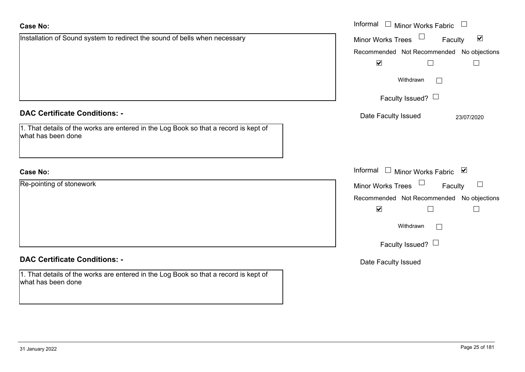| <b>Case No:</b>                                                                                            | Informal □ Minor Works Fabric □                      |
|------------------------------------------------------------------------------------------------------------|------------------------------------------------------|
| Installation of Sound system to redirect the sound of bells when necessary                                 | Minor Works Trees<br>$\blacktriangledown$<br>Faculty |
|                                                                                                            | Recommended Not Recommended No objections            |
|                                                                                                            | $\overline{\mathbf{v}}$                              |
|                                                                                                            | Withdrawn<br>$\Box$                                  |
|                                                                                                            | Faculty Issued? $\Box$                               |
| <b>DAC Certificate Conditions: -</b>                                                                       | Date Faculty Issued<br>23/07/2020                    |
| 1. That details of the works are entered in the Log Book so that a record is kept of<br>what has been done |                                                      |
|                                                                                                            |                                                      |
| <b>Case No:</b>                                                                                            | Informal □ Minor Works Fabric ⊠                      |
| Re-pointing of stonework                                                                                   | Minor Works Trees<br>$\Box$<br>Faculty               |
|                                                                                                            | Recommended Not Recommended No objections            |
|                                                                                                            | $\blacktriangledown$                                 |
|                                                                                                            | Withdrawn<br>$\Box$                                  |
|                                                                                                            | Faculty Issued? $\Box$                               |
| <b>DAC Certificate Conditions: -</b>                                                                       | Date Faculty Issued                                  |
| 1. That details of the works are entered in the Log Book so that a record is kept of<br>what has been done |                                                      |
|                                                                                                            |                                                      |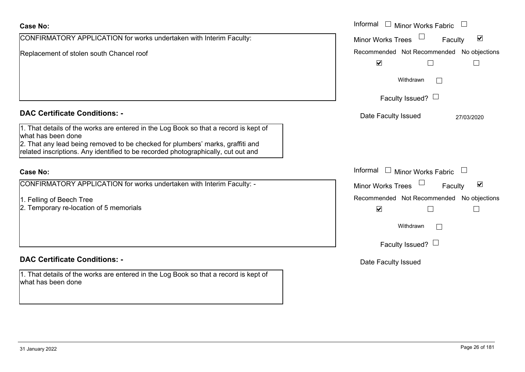| <b>Case No:</b>                                                                                                                                                                              | Informal<br>Minor Works Fabric                              |
|----------------------------------------------------------------------------------------------------------------------------------------------------------------------------------------------|-------------------------------------------------------------|
| CONFIRMATORY APPLICATION for works undertaken with Interim Faculty:                                                                                                                          | $\blacktriangledown$<br><b>Minor Works Trees</b><br>Faculty |
| Replacement of stolen south Chancel roof                                                                                                                                                     | Recommended Not Recommended No objections                   |
|                                                                                                                                                                                              | $\blacktriangledown$                                        |
|                                                                                                                                                                                              | Withdrawn                                                   |
|                                                                                                                                                                                              | Faculty Issued? $\Box$                                      |
| <b>DAC Certificate Conditions: -</b>                                                                                                                                                         | Date Faculty Issued<br>27/03/2020                           |
| 1. That details of the works are entered in the Log Book so that a record is kept of<br>what has been done<br>2. That any lead being removed to be checked for plumbers' marks, graffiti and |                                                             |
| related inscriptions. Any identified to be recorded photographically, cut out and                                                                                                            |                                                             |
| <b>Case No:</b>                                                                                                                                                                              | Informal<br>$\Box$ Minor Works Fabric                       |
| CONFIRMATORY APPLICATION for works undertaken with Interim Faculty: -                                                                                                                        | $\blacktriangledown$<br><b>Minor Works Trees</b><br>Faculty |
| 1. Felling of Beech Tree                                                                                                                                                                     | Recommended Not Recommended No objections                   |
| 2. Temporary re-location of 5 memorials                                                                                                                                                      | $\blacktriangledown$                                        |
|                                                                                                                                                                                              | Withdrawn                                                   |
|                                                                                                                                                                                              | Faculty Issued? $\Box$                                      |
| <b>DAC Certificate Conditions: -</b>                                                                                                                                                         | Date Faculty Issued                                         |
| 1. That details of the works are entered in the Log Book so that a record is kept of<br>what has been done                                                                                   |                                                             |
|                                                                                                                                                                                              |                                                             |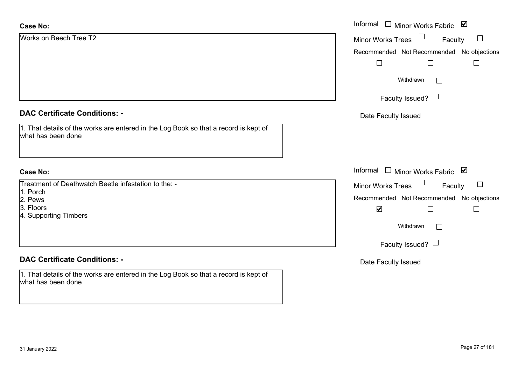| <b>Case No:</b>                                                                                            | Informal $\square$<br>Minor Works Fabric ⊠    |
|------------------------------------------------------------------------------------------------------------|-----------------------------------------------|
| Works on Beech Tree T2                                                                                     | $\Box$<br><b>Minor Works Trees</b><br>Faculty |
|                                                                                                            | Recommended Not Recommended No objections     |
|                                                                                                            | $\Box$                                        |
|                                                                                                            | Withdrawn<br>$\overline{\phantom{a}}$         |
|                                                                                                            | Faculty Issued? $\Box$                        |
| <b>DAC Certificate Conditions: -</b>                                                                       | Date Faculty Issued                           |
| 1. That details of the works are entered in the Log Book so that a record is kept of<br>what has been done |                                               |
| <b>Case No:</b>                                                                                            | Informal $\Box$ Minor Works Fabric $\Box$     |
| Treatment of Deathwatch Beetle infestation to the: -                                                       | Minor Works Trees<br>Faculty<br>$\Box$        |
| 1. Porch<br>2. Pews                                                                                        | Recommended Not Recommended No objections     |
| 3. Floors                                                                                                  | $\blacktriangledown$<br>$\Box$<br>$\Box$      |
| 4. Supporting Timbers                                                                                      |                                               |
|                                                                                                            | Withdrawn<br>$\Box$                           |
|                                                                                                            | Faculty Issued? $\Box$                        |
| <b>DAC Certificate Conditions: -</b>                                                                       | Date Faculty Issued                           |
| 1. That details of the works are entered in the Log Book so that a record is kept of<br>what has been done |                                               |
|                                                                                                            |                                               |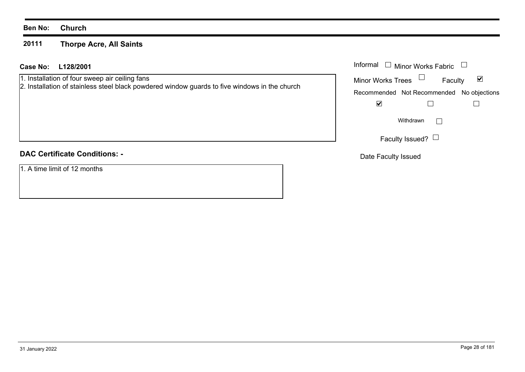## **Ben No: Church**

### **20111Thorpe Acre, All Saints**

## **L128/2001 Case No:** Informal

1. Installation of four sweep air ceiling fans

2. Installation of stainless steel black powdered window guards to five windows in the church

## **DAC Certificate Conditions: -**

1. A time limit of 12 months

| Informal<br>$\Box$ Minor Works Fabric |                                           |   |
|---------------------------------------|-------------------------------------------|---|
| <b>Minor Works Trees</b>              | Faculty                                   | M |
|                                       | Recommended Not Recommended No objections |   |
|                                       |                                           |   |
|                                       | Withdrawn                                 |   |
|                                       | Faculty Issued?                           |   |

Date Faculty Issued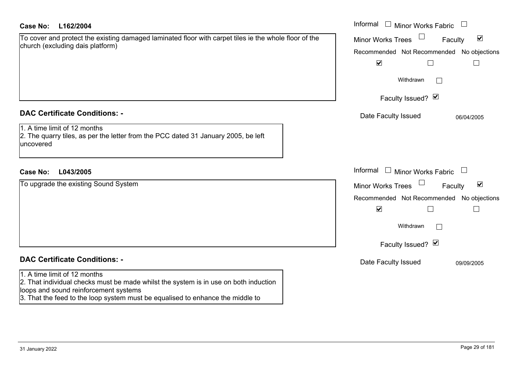| <b>Case No:</b><br>L162/2004                                                                                                                                                                                                                    | Informal $\Box$ Minor Works Fabric $\Box$                                                                                                                          |
|-------------------------------------------------------------------------------------------------------------------------------------------------------------------------------------------------------------------------------------------------|--------------------------------------------------------------------------------------------------------------------------------------------------------------------|
| To cover and protect the existing damaged laminated floor with carpet tiles ie the whole floor of the<br>church (excluding dais platform)                                                                                                       | $\blacktriangledown$<br><b>Minor Works Trees</b><br>Faculty<br>Recommended Not Recommended No objections                                                           |
|                                                                                                                                                                                                                                                 | $\overline{\mathbf{v}}$<br>$\Box$                                                                                                                                  |
|                                                                                                                                                                                                                                                 | Withdrawn                                                                                                                                                          |
|                                                                                                                                                                                                                                                 | Faculty Issued? Ø                                                                                                                                                  |
| <b>DAC Certificate Conditions: -</b>                                                                                                                                                                                                            | Date Faculty Issued<br>06/04/2005                                                                                                                                  |
| 1. A time limit of 12 months<br>2. The quarry tiles, as per the letter from the PCC dated 31 January 2005, be left<br>uncovered                                                                                                                 |                                                                                                                                                                    |
| L043/2005<br>Case No:                                                                                                                                                                                                                           | Informal<br>$\Box$ Minor Works Fabric $\Box$                                                                                                                       |
| To upgrade the existing Sound System                                                                                                                                                                                                            | $\blacktriangledown$<br><b>Minor Works Trees</b><br>Faculty<br>Recommended Not Recommended No objections<br>$\blacktriangledown$<br>Withdrawn<br>Faculty Issued? Ø |
| <b>DAC Certificate Conditions: -</b>                                                                                                                                                                                                            | Date Faculty Issued<br>09/09/2005                                                                                                                                  |
| 1. A time limit of 12 months<br>2. That individual checks must be made whilst the system is in use on both induction<br>loops and sound reinforcement systems<br>3. That the feed to the loop system must be equalised to enhance the middle to |                                                                                                                                                                    |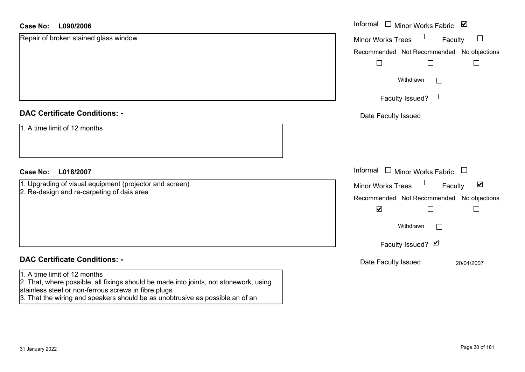#### **L090/2006Case No:**

| <b>Case No:</b><br>L090/2006                                                                                                                                                  | Informal □ Minor Works Fabric ⊠                                |
|-------------------------------------------------------------------------------------------------------------------------------------------------------------------------------|----------------------------------------------------------------|
| Repair of broken stained glass window                                                                                                                                         | <b>Minor Works Trees</b><br>$\Box$<br>Faculty                  |
|                                                                                                                                                                               | Recommended Not Recommended No objections                      |
|                                                                                                                                                                               |                                                                |
|                                                                                                                                                                               | Withdrawn<br>$\mathbf{L}$                                      |
|                                                                                                                                                                               | Faculty Issued? $\Box$                                         |
| <b>DAC Certificate Conditions: -</b>                                                                                                                                          | Date Faculty Issued                                            |
| 1. A time limit of 12 months                                                                                                                                                  |                                                                |
| L018/2007<br><b>Case No:</b>                                                                                                                                                  | Informal $\Box$ Minor Works Fabric $\Box$                      |
| 1. Upgrading of visual equipment (projector and screen)                                                                                                                       | $\Box$<br>$\blacktriangledown$<br>Minor Works Trees<br>Faculty |
| 2. Re-design and re-carpeting of dais area                                                                                                                                    | Recommended Not Recommended No objections                      |
|                                                                                                                                                                               | $\blacktriangledown$                                           |
|                                                                                                                                                                               | Withdrawn<br>$\mathbf{I}$                                      |
|                                                                                                                                                                               | Faculty Issued? Ø                                              |
| <b>DAC Certificate Conditions: -</b>                                                                                                                                          | Date Faculty Issued<br>20/04/2007                              |
| 1. A time limit of 12 months<br>2. That, where possible, all fixings should be made into joints, not stonework, using<br>stainless steel or non-ferrous screws in fibre plugs |                                                                |

3. That the wiring and speakers should be as unobtrusive as possible an of an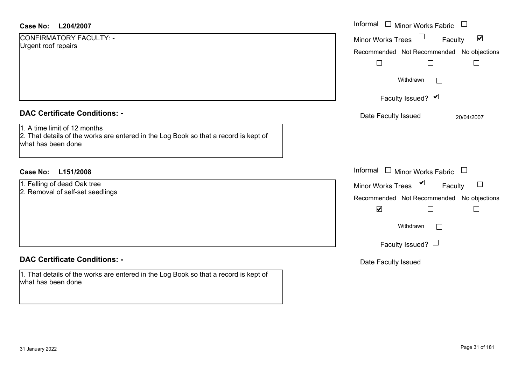| Case No: | L204/2007 |
|----------|-----------|
|----------|-----------|

| CONFIRMATORY FACULTY: - |  |
|-------------------------|--|
| Urgent roof repairs     |  |

## **DAC Certificate Conditions: -**

## **DAC Certificate Conditions: -**

1. That details of the works are entered in the Log Book so that a record is kept of what has been done

| <b>Case No:</b><br>L204/2007                                                                                                               | Informal $\Box$ Minor Works Fabric                          |
|--------------------------------------------------------------------------------------------------------------------------------------------|-------------------------------------------------------------|
| CONFIRMATORY FACULTY: -<br>Urgent roof repairs                                                                                             | $\blacktriangledown$<br>Faculty<br><b>Minor Works Trees</b> |
|                                                                                                                                            | Recommended Not Recommended No objections                   |
|                                                                                                                                            | $\Box$<br>$\Box$<br>$\mathsf{L}$                            |
|                                                                                                                                            | Withdrawn<br>$\vert \ \ \vert$                              |
|                                                                                                                                            | Faculty Issued? Ø                                           |
| <b>DAC Certificate Conditions: -</b>                                                                                                       | Date Faculty Issued<br>20/04/2007                           |
| 1. A time limit of 12 months<br>2. That details of the works are entered in the Log Book so that a record is kept of<br>what has been done |                                                             |
| L151/2008<br><b>Case No:</b>                                                                                                               | Informal $\Box$ Minor Works Fabric $\Box$                   |
| 1. Felling of dead Oak tree                                                                                                                | ⊻<br>$\sqcup$<br><b>Minor Works Trees</b><br>Faculty        |
| 2. Removal of self-set seedlings                                                                                                           | Recommended Not Recommended No objections                   |
|                                                                                                                                            | $\blacktriangledown$<br>Г                                   |
|                                                                                                                                            | Withdrawn<br>$\Box$                                         |
|                                                                                                                                            | Faculty Issued? $\Box$                                      |
| <b>DAC Certificate Conditions: -</b>                                                                                                       | Date Faculty Issued                                         |
| 1. That details of the works are entered in the Log Book so that a record is kept of                                                       |                                                             |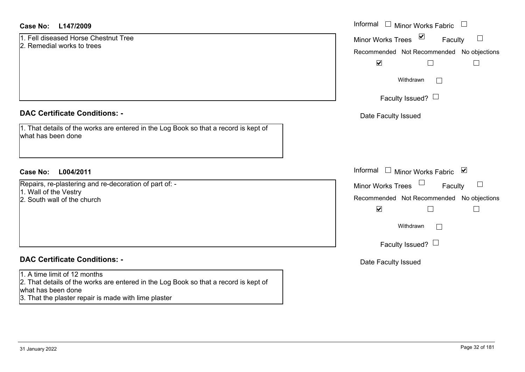## **L147/2009Case No:** Informal

1. Fell diseased Horse Chestnut Tree2. Remedial works to trees

## **DAC Certificate Conditions: -**

1. That details of the works are entered in the Log Book so that a record is kept of what has been done

## **L004/2011Case No:** Informal

Repairs, re-plastering and re-decoration of part of: - 1. Wall of the Vestry

2. South wall of the church

## **DAC Certificate Conditions: -**

### 1. A time limit of 12 months

2. That details of the works are entered in the Log Book so that a record is kept of what has been done

3. That the plaster repair is made with lime plaster

| Informal Infor Works Fabric                |  |  |  |
|--------------------------------------------|--|--|--|
| ⊻<br><b>Minor Works Trees</b><br>Faculty   |  |  |  |
| Recommended Not Recommended No objections  |  |  |  |
| $\blacktriangledown$                       |  |  |  |
| Withdrawn                                  |  |  |  |
| Faculty Issued? $\Box$                     |  |  |  |
| Date Faculty Issued                        |  |  |  |
|                                            |  |  |  |
|                                            |  |  |  |
| Informal<br>⊻<br><b>Minor Works Fabric</b> |  |  |  |
| <b>Minor Works Trees</b><br>Faculty        |  |  |  |
| Recommended Not Recommended No objections  |  |  |  |
| $\blacktriangledown$                       |  |  |  |
| Withdrawn                                  |  |  |  |
| Faculty Issued? $\Box$                     |  |  |  |
| Date Faculty Issued                        |  |  |  |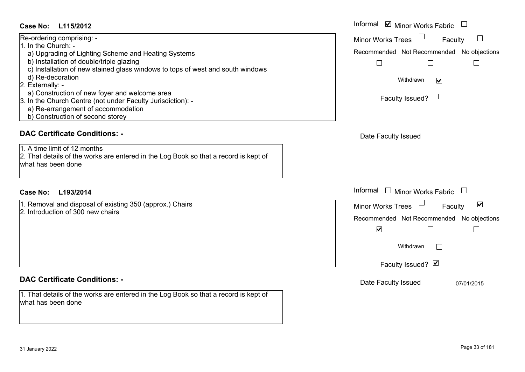## **L115/2012Case No:**

| Re-ordering comprising: -                                                      |  |
|--------------------------------------------------------------------------------|--|
| 1. In the Church: -                                                            |  |
| a) Upgrading of Lighting Scheme and Heating Systems                            |  |
| b) Installation of double/triple glazing                                       |  |
| c) Installation of new stained glass windows to tops of west and south windows |  |
| d) Re-decoration                                                               |  |
| 2. Externally: -                                                               |  |
| a) Construction of new foyer and welcome area                                  |  |
| 3. In the Church Centre (not under Faculty Jurisdiction): -                    |  |
| a) Re-arrangement of accommodation                                             |  |
| b) Construction of second storey                                               |  |

## **DAC Certificate Conditions: -**

1. A time limit of 12 months2. That details of the works are entered in the Log Book so that a record is kept of what has been done

## **L193/2014Case No:** Informal

1. Removal and disposal of existing 350 (approx.) Chairs 2. Introduction of 300 new chairs

## **DAC Certificate Conditions: -**

1. That details of the works are entered in the Log Book so that a record is kept of what has been done

| L115/2012                                                                                                                                                                                                                                                                                                                                                                              | Informal <b>v</b> Minor Works Fabric                                                                                                                                                                |
|----------------------------------------------------------------------------------------------------------------------------------------------------------------------------------------------------------------------------------------------------------------------------------------------------------------------------------------------------------------------------------------|-----------------------------------------------------------------------------------------------------------------------------------------------------------------------------------------------------|
| ing comprising: -<br>Church: -<br>rading of Lighting Scheme and Heating Systems<br>allation of double/triple glazing<br>allation of new stained glass windows to tops of west and south windows<br>decoration<br>ally: -<br>struction of new foyer and welcome area<br>Church Centre (not under Faculty Jurisdiction): -<br>arrangement of accommodation<br>struction of second storey | $\Box$<br><b>Minor Works Trees</b><br>Faculty<br>Recommended Not Recommended No objections<br>$\Box$<br>$\Box$<br>Withdrawn<br>$\blacktriangledown$<br>Faculty Issued? $\Box$                       |
| rtificate Conditions: -<br>limit of 12 months<br>etails of the works are entered in the Log Book so that a record is kept of<br>been done                                                                                                                                                                                                                                              | Date Faculty Issued                                                                                                                                                                                 |
| L193/2014                                                                                                                                                                                                                                                                                                                                                                              | Informal<br>$\Box$ Minor Works Fabric<br>$\overline{\phantom{a}}$                                                                                                                                   |
| val and disposal of existing 350 (approx.) Chairs<br>uction of 300 new chairs                                                                                                                                                                                                                                                                                                          | $\blacktriangledown$<br><b>Minor Works Trees</b><br>Faculty<br>Recommended Not Recommended No objections<br>$\blacktriangledown$<br>$\mathcal{L}$<br>Withdrawn<br>$\mathbb{R}$<br>Faculty Issued? Ø |
| rtificate Conditions: -                                                                                                                                                                                                                                                                                                                                                                | Date Faculty Issued<br>07/01/2015                                                                                                                                                                   |
| etails of the works are entered in the Log Book so that a record is kept of<br>heen done                                                                                                                                                                                                                                                                                               |                                                                                                                                                                                                     |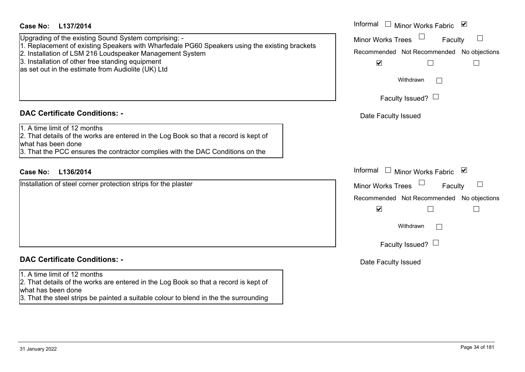| <b>Case No:</b><br>L137/2014                                                                                                                                                                                                                                                                                                | Informal<br>□ Minor Works Fabric $\vert \mathbf{v} \vert$                                                                        |
|-----------------------------------------------------------------------------------------------------------------------------------------------------------------------------------------------------------------------------------------------------------------------------------------------------------------------------|----------------------------------------------------------------------------------------------------------------------------------|
| Upgrading of the existing Sound System comprising: -<br>1. Replacement of existing Speakers with Wharfedale PG60 Speakers using the existing brackets<br>2. Installation of LSM 216 Loudspeaker Management System<br>3. Installation of other free standing equipment<br>as set out in the estimate from Audiolite (UK) Ltd | <b>Minor Works Trees</b><br>Faculty<br>Recommended Not Recommended<br>No objections<br>$\blacktriangledown$<br>Е<br>$\mathbf{I}$ |
|                                                                                                                                                                                                                                                                                                                             | Withdrawn<br>Faculty Issued? $\Box$                                                                                              |
| <b>DAC Certificate Conditions: -</b>                                                                                                                                                                                                                                                                                        | Date Faculty Issued                                                                                                              |
| 1. A time limit of 12 months<br>2. That details of the works are entered in the Log Book so that a record is kept of<br>what has been done<br>3. That the PCC ensures the contractor complies with the DAC Conditions on the                                                                                                |                                                                                                                                  |
| L136/2014<br><b>Case No:</b>                                                                                                                                                                                                                                                                                                | Informal<br>□ Minor Works Fabric $\blacksquare$                                                                                  |
| Installation of steel corner protection strips for the plaster                                                                                                                                                                                                                                                              | Minor Works Trees<br>⊔<br>Faculty<br>Recommended Not Recommended<br>No objections<br>$\blacktriangledown$                        |
|                                                                                                                                                                                                                                                                                                                             | Withdrawn                                                                                                                        |
|                                                                                                                                                                                                                                                                                                                             | Faculty Issued? $\Box$                                                                                                           |
| <b>DAC Certificate Conditions: -</b>                                                                                                                                                                                                                                                                                        | Date Faculty Issued                                                                                                              |
| 1. A time limit of 12 months<br>2. That details of the works are entered in the Log Book so that a record is kept of<br>what has been done<br>3. That the steel strips be painted a suitable colour to blend in the the surrounding                                                                                         |                                                                                                                                  |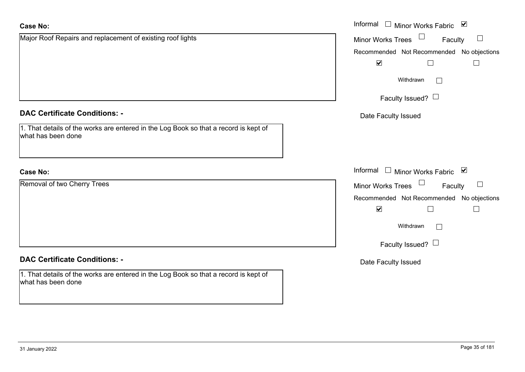**Case No:**

| Major Roof Repairs and replacement of existing roof lights                                                 | Minor Works Trees<br>Faculty              |
|------------------------------------------------------------------------------------------------------------|-------------------------------------------|
|                                                                                                            | Recommended Not Recommended No objections |
|                                                                                                            | $\blacktriangledown$                      |
|                                                                                                            | Withdrawn<br>$\Box$                       |
|                                                                                                            | Faculty Issued? $\Box$                    |
| <b>DAC Certificate Conditions: -</b>                                                                       | Date Faculty Issued                       |
| 1. That details of the works are entered in the Log Book so that a record is kept of<br>what has been done |                                           |
| <b>Case No:</b>                                                                                            | Informal □ Minor Works Fabric ⊠           |
| Removal of two Cherry Trees                                                                                | Minor Works Trees<br>Faculty              |
|                                                                                                            | Recommended Not Recommended No objections |
|                                                                                                            | $\blacktriangledown$<br>$\Box$<br>$\Box$  |
|                                                                                                            | Withdrawn<br>$\Box$                       |
|                                                                                                            | Faculty Issued? $\Box$                    |
| <b>DAC Certificate Conditions: -</b>                                                                       | Date Faculty Issued                       |
| 1. That details of the works are entered in the Log Book so that a record is kept of<br>what has been done |                                           |

Informal

Minor Works Fabric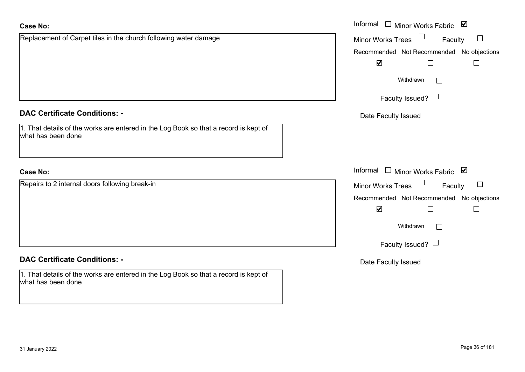| <b>Case No:</b>                                                                                            | Informal<br>$\Box$ Minor Works Fabric $\Box$              |
|------------------------------------------------------------------------------------------------------------|-----------------------------------------------------------|
| Replacement of Carpet tiles in the church following water damage                                           | Minor Works Trees<br>Faculty<br>$\Box$                    |
|                                                                                                            | Recommended Not Recommended No objections                 |
|                                                                                                            | $\blacktriangledown$<br>$\vert \ \ \vert$                 |
|                                                                                                            | Withdrawn                                                 |
|                                                                                                            | Faculty Issued? $\Box$                                    |
| <b>DAC Certificate Conditions: -</b>                                                                       | Date Faculty Issued                                       |
| 1. That details of the works are entered in the Log Book so that a record is kept of<br>what has been done |                                                           |
| <b>Case No:</b>                                                                                            | Informal<br>□ Minor Works Fabric $\vert \mathbf{v} \vert$ |
| Repairs to 2 internal doors following break-in                                                             | <b>Minor Works Trees</b><br>Faculty<br>$\Box$             |
|                                                                                                            | Recommended Not Recommended No objections                 |
|                                                                                                            | $\blacktriangledown$                                      |
|                                                                                                            | Withdrawn<br>$\vert \ \ \vert$                            |
|                                                                                                            | Faculty Issued? $\Box$                                    |
| <b>DAC Certificate Conditions: -</b>                                                                       | Date Faculty Issued                                       |
| 1. That details of the works are entered in the Log Book so that a record is kept of<br>what has been done |                                                           |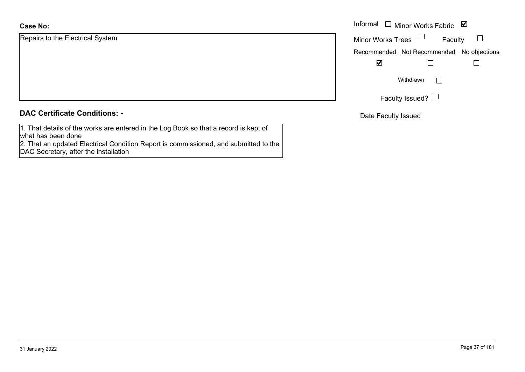Repairs to the Electrical System

|  |  | <b>DAC Certificate Conditions: -</b> |  |
|--|--|--------------------------------------|--|
|--|--|--------------------------------------|--|

1. That details of the works are entered in the Log Book so that a record is kept of what has been done

 2. That an updated Electrical Condition Report is commissioned, and submitted to the DAC Secretary, after the installation

|                         | Informal $\Box$ Minor Works Fabric $\Box$ |
|-------------------------|-------------------------------------------|
| o the Electrical System | <b>Minor Works Trees</b><br>Faculty       |
|                         | Recommended Not Recommended No objections |
|                         | $\blacktriangledown$                      |
|                         | Withdrawn                                 |
|                         | Faculty Issued? $\Box$                    |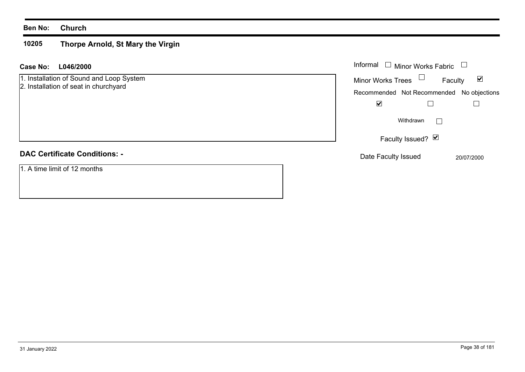#### **10205 Thorpe Arnold, St Mary the Virgin**

| <b>Case No:</b><br>L046/2000                                                      | Informal $\Box$ Minor Works Fabric                          |
|-----------------------------------------------------------------------------------|-------------------------------------------------------------|
| 1. Installation of Sound and Loop System<br>2. Installation of seat in churchyard | Minor Works Trees $\Box$<br>$\blacktriangledown$<br>Faculty |
|                                                                                   | Recommended Not Recommended No objections                   |
|                                                                                   | ⊻                                                           |
|                                                                                   | Withdrawn<br>$\mathbf{L}$                                   |
|                                                                                   | Faculty Issued? $\triangledown$                             |
| <b>DAC Certificate Conditions: -</b>                                              | Date Faculty Issued<br>20/07/2000                           |
| 1. A time limit of 12 months                                                      |                                                             |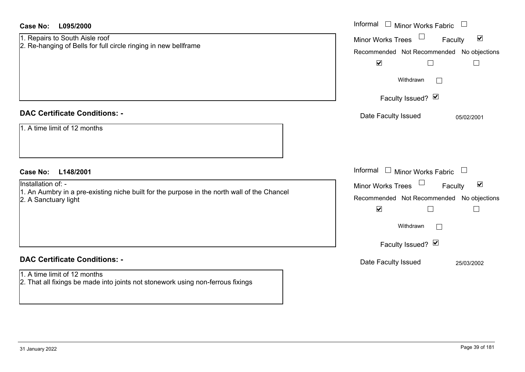| <b>Case No:</b><br>L095/2000                                                                                                                            | Informal □ Minor Works Fabric                                                                                                                        |
|---------------------------------------------------------------------------------------------------------------------------------------------------------|------------------------------------------------------------------------------------------------------------------------------------------------------|
| 1. Repairs to South Aisle roof<br>2. Re-hanging of Bells for full circle ringing in new bellframe                                                       | $\blacktriangledown$<br><b>Minor Works Trees</b><br>Faculty<br>Recommended Not Recommended No objections<br>$\blacktriangledown$<br>$\Box$<br>$\Box$ |
|                                                                                                                                                         | Withdrawn<br>Faculty Issued? Ø                                                                                                                       |
| <b>DAC Certificate Conditions: -</b><br>1. A time limit of 12 months                                                                                    | Date Faculty Issued<br>05/02/2001                                                                                                                    |
| <b>Case No:</b><br>L148/2001                                                                                                                            | Informal $\Box$ Minor Works Fabric $\Box$                                                                                                            |
| Installation of: -<br>1. An Aumbry in a pre-existing niche built for the purpose in the north wall of the Chancel<br>2. A Sanctuary light               | $\blacktriangledown$<br>Minor Works Trees<br>Faculty<br>Recommended Not Recommended No objections<br>$\blacktriangledown$<br>$\Box$                  |
|                                                                                                                                                         | Withdrawn                                                                                                                                            |
|                                                                                                                                                         | Faculty Issued? Ø                                                                                                                                    |
| <b>DAC Certificate Conditions: -</b><br>1. A time limit of 12 months<br>2. That all fixings be made into joints not stonework using non-ferrous fixings | Date Faculty Issued<br>25/03/2002                                                                                                                    |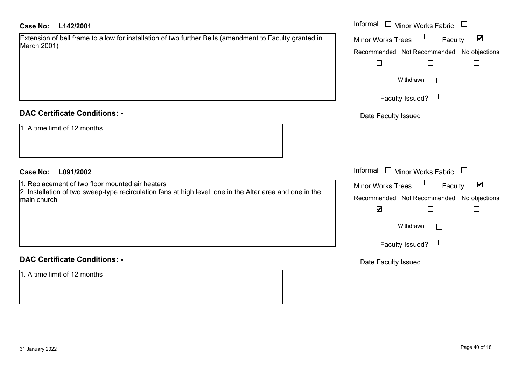| Extension of bell frame to allow for installation of two further Bells (amendment to Faculty granted in |  |
|---------------------------------------------------------------------------------------------------------|--|
| March 2001)                                                                                             |  |

### **DAC Certificate Conditions: -**

|  |  |  |  | 1. A time limit of 12 months |
|--|--|--|--|------------------------------|
|--|--|--|--|------------------------------|

#### **DAC Certificate Conditions: -**

1. A time limit of 12 months

| <b>Case No:</b><br>L142/2001                                                                                                                                | Informal $\Box$ Minor Works Fabric $\Box$                                                         |
|-------------------------------------------------------------------------------------------------------------------------------------------------------------|---------------------------------------------------------------------------------------------------|
| Extension of bell frame to allow for installation of two further Bells (amendment to Faculty granted in<br>March 2001)                                      | Minor Works Trees<br>$\blacktriangledown$<br>Faculty<br>Recommended Not Recommended No objections |
|                                                                                                                                                             | $\perp$<br>$\perp$                                                                                |
|                                                                                                                                                             | Withdrawn<br>$\sim$                                                                               |
|                                                                                                                                                             | Faculty Issued? $\Box$                                                                            |
| <b>DAC Certificate Conditions: -</b>                                                                                                                        | Date Faculty Issued                                                                               |
| 1. A time limit of 12 months                                                                                                                                |                                                                                                   |
| <b>Case No:</b><br>L091/2002                                                                                                                                | Informal $\Box$ Minor Works Fabric $\Box$                                                         |
| 1. Replacement of two floor mounted air heaters<br>2. Installation of two sweep-type recirculation fans at high level, one in the Altar area and one in the | Minor Works Trees<br>$\blacktriangledown$<br>Faculty                                              |
| main church                                                                                                                                                 | Recommended Not Recommended No objections<br>$\blacktriangledown$<br>$\Box$<br>$\Box$             |
|                                                                                                                                                             | Withdrawn<br>$\mathbb{R}$                                                                         |
|                                                                                                                                                             | Faculty Issued? $\Box$                                                                            |
| <b>DAC Certificate Conditions: -</b>                                                                                                                        | Date Faculty Issued                                                                               |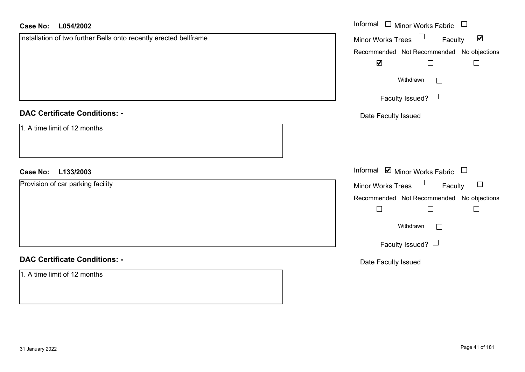| <b>Case No:</b><br>L054/2002                                      | Informal $\Box$ Minor Works Fabric $\Box$                   |
|-------------------------------------------------------------------|-------------------------------------------------------------|
| Installation of two further Bells onto recently erected bellframe | Minor Works Trees $\Box$<br>Faculty<br>$\blacktriangledown$ |
|                                                                   | Recommended Not Recommended No objections                   |
|                                                                   | $\blacktriangledown$<br>$\Box$<br>$\overline{\phantom{a}}$  |
|                                                                   | Withdrawn<br>$\Box$                                         |
|                                                                   | Faculty Issued? $\Box$                                      |
| <b>DAC Certificate Conditions: -</b>                              | Date Faculty Issued                                         |
| 1. A time limit of 12 months                                      |                                                             |
| <b>Case No:</b><br>L133/2003                                      | Informal $\blacksquare$ Minor Works Fabric $\Box$           |
| Provision of car parking facility                                 | Minor Works Trees $\Box$ Faculty<br>$\Box$                  |
|                                                                   | Recommended Not Recommended No objections                   |
|                                                                   | $\Box$<br>$\Box$<br>$\overline{\phantom{a}}$                |
|                                                                   | Withdrawn<br>$\Box$                                         |
|                                                                   | Faculty Issued? $\Box$                                      |
| <b>DAC Certificate Conditions: -</b>                              | Date Faculty Issued                                         |
| 1. A time limit of 12 months                                      |                                                             |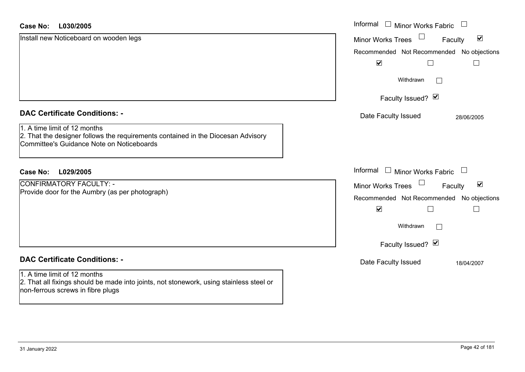| <b>Case No:</b><br>L030/2005                                                                                                                                  | Informal □ Minor Works Fabric<br>$\Box$                     |
|---------------------------------------------------------------------------------------------------------------------------------------------------------------|-------------------------------------------------------------|
| Install new Noticeboard on wooden legs                                                                                                                        | $\blacktriangledown$<br><b>Minor Works Trees</b><br>Faculty |
|                                                                                                                                                               | Recommended Not Recommended No objections                   |
|                                                                                                                                                               | $\blacktriangledown$                                        |
|                                                                                                                                                               | Withdrawn<br>$\mathbf{L}$                                   |
|                                                                                                                                                               | Faculty Issued? Ø                                           |
| <b>DAC Certificate Conditions: -</b>                                                                                                                          | Date Faculty Issued<br>28/06/2005                           |
| 1. A time limit of 12 months<br>2. That the designer follows the requirements contained in the Diocesan Advisory<br>Committee's Guidance Note on Noticeboards |                                                             |
| <b>Case No:</b><br>L029/2005                                                                                                                                  | Informal $\Box$ Minor Works Fabric<br>$\frac{1}{2}$         |
| <b>CONFIRMATORY FACULTY: -</b>                                                                                                                                | $\blacktriangledown$<br><b>Minor Works Trees</b><br>Faculty |
| Provide door for the Aumbry (as per photograph)                                                                                                               | Recommended Not Recommended No objections                   |
|                                                                                                                                                               | $\blacktriangledown$                                        |
|                                                                                                                                                               | Withdrawn                                                   |
|                                                                                                                                                               | Faculty Issued? Ø                                           |
| <b>DAC Certificate Conditions: -</b>                                                                                                                          | Date Faculty Issued<br>18/04/2007                           |
| 1. A time limit of 12 months<br>2. That all fixings should be made into joints, not stonework, using stainless steel or<br>non-ferrous screws in fibre plugs  |                                                             |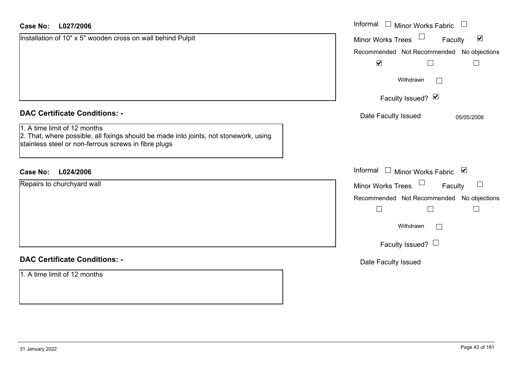| <b>Case No:</b><br>L027/2006                                                                                                                                                  | Informal □ Minor Works Fabric<br>$\begin{array}{c} \hline \end{array}$ |
|-------------------------------------------------------------------------------------------------------------------------------------------------------------------------------|------------------------------------------------------------------------|
| Installation of 10" x 5" wooden cross on wall behind Pulpit                                                                                                                   | $\Box$<br>$\blacktriangledown$<br>Minor Works Trees<br>Faculty         |
|                                                                                                                                                                               | Recommended Not Recommended No objections                              |
|                                                                                                                                                                               | $\blacktriangledown$<br>$\Box$<br>$\mathbf{L}$                         |
|                                                                                                                                                                               | Withdrawn<br>$\Box$                                                    |
|                                                                                                                                                                               | Faculty Issued? Ø                                                      |
| <b>DAC Certificate Conditions: -</b>                                                                                                                                          | Date Faculty Issued<br>05/05/2006                                      |
| 1. A time limit of 12 months<br>2. That, where possible, all fixings should be made into joints, not stonework, using<br>stainless steel or non-ferrous screws in fibre plugs |                                                                        |
| <b>Case No:</b><br>L024/2006                                                                                                                                                  | Informal $\Box$ Minor Works Fabric $\Box$                              |
| Repairs to churchyard wall                                                                                                                                                    | Minor Works Trees<br>$\Box$<br>Faculty                                 |
|                                                                                                                                                                               | Recommended Not Recommended No objections                              |
|                                                                                                                                                                               | $\Box$<br>$\Box$<br>$\Box$                                             |
|                                                                                                                                                                               | Withdrawn<br>$\Box$                                                    |
|                                                                                                                                                                               | Faculty Issued? $\Box$                                                 |
| <b>DAC Certificate Conditions: -</b>                                                                                                                                          | Date Faculty Issued                                                    |
| 1. A time limit of 12 months                                                                                                                                                  |                                                                        |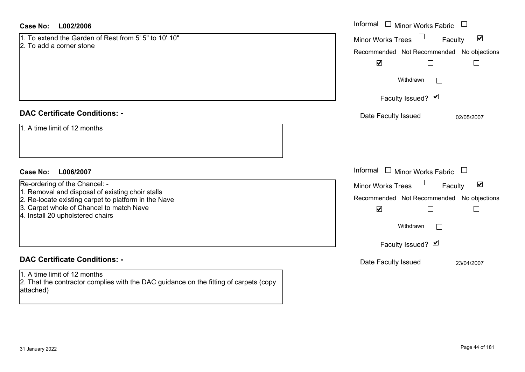| <b>Case No:</b><br>L002/2006                                                                                                       | Informal $\Box$ Minor Works Fabric                          |
|------------------------------------------------------------------------------------------------------------------------------------|-------------------------------------------------------------|
| 1. To extend the Garden of Rest from 5' 5" to 10' 10"<br>2. To add a corner stone                                                  | $\blacktriangledown$<br><b>Minor Works Trees</b><br>Faculty |
|                                                                                                                                    | Recommended Not Recommended No objections                   |
|                                                                                                                                    | $\blacktriangledown$<br>$\Box$                              |
|                                                                                                                                    | Withdrawn<br>$\mathbf{L}$                                   |
|                                                                                                                                    | Faculty Issued? Ø                                           |
| <b>DAC Certificate Conditions: -</b>                                                                                               | Date Faculty Issued<br>02/05/2007                           |
| 1. A time limit of 12 months                                                                                                       |                                                             |
| <b>Case No:</b><br>L006/2007                                                                                                       | Informal<br>$\Box$<br><b>Minor Works Fabric</b>             |
| Re-ordering of the Chancel: -                                                                                                      | $\blacktriangledown$<br><b>Minor Works Trees</b><br>Faculty |
| 1. Removal and disposal of existing choir stalls<br>2. Re-locate existing carpet to platform in the Nave                           | Recommended Not Recommended No objections                   |
| 3. Carpet whole of Chancel to match Nave<br>4. Install 20 upholstered chairs                                                       | $\blacktriangledown$<br>$\Box$                              |
|                                                                                                                                    | Withdrawn<br>$\mathbf{I}$                                   |
|                                                                                                                                    | Faculty Issued? Ø                                           |
| <b>DAC Certificate Conditions: -</b>                                                                                               | Date Faculty Issued<br>23/04/2007                           |
| 1. A time limit of 12 months<br>2. That the contractor complies with the DAC guidance on the fitting of carpets (copy<br>attached) |                                                             |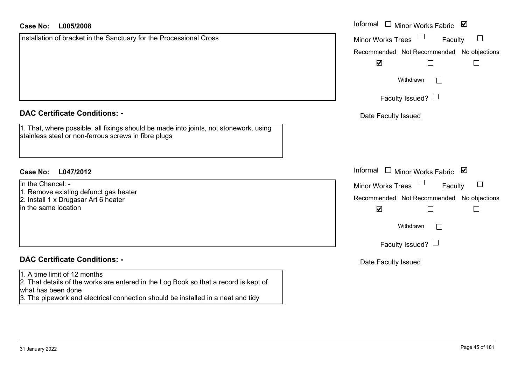| Case No: | L005/2008 | Informal |
|----------|-----------|----------|
|          |           |          |

Installation of bracket in the Sanctuary for the Processional Cross

#### **DAC Certificate Conditions: -**

1. That, where possible, all fixings should be made into joints, not stonework, using stainless steel or non-ferrous screws in fibre plugs

# **L047/2012Case No:** Informal

In the Chancel: -1. Remove existing defunct gas heater 2. Install 1 x Drugasar Art 6 heater in the same location

# **DAC Certificate Conditions: -**

#### 1. A time limit of 12 months

2. That details of the works are entered in the Log Book so that a record is kept of what has been done

3. The pipework and electrical connection should be installed in a neat and tidy

| Informal<br>び<br><b>Minor Works Fabric</b> |
|--------------------------------------------|
| <b>Minor Works Trees</b><br>Faculty        |
| Recommended Not Recommended No objections  |
| $\blacktriangledown$                       |
| Withdrawn                                  |
| Faculty Issued?                            |
| Date Faculty Issued                        |
|                                            |
|                                            |
| Informal<br>⊻<br><b>Minor Works Fabric</b> |
| <b>Minor Works Trees</b><br>Faculty        |
| Recommended Not Recommended No objections  |
| $\blacktriangledown$                       |
| Withdrawn                                  |
| Faculty Issued?                            |
| Date Faculty Issued                        |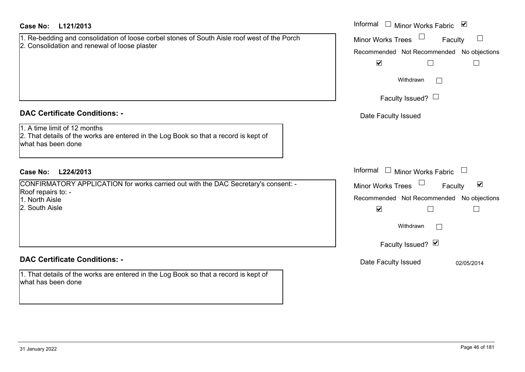| <b>Case No:</b><br>L121/2013                                                                                                                  | Informal □ Minor Works Fabric ⊠                      |
|-----------------------------------------------------------------------------------------------------------------------------------------------|------------------------------------------------------|
| 1. Re-bedding and consolidation of loose corbel stones of South Aisle roof west of the Porch<br>2. Consolidation and renewal of loose plaster | <b>Minor Works Trees</b><br>$\Box$<br>Faculty        |
|                                                                                                                                               | Recommended Not Recommended No objections            |
|                                                                                                                                               | $\blacktriangledown$                                 |
|                                                                                                                                               | Withdrawn                                            |
|                                                                                                                                               | Faculty Issued? $\Box$                               |
| <b>DAC Certificate Conditions: -</b>                                                                                                          | Date Faculty Issued                                  |
| 1. A time limit of 12 months<br>2. That details of the works are entered in the Log Book so that a record is kept of<br>what has been done    |                                                      |
| L224/2013<br><b>Case No:</b>                                                                                                                  | Informal $\Box$ Minor Works Fabric                   |
| CONFIRMATORY APPLICATION for works carried out with the DAC Secretary's consent: -                                                            | $\blacktriangledown$<br>Minor Works Trees<br>Faculty |
| Roof repairs to: -<br>1. North Aisle                                                                                                          | Recommended Not Recommended No objections            |
| 2. South Aisle                                                                                                                                | $\blacktriangledown$                                 |
|                                                                                                                                               | Withdrawn<br>$\perp$                                 |
|                                                                                                                                               | Faculty Issued? Ø                                    |
| <b>DAC Certificate Conditions: -</b>                                                                                                          | Date Faculty Issued<br>02/05/2014                    |
| 1. That details of the works are entered in the Log Book so that a record is kept of<br>what has been done                                    |                                                      |
|                                                                                                                                               |                                                      |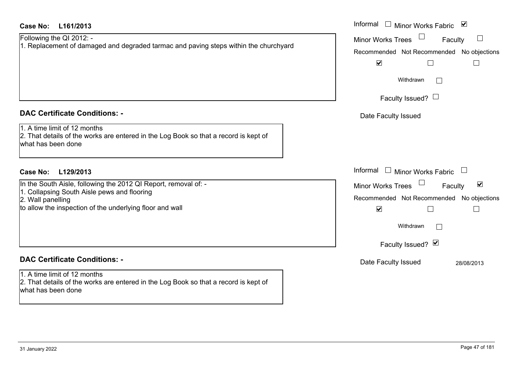# **L161/2013Case No:** Informal

| Following the QI 2012: -                                                             |
|--------------------------------------------------------------------------------------|
| 1. Replacement of damaged and degraded tarmac and paving steps within the churchyard |

# **DAC Certificate Conditions: -**

# 1. A time limit of 12 months

2. That details of the works are entered in the Log Book so that a record is kept of what has been done

# **L129/2013Case No:** Informal

In the South Aisle, following the 2012 QI Report, removal of: -

1. Collapsing South Aisle pews and flooring

2. Wall panelling

to allow the inspection of the underlying floor and wall

# **DAC Certificate Conditions: -**

1. A time limit of 12 months 2. That details of the works are entered in the Log Book so that a record is kept of what has been done

| Informal<br>Minor Works Fabric ⊠                                  |
|-------------------------------------------------------------------|
| <b>Minor Works Trees</b><br>Faculty                               |
| Recommended Not Recommended No objections<br>$\blacktriangledown$ |
| Withdrawn                                                         |
| Faculty Issued?                                                   |
| Date Faculty Issued                                               |
|                                                                   |
|                                                                   |
| Informal<br>$\Box$<br><b>Minor Works Fabric</b>                   |
| ⊻<br><b>Minor Works Trees</b><br>Faculty                          |
| Recommended Not Recommended No objections<br>$\blacktriangledown$ |
| Withdrawn                                                         |
| Faculty Issued? Ø                                                 |
| Date Faculty Issued<br>28/08/2013                                 |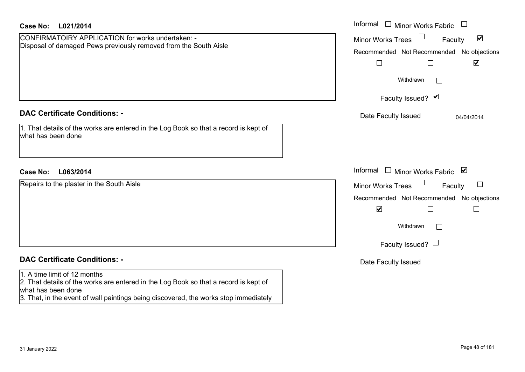| <b>Case No:</b><br>L021/2014                                                                                                                                                                                                       | Informal<br>$\Box$ Minor Works Fabric $\Box$                                                                                                                                          |
|------------------------------------------------------------------------------------------------------------------------------------------------------------------------------------------------------------------------------------|---------------------------------------------------------------------------------------------------------------------------------------------------------------------------------------|
| CONFIRMATOIRY APPLICATION for works undertaken: -<br>Disposal of damaged Pews previously removed from the South Aisle                                                                                                              | $\blacktriangledown$<br><b>Minor Works Trees</b><br>Faculty<br>Recommended Not Recommended No objections<br>$\blacktriangledown$<br>$\Box$<br>$\mathbb{R}^n$<br>Withdrawn             |
|                                                                                                                                                                                                                                    | Faculty Issued? Ø                                                                                                                                                                     |
| <b>DAC Certificate Conditions: -</b>                                                                                                                                                                                               | Date Faculty Issued<br>04/04/2014                                                                                                                                                     |
| 1. That details of the works are entered in the Log Book so that a record is kept of<br>what has been done                                                                                                                         |                                                                                                                                                                                       |
| L063/2014<br><b>Case No:</b>                                                                                                                                                                                                       | Informal<br>□ Minor Works Fabric $\vert \mathbf{v} \vert$                                                                                                                             |
| Repairs to the plaster in the South Aisle                                                                                                                                                                                          | <b>Minor Works Trees</b><br>$\sqcup$<br>Faculty<br>Recommended Not Recommended No objections<br>$\blacktriangledown$<br>Г<br>$\Box$<br>Withdrawn<br>$\perp$<br>Faculty Issued? $\Box$ |
| <b>DAC Certificate Conditions: -</b>                                                                                                                                                                                               | Date Faculty Issued                                                                                                                                                                   |
| 1. A time limit of 12 months<br>2. That details of the works are entered in the Log Book so that a record is kept of<br>what has been done<br>3. That, in the event of wall paintings being discovered, the works stop immediately |                                                                                                                                                                                       |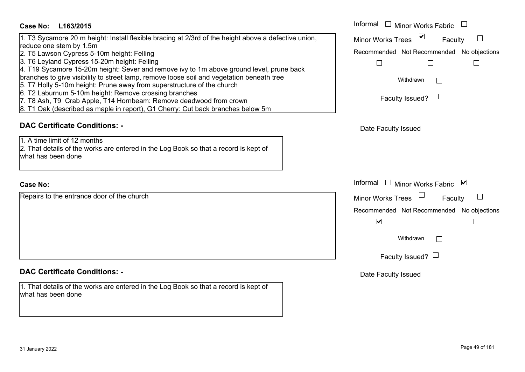## **L163/2015Case No:** Informal

# 1. T3 Sycamore 20 m height: Install flexible bracing at 2/3rd of the height above a defective union,

reduce one stem by 1.5m

- 2. T5 Lawson Cypress 5-10m height: Felling
- 3. T6 Leyland Cypress 15-20m height: Felling
- 4. T19 Sycamore 15-20m height: Sever and remove ivy to 1m above ground level, prune back
- branches to give visibility to street lamp, remove loose soil and vegetation beneath tree
- 5. T7 Holly 5-10m height: Prune away from superstructure of the church
- 6. T2 Laburnum 5-10m height: Remove crossing branches
- 7. T8 Ash, T9 Crab Apple, T14 Hornbeam: Remove deadwood from crown
- 8. T1 Oak (described as maple in report), G1 Cherry: Cut back branches below 5m

# **DAC Certificate Conditions: -**

1. A time limit of 12 months

2. That details of the works are entered in the Log Book so that a record is kept of what has been done

#### **Case No:**

Repairs to the entrance door of the church

# **DAC Certificate Conditions: -**

1. That details of the works are entered in the Log Book so that a record is kept of what has been done

| L163/2015                                                                                                                                                                                                                                                                                                                                                                                                                                                                                                                      | Informal $\square$<br><b>Minor Works Fabric</b>                                  |  |
|--------------------------------------------------------------------------------------------------------------------------------------------------------------------------------------------------------------------------------------------------------------------------------------------------------------------------------------------------------------------------------------------------------------------------------------------------------------------------------------------------------------------------------|----------------------------------------------------------------------------------|--|
| camore 20 m height: Install flexible bracing at 2/3rd of the height above a defective union,                                                                                                                                                                                                                                                                                                                                                                                                                                   | $\vee$<br><b>Minor Works Trees</b><br>Faculty                                    |  |
| ne stem by 1.5m<br>vson Cypress 5-10m height: Felling<br>land Cypress 15-20m height: Felling<br>camore 15-20m height: Sever and remove ivy to 1m above ground level, prune back<br>to give visibility to street lamp, remove loose soil and vegetation beneath tree<br>ly 5-10m height: Prune away from superstructure of the church<br>ournum 5-10m height: Remove crossing branches<br>n, T9 Crab Apple, T14 Hornbeam: Remove deadwood from crown<br>k (described as maple in report), G1 Cherry: Cut back branches below 5m | Recommended Not Recommended No objections<br>Withdrawn<br>Faculty Issued? $\Box$ |  |
| rtificate Conditions: -                                                                                                                                                                                                                                                                                                                                                                                                                                                                                                        | Date Faculty Issued                                                              |  |
| limit of 12 months<br>etails of the works are entered in the Log Book so that a record is kept of<br>been done                                                                                                                                                                                                                                                                                                                                                                                                                 |                                                                                  |  |
|                                                                                                                                                                                                                                                                                                                                                                                                                                                                                                                                | Informal $\Box$ Minor Works Fabric $\Box$                                        |  |
| o the entrance door of the church                                                                                                                                                                                                                                                                                                                                                                                                                                                                                              | Minor Works Trees<br>Faculty                                                     |  |
|                                                                                                                                                                                                                                                                                                                                                                                                                                                                                                                                | Recommended Not Recommended No objections<br>$\blacktriangledown$                |  |
|                                                                                                                                                                                                                                                                                                                                                                                                                                                                                                                                | Withdrawn                                                                        |  |
|                                                                                                                                                                                                                                                                                                                                                                                                                                                                                                                                | Faculty Issued? $\Box$                                                           |  |
| rtificate Conditions: -                                                                                                                                                                                                                                                                                                                                                                                                                                                                                                        | Date Faculty Issued                                                              |  |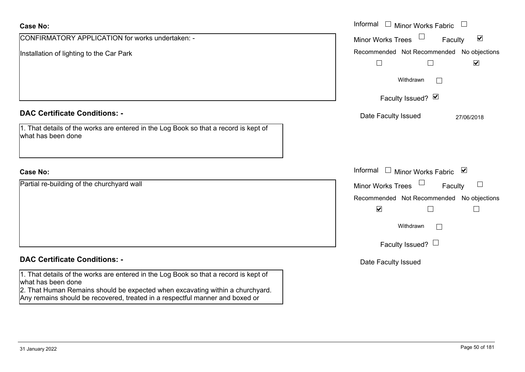| <b>Case No:</b>                                                                                                                                                                                                                                                             | Informal $\Box$ Minor Works Fabric $\Box$                                                                                                                 |
|-----------------------------------------------------------------------------------------------------------------------------------------------------------------------------------------------------------------------------------------------------------------------------|-----------------------------------------------------------------------------------------------------------------------------------------------------------|
| CONFIRMATORY APPLICATION for works undertaken: -                                                                                                                                                                                                                            | $\blacktriangledown$<br><b>Minor Works Trees</b><br>Faculty                                                                                               |
| Installation of lighting to the Car Park                                                                                                                                                                                                                                    | Recommended Not Recommended No objections<br>$\Box$<br>$\blacktriangledown$                                                                               |
|                                                                                                                                                                                                                                                                             | Withdrawn<br>$\sim$                                                                                                                                       |
|                                                                                                                                                                                                                                                                             | Faculty Issued? Ø                                                                                                                                         |
| <b>DAC Certificate Conditions: -</b><br>1. That details of the works are entered in the Log Book so that a record is kept of<br>what has been done                                                                                                                          | Date Faculty Issued<br>27/06/2018                                                                                                                         |
| <b>Case No:</b>                                                                                                                                                                                                                                                             | Informal<br>□ Minor Works Fabric                                                                                                                          |
| Partial re-building of the churchyard wall                                                                                                                                                                                                                                  | $\Box$<br><b>Minor Works Trees</b><br>Faculty<br>Recommended Not Recommended No objections<br>$\blacktriangledown$<br>Withdrawn<br>Faculty Issued? $\Box$ |
| <b>DAC Certificate Conditions: -</b>                                                                                                                                                                                                                                        | Date Faculty Issued                                                                                                                                       |
| 1. That details of the works are entered in the Log Book so that a record is kept of<br>what has been done<br>2. That Human Remains should be expected when excavating within a churchyard.<br>Any remains should be recovered, treated in a respectful manner and boxed or |                                                                                                                                                           |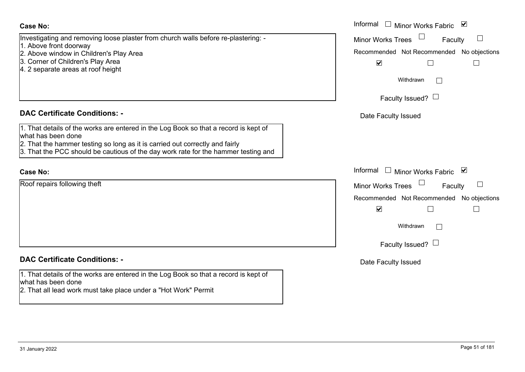| <b>Case No:</b>                                                                                                                                                                            | Informal □ Minor Works Fabric ⊠                     |
|--------------------------------------------------------------------------------------------------------------------------------------------------------------------------------------------|-----------------------------------------------------|
| Investigating and removing loose plaster from church walls before re-plastering: -<br>1. Above front doorway                                                                               | <b>Minor Works Trees</b><br>$\Box$<br>Faculty       |
| 2. Above window in Children's Play Area                                                                                                                                                    | Recommended Not Recommended No objections           |
| 3. Corner of Children's Play Area<br>4. 2 separate areas at roof height                                                                                                                    | $\blacktriangledown$<br>$\Box$<br>$\Box$            |
|                                                                                                                                                                                            | Withdrawn<br>$\mathbf{1}$                           |
|                                                                                                                                                                                            | Faculty Issued? $\Box$                              |
| <b>DAC Certificate Conditions: -</b>                                                                                                                                                       | Date Faculty Issued                                 |
| 1. That details of the works are entered in the Log Book so that a record is kept of<br>what has been done<br>2. That the hammer testing so long as it is carried out correctly and fairly |                                                     |
| 3. That the PCC should be cautious of the day work rate for the hammer testing and                                                                                                         |                                                     |
| <b>Case No:</b>                                                                                                                                                                            | Informal $\Box$ Minor Works Fabric $\Box$           |
| Roof repairs following theft                                                                                                                                                               | <b>Minor Works Trees</b><br>Faculty                 |
|                                                                                                                                                                                            | Recommended Not Recommended No objections           |
|                                                                                                                                                                                            | $\blacktriangledown$<br>$\mathcal{L}_{\mathcal{A}}$ |
|                                                                                                                                                                                            | Withdrawn<br>$\Box$                                 |
|                                                                                                                                                                                            | Faculty Issued? $\Box$                              |
| <b>DAC Certificate Conditions: -</b>                                                                                                                                                       | Date Faculty Issued                                 |
| 1. That details of the works are entered in the Log Book so that a record is kept of<br>what has been done                                                                                 |                                                     |
| 2. That all lead work must take place under a "Hot Work" Permit                                                                                                                            |                                                     |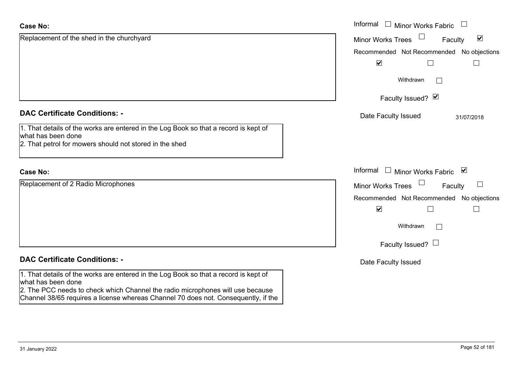| <b>Case No:</b>                                                                                                                                                      | Informal<br><b>Minor Works Fabric</b>                                 |
|----------------------------------------------------------------------------------------------------------------------------------------------------------------------|-----------------------------------------------------------------------|
| Replacement of the shed in the churchyard                                                                                                                            | $\Box$<br>$\blacktriangledown$<br><b>Minor Works Trees</b><br>Faculty |
|                                                                                                                                                                      | Recommended Not Recommended No objections                             |
|                                                                                                                                                                      | $\blacktriangledown$<br>Г                                             |
|                                                                                                                                                                      | Withdrawn<br>$\vert \ \ \vert$                                        |
|                                                                                                                                                                      | Faculty Issued? Ø                                                     |
| <b>DAC Certificate Conditions: -</b>                                                                                                                                 | Date Faculty Issued<br>31/07/2018                                     |
| 1. That details of the works are entered in the Log Book so that a record is kept of<br>what has been done                                                           |                                                                       |
| 2. That petrol for mowers should not stored in the shed                                                                                                              |                                                                       |
| <b>Case No:</b>                                                                                                                                                      | Informal<br>Minor Works Fabric ⊠<br>$\mathbf{1}$                      |
| Replacement of 2 Radio Microphones                                                                                                                                   | $\Box$<br>Faculty<br><b>Minor Works Trees</b><br>$\sqcup$             |
|                                                                                                                                                                      | Recommended Not Recommended No objections                             |
|                                                                                                                                                                      | $\blacktriangledown$<br>$\Box$                                        |
|                                                                                                                                                                      | Withdrawn<br>$\vert \ \ \vert$                                        |
|                                                                                                                                                                      | Faculty Issued? $\Box$                                                |
| <b>DAC Certificate Conditions: -</b>                                                                                                                                 | Date Faculty Issued                                                   |
| 1. That details of the works are entered in the Log Book so that a record is kept of<br>what has been done                                                           |                                                                       |
| 2. The PCC needs to check which Channel the radio microphones will use because<br>Channel 38/65 requires a license whereas Channel 70 does not. Consequently, if the |                                                                       |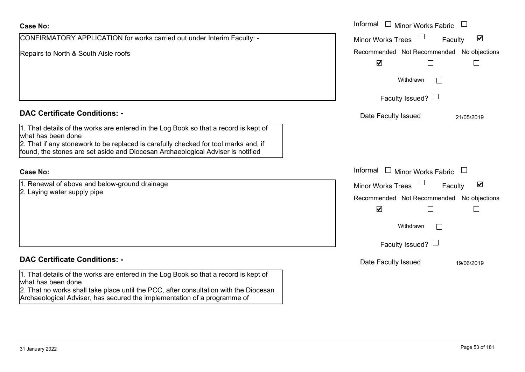| <b>Case No:</b>                                                                                                                                                                                                                                                                      | Informal<br>$\Box$ Minor Works Fabric                                       |
|--------------------------------------------------------------------------------------------------------------------------------------------------------------------------------------------------------------------------------------------------------------------------------------|-----------------------------------------------------------------------------|
| CONFIRMATORY APPLICATION for works carried out under Interim Faculty: -                                                                                                                                                                                                              | $\blacktriangledown$<br><b>Minor Works Trees</b><br>Faculty                 |
| Repairs to North & South Aisle roofs                                                                                                                                                                                                                                                 | Recommended Not Recommended No objections<br>$\blacktriangledown$<br>$\Box$ |
|                                                                                                                                                                                                                                                                                      | Withdrawn<br>$\vert \hspace{.06cm} \vert$                                   |
|                                                                                                                                                                                                                                                                                      | Faculty Issued? $\Box$                                                      |
| <b>DAC Certificate Conditions: -</b>                                                                                                                                                                                                                                                 | Date Faculty Issued<br>21/05/2019                                           |
| 1. That details of the works are entered in the Log Book so that a record is kept of<br>what has been done<br>2. That if any stonework to be replaced is carefully checked for tool marks and, if<br>found, the stones are set aside and Diocesan Archaeological Adviser is notified |                                                                             |
| <b>Case No:</b>                                                                                                                                                                                                                                                                      | Informal<br><b>Minor Works Fabric</b>                                       |
| 1. Renewal of above and below-ground drainage                                                                                                                                                                                                                                        | $\blacktriangledown$<br><b>Minor Works Trees</b><br>Faculty                 |
| 2. Laying water supply pipe                                                                                                                                                                                                                                                          | Recommended Not Recommended No objections                                   |
|                                                                                                                                                                                                                                                                                      | $\blacktriangledown$<br>L                                                   |
|                                                                                                                                                                                                                                                                                      | Withdrawn                                                                   |
|                                                                                                                                                                                                                                                                                      | Faculty Issued? $\Box$                                                      |
| <b>DAC Certificate Conditions: -</b>                                                                                                                                                                                                                                                 | Date Faculty Issued<br>19/06/2019                                           |
| 1. That details of the works are entered in the Log Book so that a record is kept of<br>what has been done<br>2. That no works shall take place until the PCC, after consultation with the Diocesan<br>Archaeological Adviser, has secured the implementation of a programme of      |                                                                             |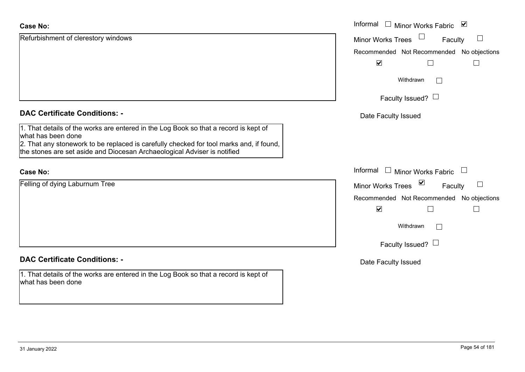| <b>Case No:</b>                                                                                                                                                                                                                                                                   | Informal $\square$<br>Minor Works Fabric ⊠                |
|-----------------------------------------------------------------------------------------------------------------------------------------------------------------------------------------------------------------------------------------------------------------------------------|-----------------------------------------------------------|
| Refurbishment of clerestory windows                                                                                                                                                                                                                                               | Minor Works Trees<br>$\Box$<br>Faculty                    |
|                                                                                                                                                                                                                                                                                   | Recommended Not Recommended No objections                 |
|                                                                                                                                                                                                                                                                                   | $\blacktriangledown$<br>П<br>$\Box$                       |
|                                                                                                                                                                                                                                                                                   | Withdrawn<br>$\vert \ \ \vert$                            |
|                                                                                                                                                                                                                                                                                   | Faculty Issued? $\Box$                                    |
| <b>DAC Certificate Conditions: -</b>                                                                                                                                                                                                                                              | Date Faculty Issued                                       |
| 1. That details of the works are entered in the Log Book so that a record is kept of<br>what has been done<br>2. That any stonework to be replaced is carefully checked for tool marks and, if found,<br>the stones are set aside and Diocesan Archaeological Adviser is notified |                                                           |
| <b>Case No:</b>                                                                                                                                                                                                                                                                   | Informal<br>Minor Works Fabric $\Box$                     |
| Felling of dying Laburnum Tree                                                                                                                                                                                                                                                    | $\blacktriangledown$<br>Minor Works Trees<br>⊔<br>Faculty |
|                                                                                                                                                                                                                                                                                   | Recommended Not Recommended No objections                 |
|                                                                                                                                                                                                                                                                                   | $\blacktriangledown$<br>Г                                 |
|                                                                                                                                                                                                                                                                                   | Withdrawn                                                 |
|                                                                                                                                                                                                                                                                                   | Faculty Issued? $\Box$                                    |
| <b>DAC Certificate Conditions: -</b>                                                                                                                                                                                                                                              | Date Faculty Issued                                       |
| 1. That details of the works are entered in the Log Book so that a record is kept of<br>what has been done                                                                                                                                                                        |                                                           |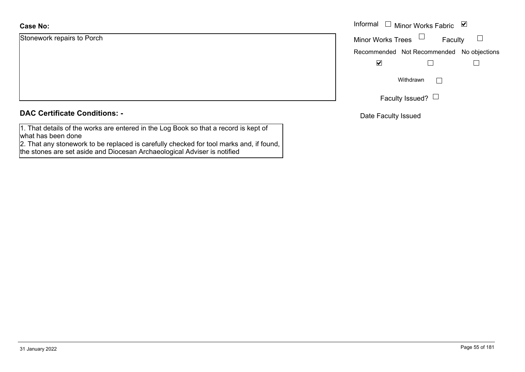Stonework repairs to Porch

|  |  | <b>DAC Certificate Conditions: -</b> |  |
|--|--|--------------------------------------|--|
|--|--|--------------------------------------|--|

1. That details of the works are entered in the Log Book so that a record is kept of what has been done

2. That any stonework to be replaced is carefully checked for tool marks and, if found, the stones are set aside and Diocesan Archaeological Adviser is notified

|                     | Informal $\Box$ Minor Works Fabric $\Box$ |
|---------------------|-------------------------------------------|
| rk repairs to Porch | Minor Works Trees $\Box$<br>Faculty       |
|                     | Recommended Not Recommended No objections |
|                     | $\overline{\mathbf{v}}$                   |
|                     | Withdrawn<br>$\mathbf{L}$                 |
|                     | Faculty Issued? $\Box$                    |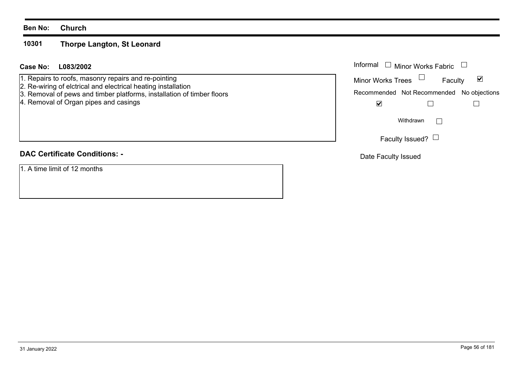#### **10301Thorpe Langton, St Leonard**

## **L083/2002Case No:** Informal

1. Repairs to roofs, masonry repairs and re-pointing

- 2. Re-wiring of elctrical and electrical heating installation
- 3. Removal of pews and timber platforms, installation of timber floors
- 4. Removal of Organ pipes and casings

# **DAC Certificate Conditions: -**

1. A time limit of 12 months

| Informal                 | $\Box$ Minor Works Fabric                 |  |
|--------------------------|-------------------------------------------|--|
| <b>Minor Works Trees</b> | Faculty                                   |  |
|                          | Recommended Not Recommended No objections |  |
|                          |                                           |  |
|                          | Withdrawn                                 |  |
|                          | Faculty Issued?                           |  |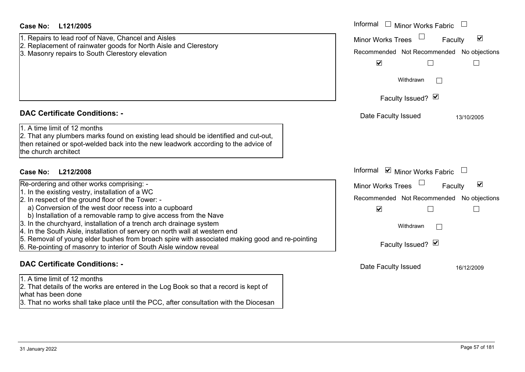| Case No:<br>L121/2005                                                                                                                                                                                                             | Informal<br>$\Box$ Minor Works Fabric                       |
|-----------------------------------------------------------------------------------------------------------------------------------------------------------------------------------------------------------------------------------|-------------------------------------------------------------|
| 1. Repairs to lead roof of Nave, Chancel and Aisles                                                                                                                                                                               | $\blacktriangledown$<br><b>Minor Works Trees</b><br>Faculty |
| 2. Replacement of rainwater goods for North Aisle and Clerestory                                                                                                                                                                  | Recommended Not Recommended No objections                   |
| 3. Masonry repairs to South Clerestory elevation                                                                                                                                                                                  | $\blacktriangledown$                                        |
|                                                                                                                                                                                                                                   | $\mathbf{L}$                                                |
|                                                                                                                                                                                                                                   | Withdrawn                                                   |
|                                                                                                                                                                                                                                   | Faculty Issued? Ø                                           |
|                                                                                                                                                                                                                                   |                                                             |
| <b>DAC Certificate Conditions: -</b>                                                                                                                                                                                              | Date Faculty Issued<br>13/10/2005                           |
| 1. A time limit of 12 months<br>2. That any plumbers marks found on existing lead should be identified and cut-out,<br>then retained or spot-welded back into the new leadwork according to the advice of<br>the church architect |                                                             |
| Case No: L212/2008                                                                                                                                                                                                                | Informal ☑ Minor Works Fabric                               |
| Re-ordering and other works comprising: -                                                                                                                                                                                         | Minor Works Trees<br>$\blacktriangledown$<br>Faculty        |
| 1. In the existing vestry, installation of a WC<br>2. In respect of the ground floor of the Tower: -                                                                                                                              | Recommended Not Recommended No objections                   |
| a) Conversion of the west door recess into a cupboard                                                                                                                                                                             | $\blacktriangledown$<br>$\Box$                              |
| b) Installation of a removable ramp to give access from the Nave                                                                                                                                                                  |                                                             |
| 3. In the churchyard, installation of a trench arch drainage system<br>4. In the South Aisle, installation of servery on north wall at western end                                                                                | Withdrawn                                                   |
| 5. Removal of young elder bushes from broach spire with associated making good and re-pointing                                                                                                                                    |                                                             |
| 6. Re-pointing of masonry to interior of South Aisle window reveal                                                                                                                                                                | Faculty Issued? Ø                                           |
| <b>DAC Certificate Conditions: -</b>                                                                                                                                                                                              | Date Faculty Issued<br>16/12/2009                           |
| 1. A time limit of 12 months                                                                                                                                                                                                      |                                                             |
| 2. That details of the works are entered in the Log Book so that a record is kept of<br>what has heen done                                                                                                                        |                                                             |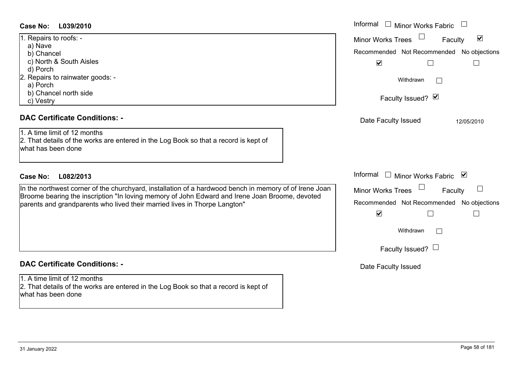| 1. Repairs to roofs: -           |
|----------------------------------|
| a) Nave                          |
| b) Chancel                       |
| c) North & South Aisles          |
| d) Porch                         |
| 2. Repairs to rainwater goods: - |
| a) Porch                         |
| b) Chancel north side            |
| Vestry                           |

### **DAC Certificate Conditions: -**

#### **DAC Certificate Conditions: -**

1. A time limit of 12 months 2. That details of the works are entered in the Log Book so that a record is kept of what has been done

| Case No:<br>L039/2010                                                                                                                      | Informal<br><b>Minor Works Fabric</b>                       |
|--------------------------------------------------------------------------------------------------------------------------------------------|-------------------------------------------------------------|
| 1. Repairs to roofs: -<br>a) Nave                                                                                                          | $\blacktriangledown$<br><b>Minor Works Trees</b><br>Faculty |
| b) Chancel                                                                                                                                 | Recommended Not Recommended No objections                   |
| c) North & South Aisles                                                                                                                    | $\blacktriangledown$                                        |
| d) Porch                                                                                                                                   |                                                             |
| 2. Repairs to rainwater goods: -                                                                                                           | Withdrawn<br>$\vert$ $\vert$                                |
| a) Porch                                                                                                                                   |                                                             |
| b) Chancel north side                                                                                                                      | Faculty Issued? Ø                                           |
| c) Vestry                                                                                                                                  |                                                             |
| <b>DAC Certificate Conditions: -</b>                                                                                                       | Date Faculty Issued<br>12/05/2010                           |
| 1. A time limit of 12 months<br>2. That details of the works are entered in the Log Book so that a record is kept of<br>what has been done |                                                             |
| <b>Case No:</b><br>L082/2013                                                                                                               | Informal<br>⊻<br>Minor Works Fabric                         |
| In the northwest corner of the churchyard, installation of a hardwood bench in memory of of Irene Joan                                     | Minor Works Trees<br>Faculty                                |
| Broome bearing the inscription "In loving memory of John Edward and Irene Joan Broome, devoted                                             |                                                             |
| parents and grandparents who lived their married lives in Thorpe Langton"                                                                  | Recommended Not Recommended No objections                   |
|                                                                                                                                            | $\blacktriangledown$                                        |
|                                                                                                                                            | Withdrawn                                                   |
|                                                                                                                                            | Faculty Issued? $\Box$                                      |
| <b>DAC Certificate Conditions: -</b>                                                                                                       | Date Faculty Issued                                         |
| 1. A time limit of 12 months                                                                                                               |                                                             |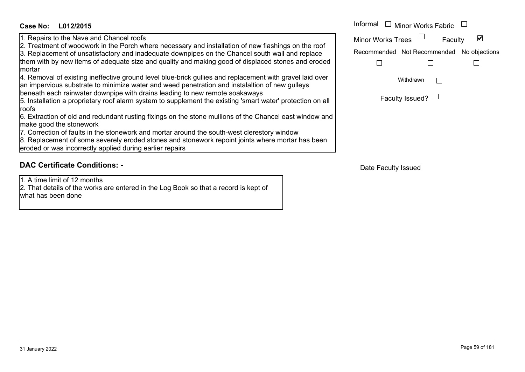# **L012/2015Case No:** Informal

1. Repairs to the Nave and Chancel roofs

2. Treatment of woodwork in the Porch where necessary and installation of new flashings on the roof

3. Replacement of unsatisfactory and inadequate downpipes on the Chancel south wall and replace them with by new items of adequate size and quality and making good of displaced stones and eroded mortar

4. Removal of existing ineffective ground level blue-brick gullies and replacement with gravel laid over an impervious substrate to minimize water and weed penetration and instalaltion of new gulleys beneath each rainwater downpipe with drains leading to new remote soakaways

5. Installation a proprietary roof alarm system to supplement the existing 'smart water' protection on all roofs

6. Extraction of old and redundant rusting fixings on the stone mullions of the Chancel east window and make good the stonework

7. Correction of faults in the stonework and mortar around the south-west clerestory window

8. Replacement of some severely eroded stones and stonework repoint joints where mortar has been eroded or was incorrectly applied during earlier repairs

# **DAC Certificate Conditions: -**

1. A time limit of 12 months

2. That details of the works are entered in the Log Book so that a record is kept of what has been done

| Informal □ Minor Works Fabric |                                           |  |
|-------------------------------|-------------------------------------------|--|
| <b>Minor Works Trees</b>      | $\Box$<br>Faculty                         |  |
|                               | Recommended Not Recommended No objections |  |
|                               |                                           |  |
|                               | Withdrawn                                 |  |

| Faculty Issued? $\Box$ |
|------------------------|
|------------------------|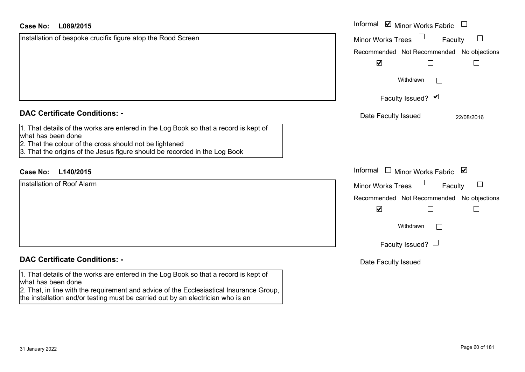| <b>Case No:</b><br>L089/2015                                                                                                                                               | Informal $\blacksquare$ Minor Works Fabric $\blacksquare$ |
|----------------------------------------------------------------------------------------------------------------------------------------------------------------------------|-----------------------------------------------------------|
| Installation of bespoke crucifix figure atop the Rood Screen                                                                                                               | <b>Minor Works Trees</b><br>Faculty<br>$\Box$             |
|                                                                                                                                                                            | Recommended Not Recommended No objections                 |
|                                                                                                                                                                            | $\blacktriangledown$                                      |
|                                                                                                                                                                            | Withdrawn                                                 |
|                                                                                                                                                                            | Faculty Issued? Ø                                         |
| <b>DAC Certificate Conditions: -</b>                                                                                                                                       | Date Faculty Issued<br>22/08/2016                         |
| 1. That details of the works are entered in the Log Book so that a record is kept of<br>what has been done                                                                 |                                                           |
| 2. That the colour of the cross should not be lightened<br>3. That the origins of the Jesus figure should be recorded in the Log Book                                      |                                                           |
| <b>Case No:</b><br>L140/2015                                                                                                                                               | Informal<br>$\Box$<br>Minor Works Fabric ⊠                |
| <b>Installation of Roof Alarm</b>                                                                                                                                          | $\Box$<br><b>Minor Works Trees</b><br>Faculty             |
|                                                                                                                                                                            | Recommended Not Recommended No objections                 |
|                                                                                                                                                                            | $\blacktriangledown$<br>$\mathbf{L}$<br>$\vert \ \ \vert$ |
|                                                                                                                                                                            | Withdrawn                                                 |
|                                                                                                                                                                            | Faculty Issued? $\Box$                                    |
| <b>DAC Certificate Conditions: -</b>                                                                                                                                       | Date Faculty Issued                                       |
| 1. That details of the works are entered in the Log Book so that a record is kept of<br>what has been done                                                                 |                                                           |
| 2. That, in line with the requirement and advice of the Ecclesiastical Insurance Group,<br>the installation and/or testing must be carried out by an electrician who is an |                                                           |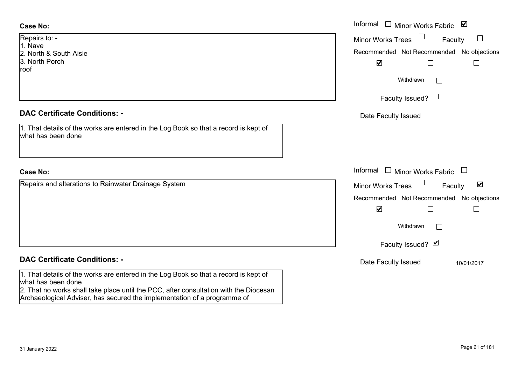| Repairs to: -          |
|------------------------|
| 1. Nave                |
| 2. North & South Aisle |
| 3. North Porch         |
| roof                   |

#### **DAC Certificate Conditions: -**

| 1. That details of the works are entered in the Log Book so that a record is kept of |
|--------------------------------------------------------------------------------------|
| what has been done                                                                   |

# **Case No:**

Repairs and alterations to Rainwater Drainage System

# **DAC Certificate Conditions: -**

1. That details of the works are entered in the Log Book so that a record is kept of what has been done

2. That no works shall take place until the PCC, after consultation with the Diocesan Archaeological Adviser, has secured the implementation of a programme of

|                                                                                          | Informal □ Minor Works Fabric ☑                                                                                  |
|------------------------------------------------------------------------------------------|------------------------------------------------------------------------------------------------------------------|
| $O: -$                                                                                   | Minor Works Trees $\Box$<br>$\Box$<br>Faculty                                                                    |
| & South Aisle<br>Porch                                                                   | Recommended Not Recommended No objections<br>$\blacktriangledown$                                                |
|                                                                                          | Withdrawn<br>$\mathbb{R}^n$                                                                                      |
|                                                                                          | Faculty Issued? $\Box$                                                                                           |
| rtificate Conditions: -                                                                  | Date Faculty Issued                                                                                              |
| etails of the works are entered in the Log Book so that a record is kept of<br>been done |                                                                                                                  |
|                                                                                          | Informal $\Box$ Minor Works Fabric $\Box$                                                                        |
| and alterations to Rainwater Drainage System                                             | Minor Works Trees $\Box$<br>$\blacktriangledown$<br>Faculty                                                      |
|                                                                                          | Recommended Not Recommended No objections<br>$\blacktriangledown$<br>$\mathbf{I}$<br>Withdrawn<br>$\mathbb{R}^n$ |
|                                                                                          | Faculty Issued? Ø                                                                                                |
| rtificate Conditions: -                                                                  | Date Faculty Issued<br>10/01/2017                                                                                |
| etails of the works are entered in the Log Book so that a record is kept of<br>hoon dono |                                                                                                                  |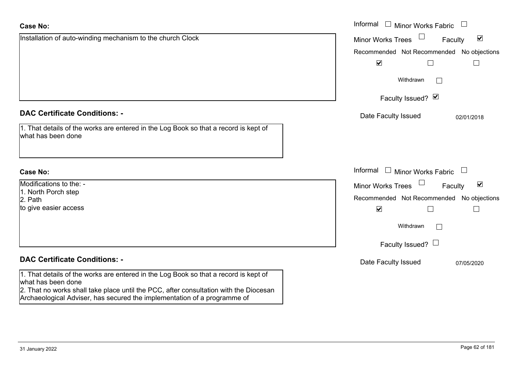| <b>Case No:</b>                                                                                                                                                                                     | Informal<br>$\Box$ Minor Works Fabric $\Box$                |
|-----------------------------------------------------------------------------------------------------------------------------------------------------------------------------------------------------|-------------------------------------------------------------|
| Installation of auto-winding mechanism to the church Clock                                                                                                                                          | $\blacktriangledown$<br><b>Minor Works Trees</b><br>Faculty |
|                                                                                                                                                                                                     | Recommended Not Recommended No objections                   |
|                                                                                                                                                                                                     | $\blacktriangledown$<br>$\Box$                              |
|                                                                                                                                                                                                     | Withdrawn                                                   |
|                                                                                                                                                                                                     | Faculty Issued? Ø                                           |
| <b>DAC Certificate Conditions: -</b>                                                                                                                                                                | Date Faculty Issued<br>02/01/2018                           |
| 1. That details of the works are entered in the Log Book so that a record is kept of<br>what has been done                                                                                          |                                                             |
| <b>Case No:</b>                                                                                                                                                                                     | Informal<br><b>Minor Works Fabric</b>                       |
| Modifications to the: -                                                                                                                                                                             | $\blacktriangledown$<br><b>Minor Works Trees</b><br>Faculty |
| 1. North Porch step<br>2. Path                                                                                                                                                                      | Recommended Not Recommended No objections                   |
| to give easier access                                                                                                                                                                               | $\blacktriangledown$<br>⊔                                   |
|                                                                                                                                                                                                     | Withdrawn                                                   |
|                                                                                                                                                                                                     | Faculty Issued? $\Box$                                      |
| <b>DAC Certificate Conditions: -</b>                                                                                                                                                                | Date Faculty Issued<br>07/05/2020                           |
| 1. That details of the works are entered in the Log Book so that a record is kept of<br>what has been done<br>2. That no works shall take place until the PCC, after consultation with the Diocesan |                                                             |

Archaeological Adviser, has secured the implementation of a programme of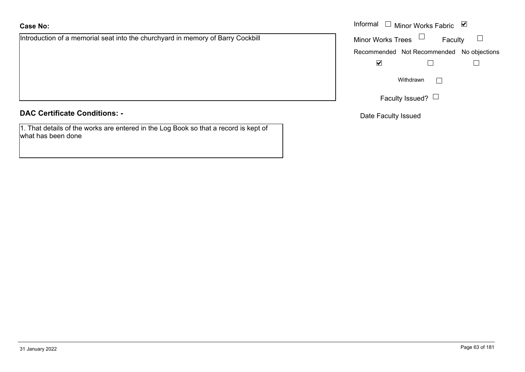Introduction of a memorial seat into the churchyard in memory of Barry Cockbill

### **DAC Certificate Conditions: -**

1. That details of the works are entered in the Log Book so that a record is kept of what has been done

|                                                                        | Informal $\Box$ Minor Works Fabric $\Box$ |
|------------------------------------------------------------------------|-------------------------------------------|
| ion of a memorial seat into the churchyard in memory of Barry Cockbill | Minor Works Trees $\Box$<br>Faculty       |
|                                                                        | Recommended Not Recommended No objections |
|                                                                        | $\overline{\mathbf{v}}$                   |
|                                                                        | Withdrawn                                 |
|                                                                        | Faculty Issued? $\Box$                    |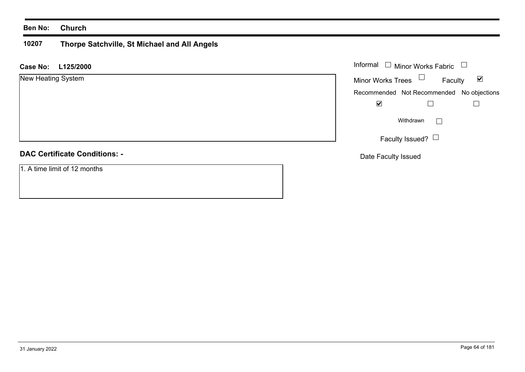#### **10207 Thorpe Satchville, St Michael and All Angels**

## **L125/2000 Case No:** Informal

|  |  | New Heating System |
|--|--|--------------------|
|--|--|--------------------|

# **DAC Certificate Conditions: -**

1. A time limit of 12 months

| Informal<br>$\Box$ Minor Works Fabric |                                           |                      |
|---------------------------------------|-------------------------------------------|----------------------|
| <b>Minor Works Trees</b>              | Faculty                                   | $\blacktriangledown$ |
|                                       | Recommended Not Recommended No objections |                      |
|                                       |                                           |                      |
|                                       | Withdrawn                                 |                      |
|                                       | Faculty Issued?                           |                      |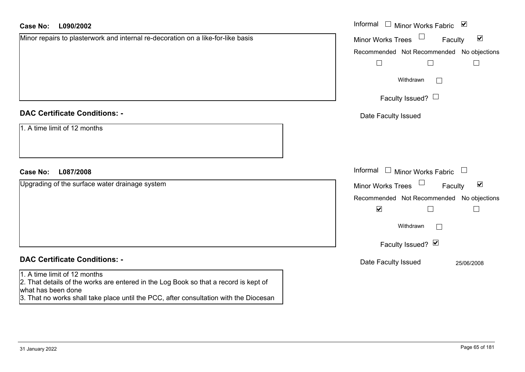| <b>Case No:</b><br>L090/2002                                                                                                                                                                                                        | Informal □ Minor Works Fabric ⊠                                       |
|-------------------------------------------------------------------------------------------------------------------------------------------------------------------------------------------------------------------------------------|-----------------------------------------------------------------------|
| Minor repairs to plasterwork and internal re-decoration on a like-for-like basis                                                                                                                                                    | $\Box$<br>$\blacktriangledown$<br>Minor Works Trees<br>Faculty        |
|                                                                                                                                                                                                                                     | Recommended Not Recommended No objections                             |
|                                                                                                                                                                                                                                     | $\Box$<br>$\Box$<br>$\Box$                                            |
|                                                                                                                                                                                                                                     | Withdrawn                                                             |
|                                                                                                                                                                                                                                     | Faculty Issued? $\Box$                                                |
| <b>DAC Certificate Conditions: -</b>                                                                                                                                                                                                | Date Faculty Issued                                                   |
| 1. A time limit of 12 months                                                                                                                                                                                                        |                                                                       |
| L087/2008<br><b>Case No:</b>                                                                                                                                                                                                        | Informal<br>$\Box$ Minor Works Fabric $\Box$                          |
| Upgrading of the surface water drainage system                                                                                                                                                                                      | $\Box$<br>$\blacktriangledown$<br><b>Minor Works Trees</b><br>Faculty |
|                                                                                                                                                                                                                                     | Recommended Not Recommended No objections                             |
|                                                                                                                                                                                                                                     | $\blacktriangledown$<br>П<br>$\Box$                                   |
|                                                                                                                                                                                                                                     | Withdrawn                                                             |
|                                                                                                                                                                                                                                     | Faculty Issued? Ø                                                     |
| <b>DAC Certificate Conditions: -</b>                                                                                                                                                                                                | Date Faculty Issued<br>25/06/2008                                     |
| 1. A time limit of 12 months<br>2. That details of the works are entered in the Log Book so that a record is kept of<br>what has been done<br>3. That no works shall take place until the PCC, after consultation with the Diocesan |                                                                       |
|                                                                                                                                                                                                                                     |                                                                       |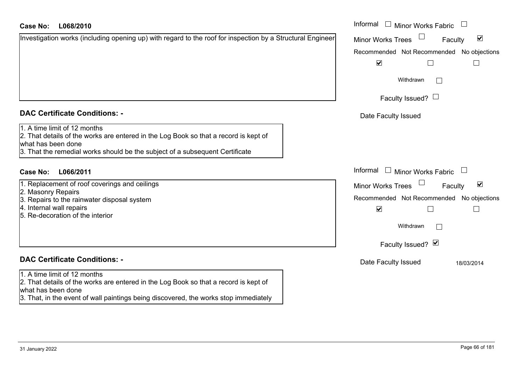| <b>Case No:</b><br>L068/2010                                                                                                                                                                                               | Informal $\Box$ Minor Works Fabric $\Box$                      |
|----------------------------------------------------------------------------------------------------------------------------------------------------------------------------------------------------------------------------|----------------------------------------------------------------|
| Investigation works (including opening up) with regard to the roof for inspection by a Structural Engineer                                                                                                                 | $\Box$<br>$\blacktriangledown$<br>Minor Works Trees<br>Faculty |
|                                                                                                                                                                                                                            | Recommended Not Recommended No objections                      |
|                                                                                                                                                                                                                            | $\blacktriangledown$                                           |
|                                                                                                                                                                                                                            | Withdrawn                                                      |
|                                                                                                                                                                                                                            | Faculty Issued? $\Box$                                         |
| <b>DAC Certificate Conditions: -</b>                                                                                                                                                                                       | Date Faculty Issued                                            |
| 1. A time limit of 12 months<br>2. That details of the works are entered in the Log Book so that a record is kept of<br>what has been done<br>3. That the remedial works should be the subject of a subsequent Certificate |                                                                |
| L066/2011<br>Case No:                                                                                                                                                                                                      | Informal<br>$\Box$ Minor Works Fabric                          |
| 1. Replacement of roof coverings and ceilings                                                                                                                                                                              | $\blacktriangledown$<br><b>Minor Works Trees</b><br>Faculty    |
| 2. Masonry Repairs<br>3. Repairs to the rainwater disposal system                                                                                                                                                          | Recommended Not Recommended No objections                      |
| 4. Internal wall repairs<br>5. Re-decoration of the interior                                                                                                                                                               | $\blacktriangledown$                                           |
|                                                                                                                                                                                                                            | Withdrawn                                                      |
|                                                                                                                                                                                                                            | Faculty Issued? Ø                                              |
| <b>DAC Certificate Conditions: -</b>                                                                                                                                                                                       | Date Faculty Issued<br>18/03/2014                              |
| 1. A time limit of 12 months<br>2. That details of the works are entered in the Log Book so that a record is kept of                                                                                                       |                                                                |

- **DAC Certificate Conditions: -**
- 1. A time limit of 12 months

- 1. Replacement of roof coverings and ceilings
- 2. Masonry Repairs
- 3. Repairs to the rainwater disposal system
- 4. Internal wall repairs
- 5. Re-decoration of the interior

# **DAC Certificate Conditions: -**

# 1. A time limit of 12 months

 $2.$  That details of the works are entered in the what has been done

3. That, in the event of wall paintings being discovered, the works stop immediately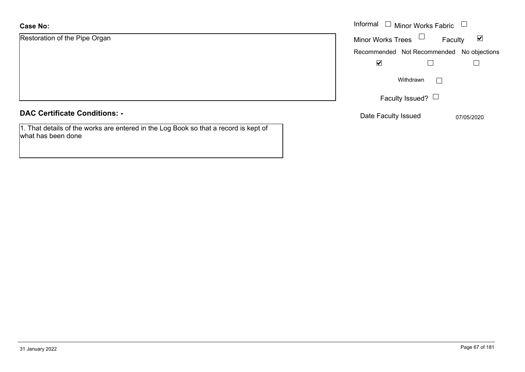| Restoration of the Pipe Organ |  |  |  |
|-------------------------------|--|--|--|
|-------------------------------|--|--|--|

| <b>DAC Certificate Conditions: -</b> |  |
|--------------------------------------|--|
|--------------------------------------|--|

1. That details of the works are entered in the Log Book so that a record is kept of what has been done

|                         | Informal $\Box$ Minor Works Fabric $\Box$                   |
|-------------------------|-------------------------------------------------------------|
| on of the Pipe Organ    | <b>Minor Works Trees</b><br>$\blacktriangledown$<br>Faculty |
|                         | Recommended Not Recommended No objections                   |
|                         | $\blacktriangledown$                                        |
|                         | Withdrawn                                                   |
|                         | Faculty Issued? $\Box$                                      |
| rtificate Conditions: - | Date Faculty Issued<br>07/05/2020                           |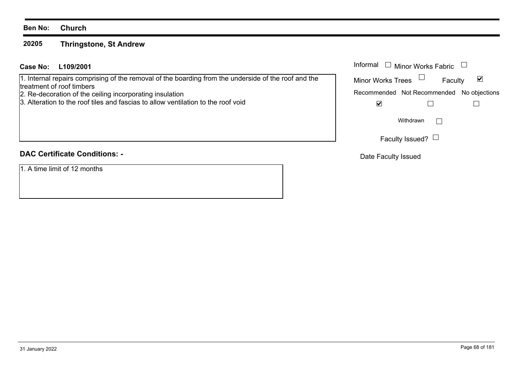#### **20205Thringstone, St Andrew**

# **L109/2001Case No:** Informal

1. Internal repairs comprising of the removal of the boarding from the underside of the roof and the treatment of roof timbers

- 2. Re-decoration of the ceiling incorporating insulation
- 3. Alteration to the roof tiles and fascias to allow ventilation to the roof void

# **DAC Certificate Conditions: -**

1. A time limit of 12 months

| Informal<br>$\Box$ Minor Works Fabric |                                           |   |
|---------------------------------------|-------------------------------------------|---|
| <b>Minor Works Trees</b>              | Faculty                                   | M |
|                                       | Recommended Not Recommended No objections |   |
|                                       |                                           |   |
|                                       | Withdrawn                                 |   |
|                                       | Faculty Issued?                           |   |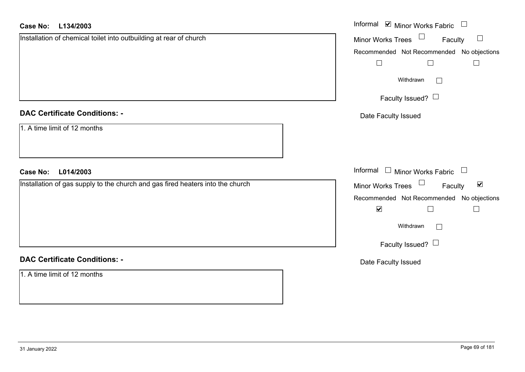| <b>Case No:</b><br>L134/2003                                                   | Informal $\blacksquare$ Minor Works Fabric $\Box$           |
|--------------------------------------------------------------------------------|-------------------------------------------------------------|
| Installation of chemical toilet into outbuilding at rear of church             | Minor Works Trees $\Box$<br>Faculty<br>$\Box$               |
|                                                                                | Recommended Not Recommended No objections                   |
|                                                                                | $\Box$<br>$\Box$<br>$\Box$                                  |
|                                                                                | Withdrawn<br>$\perp$                                        |
|                                                                                | Faculty Issued?                                             |
| <b>DAC Certificate Conditions: -</b>                                           | Date Faculty Issued                                         |
| 1. A time limit of 12 months                                                   |                                                             |
| <b>Case No:</b><br>L014/2003                                                   | Informal □ Minor Works Fabric □                             |
| Installation of gas supply to the church and gas fired heaters into the church | Minor Works Trees $\Box$<br>$\blacktriangledown$<br>Faculty |
|                                                                                | Recommended Not Recommended No objections                   |
|                                                                                |                                                             |
|                                                                                | $\blacktriangledown$<br>$\Box$<br>$\Box$                    |
|                                                                                | Withdrawn                                                   |
|                                                                                | Faculty Issued?                                             |
| <b>DAC Certificate Conditions: -</b>                                           | Date Faculty Issued                                         |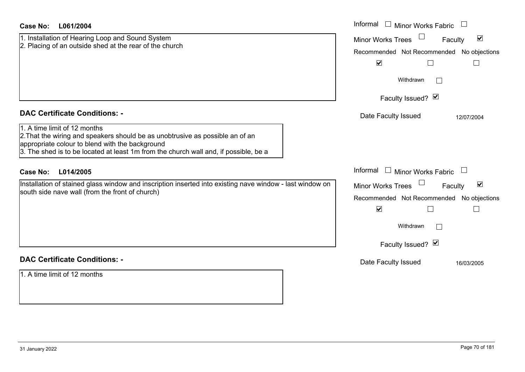| Case No:<br>L061/2004                                                                                                                                                                                                                                                                                | Informal □ Minor Works Fabric                                                                                                                        |
|------------------------------------------------------------------------------------------------------------------------------------------------------------------------------------------------------------------------------------------------------------------------------------------------------|------------------------------------------------------------------------------------------------------------------------------------------------------|
| 1. Installation of Hearing Loop and Sound System<br>2. Placing of an outside shed at the rear of the church                                                                                                                                                                                          | $\blacktriangledown$<br><b>Minor Works Trees</b><br>Faculty<br>Recommended Not Recommended No objections<br>$\blacktriangledown$<br>$\Box$<br>$\Box$ |
|                                                                                                                                                                                                                                                                                                      | Withdrawn<br>Faculty Issued? Ø                                                                                                                       |
| <b>DAC Certificate Conditions: -</b><br>1. A time limit of 12 months<br>2. That the wiring and speakers should be as unobtrusive as possible an of an<br>appropriate colour to blend with the background<br>$ 3$ . The shed is to be located at least 1m from the church wall and, if possible, be a | Date Faculty Issued<br>12/07/2004                                                                                                                    |
| <b>Case No:</b><br>L014/2005<br>Installation of stained glass window and inscription inserted into existing nave window - last window on                                                                                                                                                             | Informal<br>$\Box$ Minor Works Fabric<br>$\blacktriangledown$<br><b>Minor Works Trees</b><br>Faculty                                                 |
| south side nave wall (from the front of church)                                                                                                                                                                                                                                                      | Recommended Not Recommended<br>No objections<br>$\blacktriangledown$<br>L<br>$\mathbb{L}$                                                            |
|                                                                                                                                                                                                                                                                                                      | Withdrawn<br>Faculty Issued? Ø                                                                                                                       |
| <b>DAC Certificate Conditions: -</b>                                                                                                                                                                                                                                                                 | Date Faculty Issued<br>16/03/2005                                                                                                                    |
| 1. A time limit of 12 months                                                                                                                                                                                                                                                                         |                                                                                                                                                      |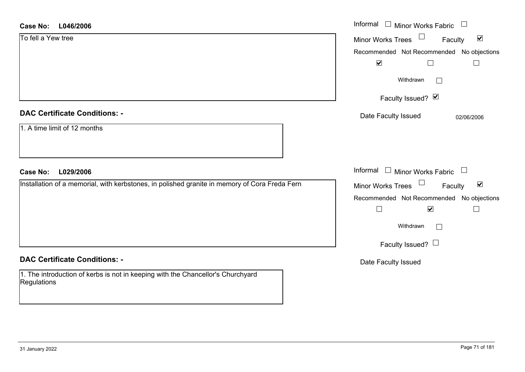| <b>Case No:</b><br>L046/2006                                                                   | Informal □ Minor Works Fabric<br>$\Box$                       |
|------------------------------------------------------------------------------------------------|---------------------------------------------------------------|
| To fell a Yew tree                                                                             | $\blacktriangledown$<br>Minor Works Trees<br>Faculty          |
|                                                                                                | Recommended Not Recommended No objections                     |
|                                                                                                | $\blacktriangledown$                                          |
|                                                                                                | Withdrawn<br>$\Box$                                           |
|                                                                                                | Faculty Issued? $\vee$                                        |
| <b>DAC Certificate Conditions: -</b>                                                           | Date Faculty Issued<br>02/06/2006                             |
| 1. A time limit of 12 months                                                                   |                                                               |
|                                                                                                |                                                               |
|                                                                                                |                                                               |
| L029/2006<br><b>Case No:</b>                                                                   | Informal $\Box$ Minor Works Fabric $\Box$                     |
| Installation of a memorial, with kerbstones, in polished granite in memory of Cora Freda Fern  | Minor Works Trees<br>$\blacktriangledown$<br>Faculty          |
|                                                                                                | Recommended Not Recommended No objections                     |
|                                                                                                | $\Box$<br>$\blacktriangledown$<br>$\mathcal{L}_{\mathcal{A}}$ |
|                                                                                                | Withdrawn<br>$\Box$                                           |
|                                                                                                | Faculty Issued? $\Box$                                        |
| <b>DAC Certificate Conditions: -</b>                                                           | Date Faculty Issued                                           |
| 1. The introduction of kerbs is not in keeping with the Chancellor's Churchyard<br>Regulations |                                                               |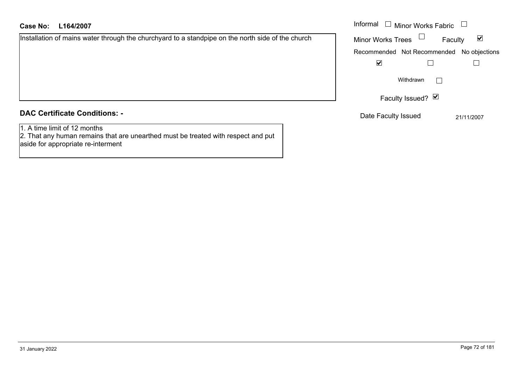| Installation of mains water through the churchyard to a standpipe on the north side of the church |  |
|---------------------------------------------------------------------------------------------------|--|
|                                                                                                   |  |

#### Minor Works Fabric Faculty  $\blacktriangledown$ Minor Works Trees Recommended Not Recommended No objections  $\overline{\mathbf{v}}$  $\Box$  $\Box$  $\Box$ Withdrawn Faculty Issued? Ø

Date Faculty Issued 21/11/2007

# **DAC Certificate Conditions: -**

1. A time limit of 12 months

2. That any human remains that are unearthed must be treated with respect and put aside for appropriate re-interment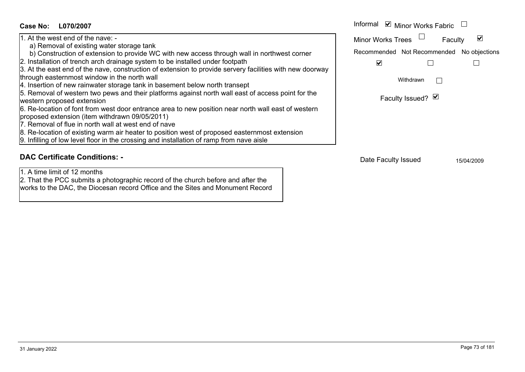| Case No:<br>L070/2007                                                                                                                                                                                                                                                                                                                                                                                                                                                                                                                                                                                                                                                                                                                                                                                                                                                                                                                                                                                                                                       | Informal <b>v</b> Minor Works Fabric                                                                                                               |
|-------------------------------------------------------------------------------------------------------------------------------------------------------------------------------------------------------------------------------------------------------------------------------------------------------------------------------------------------------------------------------------------------------------------------------------------------------------------------------------------------------------------------------------------------------------------------------------------------------------------------------------------------------------------------------------------------------------------------------------------------------------------------------------------------------------------------------------------------------------------------------------------------------------------------------------------------------------------------------------------------------------------------------------------------------------|----------------------------------------------------------------------------------------------------------------------------------------------------|
| 1. At the west end of the nave: -<br>a) Removal of existing water storage tank<br>b) Construction of extension to provide WC with new access through wall in northwest corner<br>2. Installation of trench arch drainage system to be installed under footpath<br>3. At the east end of the nave, construction of extension to provide servery facilities with new doorway<br>through easternmost window in the north wall<br>4. Insertion of new rainwater storage tank in basement below north transept<br>5. Removal of western two pews and their platforms against north wall east of access point for the<br>western proposed extension<br>6. Re-location of font from west door entrance area to new position near north wall east of western<br>proposed extension (item withdrawn 09/05/2011)<br>7. Removal of flue in north wall at west end of nave<br>8. Re-location of existing warm air heater to position west of proposed easternmost extension<br>9. Infilling of low level floor in the crossing and installation of ramp from nave aisle | $\overline{\mathbf{v}}$<br><b>Minor Works Trees</b><br>Faculty<br>Recommended Not Recommended No objections<br>V<br>Withdrawn<br>Faculty Issued? Ø |
| <b>DAC Certificate Conditions: -</b>                                                                                                                                                                                                                                                                                                                                                                                                                                                                                                                                                                                                                                                                                                                                                                                                                                                                                                                                                                                                                        | Date Faculty lecued<br>ATIAIBOOR                                                                                                                   |

## 1. A time limit of 12 months

 2. That the PCC submits a photographic record of the church before and after the works to the DAC, the Diocesan record Office and the Sites and Monument Record Date Faculty Issued 15/04/2009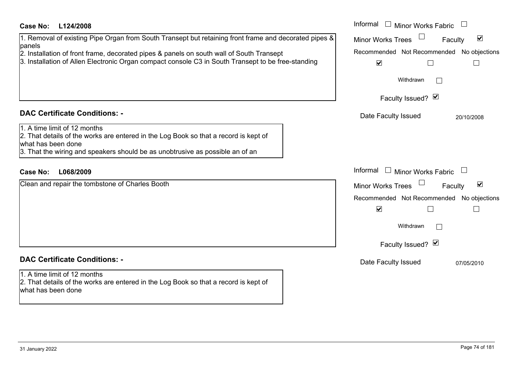#### Informal  $\Box$  Minor Works Fabric  $\Box$ **L124/2008Case No:** Informal 1. Removal of existing Pipe Organ from South Transept but retaining front frame and decorated pipes & Minor Works Trees<sup>1</sup>  $\blacktriangledown$ Faculty panels 2. Installation of front frame, decorated pipes & panels on south wall of South Transept Recommended Not Recommended No objections 3. Installation of Allen Electronic Organ compact console C3 in South Transept to be free-standing  $\overline{\mathbf{v}}$  $\Box$  $\Box$ Withdrawn $\Box$ Faculty Issued? Ø **DAC Certificate Conditions: -**Date Faculty Issued 20/10/2008 1. A time limit of 12 months2. That details of the works are entered in the Log Book so that a record is kept of what has been done3. That the wiring and speakers should be as unobtrusive as possible an of an Informal  $\Box$  Minor Works Fabric  $\Box$ **L068/2009Case No:** Informal Clean and repair the tombstone of Charles Booth Faculty  $\overline{\mathbf{v}}$ Minor Works Trees Recommended Not Recommended No objections  $\overline{\mathbf{v}}$  $\Box$  $\Box$ Withdrawn $\Box$ Faculty Issued? Ø **DAC Certificate Conditions: -**Date Faculty Issued 07/05/2010 1. A time limit of 12 months2. That details of the works are entered in the Log Book so that a record is kept of what has been done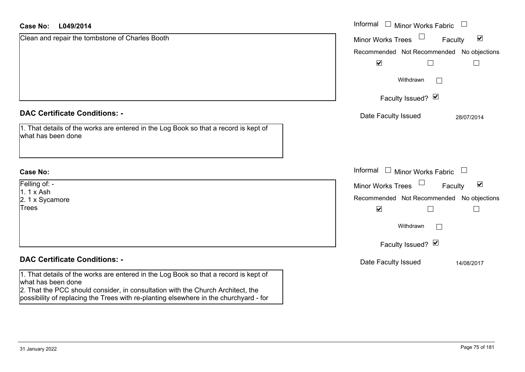| L049/2014<br>Case No:                                                                                                                                                                         | Informal □ Minor Works Fabric<br>$\begin{array}{c} \boxed{1} \end{array}$ |
|-----------------------------------------------------------------------------------------------------------------------------------------------------------------------------------------------|---------------------------------------------------------------------------|
| Clean and repair the tombstone of Charles Booth                                                                                                                                               | $\Box$<br>$\blacktriangledown$<br>Minor Works Trees<br>Faculty            |
|                                                                                                                                                                                               | No objections<br>Recommended Not Recommended                              |
|                                                                                                                                                                                               | $\blacktriangledown$                                                      |
|                                                                                                                                                                                               | Withdrawn                                                                 |
|                                                                                                                                                                                               | Faculty Issued? Ø                                                         |
| <b>DAC Certificate Conditions: -</b>                                                                                                                                                          | Date Faculty Issued<br>28/07/2014                                         |
| 1. That details of the works are entered in the Log Book so that a record is kept of<br>what has been done                                                                                    |                                                                           |
| <b>Case No:</b>                                                                                                                                                                               | Informal<br>$\Box$ Minor Works Fabric<br>$\Box$                           |
| Felling of: -                                                                                                                                                                                 | $\Box$<br>$\blacktriangledown$<br>Faculty<br><b>Minor Works Trees</b>     |
| $1.1x$ Ash<br>2. 1 x Sycamore                                                                                                                                                                 | Recommended Not Recommended No objections                                 |
| <b>Trees</b>                                                                                                                                                                                  | $\blacktriangledown$                                                      |
|                                                                                                                                                                                               | Withdrawn<br>$\Box$                                                       |
|                                                                                                                                                                                               | Faculty Issued? Ø                                                         |
| <b>DAC Certificate Conditions: -</b>                                                                                                                                                          | Date Faculty Issued<br>14/08/2017                                         |
| 1. That details of the works are entered in the Log Book so that a record is kept of<br>what has been done<br>2. That the PCC should consider, in consultation with the Church Architect, the |                                                                           |
| possibility of replacing the Trees with re-planting elsewhere in the churchyard - for                                                                                                         |                                                                           |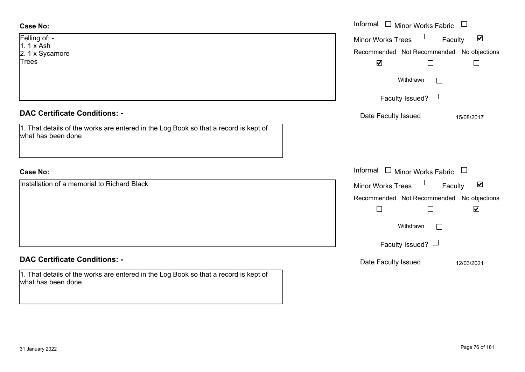| <b>Case No:</b>                                                                                            | Informal □ Minor Works Fabric             |                                 |
|------------------------------------------------------------------------------------------------------------|-------------------------------------------|---------------------------------|
| Felling of: -                                                                                              | Minor Works Trees                         | $\blacktriangledown$<br>Faculty |
| $1.1x$ Ash<br>2. 1 x Sycamore                                                                              | Recommended Not Recommended No objections |                                 |
| Trees                                                                                                      | $\blacktriangledown$<br>$\Box$            |                                 |
|                                                                                                            | Withdrawn<br>$\mathbf{I}$                 |                                 |
|                                                                                                            | Faculty Issued? $\Box$                    |                                 |
| <b>DAC Certificate Conditions: -</b>                                                                       | Date Faculty Issued                       | 15/08/2017                      |
| 1. That details of the works are entered in the Log Book so that a record is kept of<br>what has been done |                                           |                                 |
|                                                                                                            |                                           |                                 |
| <b>Case No:</b>                                                                                            | Informal $\Box$ Minor Works Fabric $\Box$ |                                 |
| Installation of a memorial to Richard Black                                                                | Minor Works Trees                         | $\blacktriangledown$<br>Faculty |
|                                                                                                            | Recommended Not Recommended No objections |                                 |
|                                                                                                            | $\Box$                                    | $\blacktriangledown$            |
|                                                                                                            | Withdrawn<br>$\vert \ \ \vert$            |                                 |
|                                                                                                            | Faculty Issued? $\Box$                    |                                 |
| <b>DAC Certificate Conditions: -</b>                                                                       | Date Faculty Issued                       | 12/03/2021                      |
| 1. That details of the works are entered in the Log Book so that a record is kept of<br>what has been done |                                           |                                 |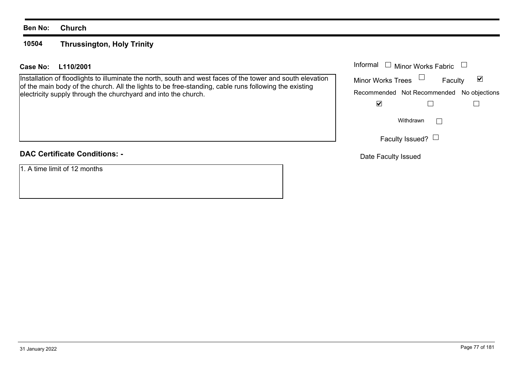### **Ben No: Church**

#### **10504Thrussington, Holy Trinity**

# **L110/2001Case No:** Informal

Installation of floodlights to illuminate the north, south and west faces of the tower and south elevation of the main body of the church. All the lights to be free-standing, cable runs following the existing electricity supply through the churchyard and into the church.

# **DAC Certificate Conditions: -**

1. A time limit of 12 months

| Informal<br>$\Box$ Minor Works Fabric |                                           |   |
|---------------------------------------|-------------------------------------------|---|
| <b>Minor Works Trees</b>              | Faculty                                   | M |
|                                       | Recommended Not Recommended No objections |   |
|                                       |                                           |   |
|                                       | Withdrawn                                 |   |
|                                       | Faculty Issued?                           |   |

Date Faculty Issued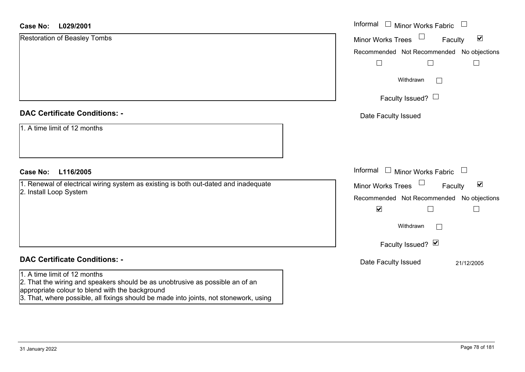#### **L029/2001Case No:**

| <b>Case No:</b><br>L029/2001                                                                                                                                     | Informal □ Minor Works Fabric<br>$\overline{\phantom{a}}$                    |
|------------------------------------------------------------------------------------------------------------------------------------------------------------------|------------------------------------------------------------------------------|
| <b>Restoration of Beasley Tombs</b>                                                                                                                              | $\Box$<br>$\blacktriangledown$<br><b>Minor Works Trees</b><br>Faculty        |
|                                                                                                                                                                  | Recommended Not Recommended No objections                                    |
|                                                                                                                                                                  | $\Box$<br>$\Box$                                                             |
|                                                                                                                                                                  | Withdrawn<br>$\Box$                                                          |
|                                                                                                                                                                  | Faculty Issued? $\Box$                                                       |
| <b>DAC Certificate Conditions: -</b>                                                                                                                             | Date Faculty Issued                                                          |
| 1. A time limit of 12 months                                                                                                                                     |                                                                              |
| <b>Case No:</b><br>L116/2005                                                                                                                                     | Informal $\Box$ Minor Works Fabric<br>$\begin{array}{c} \square \end{array}$ |
| 1. Renewal of electrical wiring system as existing is both out-dated and inadequate                                                                              | $\Box$<br>$\blacktriangledown$<br>Minor Works Trees<br>Faculty               |
| 2. Install Loop System                                                                                                                                           | Recommended Not Recommended No objections                                    |
|                                                                                                                                                                  | $\blacktriangledown$<br>$\Box$                                               |
|                                                                                                                                                                  | Withdrawn<br>$\vert \ \ \vert$                                               |
|                                                                                                                                                                  | Faculty Issued? Ø                                                            |
| <b>DAC Certificate Conditions: -</b>                                                                                                                             | Date Faculty Issued<br>21/12/2005                                            |
| 1. A time limit of 12 months<br>2. That the wiring and speakers should be as unobtrusive as possible an of an<br>appropriate colour to blend with the background |                                                                              |

3. That, where possible, all fixings should be made into joints, not stonework, using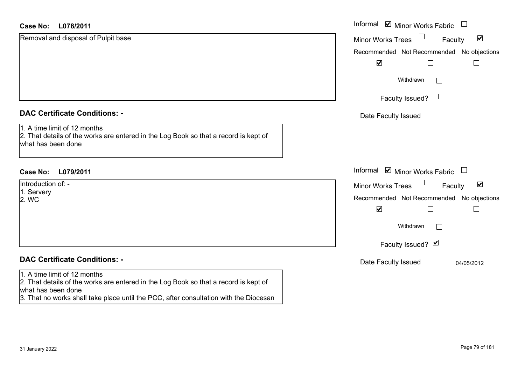| L078/2011<br><b>Case No:</b>                                                                                                                                                                                                        | Informal ⊠ Minor Works Fabric<br>$\Box$                     |
|-------------------------------------------------------------------------------------------------------------------------------------------------------------------------------------------------------------------------------------|-------------------------------------------------------------|
| Removal and disposal of Pulpit base                                                                                                                                                                                                 | $\blacktriangledown$<br>Minor Works Trees<br>Faculty        |
|                                                                                                                                                                                                                                     | Recommended Not Recommended No objections                   |
|                                                                                                                                                                                                                                     | $\blacktriangleright$                                       |
|                                                                                                                                                                                                                                     | Withdrawn<br>$\sim$                                         |
|                                                                                                                                                                                                                                     | Faculty Issued? $\Box$                                      |
| <b>DAC Certificate Conditions: -</b>                                                                                                                                                                                                | Date Faculty Issued                                         |
| 1. A time limit of 12 months<br>2. That details of the works are entered in the Log Book so that a record is kept of<br>what has been done                                                                                          |                                                             |
| <b>Case No:</b><br>L079/2011                                                                                                                                                                                                        | Informal $\blacksquare$ Minor Works Fabric $\blacksquare$   |
| Introduction of: -                                                                                                                                                                                                                  | $\blacktriangledown$<br><b>Minor Works Trees</b><br>Faculty |
| 1. Servery<br>2. WC                                                                                                                                                                                                                 | Recommended Not Recommended No objections                   |
|                                                                                                                                                                                                                                     | $\blacktriangledown$                                        |
|                                                                                                                                                                                                                                     | Withdrawn                                                   |
|                                                                                                                                                                                                                                     | Faculty Issued? $\blacksquare$                              |
| <b>DAC Certificate Conditions: -</b>                                                                                                                                                                                                | Date Faculty Issued<br>04/05/2012                           |
| 1. A time limit of 12 months<br>2. That details of the works are entered in the Log Book so that a record is kept of<br>what has been done<br>3. That no works shall take place until the PCC, after consultation with the Diocesan |                                                             |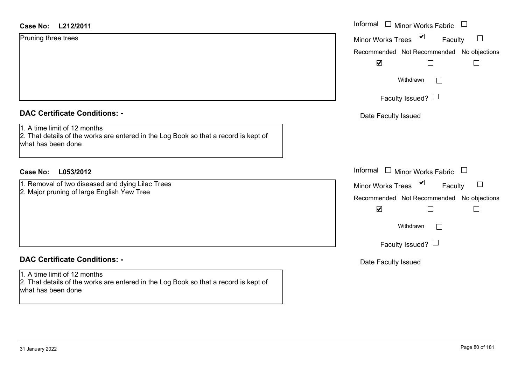| Case No: | L212/2011 |
|----------|-----------|
|----------|-----------|

| <b>DAC Certificate Conditions: -</b> |  |
|--------------------------------------|--|
|--------------------------------------|--|

# **DAC Certificate Conditions: -**

1. A time limit of 12 months 2. That details of the works are entered in the Log Book so that a record is kept of what has been done

| $\sum$<br>Pruning three trees<br>Minor Works Trees<br>Faculty<br>$\Box$<br>Recommended Not Recommended No objections<br>$\blacktriangledown$<br>Withdrawn<br>$\perp$<br>Faculty Issued? $\Box$<br><b>DAC Certificate Conditions: -</b><br>Date Faculty Issued<br>1. A time limit of 12 months<br>2. That details of the works are entered in the Log Book so that a record is kept of<br>what has been done<br>Informal □ Minor Works Fabric<br><b>Case No:</b><br>L053/2012<br>Minor Works Trees ⊠<br>1. Removal of two diseased and dying Lilac Trees<br>Faculty<br>2. Major pruning of large English Yew Tree<br>Recommended Not Recommended No objections<br>$\blacktriangledown$<br>$\mathbb{L}$<br>Withdrawn<br>$\mathbf{L}$<br>Faculty Issued? $\Box$<br><b>DAC Certificate Conditions: -</b><br>Date Faculty Issued | <b>Case No:</b><br>L212/2011 | Informal □ Minor Works Fabric |
|-----------------------------------------------------------------------------------------------------------------------------------------------------------------------------------------------------------------------------------------------------------------------------------------------------------------------------------------------------------------------------------------------------------------------------------------------------------------------------------------------------------------------------------------------------------------------------------------------------------------------------------------------------------------------------------------------------------------------------------------------------------------------------------------------------------------------------|------------------------------|-------------------------------|
|                                                                                                                                                                                                                                                                                                                                                                                                                                                                                                                                                                                                                                                                                                                                                                                                                             |                              |                               |
|                                                                                                                                                                                                                                                                                                                                                                                                                                                                                                                                                                                                                                                                                                                                                                                                                             |                              |                               |
|                                                                                                                                                                                                                                                                                                                                                                                                                                                                                                                                                                                                                                                                                                                                                                                                                             |                              |                               |
|                                                                                                                                                                                                                                                                                                                                                                                                                                                                                                                                                                                                                                                                                                                                                                                                                             |                              |                               |
|                                                                                                                                                                                                                                                                                                                                                                                                                                                                                                                                                                                                                                                                                                                                                                                                                             |                              |                               |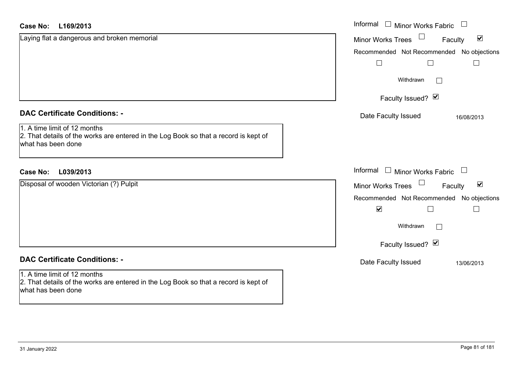| <b>Case No:</b><br>L169/2013                                                                                                               | Informal<br>$\Box$<br><b>Minor Works Fabric</b>             |
|--------------------------------------------------------------------------------------------------------------------------------------------|-------------------------------------------------------------|
| Laying flat a dangerous and broken memorial                                                                                                | $\blacktriangledown$<br><b>Minor Works Trees</b><br>Faculty |
|                                                                                                                                            | Recommended Not Recommended No objections                   |
|                                                                                                                                            |                                                             |
|                                                                                                                                            | Withdrawn<br>$\mathbf{L}$                                   |
|                                                                                                                                            | Faculty Issued? Ø                                           |
| <b>DAC Certificate Conditions: -</b>                                                                                                       | Date Faculty Issued<br>16/08/2013                           |
| 1. A time limit of 12 months<br>2. That details of the works are entered in the Log Book so that a record is kept of<br>what has been done |                                                             |
| L039/2013<br><b>Case No:</b>                                                                                                               | Informal<br>$\Box$ Minor Works Fabric                       |
| Disposal of wooden Victorian (?) Pulpit                                                                                                    | $\blacktriangledown$<br><b>Minor Works Trees</b><br>Faculty |
|                                                                                                                                            | Recommended Not Recommended No objections                   |
|                                                                                                                                            | $\blacktriangledown$                                        |
|                                                                                                                                            | Withdrawn<br>$\mathbf{L}$                                   |
|                                                                                                                                            | Faculty Issued? Ø                                           |
| <b>DAC Certificate Conditions: -</b>                                                                                                       | Date Faculty Issued<br>13/06/2013                           |
| 1. A time limit of 12 months<br>2. That details of the works are entered in the Log Book so that a record is kept of<br>what has been done |                                                             |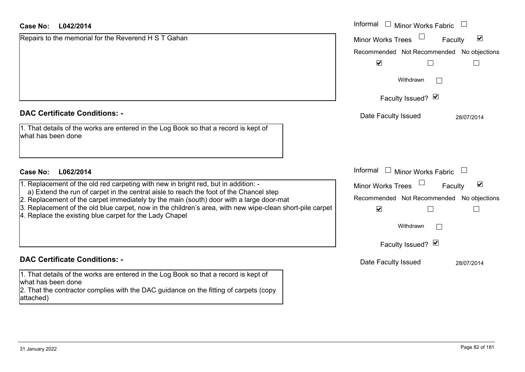| <b>Case No:</b><br>L042/2014                                                                                                                                                      | Informal<br>$\perp$<br><b>Minor Works Fabric</b>            |
|-----------------------------------------------------------------------------------------------------------------------------------------------------------------------------------|-------------------------------------------------------------|
| Repairs to the memorial for the Reverend H S T Gahan                                                                                                                              | $\blacktriangledown$<br><b>Minor Works Trees</b><br>Faculty |
|                                                                                                                                                                                   | Recommended Not Recommended No objections                   |
|                                                                                                                                                                                   | $\blacktriangledown$                                        |
|                                                                                                                                                                                   | Withdrawn                                                   |
|                                                                                                                                                                                   | Faculty Issued? Ø                                           |
| <b>DAC Certificate Conditions: -</b>                                                                                                                                              | Date Faculty Issued<br>28/07/2014                           |
| 1. That details of the works are entered in the Log Book so that a record is kept of<br>what has been done                                                                        |                                                             |
| <b>Case No:</b><br>L062/2014                                                                                                                                                      | Informal $\Box$<br>Minor Works Fabric L                     |
| 1. Replacement of the old red carpeting with new in bright red, but in addition: -                                                                                                | $\blacktriangledown$<br><b>Minor Works Trees</b><br>Faculty |
| a) Extend the run of carpet in the central aisle to reach the foot of the Chancel step<br>2. Replacement of the carpet immediately by the main (south) door with a large door-mat | Recommended Not Recommended No objections                   |
| 3. Replacement of the old blue carpet, now in the children's area, with new wipe-clean short-pile carpet<br>4. Replace the existing blue carpet for the Lady Chapel               | $\blacktriangledown$                                        |
|                                                                                                                                                                                   | Withdrawn                                                   |
|                                                                                                                                                                                   | Faculty Issued? Ø                                           |
| <b>DAC Certificate Conditions: -</b>                                                                                                                                              | Date Faculty Issued<br>28/07/2014                           |
| 1. That details of the works are entered in the Log Book so that a record is kept of                                                                                              |                                                             |

attached)

what has been done

2. That the contractor complies with the DAC guidance on the fitting of carpets (copy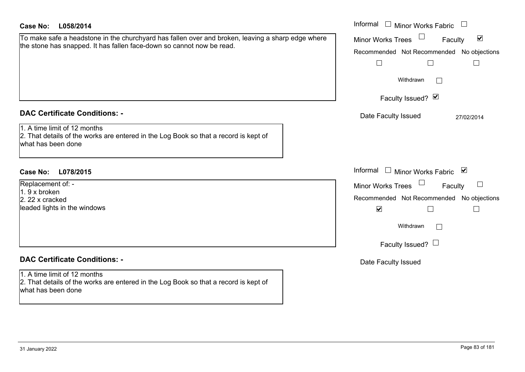| <b>Case No:</b><br>L058/2014                                                                                                                                               | Informal $\Box$ Minor Works Fabric                                                                                                                                                               |
|----------------------------------------------------------------------------------------------------------------------------------------------------------------------------|--------------------------------------------------------------------------------------------------------------------------------------------------------------------------------------------------|
| To make safe a headstone in the churchyard has fallen over and broken, leaving a sharp edge where<br>the stone has snapped. It has fallen face-down so cannot now be read. | $\blacktriangledown$<br><b>Minor Works Trees</b><br>Faculty<br>Recommended Not Recommended No objections<br>$\Box$<br>$\Box$<br>Withdrawn<br>Faculty Issued? Ø                                   |
| <b>DAC Certificate Conditions: -</b>                                                                                                                                       | Date Faculty Issued<br>27/02/2014                                                                                                                                                                |
| 1. A time limit of 12 months<br>2. That details of the works are entered in the Log Book so that a record is kept of<br>what has been done                                 |                                                                                                                                                                                                  |
| <b>Case No:</b><br>L078/2015                                                                                                                                               | Informal $\Box$ Minor Works Fabric $\Box$                                                                                                                                                        |
| Replacement of: -<br>1.9 x broken<br>2. 22 x cracked<br>leaded lights in the windows                                                                                       | <b>Minor Works Trees</b><br>Faculty<br>Recommended Not Recommended No objections<br>$\blacktriangledown$<br>$\Box$<br>$\overline{\phantom{a}}$<br>Withdrawn<br>$\perp$<br>Faculty Issued? $\Box$ |
| <b>DAC Certificate Conditions: -</b>                                                                                                                                       | Date Faculty Issued                                                                                                                                                                              |
| 1. A time limit of 12 months<br>2. That details of the works are entered in the Log Book so that a record is kept of<br>what has been done                                 |                                                                                                                                                                                                  |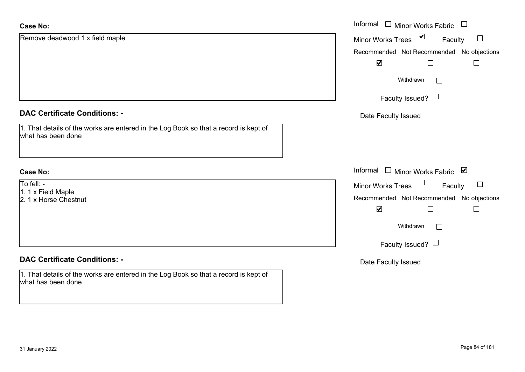| <b>Case No:</b>                                                                                            | Informal $\square$<br>Minor Works Fabric<br>$\Box$                    |
|------------------------------------------------------------------------------------------------------------|-----------------------------------------------------------------------|
| Remove deadwood 1 x field maple                                                                            | $\blacktriangledown$<br>$\Box$<br><b>Minor Works Trees</b><br>Faculty |
|                                                                                                            | Recommended Not Recommended No objections                             |
|                                                                                                            | $\blacktriangledown$                                                  |
|                                                                                                            | Withdrawn<br>$\Box$                                                   |
|                                                                                                            | Faculty Issued? $\Box$                                                |
| <b>DAC Certificate Conditions: -</b>                                                                       | Date Faculty Issued                                                   |
| 1. That details of the works are entered in the Log Book so that a record is kept of<br>what has been done |                                                                       |
| <b>Case No:</b>                                                                                            | Informal □ Minor Works Fabric ⊠                                       |
| To fell: -<br>1. 1 x Field Maple                                                                           | Minor Works Trees<br>$\Box$<br>Faculty                                |
| 2. 1 x Horse Chestnut                                                                                      | Recommended Not Recommended No objections                             |
|                                                                                                            | $\blacktriangledown$<br>$\Box$<br>$\Box$                              |
|                                                                                                            | Withdrawn<br>$\Box$                                                   |
|                                                                                                            | Faculty Issued? $\Box$                                                |
| <b>DAC Certificate Conditions: -</b>                                                                       | Date Faculty Issued                                                   |
| 1. That details of the works are entered in the Log Book so that a record is kept of<br>what has been done |                                                                       |
|                                                                                                            |                                                                       |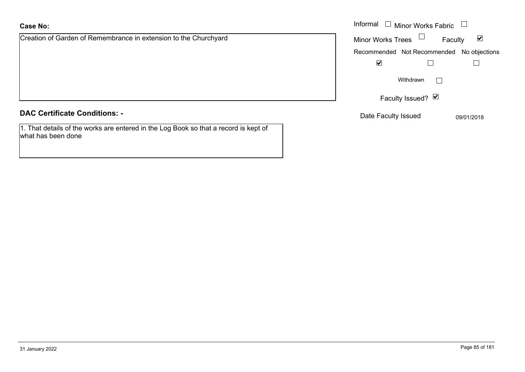# **Case No:**

Creation of Garden of Remembrance in extension to the Churchyard

# **DAC Certificate Conditions: -**

1. That details of the works are entered in the Log Book so that a record is kept of what has been done

|                                                         | Informal $\Box$<br>$\blacksquare$ Minor Works Fabric $\blacksquare$ |
|---------------------------------------------------------|---------------------------------------------------------------------|
| of Garden of Remembrance in extension to the Churchyard | Minor Works Trees $\Box$<br>$\blacktriangledown$<br>Faculty         |
|                                                         | Recommended Not Recommended No objections                           |
|                                                         | $\blacktriangledown$                                                |
|                                                         | Withdrawn                                                           |
|                                                         | Faculty Issued? Ø                                                   |
| rtificate Conditions: -                                 | Date Faculty Issued<br>09/01/2018                                   |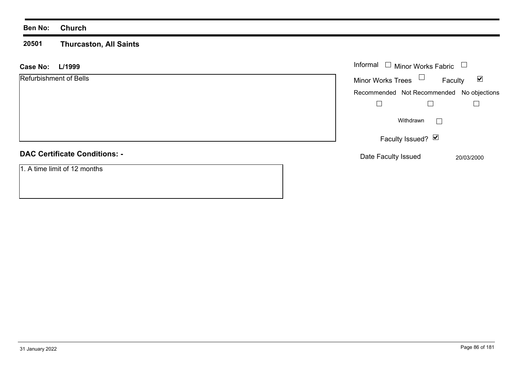### **Ben No: Church**

#### **20501 Thurcaston, All Saints**

| L/1999<br><b>Case No:</b>            | Informal $\Box$ Minor Works Fabric                          |
|--------------------------------------|-------------------------------------------------------------|
| Refurbishment of Bells               | Minor Works Trees $\Box$<br>$\blacktriangledown$<br>Faculty |
|                                      | Recommended Not Recommended No objections                   |
|                                      |                                                             |
|                                      | Withdrawn                                                   |
|                                      | Faculty Issued? $\boxed{\triangledown}$                     |
| <b>DAC Certificate Conditions: -</b> | Date Faculty Issued<br>20/03/2000                           |
| 1. A time limit of 12 months         |                                                             |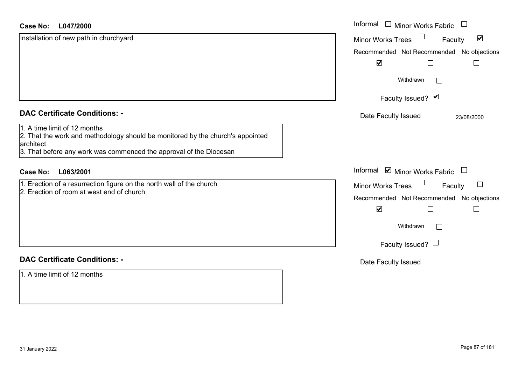| <b>Case No:</b><br>L047/2000                                                                                                                                                                      | Informal $\Box$<br>Minor Works Fabric                     |
|---------------------------------------------------------------------------------------------------------------------------------------------------------------------------------------------------|-----------------------------------------------------------|
| Installation of new path in churchyard                                                                                                                                                            | $\blacktriangledown$<br>Minor Works Trees<br>Faculty      |
|                                                                                                                                                                                                   | Recommended Not Recommended No objections                 |
|                                                                                                                                                                                                   | $\blacktriangledown$                                      |
|                                                                                                                                                                                                   | Withdrawn                                                 |
|                                                                                                                                                                                                   | Faculty Issued? Ø                                         |
| <b>DAC Certificate Conditions: -</b>                                                                                                                                                              | Date Faculty Issued<br>23/08/2000                         |
| 1. A time limit of 12 months<br>2. That the work and methodology should be monitored by the church's appointed<br>architect<br>3. That before any work was commenced the approval of the Diocesan |                                                           |
| L063/2001<br><b>Case No:</b>                                                                                                                                                                      | Informal $\blacksquare$ Minor Works Fabric $\blacksquare$ |
| 1. Erection of a resurrection figure on the north wall of the church                                                                                                                              | $\Box$<br>$\Box$<br><b>Minor Works Trees</b><br>Faculty   |
| 2. Erection of room at west end of church                                                                                                                                                         | Recommended Not Recommended No objections                 |
|                                                                                                                                                                                                   | $\blacktriangledown$<br>$\mathbf{L}$                      |
|                                                                                                                                                                                                   | Withdrawn<br>$\mathbf{I}$                                 |
|                                                                                                                                                                                                   | Faculty Issued? $\Box$                                    |
| <b>DAC Certificate Conditions: -</b>                                                                                                                                                              | Date Faculty Issued                                       |
| 1. A time limit of 12 months                                                                                                                                                                      |                                                           |

ш.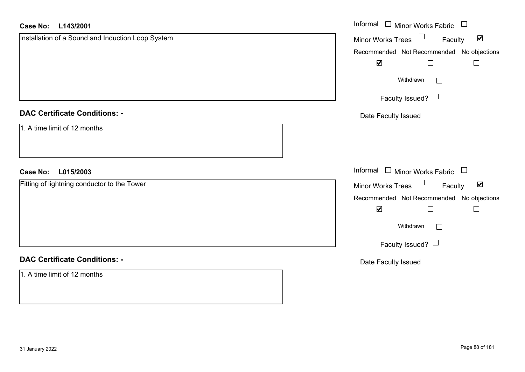| <b>Case No:</b><br>L143/2001                      | Informal □ Minor Works Fabric □                             |
|---------------------------------------------------|-------------------------------------------------------------|
| Installation of a Sound and Induction Loop System | Minor Works Trees $\Box$<br>$\blacktriangledown$<br>Faculty |
|                                                   | Recommended Not Recommended No objections                   |
|                                                   | $\blacktriangledown$<br>$\Box$<br>$\Box$                    |
|                                                   | Withdrawn<br>$\Box$                                         |
|                                                   | Faculty Issued?                                             |
| <b>DAC Certificate Conditions: -</b>              | Date Faculty Issued                                         |
| 1. A time limit of 12 months                      |                                                             |
| L015/2003<br><b>Case No:</b>                      | Informal □ Minor Works Fabric<br>$\Box$                     |
| Fitting of lightning conductor to the Tower       | Minor Works Trees<br>$\blacktriangledown$<br>Faculty        |
|                                                   | Recommended Not Recommended No objections                   |
|                                                   | $\blacktriangledown$<br>$\Box$<br>$\Box$                    |
|                                                   | Withdrawn<br>$\Box$                                         |
|                                                   | Faculty Issued? $\Box$                                      |
| <b>DAC Certificate Conditions: -</b>              | Date Faculty Issued                                         |
| 1. A time limit of 12 months                      |                                                             |
|                                                   |                                                             |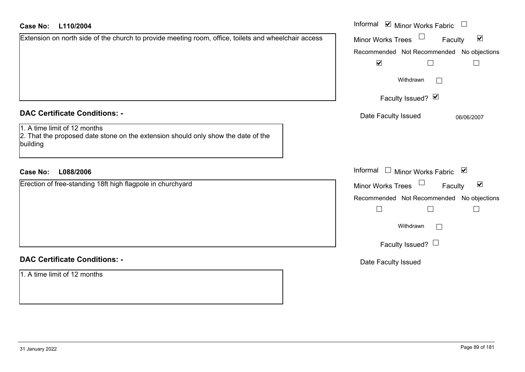| <b>Case No:</b><br>L110/2004                                                                                                  | Informal <b>☑</b> Minor Works Fabric                        |
|-------------------------------------------------------------------------------------------------------------------------------|-------------------------------------------------------------|
| Extension on north side of the church to provide meeting room, office, toilets and wheelchair access                          | $\blacktriangledown$<br>Minor Works Trees<br>Faculty        |
|                                                                                                                               | Recommended Not Recommended No objections                   |
|                                                                                                                               | $\blacktriangledown$<br>$\Box$                              |
|                                                                                                                               | Withdrawn<br>$\perp$                                        |
|                                                                                                                               | Faculty Issued? Ø                                           |
| <b>DAC Certificate Conditions: -</b>                                                                                          | Date Faculty Issued<br>06/06/2007                           |
| 1. A time limit of 12 months<br>2. That the proposed date stone on the extension should only show the date of the<br>building |                                                             |
| L088/2006<br><b>Case No:</b>                                                                                                  | Informal <u>I</u> Minor Works Fabric <b>⊻</b>               |
| Erection of free-standing 18ft high flagpole in churchyard                                                                    | $\blacktriangledown$<br><b>Minor Works Trees</b><br>Faculty |
|                                                                                                                               | Recommended Not Recommended No objections                   |
|                                                                                                                               | $\Box$<br>$\Box$                                            |
|                                                                                                                               | Withdrawn<br>$\Box$                                         |
|                                                                                                                               | Faculty Issued? $\Box$                                      |
| <b>DAC Certificate Conditions: -</b>                                                                                          | Date Faculty Issued                                         |
| 1. A time limit of 12 months                                                                                                  |                                                             |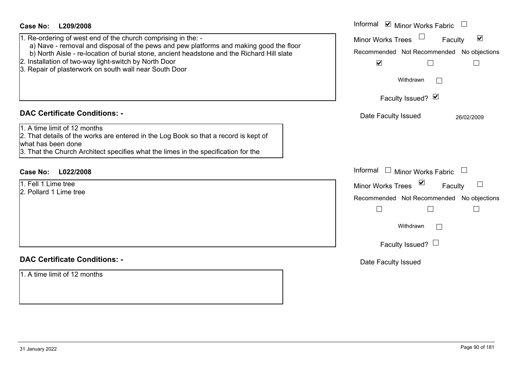| <b>Case No:</b><br>L209/2008                                                                                                                            | Informal $\blacksquare$ Minor Works Fabric $\Box$     |
|---------------------------------------------------------------------------------------------------------------------------------------------------------|-------------------------------------------------------|
| 1. Re-ordering of west end of the church comprising in the: -<br>a) Nave - removal and disposal of the pews and pew platforms and making good the floor | Minor Works Trees<br>$\blacktriangledown$<br>Faculty  |
| b) North Aisle - re-location of burial stone, ancient headstone and the Richard Hill slate                                                              | Recommended Not Recommended No objections             |
| 2. Installation of two-way light-switch by North Door<br>3. Repair of plasterwork on south wall near South Door                                         | $\blacktriangledown$<br>⊔<br>$\overline{\phantom{a}}$ |
|                                                                                                                                                         | Withdrawn<br>$\mathbb{R}^n$                           |
|                                                                                                                                                         | Faculty Issued? Ø                                     |
| <b>DAC Certificate Conditions: -</b>                                                                                                                    | Date Faculty Issued<br>26/02/2009                     |
| 1. A time limit of 12 months<br>2. That details of the works are entered in the Log Book so that a record is kept of                                    |                                                       |
| what has been done                                                                                                                                      |                                                       |
| 3. That the Church Architect specifies what the limes in the specification for the                                                                      |                                                       |
| Case No: L022/2008                                                                                                                                      | Informal Informal Minor Works Fabric                  |
| 1. Fell 1 Lime tree                                                                                                                                     | Minor Works Trees <sup>5</sup><br>Faculty             |
| 2. Pollard 1 Lime tree                                                                                                                                  | Recommended Not Recommended No objections             |
|                                                                                                                                                         | $\Box$<br>$\Box$                                      |
|                                                                                                                                                         | Withdrawn<br>$\perp$                                  |
|                                                                                                                                                         | Faculty Issued? $\Box$                                |
| <b>DAC Certificate Conditions: -</b>                                                                                                                    | Date Faculty Issued                                   |
| 1. A time limit of 12 months                                                                                                                            |                                                       |
|                                                                                                                                                         |                                                       |
|                                                                                                                                                         |                                                       |
|                                                                                                                                                         |                                                       |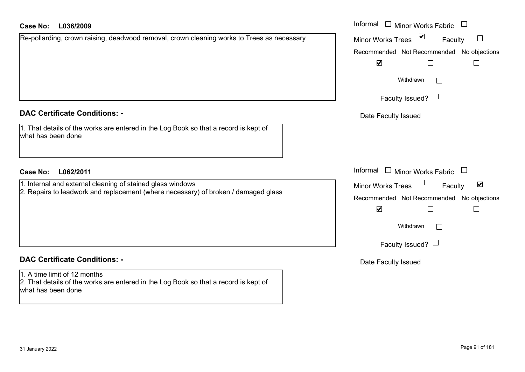# **L036/2009Case No:** Informal

| Re-pollarding, crown raising, deadwood removal, crown cleaning works to Trees as necessary |  |
|--------------------------------------------------------------------------------------------|--|
|                                                                                            |  |
|                                                                                            |  |
|                                                                                            |  |
|                                                                                            |  |
|                                                                                            |  |

## **DAC Certificate Conditions: -**

| 1. That details of the works are entered in the Log Book so that a record is kept of |  |
|--------------------------------------------------------------------------------------|--|
| what has been done                                                                   |  |

# **L062/2011Case No:** Informal

1. Internal and external cleaning of stained glass windows 2. Repairs to leadwork and replacement (where necessary) of broken / damaged glass

# **DAC Certificate Conditions: -**

1. A time limit of 12 months 2. That details of the works are entered in the Log Book so that a record is kept of what has been done

| Informal<br><b>Minor Works Fabric</b>                              |
|--------------------------------------------------------------------|
| $\vert\bm{\mathsf{v}}\vert$<br><b>Minor Works Trees</b><br>Faculty |
| Recommended Not Recommended No objections                          |
| ⊻                                                                  |
| Withdrawn                                                          |
| Faculty Issued? $\Box$                                             |
| Date Faculty Issued                                                |
|                                                                    |
| Informal<br>Minor Works Fabric<br>$\Box$                           |
| ⊻<br><b>Minor Works Trees</b><br>Faculty                           |
| Recommended Not Recommended No objections                          |
| ⊻                                                                  |
| Withdrawn                                                          |
| Faculty Issued?                                                    |

Date Faculty Issued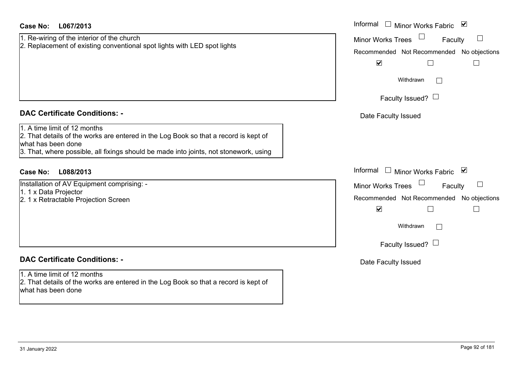| <b>Case No:</b><br>L067/2013                                                                                                               | Informal $\Box$ Minor Works Fabric $\Box$                                           |
|--------------------------------------------------------------------------------------------------------------------------------------------|-------------------------------------------------------------------------------------|
| 1. Re-wiring of the interior of the church<br>2. Replacement of existing conventional spot lights with LED spot lights                     | Minor Works Trees<br>$\Box$<br>Faculty<br>Recommended Not Recommended No objections |
|                                                                                                                                            | $\blacktriangledown$<br>$\Box$                                                      |
|                                                                                                                                            | Withdrawn<br>$\mathbf{I}$                                                           |
|                                                                                                                                            | Faculty Issued? $\Box$                                                              |
| <b>DAC Certificate Conditions: -</b>                                                                                                       | Date Faculty Issued                                                                 |
| 1. A time limit of 12 months<br>2. That details of the works are entered in the Log Book so that a record is kept of<br>what has been done |                                                                                     |
| 3. That, where possible, all fixings should be made into joints, not stonework, using                                                      |                                                                                     |
| <b>Case No:</b><br>L088/2013                                                                                                               | Informal $\Box$ Minor Works Fabric $\Box$                                           |
| Installation of AV Equipment comprising: -                                                                                                 | Minor Works Trees<br>$\Box$<br>Faculty                                              |
| 1. 1 x Data Projector<br>2. 1 x Retractable Projection Screen                                                                              | Recommended Not Recommended No objections                                           |
|                                                                                                                                            | $\blacktriangledown$<br>$\Box$                                                      |
|                                                                                                                                            | Withdrawn<br>$\mathbf{L}$                                                           |
|                                                                                                                                            | Faculty Issued? $\Box$                                                              |
| <b>DAC Certificate Conditions: -</b>                                                                                                       | Date Faculty Issued                                                                 |
| 1. A time limit of 12 months<br>2. That details of the works are entered in the Log Book so that a record is kept of<br>what has been done |                                                                                     |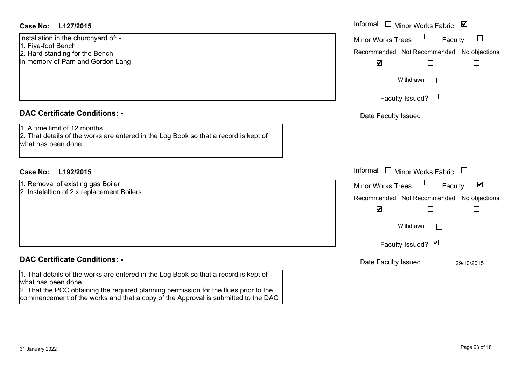# **L127/2015Case No:** Informal

Installation in the churchyard of: - 1. Five-foot Bench2. Hard standing for the Bench in memory of Pam and Gordon Lang

# **DAC Certificate Conditions: -**

1. A time limit of 12 months2. That details of the works are entered in the Log Book so that a record is kept of what has been done

# **L192/2015Case No:** Informal

1. Removal of existing gas Boiler 2. Instalaltion of 2 x replacement Boilers

# **DAC Certificate Conditions: -**

1. That details of the works are entered in the Log Book so that a record is kept of what has been done

 2. That the PCC obtaining the required planning permission for the flues prior to the commencement of the works and that a copy of the Approval is submitted to the DAC

| Informal<br>$\blacktriangledown$<br>Minor Works Fabric                                                   |
|----------------------------------------------------------------------------------------------------------|
| <b>Minor Works Trees</b><br>Faculty<br>Recommended Not Recommended No objections<br>$\blacktriangledown$ |
| Withdrawn                                                                                                |
| Faculty Issued?                                                                                          |
| Date Faculty Issued                                                                                      |
| Informal<br>$\Box$ Minor Works Fabric                                                                    |
| ⊻<br><b>Minor Works Trees</b><br>Faculty                                                                 |
| Recommended Not Recommended No objections<br>$\blacktriangledown$<br>Withdrawn                           |
| Faculty Issued? Ø                                                                                        |
| Date Faculty Issued<br>29/10/2015                                                                        |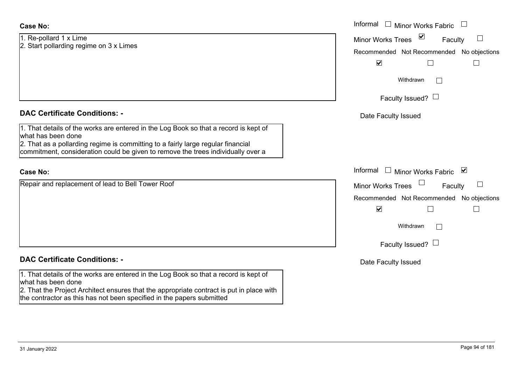## **Case No:**

1. Re-pollard 1 x Lime 2. Start pollarding regime on 3 x Limes

# **DAC Certificate Conditions: -**

1. That details of the works are entered in the Log Book so that a record is kept of what has been done

2. That as a pollarding regime is committing to a fairly large regular financial commitment, consideration could be given to remove the trees individually over a

## **Case No:**

Repair and replacement of lead to Bell Tower Roof

# **DAC Certificate Conditions: -**

1. That details of the works are entered in the Log Book so that a record is kept of what has been done

2. That the Project Architect ensures that the appropriate contract is put in place with the contractor as this has not been specified in the papers submitted

|                                                                                                                                                                                                                                                  | Informal $\Box$<br><b>Minor Works Fabric</b>                                                             |
|--------------------------------------------------------------------------------------------------------------------------------------------------------------------------------------------------------------------------------------------------|----------------------------------------------------------------------------------------------------------|
| lard 1 x Lime<br>ollarding regime on 3 x Limes                                                                                                                                                                                                   | Minor Works Trees ⊠<br>Faculty<br>Recommended Not Recommended No objections<br>$\blacktriangledown$      |
|                                                                                                                                                                                                                                                  | Withdrawn<br>$\perp$<br>Faculty Issued? $\Box$                                                           |
| rtificate Conditions: -                                                                                                                                                                                                                          | Date Faculty Issued                                                                                      |
| etails of the works are entered in the Log Book so that a record is kept of<br>been done<br>s a pollarding regime is committing to a fairly large regular financial<br>ent, consideration could be given to remove the trees individually over a |                                                                                                          |
|                                                                                                                                                                                                                                                  | Informal $\square$<br>Minor Works Fabric ⊠                                                               |
| nd replacement of lead to Bell Tower Roof                                                                                                                                                                                                        | <b>Minor Works Trees</b><br>Faculty<br>Recommended Not Recommended No objections<br>$\blacktriangledown$ |
|                                                                                                                                                                                                                                                  | Withdrawn<br>$\Box$<br>Faculty Issued? $\Box$                                                            |
| rtificate Conditions: -                                                                                                                                                                                                                          | Date Faculty Issued                                                                                      |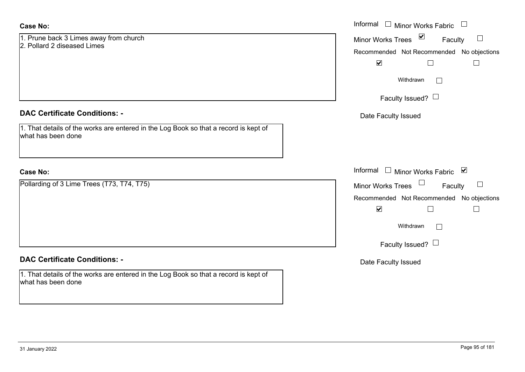| <b>Case No:</b>                                                                                            | Informal □ Minor Works Fabric                                                                |
|------------------------------------------------------------------------------------------------------------|----------------------------------------------------------------------------------------------|
| 1. Prune back 3 Limes away from church<br>2. Pollard 2 diseased Limes                                      | Minor Works Trees <b>☑</b><br>$\Box$<br>Faculty<br>Recommended Not Recommended No objections |
|                                                                                                            | $\blacktriangledown$                                                                         |
|                                                                                                            | Withdrawn<br>$\Box$                                                                          |
|                                                                                                            | Faculty Issued? $\Box$                                                                       |
| <b>DAC Certificate Conditions: -</b>                                                                       | Date Faculty Issued                                                                          |
| 1. That details of the works are entered in the Log Book so that a record is kept of<br>what has been done |                                                                                              |
| <b>Case No:</b>                                                                                            | Informal □ Minor Works Fabric ⊠                                                              |
| Pollarding of 3 Lime Trees (T73, T74, T75)                                                                 | Minor Works Trees $\Box$<br>$\Box$<br>Faculty                                                |
|                                                                                                            | Recommended Not Recommended No objections                                                    |
|                                                                                                            | $\blacktriangledown$<br>П                                                                    |
|                                                                                                            | Withdrawn<br>$\Box$                                                                          |
|                                                                                                            | Faculty Issued? $\Box$                                                                       |
| <b>DAC Certificate Conditions: -</b>                                                                       | Date Faculty Issued                                                                          |
| 1. That details of the works are entered in the Log Book so that a record is kept of<br>what has been done |                                                                                              |
|                                                                                                            |                                                                                              |

 $\sim$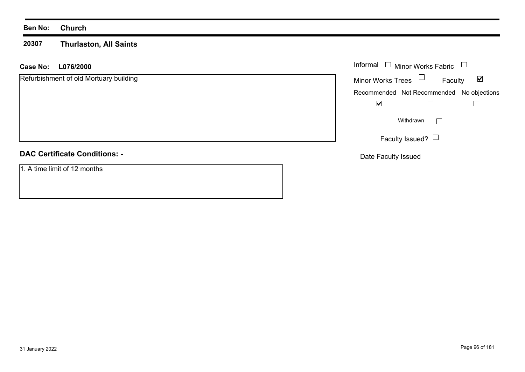### **Ben No: Church**

#### **20307 Thurlaston, All Saints**

# **L076/2000 Case No:** Informal

| Refurbishment of old Mortuary building | $\blacktriangledown$<br><b>Minor Works Trees</b><br>Faculty |
|----------------------------------------|-------------------------------------------------------------|
|                                        | Recommended Not Recommended No objections                   |
|                                        | ☑                                                           |
|                                        | Withdrawn<br>$\blacksquare$                                 |
|                                        | Faculty Issued? $\Box$                                      |
| <b>DAC Certificate Conditions: -</b>   | Date Faculty Issued                                         |
| 1. A time limit of 12 months           |                                                             |

Minor Works Fabric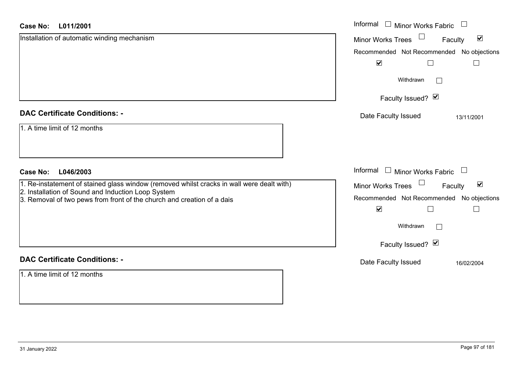## **L011/2001Case No:**

| L011/2001<br><b>Case No:</b>                                                                                                 | Informal □ Minor Works Fabric □                                |
|------------------------------------------------------------------------------------------------------------------------------|----------------------------------------------------------------|
| Installation of automatic winding mechanism                                                                                  | $\blacktriangledown$<br>Minor Works Trees<br>Faculty           |
|                                                                                                                              | Recommended Not Recommended No objections                      |
|                                                                                                                              | $\blacktriangledown$                                           |
|                                                                                                                              | Withdrawn                                                      |
|                                                                                                                              | Faculty Issued? Ø                                              |
| <b>DAC Certificate Conditions: -</b>                                                                                         | Date Faculty Issued<br>13/11/2001                              |
| 1. A time limit of 12 months                                                                                                 |                                                                |
| L046/2003<br><b>Case No:</b>                                                                                                 | Informal<br>$\Box$ Minor Works Fabric $\Box$                   |
| 1. Re-instatement of stained glass window (removed whilst cracks in wall were dealt with)                                    | $\Box$<br>$\blacktriangledown$<br>Minor Works Trees<br>Faculty |
| 2. Installation of Sound and Induction Loop System<br>3. Removal of two pews from front of the church and creation of a dais | Recommended Not Recommended No objections                      |
|                                                                                                                              | $\blacktriangledown$<br>Г                                      |
|                                                                                                                              | Withdrawn                                                      |
|                                                                                                                              | Faculty Issued? Ø                                              |
| <b>DAC Certificate Conditions: -</b>                                                                                         | Date Faculty Issued<br>16/02/2004                              |
| 1. A time limit of 12 months                                                                                                 |                                                                |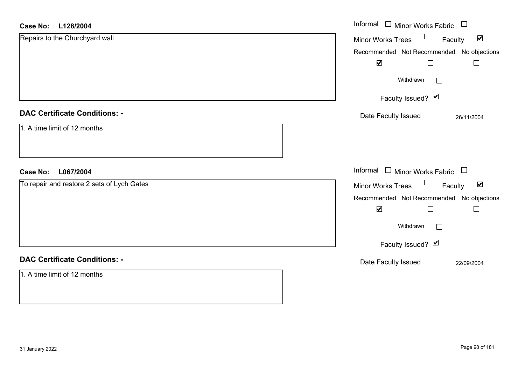| <b>Case No:</b><br>L128/2004               | Informal $\Box$ Minor Works Fabric<br>$\Box$                   |
|--------------------------------------------|----------------------------------------------------------------|
| Repairs to the Churchyard wall             | $\Box$<br>$\blacktriangledown$<br>Minor Works Trees<br>Faculty |
|                                            | Recommended Not Recommended No objections                      |
|                                            | $\blacktriangledown$                                           |
|                                            | Withdrawn<br>$\Box$                                            |
|                                            | Faculty Issued? Ø                                              |
| <b>DAC Certificate Conditions: -</b>       | Date Faculty Issued<br>26/11/2004                              |
| 1. A time limit of 12 months               |                                                                |
| L067/2004<br><b>Case No:</b>               | Informal $\Box$ Minor Works Fabric $\Box$                      |
| To repair and restore 2 sets of Lych Gates | Minor Works Trees<br>$\blacktriangledown$<br>Faculty           |
|                                            | Recommended Not Recommended No objections                      |
|                                            | $\blacktriangledown$                                           |
|                                            | Withdrawn<br>$\Box$                                            |
|                                            | Faculty Issued? Ø                                              |
| <b>DAC Certificate Conditions: -</b>       | Date Faculty Issued<br>22/09/2004                              |
| 1. A time limit of 12 months               |                                                                |

L.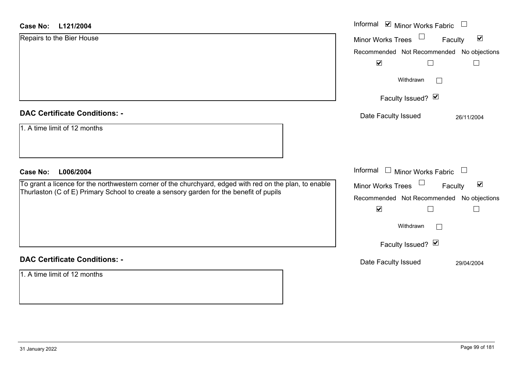| <b>Case No:</b><br>L121/2004                                                                                                                                                                       | Informal ☑ Minor Works Fabric                               |
|----------------------------------------------------------------------------------------------------------------------------------------------------------------------------------------------------|-------------------------------------------------------------|
| Repairs to the Bier House                                                                                                                                                                          | $\blacktriangledown$<br><b>Minor Works Trees</b><br>Faculty |
|                                                                                                                                                                                                    | Recommended Not Recommended No objections                   |
|                                                                                                                                                                                                    | $\blacktriangledown$<br>$\Box$<br>$\Box$                    |
|                                                                                                                                                                                                    | Withdrawn<br>$\mathbf{I}$                                   |
|                                                                                                                                                                                                    | Faculty Issued? Ø                                           |
| <b>DAC Certificate Conditions: -</b>                                                                                                                                                               | Date Faculty Issued<br>26/11/2004                           |
| 1. A time limit of $\overline{12}$ months                                                                                                                                                          |                                                             |
| L006/2004<br><b>Case No:</b>                                                                                                                                                                       | Informal $\Box$ Minor Works Fabric $\Box$                   |
| To grant a licence for the northwestern corner of the churchyard, edged with red on the plan, to enable<br>Thurlaston (C of E) Primary School to create a sensory garden for the benefit of pupils | Minor Works Trees<br>$\blacktriangledown$<br>Faculty        |
|                                                                                                                                                                                                    | Recommended Not Recommended<br>No objections                |
|                                                                                                                                                                                                    | $\blacktriangledown$<br>$\Box$<br>$\Box$                    |
|                                                                                                                                                                                                    | Withdrawn                                                   |
|                                                                                                                                                                                                    | Faculty Issued? Ø                                           |
| <b>DAC Certificate Conditions: -</b>                                                                                                                                                               | Date Faculty Issued<br>29/04/2004                           |
| 1. A time limit of 12 months                                                                                                                                                                       |                                                             |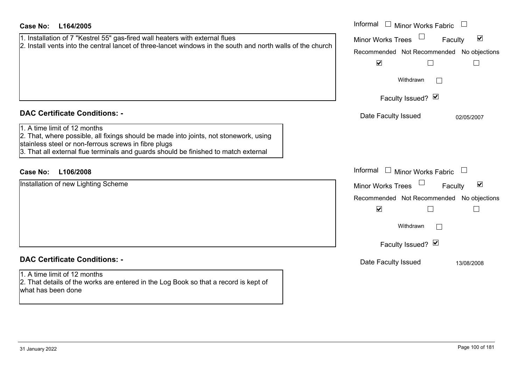| <b>Case No:</b><br>L164/2005                                                                                                                                                                                                                                                                                 | Informal □ Minor Works Fabric                                                                                                                                                                            |
|--------------------------------------------------------------------------------------------------------------------------------------------------------------------------------------------------------------------------------------------------------------------------------------------------------------|----------------------------------------------------------------------------------------------------------------------------------------------------------------------------------------------------------|
| 1. Installation of 7 "Kestrel 55" gas-fired wall heaters with external flues<br>2. Install vents into the central lancet of three-lancet windows in the south and north walls of the church                                                                                                                  | $\blacktriangledown$<br><b>Minor Works Trees</b><br>Faculty<br>Recommended Not Recommended No objections<br>$\blacktriangledown$<br>$\Box$<br>$\mathcal{L}_{\mathcal{A}}$<br>Withdrawn                   |
|                                                                                                                                                                                                                                                                                                              | Faculty Issued? Ø                                                                                                                                                                                        |
| <b>DAC Certificate Conditions: -</b><br>1. A time limit of 12 months<br>2. That, where possible, all fixings should be made into joints, not stonework, using<br>stainless steel or non-ferrous screws in fibre plugs<br>3. That all external flue terminals and guards should be finished to match external | Date Faculty Issued<br>02/05/2007                                                                                                                                                                        |
| <b>Case No:</b><br>L106/2008                                                                                                                                                                                                                                                                                 | Informal $\Box$ Minor Works Fabric<br>$\Box$                                                                                                                                                             |
| Installation of new Lighting Scheme                                                                                                                                                                                                                                                                          | $\blacktriangledown$<br><b>Minor Works Trees</b><br>Faculty<br>Recommended Not Recommended No objections<br>$\blacktriangledown$<br>$\Box$<br>$\overline{\phantom{a}}$<br>Withdrawn<br>Faculty Issued? Ø |
| <b>DAC Certificate Conditions: -</b><br>1. A time limit of 12 months<br>2. That details of the works are entered in the Log Book so that a record is kept of<br>what has been done                                                                                                                           | Date Faculty Issued<br>13/08/2008                                                                                                                                                                        |
|                                                                                                                                                                                                                                                                                                              |                                                                                                                                                                                                          |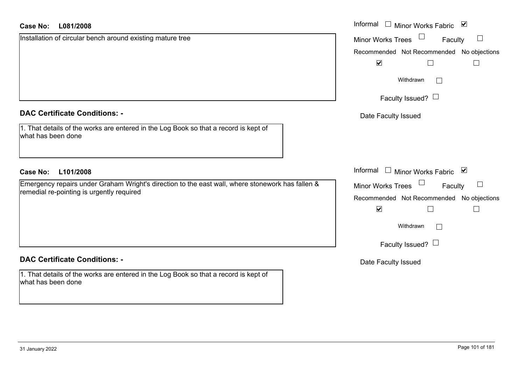## **DAC Certificate Conditions: -**

## **DAC Certificate Conditions: -**

1. That details of the works are entered in the Log Book so that a record is kept of what has been done

| Case No:<br>L081/2008                                                                                      | Informal $\Box$ Minor Works Fabric<br>$\blacktriangledown$ |
|------------------------------------------------------------------------------------------------------------|------------------------------------------------------------|
| Installation of circular bench around existing mature tree                                                 | Minor Works Trees<br>Faculty<br>$\Box$                     |
|                                                                                                            | Recommended Not Recommended No objections                  |
|                                                                                                            | $\blacktriangledown$                                       |
|                                                                                                            | Withdrawn<br>$\perp$                                       |
|                                                                                                            | Faculty Issued? $\Box$                                     |
| <b>DAC Certificate Conditions: -</b>                                                                       | Date Faculty Issued                                        |
| 1. That details of the works are entered in the Log Book so that a record is kept of<br>what has been done |                                                            |
| <b>Case No:</b><br>L101/2008                                                                               | Informal $\Box$ Minor Works Fabric $\Box$                  |
| Emergency repairs under Graham Wright's direction to the east wall, where stonework has fallen &           | Minor Works Trees<br>Faculty                               |
| remedial re-pointing is urgently required                                                                  | Recommended Not Recommended No objections                  |
|                                                                                                            | $\blacktriangledown$<br>$\Box$                             |
|                                                                                                            | Withdrawn<br>$\Box$                                        |
|                                                                                                            | Faculty Issued? $\Box$                                     |

Date Faculty Issued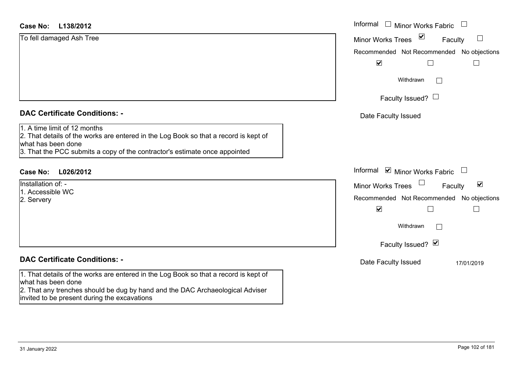#### **L138/2012Case No:**

| <b>Case No:</b><br>L138/2012                                                                                                                                                                                             | Informal $\Box$ Minor Works Fabric $\Box$                                   |
|--------------------------------------------------------------------------------------------------------------------------------------------------------------------------------------------------------------------------|-----------------------------------------------------------------------------|
| To fell damaged Ash Tree                                                                                                                                                                                                 | $\triangledown$<br>$\vert \ \ \vert$<br><b>Minor Works Trees</b><br>Faculty |
|                                                                                                                                                                                                                          | Recommended Not Recommended No objections                                   |
|                                                                                                                                                                                                                          | $\blacktriangledown$                                                        |
|                                                                                                                                                                                                                          | Withdrawn<br>$\Box$                                                         |
|                                                                                                                                                                                                                          | Faculty Issued? $\Box$                                                      |
| <b>DAC Certificate Conditions: -</b>                                                                                                                                                                                     | Date Faculty Issued                                                         |
| 1. A time limit of 12 months<br>2. That details of the works are entered in the Log Book so that a record is kept of<br>what has been done<br>3. That the PCC submits a copy of the contractor's estimate once appointed |                                                                             |
| <b>Case No:</b><br>L026/2012                                                                                                                                                                                             | Informal Ø Minor Works Fabric U                                             |
| Installation of: -                                                                                                                                                                                                       | $\blacktriangledown$<br><b>Minor Works Trees</b><br>Faculty                 |
| 1. Accessible WC<br>2. Servery                                                                                                                                                                                           | Recommended Not Recommended No objections                                   |
|                                                                                                                                                                                                                          | $\blacktriangledown$<br>$\Box$                                              |
|                                                                                                                                                                                                                          | Withdrawn<br>Г                                                              |
|                                                                                                                                                                                                                          | Faculty Issued? Ø                                                           |
| <b>DAC Certificate Conditions: -</b>                                                                                                                                                                                     | Date Faculty Issued<br>17/01/2019                                           |
| 1. That details of the works are entered in the Log Book so that a record is kept of<br>what has been done                                                                                                               |                                                                             |
| 2. That any trenches should be dug by hand and the DAC Archaeological Adviser                                                                                                                                            |                                                                             |

invited to be present during the excavations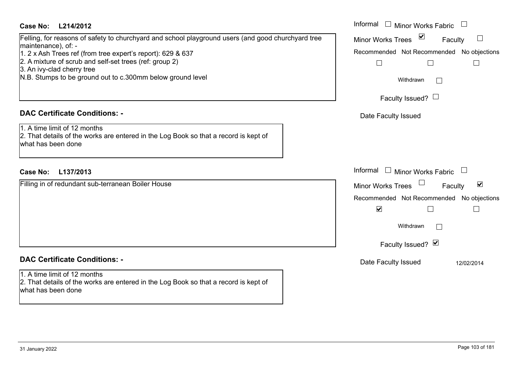# **L214/2012Case No:** Informal

# Felling, for reasons of safety to churchyard and school playground users (and good churchyard tree maintenance), of: -

- 1. 2 x Ash Trees ref (from tree expert's report): 629 & 637
- 2. A mixture of scrub and self-set trees (ref: group 2)
- 3. An ivy-clad cherry tree
- N.B. Stumps to be ground out to c.300mm below ground level

# **DAC Certificate Conditions: -**

1. A time limit of 12 months2. That details of the works are entered in the Log Book so that a record is kept of what has been done

# **L137/2013Case No:** Informal

Filling in of redundant sub-terranean Boiler House

# **DAC Certificate Conditions: -**

1. A time limit of 12 months2. That details of the works are entered in the Log Book so that a record is kept of what has been done

| Informal<br><b>Minor Works Fabric</b>                       |
|-------------------------------------------------------------|
| ⊻<br><b>Minor Works Trees</b><br>Faculty                    |
| Recommended Not Recommended No objections                   |
| Withdrawn                                                   |
| Faculty Issued?                                             |
| Date Faculty Issued                                         |
|                                                             |
| Informal<br><b>Minor Works Fabric</b>                       |
| $\blacktriangledown$<br><b>Minor Works Trees</b><br>Faculty |
| Recommended Not Recommended No objections<br>V              |
| Withdrawn                                                   |
| Faculty Issued? Ø                                           |
| Date Faculty Issued<br>12/02/2014                           |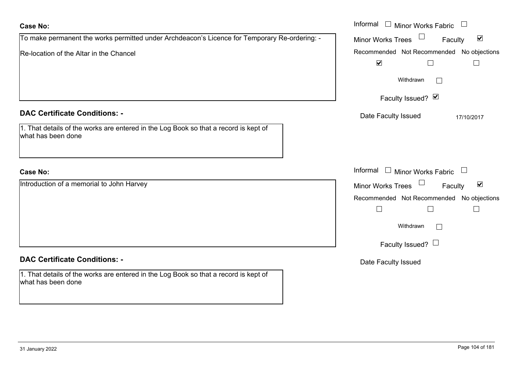| <b>Case No:</b>                                                                                                                                    | Informal<br>$\Box$ Minor Works Fabric $\Box$                                                                                                                                       |
|----------------------------------------------------------------------------------------------------------------------------------------------------|------------------------------------------------------------------------------------------------------------------------------------------------------------------------------------|
| To make permanent the works permitted under Archdeacon's Licence for Temporary Re-ordering: -                                                      | Minor Works Trees<br>$\blacktriangledown$<br>Faculty                                                                                                                               |
| Re-location of the Altar in the Chancel                                                                                                            | Recommended Not Recommended No objections<br>$\blacktriangledown$<br>$\mathsf{L}$<br>$\mathbb{R}^n$                                                                                |
|                                                                                                                                                    | Withdrawn                                                                                                                                                                          |
|                                                                                                                                                    | Faculty Issued? Ø                                                                                                                                                                  |
| <b>DAC Certificate Conditions: -</b><br>1. That details of the works are entered in the Log Book so that a record is kept of<br>what has been done | Date Faculty Issued<br>17/10/2017                                                                                                                                                  |
| <b>Case No:</b>                                                                                                                                    | Informal<br>$\Box$ Minor Works Fabric $\Box$                                                                                                                                       |
| Introduction of a memorial to John Harvey                                                                                                          | Minor Works Trees<br>$\blacktriangledown$<br>Faculty<br>Recommended Not Recommended No objections<br>$\Box$<br>$\mathbf{L}$<br>$\mathbf{L}$<br>Withdrawn<br>Faculty Issued? $\Box$ |
| <b>DAC Certificate Conditions: -</b>                                                                                                               | Date Faculty Issued                                                                                                                                                                |
| 1. That details of the works are entered in the Log Book so that a record is kept of<br>what has been done                                         |                                                                                                                                                                                    |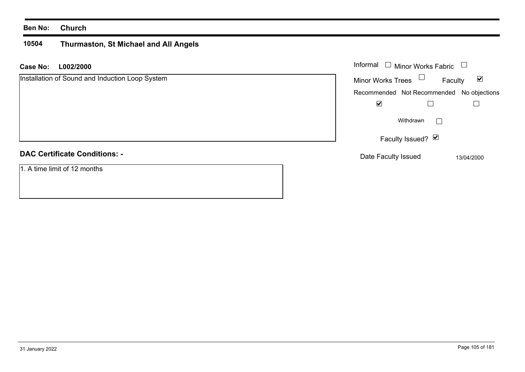## **Ben No: Church**

#### **10504 Thurmaston, St Michael and All Angels**

| <b>Case No:</b> | L002/2000                                       | Informal □ Minor Works Fabric □                      |
|-----------------|-------------------------------------------------|------------------------------------------------------|
|                 | Installation of Sound and Induction Loop System | Minor Works Trees<br>$\blacktriangledown$<br>Faculty |
|                 |                                                 | Recommended Not Recommended No objections            |
|                 |                                                 | $\blacktriangledown$                                 |
|                 |                                                 | Withdrawn                                            |
|                 |                                                 | Faculty Issued? Ø                                    |
|                 | <b>DAC Certificate Conditions: -</b>            | Date Faculty Issued<br>13/04/2000                    |
|                 | 1. A time limit of 12 months                    |                                                      |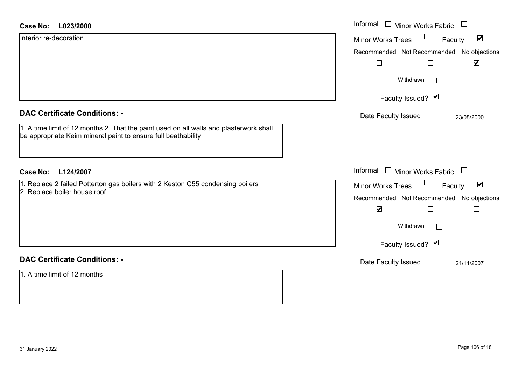| <b>Case No:</b><br>L023/2000                                                                                                                            | Informal<br>$\Box$ Minor Works Fabric                          |
|---------------------------------------------------------------------------------------------------------------------------------------------------------|----------------------------------------------------------------|
| Interior re-decoration                                                                                                                                  | $\blacktriangledown$<br><b>Minor Works Trees</b><br>Faculty    |
|                                                                                                                                                         | Recommended Not Recommended No objections                      |
|                                                                                                                                                         | $\blacktriangledown$                                           |
|                                                                                                                                                         | Withdrawn<br>$\Box$                                            |
|                                                                                                                                                         | Faculty Issued? Ø                                              |
| <b>DAC Certificate Conditions: -</b>                                                                                                                    | Date Faculty Issued<br>23/08/2000                              |
| 1. A time limit of 12 months 2. That the paint used on all walls and plasterwork shall<br>be appropriate Keim mineral paint to ensure full beathability |                                                                |
| L124/2007<br><b>Case No:</b>                                                                                                                            | Informal $\Box$ Minor Works Fabric $\Box$                      |
| 1. Replace 2 failed Potterton gas boilers with 2 Keston C55 condensing boilers                                                                          | $\Box$<br>$\blacktriangledown$<br>Minor Works Trees<br>Faculty |
| 2. Replace boiler house roof                                                                                                                            | Recommended Not Recommended No objections                      |
|                                                                                                                                                         | $\blacktriangledown$                                           |
|                                                                                                                                                         | Withdrawn<br>$\Box$                                            |
|                                                                                                                                                         | Faculty Issued? Ø                                              |
| <b>DAC Certificate Conditions: -</b>                                                                                                                    | Date Faculty Issued<br>21/11/2007                              |
| 1. A time limit of 12 months                                                                                                                            |                                                                |
|                                                                                                                                                         |                                                                |

 $\sim$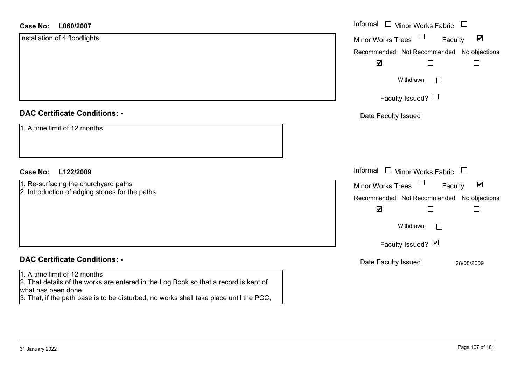#### **L060/2007Case No:**

| L060/2007<br><b>Case No:</b>                                                                                                               | Informal □ Minor Works Fabric<br>$\Box$                     |
|--------------------------------------------------------------------------------------------------------------------------------------------|-------------------------------------------------------------|
| Installation of 4 floodlights                                                                                                              | $\blacktriangledown$<br><b>Minor Works Trees</b><br>Faculty |
|                                                                                                                                            | Recommended Not Recommended No objections                   |
|                                                                                                                                            | $\blacktriangledown$<br>$\Box$<br>$\Box$                    |
|                                                                                                                                            | Withdrawn<br>▛                                              |
|                                                                                                                                            | Faculty Issued? $\Box$                                      |
| <b>DAC Certificate Conditions: -</b>                                                                                                       | Date Faculty Issued                                         |
| 1. A time limit of 12 months                                                                                                               |                                                             |
| <b>Case No:</b><br>L122/2009                                                                                                               | Informal<br>$\Box$<br><b>Minor Works Fabric</b><br>$\Box$   |
| 1. Re-surfacing the churchyard paths<br>2. Introduction of edging stones for the paths                                                     | $\blacktriangledown$<br><b>Minor Works Trees</b><br>Faculty |
|                                                                                                                                            | Recommended Not Recommended No objections                   |
|                                                                                                                                            | $\blacktriangledown$<br>$\Box$<br>$\overline{\phantom{a}}$  |
|                                                                                                                                            | Withdrawn<br>$\mathbf{L}$                                   |
|                                                                                                                                            | Faculty Issued? Ø                                           |
| <b>DAC Certificate Conditions: -</b>                                                                                                       | Date Faculty Issued<br>28/08/2009                           |
| 1. A time limit of 12 months<br>2. That details of the works are entered in the Log Book so that a record is kept of<br>what has been done |                                                             |

3. That, if the path base is to be disturbed, no works shall take place until the PCC,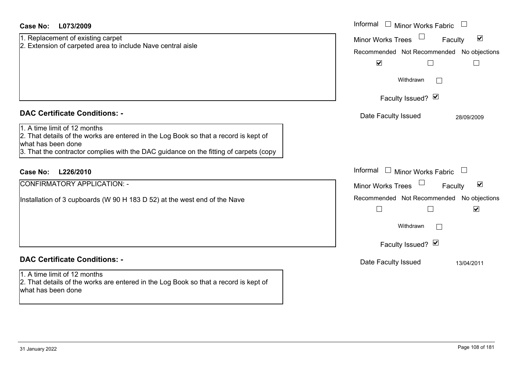| <b>Case No:</b><br>L073/2009                                                                                                                                                                                                        | Informal □ Minor Works Fabric                                                                                                                                                            |
|-------------------------------------------------------------------------------------------------------------------------------------------------------------------------------------------------------------------------------------|------------------------------------------------------------------------------------------------------------------------------------------------------------------------------------------|
| 1. Replacement of existing carpet<br>2. Extension of carpeted area to include Nave central aisle                                                                                                                                    | $\blacktriangledown$<br><b>Minor Works Trees</b><br>Faculty<br>Recommended Not Recommended No objections<br>$\blacktriangledown$<br>$\Box$<br>$\sqcup$<br>Withdrawn<br>Faculty Issued? Ø |
| <b>DAC Certificate Conditions: -</b>                                                                                                                                                                                                | Date Faculty Issued<br>28/09/2009                                                                                                                                                        |
| 1. A time limit of 12 months<br>2. That details of the works are entered in the Log Book so that a record is kept of<br>what has been done<br>3. That the contractor complies with the DAC guidance on the fitting of carpets (copy |                                                                                                                                                                                          |
| L226/2010<br><b>Case No:</b>                                                                                                                                                                                                        | Informal<br>$\Box$ Minor Works Fabric                                                                                                                                                    |
| <b>CONFIRMATORY APPLICATION: -</b>                                                                                                                                                                                                  | $\blacktriangledown$<br><b>Minor Works Trees</b><br>Faculty                                                                                                                              |
| Installation of 3 cupboards (W 90 H 183 D 52) at the west end of the Nave                                                                                                                                                           | Recommended Not Recommended No objections<br>$\blacktriangledown$<br>П<br>$\Box$<br>Withdrawn<br>$\Box$<br>Faculty Issued? Ø                                                             |
| <b>DAC Certificate Conditions: -</b>                                                                                                                                                                                                | Date Faculty Issued                                                                                                                                                                      |
| 1. A time limit of 12 months<br>2. That details of the works are entered in the Log Book so that a record is kept of<br>what has been done                                                                                          | 13/04/2011                                                                                                                                                                               |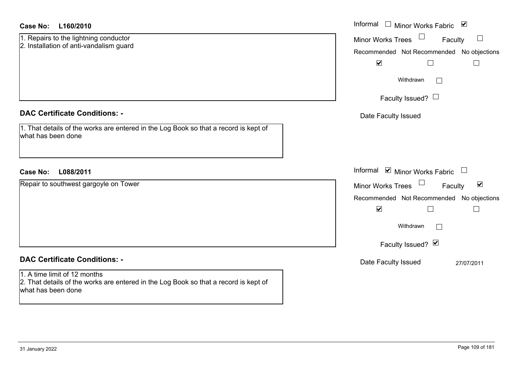| <b>Case No:</b><br>L160/2010                                                                                                               | Informal<br>Minor Works Fabric ⊠<br>$\Box$           |
|--------------------------------------------------------------------------------------------------------------------------------------------|------------------------------------------------------|
| 1. Repairs to the lightning conductor<br>2. Installation of anti-vandalism guard                                                           | Minor Works Trees<br>$\Box$<br>Faculty               |
|                                                                                                                                            | Recommended Not Recommended No objections            |
|                                                                                                                                            | $\blacktriangledown$                                 |
|                                                                                                                                            | Withdrawn<br>$\overline{\phantom{a}}$                |
|                                                                                                                                            | Faculty Issued? $\Box$                               |
| <b>DAC Certificate Conditions: -</b>                                                                                                       | Date Faculty Issued                                  |
| 1. That details of the works are entered in the Log Book so that a record is kept of<br>what has been done                                 |                                                      |
|                                                                                                                                            |                                                      |
| L088/2011<br><b>Case No:</b>                                                                                                               | Informal ⊠ Minor Works Fabric<br>$\Box$              |
| Repair to southwest gargoyle on Tower                                                                                                      | $\blacktriangledown$<br>Minor Works Trees<br>Faculty |
|                                                                                                                                            | Recommended Not Recommended No objections            |
|                                                                                                                                            | $\blacktriangledown$<br>$\overline{\phantom{a}}$     |
|                                                                                                                                            | Withdrawn<br>$\Box$                                  |
|                                                                                                                                            | Faculty Issued? Ø                                    |
| <b>DAC Certificate Conditions: -</b>                                                                                                       | Date Faculty Issued<br>27/07/2011                    |
| 1. A time limit of 12 months<br>2. That details of the works are entered in the Log Book so that a record is kept of<br>what has been done |                                                      |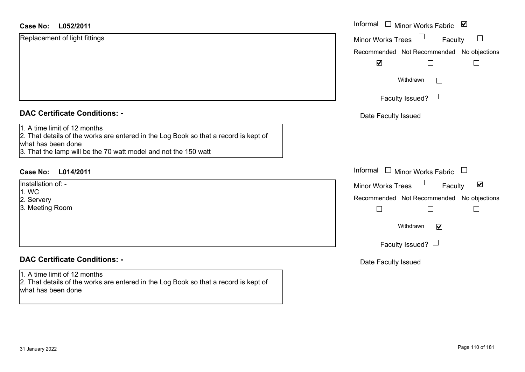| Replacement of light fittings<br>$\Box$<br><b>Minor Works Trees</b><br>Faculty<br>$\blacktriangledown$<br>Withdrawn<br>$\Box$<br>Faculty Issued? $\Box$<br><b>DAC Certificate Conditions: -</b><br>Date Faculty Issued<br>1. A time limit of 12 months<br>2. That details of the works are entered in the Log Book so that a record is kept of<br>what has been done<br>3. That the lamp will be the 70 watt model and not the 150 watt<br>Informal $\Box$ Minor Works Fabric $\Box$<br><b>Case No:</b><br>L014/2011<br>Installation of: -<br>$\Box$<br>$\blacktriangledown$<br>Faculty<br><b>Minor Works Trees</b><br>1. WC<br>2. Servery<br>3. Meeting Room<br>$\Box$<br>$\Box$<br>$\sqcup$<br>Withdrawn<br>$\blacktriangledown$<br>Faculty Issued? $\Box$<br><b>DAC Certificate Conditions: -</b><br>Date Faculty Issued | L052/2011<br><b>Case No:</b> | Informal □ Minor Works Fabric ⊠           |
|-----------------------------------------------------------------------------------------------------------------------------------------------------------------------------------------------------------------------------------------------------------------------------------------------------------------------------------------------------------------------------------------------------------------------------------------------------------------------------------------------------------------------------------------------------------------------------------------------------------------------------------------------------------------------------------------------------------------------------------------------------------------------------------------------------------------------------|------------------------------|-------------------------------------------|
|                                                                                                                                                                                                                                                                                                                                                                                                                                                                                                                                                                                                                                                                                                                                                                                                                             |                              |                                           |
|                                                                                                                                                                                                                                                                                                                                                                                                                                                                                                                                                                                                                                                                                                                                                                                                                             |                              | Recommended Not Recommended No objections |
|                                                                                                                                                                                                                                                                                                                                                                                                                                                                                                                                                                                                                                                                                                                                                                                                                             |                              |                                           |
|                                                                                                                                                                                                                                                                                                                                                                                                                                                                                                                                                                                                                                                                                                                                                                                                                             |                              |                                           |
|                                                                                                                                                                                                                                                                                                                                                                                                                                                                                                                                                                                                                                                                                                                                                                                                                             |                              |                                           |
|                                                                                                                                                                                                                                                                                                                                                                                                                                                                                                                                                                                                                                                                                                                                                                                                                             |                              |                                           |
|                                                                                                                                                                                                                                                                                                                                                                                                                                                                                                                                                                                                                                                                                                                                                                                                                             |                              |                                           |
|                                                                                                                                                                                                                                                                                                                                                                                                                                                                                                                                                                                                                                                                                                                                                                                                                             |                              |                                           |
|                                                                                                                                                                                                                                                                                                                                                                                                                                                                                                                                                                                                                                                                                                                                                                                                                             |                              |                                           |
|                                                                                                                                                                                                                                                                                                                                                                                                                                                                                                                                                                                                                                                                                                                                                                                                                             |                              | Recommended Not Recommended No objections |
|                                                                                                                                                                                                                                                                                                                                                                                                                                                                                                                                                                                                                                                                                                                                                                                                                             |                              |                                           |
|                                                                                                                                                                                                                                                                                                                                                                                                                                                                                                                                                                                                                                                                                                                                                                                                                             |                              |                                           |
|                                                                                                                                                                                                                                                                                                                                                                                                                                                                                                                                                                                                                                                                                                                                                                                                                             |                              |                                           |
|                                                                                                                                                                                                                                                                                                                                                                                                                                                                                                                                                                                                                                                                                                                                                                                                                             |                              |                                           |
| 2. That details of the works are entered in the Log Book so that a record is kept of<br>what has been done                                                                                                                                                                                                                                                                                                                                                                                                                                                                                                                                                                                                                                                                                                                  | 1. A time limit of 12 months |                                           |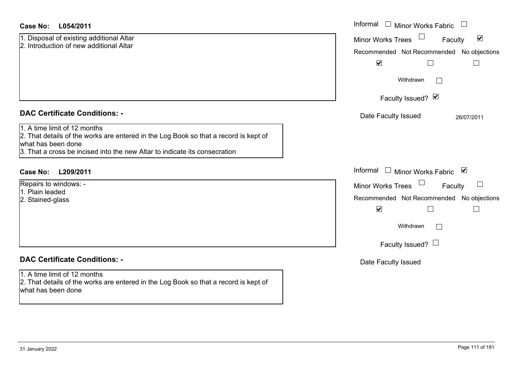|  | <b>DAC Certificate Conditions: -</b> |  |
|--|--------------------------------------|--|

1. Disposal of existing additional Altar 2. Introduction of new additional Altar

#### 1. A time limit of 12 months

2. That details of the works are entered in the Log Book so that a record is kept of what has been done

3. That a cross be incised into the new Altar to indicate its consecration

## **L209/2011Case No:** Informal

Repairs to windows: - 1. Plain leaded

2. Stained-glass

## **DAC Certificate Conditions: -**

#### 1. A time limit of 12 months

2. That details of the works are entered in the Log Book so that a record is kept of what has been done

| L054/2011                                                                                                                                                                          | Informal $\square$<br>Minor Works Fabric                                                                                  |
|------------------------------------------------------------------------------------------------------------------------------------------------------------------------------------|---------------------------------------------------------------------------------------------------------------------------|
| al of existing additional Altar<br>uction of new additional Altar                                                                                                                  | $\blacktriangledown$<br>Minor Works Trees<br>Faculty<br>Recommended Not Recommended No objections<br>$\blacktriangledown$ |
|                                                                                                                                                                                    | Withdrawn<br>$\sim$                                                                                                       |
|                                                                                                                                                                                    | Faculty Issued? Ø                                                                                                         |
| rtificate Conditions: -                                                                                                                                                            | Date Faculty Issued<br>26/07/2011                                                                                         |
| limit of 12 months<br>etails of the works are entered in the Log Book so that a record is kept of<br>been done<br>cross be incised into the new Altar to indicate its consecration |                                                                                                                           |
| L209/2011                                                                                                                                                                          | Informal □ Minor Works Fabric ⊠                                                                                           |
| o windows: -<br>eaded<br>d-glass                                                                                                                                                   | Minor Works Trees<br>$\Box$<br>Faculty<br>Recommended Not Recommended No objections<br>$\blacktriangledown$               |
|                                                                                                                                                                                    | Withdrawn<br>$\Box$                                                                                                       |
|                                                                                                                                                                                    | Faculty Issued? $\Box$                                                                                                    |
| rtificate Conditions: -                                                                                                                                                            | Date Faculty Issued                                                                                                       |
| limit of 12 months                                                                                                                                                                 |                                                                                                                           |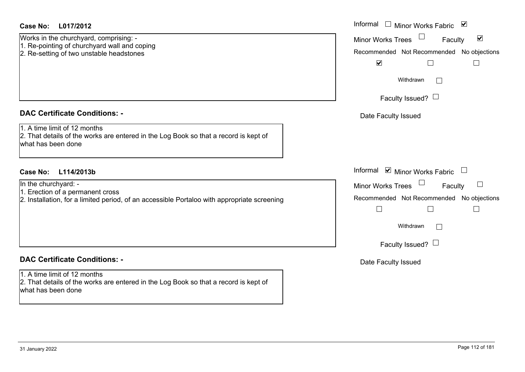Works in the churchyard, comprising: - 1. Re-pointing of churchyard wall and coping 2. Re-setting of two unstable headstones

## **DAC Certificate Conditions: -**

1. A time limit of 12 months

2. That details of the works are entered in the Log Book so that a record is kept of what has been done

## **L114/2013bCase No:** Informal

In the churchyard: -

- 1. Erection of a permanent cross
- 2. Installation, for a limited period, of an accessible Portaloo with appropriate screening

## **DAC Certificate Conditions: -**

1. A time limit of 12 months2. That details of the works are entered in the Log Book so that a record is kept of what has been done

| Informal<br>$\blacktriangledown$<br><b>Minor Works Fabric</b>        |
|----------------------------------------------------------------------|
| $\blacktriangledown$<br><b>Minor Works Trees</b><br>Faculty          |
| Recommended Not Recommended No objections<br>$\overline{\mathbf{v}}$ |
| Withdrawn                                                            |
| Faculty Issued?                                                      |
| Date Faculty Issued                                                  |
|                                                                      |
|                                                                      |
| Informal<br>■ Minor Works Fabric                                     |
| <b>Minor Works Trees</b><br>Faculty                                  |
| Recommended Not Recommended No objections                            |
|                                                                      |
| Withdrawn                                                            |
| Faculty Issued?                                                      |
| Date Faculty Issued                                                  |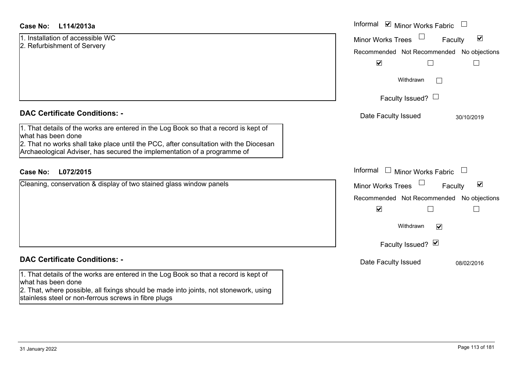| <b>Case No:</b><br>L114/2013a |  |
|-------------------------------|--|
|-------------------------------|--|

|                             | 1. Installation of accessible WC |
|-----------------------------|----------------------------------|
| 2. Refurbishment of Servery |                                  |

|  |  | <b>DAC Certificate Conditions: -</b> |  |
|--|--|--------------------------------------|--|
|--|--|--------------------------------------|--|

1. That details of the works are entered in the Log Book so that a record is kept of what has been done

2. That no works shall take place until the PCC, after consultation with the Diocesan Archaeological Adviser, has secured the implementation of a programme of

### **L072/2015Case No:** Informal

Cleaning, conservation & display of two stained glass window panels

#### **DAC Certificate Conditions: -**

1. That details of the works are entered in the Log Book so that a record is kept of what has been done

2. That, where possible, all fixings should be made into joints, not stonework, using stainless steel or non-ferrous screws in fibre plugs

| L114/2013a                                                                                                                                       | Informal ☑ Minor Works Fabric                                                                                                                                                                                                    |
|--------------------------------------------------------------------------------------------------------------------------------------------------|----------------------------------------------------------------------------------------------------------------------------------------------------------------------------------------------------------------------------------|
| ation of accessible WC<br>ishment of Servery                                                                                                     | $\blacktriangledown$<br><b>Minor Works Trees</b><br>Faculty<br>Recommended Not Recommended No objections<br>$\blacktriangledown$<br>$\Box$                                                                                       |
|                                                                                                                                                  | Withdrawn                                                                                                                                                                                                                        |
|                                                                                                                                                  | Faculty Issued? $\Box$                                                                                                                                                                                                           |
| rtificate Conditions: -<br>etails of the works are entered in the Log Book so that a record is kept of<br>been done                              | Date Faculty Issued<br>30/10/2019                                                                                                                                                                                                |
| o works shall take place until the PCC, after consultation with the Diocesan<br>ogical Adviser, has secured the implementation of a programme of |                                                                                                                                                                                                                                  |
| L072/2015<br>conservation & display of two stained glass window panels                                                                           | Informal $\Box$ Minor Works Fabric<br>$\overline{\phantom{a}}$<br>$\blacktriangledown$<br>Minor Works Trees<br>Faculty<br>Recommended Not Recommended No objections<br>$\blacktriangledown$<br>Withdrawn<br>$\blacktriangledown$ |
|                                                                                                                                                  | Faculty Issued? Ø                                                                                                                                                                                                                |
| rtificate Conditions: -                                                                                                                          | Date Faculty Issued<br>08/02/2016                                                                                                                                                                                                |
| etails of the works are entered in the Log Book so that a record is kept of<br>been done                                                         |                                                                                                                                                                                                                                  |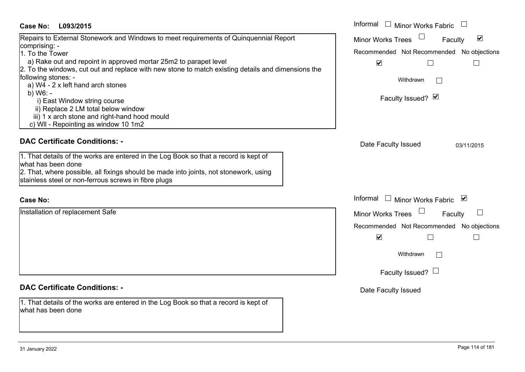| Case No: L093/2015                                                                                                                                                                                                                                                                                                                                                                                                                                                                                                                            | Informal □ Minor Works Fabric                                                                                                                                                          |
|-----------------------------------------------------------------------------------------------------------------------------------------------------------------------------------------------------------------------------------------------------------------------------------------------------------------------------------------------------------------------------------------------------------------------------------------------------------------------------------------------------------------------------------------------|----------------------------------------------------------------------------------------------------------------------------------------------------------------------------------------|
| Repairs to External Stonework and Windows to meet requirements of Quinquennial Report<br>comprising: -<br>1. To the Tower<br>a) Rake out and repoint in approved mortar 25m2 to parapet level<br>2. To the windows, cut out and replace with new stone to match existing details and dimensions the<br>following stones: -<br>a) W4 - 2 x left hand arch stones<br>b) $W6: -$<br>i) East Window string course<br>ii) Replace 2 LM total below window<br>iii) 1 x arch stone and right-hand hood mould<br>c) WII - Repointing as window 10 1m2 | $\Box$<br>$\blacktriangledown$<br><b>Minor Works Trees</b><br>Faculty<br>Recommended Not Recommended No objections<br>$\blacktriangledown$<br>$\Box$<br>Withdrawn<br>Faculty Issued? Ø |
| <b>DAC Certificate Conditions: -</b><br>1. That details of the works are entered in the Log Book so that a record is kept of<br>what has been done<br>2. That, where possible, all fixings should be made into joints, not stonework, using<br>stainless steel or non-ferrous screws in fibre plugs                                                                                                                                                                                                                                           | Date Faculty Issued<br>03/11/2015                                                                                                                                                      |
| <b>Case No:</b>                                                                                                                                                                                                                                                                                                                                                                                                                                                                                                                               | Informal $\Box$ Minor Works Fabric $\Box$                                                                                                                                              |
| Installation of replacement Safe                                                                                                                                                                                                                                                                                                                                                                                                                                                                                                              | <b>Minor Works Trees</b><br>Faculty<br>Recommended Not Recommended No objections<br>$\blacktriangledown$<br>$\vert \ \ \vert$<br>Withdrawn<br>Faculty Issued? $\Box$                   |
| <b>DAC Certificate Conditions: -</b><br>1. That details of the works are entered in the Log Book so that a record is kept of                                                                                                                                                                                                                                                                                                                                                                                                                  | Date Faculty Issued                                                                                                                                                                    |
| what has been done                                                                                                                                                                                                                                                                                                                                                                                                                                                                                                                            |                                                                                                                                                                                        |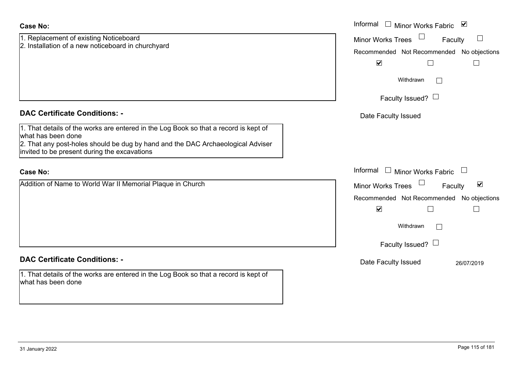| <b>Case No:</b>                                                                                                                 | Informal<br>□ Minor Works Fabric                            |
|---------------------------------------------------------------------------------------------------------------------------------|-------------------------------------------------------------|
| 1. Replacement of existing Noticeboard<br>2. Installation of a new noticeboard in churchyard                                    | Minor Works Trees<br>$\mathcal{L}_{\mathcal{A}}$<br>Faculty |
|                                                                                                                                 | Recommended Not Recommended No objections                   |
|                                                                                                                                 | $\blacktriangledown$                                        |
|                                                                                                                                 | Withdrawn                                                   |
|                                                                                                                                 | Faculty Issued? $\Box$                                      |
| <b>DAC Certificate Conditions: -</b>                                                                                            | Date Faculty Issued                                         |
| 1. That details of the works are entered in the Log Book so that a record is kept of<br>what has been done                      |                                                             |
| 2. That any post-holes should be dug by hand and the DAC Archaeological Adviser<br>invited to be present during the excavations |                                                             |
| <b>Case No:</b>                                                                                                                 | Informal<br>$\Box$ Minor Works Fabric $\Box$                |
| Addition of Name to World War II Memorial Plaque in Church                                                                      | Minor Works Trees<br>$\blacktriangledown$<br>Faculty        |
|                                                                                                                                 | Recommended Not Recommended No objections                   |
|                                                                                                                                 | $\blacktriangledown$                                        |
|                                                                                                                                 | Withdrawn<br>$\mathbf{I}$                                   |
|                                                                                                                                 | Faculty Issued? $\Box$                                      |
| <b>DAC Certificate Conditions: -</b>                                                                                            | Date Faculty Issued<br>26/07/2019                           |
| 1. That details of the works are entered in the Log Book so that a record is kept of<br>what has been done                      |                                                             |
|                                                                                                                                 |                                                             |

 $\sim$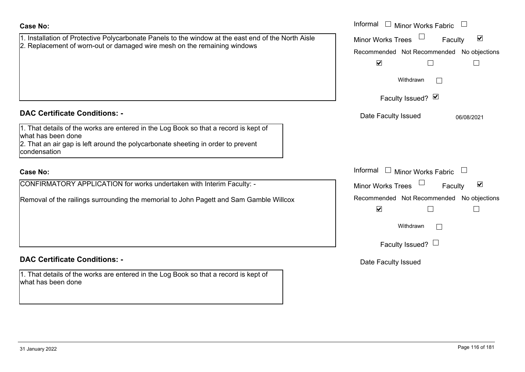| <b>Case No:</b>                                                                                                                                                                                                | Informal<br>$\Box$<br>Minor Works Fabric $\quad \Box$                                                    |
|----------------------------------------------------------------------------------------------------------------------------------------------------------------------------------------------------------------|----------------------------------------------------------------------------------------------------------|
| 1. Installation of Protective Polycarbonate Panels to the window at the east end of the North Aisle<br>2. Replacement of worn-out or damaged wire mesh on the remaining windows                                | $\blacktriangledown$<br><b>Minor Works Trees</b><br>Faculty<br>Recommended Not Recommended No objections |
|                                                                                                                                                                                                                | $\blacktriangledown$                                                                                     |
|                                                                                                                                                                                                                | Withdrawn                                                                                                |
|                                                                                                                                                                                                                | Faculty Issued? Ø                                                                                        |
| <b>DAC Certificate Conditions: -</b>                                                                                                                                                                           | Date Faculty Issued<br>06/08/2021                                                                        |
| 1. That details of the works are entered in the Log Book so that a record is kept of<br>what has been done<br>2. That an air gap is left around the polycarbonate sheeting in order to prevent<br>condensation |                                                                                                          |
| <b>Case No:</b>                                                                                                                                                                                                | Informal $\Box$ Minor Works Fabric $\Box$                                                                |
| CONFIRMATORY APPLICATION for works undertaken with Interim Faculty: -                                                                                                                                          | $\blacktriangledown$<br>Minor Works Trees<br>Faculty                                                     |
| Removal of the railings surrounding the memorial to John Pagett and Sam Gamble Willcox                                                                                                                         | Recommended Not Recommended No objections<br>$\blacktriangledown$<br>$\overline{\phantom{a}}$            |
|                                                                                                                                                                                                                | Withdrawn<br>$\vert \ \ \vert$                                                                           |
|                                                                                                                                                                                                                | Faculty Issued? $\Box$                                                                                   |
| <b>DAC Certificate Conditions: -</b>                                                                                                                                                                           | Date Faculty Issued                                                                                      |
| 1. That details of the works are entered in the Log Book so that a record is kept of<br>what has been done                                                                                                     |                                                                                                          |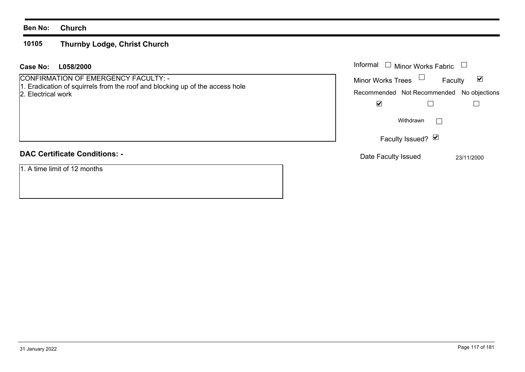#### **Ben No: Church**

#### **10105Thurnby Lodge, Christ Church**

# **L058/2000Case No:** Informal

CONFIRMATION OF EMERGENCY FACULTY: - 1. Eradication of squirrels from the roof and blocking up of the access hole

2. Electrical work

# **DAC Certificate Conditions: -**

1. A time limit of 12 months

| Informal<br>$\Box$ Minor Works Fabric     |            |
|-------------------------------------------|------------|
| <b>Minor Works Trees</b><br>Faculty       |            |
| Recommended Not Recommended No objections |            |
|                                           |            |
| Withdrawn                                 |            |
| Faculty Issued? Ø                         |            |
| Date Faculty Issued                       | 23/11/2000 |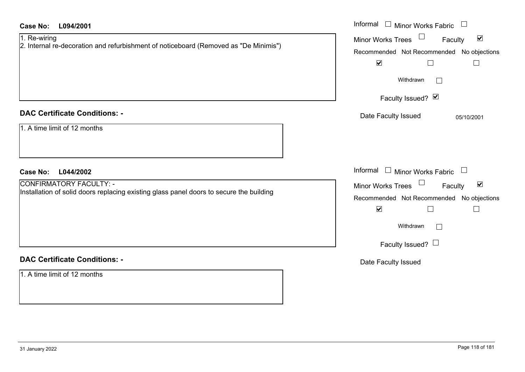| <b>Case No:</b><br>L094/2001                                                                                              | Informal<br>$\Box$ Minor Works Fabric<br>$\Box$                                                                                                                       |
|---------------------------------------------------------------------------------------------------------------------------|-----------------------------------------------------------------------------------------------------------------------------------------------------------------------|
| 1. Re-wiring<br>2. Internal re-decoration and refurbishment of noticeboard (Removed as "De Minimis")                      | Minor Works Trees<br>$\blacktriangledown$<br>Faculty<br>Recommended Not Recommended No objections<br>$\blacktriangledown$<br>$\Box$<br>$\Box$<br>Withdrawn<br>$\perp$ |
| <b>DAC Certificate Conditions: -</b>                                                                                      | Faculty Issued? Ø<br>Date Faculty Issued<br>05/10/2001                                                                                                                |
| 1. A time limit of 12 months                                                                                              |                                                                                                                                                                       |
| L044/2002<br><b>Case No:</b>                                                                                              | Informal<br>$\Box$ Minor Works Fabric<br>$\Box$                                                                                                                       |
| <b>CONFIRMATORY FACULTY: -</b><br>Installation of solid doors replacing existing glass panel doors to secure the building | Minor Works Trees<br>$\blacktriangledown$<br>Faculty                                                                                                                  |
|                                                                                                                           | Recommended Not Recommended No objections                                                                                                                             |
|                                                                                                                           | $\blacktriangledown$<br>$\Box$<br>$\overline{\phantom{a}}$                                                                                                            |
|                                                                                                                           | Withdrawn<br>$\Box$                                                                                                                                                   |
|                                                                                                                           | Faculty Issued? $\Box$                                                                                                                                                |
| <b>DAC Certificate Conditions: -</b>                                                                                      | Date Faculty Issued                                                                                                                                                   |
| 1. A time limit of 12 months                                                                                              |                                                                                                                                                                       |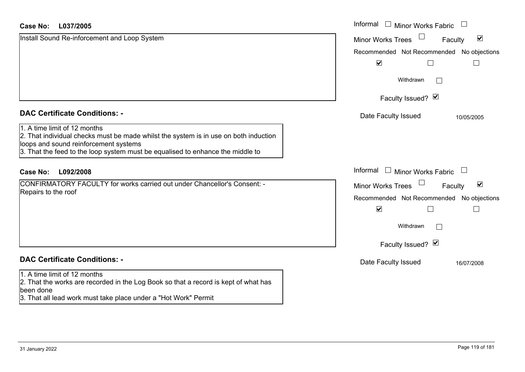#### **L037/2005Case No:**

| <b>Case No:</b><br>L037/2005                                                                                                                                                                                                                    | Informal □ Minor Works Fabric                               |
|-------------------------------------------------------------------------------------------------------------------------------------------------------------------------------------------------------------------------------------------------|-------------------------------------------------------------|
| Install Sound Re-inforcement and Loop System                                                                                                                                                                                                    | $\blacktriangledown$<br><b>Minor Works Trees</b><br>Faculty |
|                                                                                                                                                                                                                                                 | Recommended Not Recommended No objections                   |
|                                                                                                                                                                                                                                                 | $\blacktriangledown$                                        |
|                                                                                                                                                                                                                                                 | Withdrawn<br>$\mathbb{R}^n$                                 |
|                                                                                                                                                                                                                                                 | Faculty Issued? Ø                                           |
| <b>DAC Certificate Conditions: -</b>                                                                                                                                                                                                            | Date Faculty Issued<br>10/05/2005                           |
| 1. A time limit of 12 months<br>2. That individual checks must be made whilst the system is in use on both induction<br>loops and sound reinforcement systems<br>3. That the feed to the loop system must be equalised to enhance the middle to |                                                             |
| L092/2008<br><b>Case No:</b>                                                                                                                                                                                                                    | Informal<br>$\Box$ Minor Works Fabric                       |
| CONFIRMATORY FACULTY for works carried out under Chancellor's Consent: -                                                                                                                                                                        | $\blacktriangledown$<br><b>Minor Works Trees</b><br>Faculty |
| Repairs to the roof                                                                                                                                                                                                                             | Recommended Not Recommended No objections                   |
|                                                                                                                                                                                                                                                 | $\blacktriangledown$                                        |
|                                                                                                                                                                                                                                                 | Withdrawn                                                   |
|                                                                                                                                                                                                                                                 | Faculty Issued? Ø                                           |
| <b>DAC Certificate Conditions: -</b>                                                                                                                                                                                                            | Date Faculty Issued<br>16/07/2008                           |
| 1. A time limit of 12 months<br>2. That the works are recorded in the Log Book so that a record is kept of what has<br>been done<br>3. That all lead work must take place under a "Hot Work" Permit                                             |                                                             |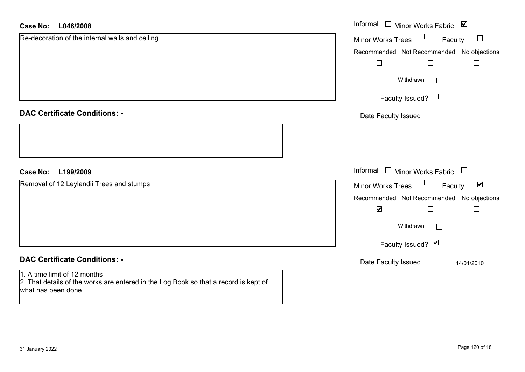#### **L046/2008Case No:**

| <b>Case No:</b><br>L046/2008                                                                                                               | Informal □ Minor Works Fabric ⊠                             |
|--------------------------------------------------------------------------------------------------------------------------------------------|-------------------------------------------------------------|
| Re-decoration of the internal walls and ceiling                                                                                            | $\Box$<br><b>Minor Works Trees</b><br>Faculty<br>$\Box$     |
|                                                                                                                                            | Recommended Not Recommended No objections                   |
|                                                                                                                                            |                                                             |
|                                                                                                                                            | Withdrawn<br>$\vert \ \ \vert$                              |
|                                                                                                                                            | Faculty Issued? $\Box$                                      |
| <b>DAC Certificate Conditions: -</b>                                                                                                       | Date Faculty Issued                                         |
|                                                                                                                                            |                                                             |
| <b>Case No:</b><br>L199/2009                                                                                                               | Informal $\Box$ Minor Works Fabric $\Box$                   |
| Removal of 12 Leylandii Trees and stumps                                                                                                   | Minor Works Trees $\Box$<br>$\blacktriangledown$<br>Faculty |
|                                                                                                                                            | Recommended Not Recommended No objections                   |
|                                                                                                                                            | $\blacktriangledown$<br>$\Box$<br>$\Box$                    |
|                                                                                                                                            | Withdrawn                                                   |
|                                                                                                                                            | Faculty Issued? Ø                                           |
| <b>DAC Certificate Conditions: -</b>                                                                                                       | Date Faculty Issued<br>14/01/2010                           |
| 1. A time limit of 12 months<br>2. That details of the works are entered in the Log Book so that a record is kept of<br>what has been done |                                                             |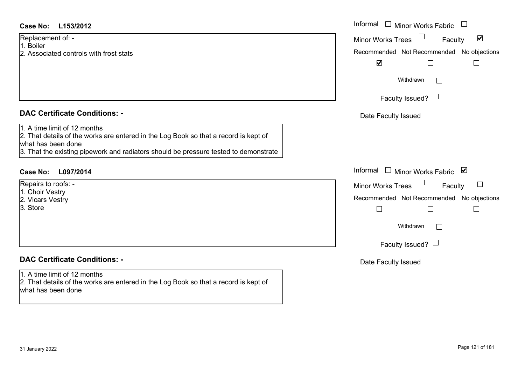- 1. Boiler
- 2. Associated controls with frost stats

## **DAC Certificate Conditions: -**

- Repairs to roofs: -
- 1. Choir Vestry
- 2. Vicars Vestry
- 3. Store

## **DAC Certificate Conditions: -**

#### 1. A time limit of 12 months

2. That details of the works are entered in the Log Book so that a record is kept of what has been done

| <b>Case No:</b><br>L153/2012                                                                                                                                                                                                       | Informal $\Box$ Minor Works Fabric $\Box$                                                                                        |
|------------------------------------------------------------------------------------------------------------------------------------------------------------------------------------------------------------------------------------|----------------------------------------------------------------------------------------------------------------------------------|
| Replacement of: -<br>1. Boiler<br>2. Associated controls with frost stats                                                                                                                                                          | $\blacktriangledown$<br><b>Minor Works Trees</b><br>Faculty<br>Recommended Not Recommended No objections<br>$\blacktriangledown$ |
|                                                                                                                                                                                                                                    | Withdrawn<br>Faculty Issued? $\Box$                                                                                              |
| <b>DAC Certificate Conditions: -</b>                                                                                                                                                                                               | Date Faculty Issued                                                                                                              |
| 1. A time limit of 12 months<br>2. That details of the works are entered in the Log Book so that a record is kept of<br>what has been done<br>3. That the existing pipework and radiators should be pressure tested to demonstrate |                                                                                                                                  |
| Case No:<br>L097/2014                                                                                                                                                                                                              | Informal □ Minor Works Fabric ⊠                                                                                                  |
| Repairs to roofs: -<br>1. Choir Vestry<br>2. Vicars Vestry<br>3. Store                                                                                                                                                             | Minor Works Trees<br>$\Box$<br>Faculty<br>Recommended Not Recommended No objections<br>Withdrawn<br>Faculty Issued? $\Box$       |
| <b>DAC Certificate Conditions: -</b>                                                                                                                                                                                               | Date Faculty Issued                                                                                                              |
| 1. A time limit of 12 months                                                                                                                                                                                                       |                                                                                                                                  |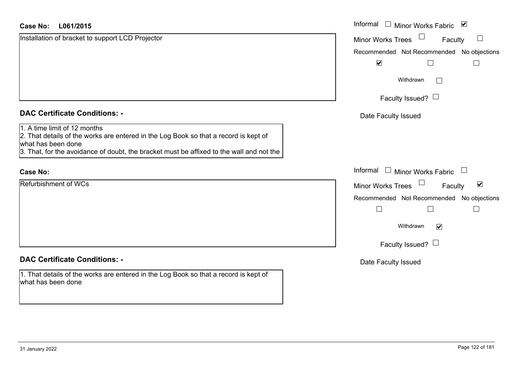| <b>Case No:</b><br>L061/2015                                                                                                                                                                                                           | Informal □ Minor Works Fabric 凶                      |
|----------------------------------------------------------------------------------------------------------------------------------------------------------------------------------------------------------------------------------------|------------------------------------------------------|
| Installation of bracket to support LCD Projector                                                                                                                                                                                       | Minor Works Trees<br>$\Box$<br>Faculty               |
|                                                                                                                                                                                                                                        | Recommended Not Recommended No objections            |
|                                                                                                                                                                                                                                        | $\blacktriangledown$<br>$\Box$<br>$\Box$             |
|                                                                                                                                                                                                                                        | Withdrawn<br>$\Box$                                  |
|                                                                                                                                                                                                                                        | Faculty Issued? $\Box$                               |
| <b>DAC Certificate Conditions: -</b>                                                                                                                                                                                                   | Date Faculty Issued                                  |
| 1. A time limit of 12 months<br>2. That details of the works are entered in the Log Book so that a record is kept of<br>what has been done<br>3. That, for the avoidance of doubt, the bracket must be affixed to the wall and not the |                                                      |
| <b>Case No:</b>                                                                                                                                                                                                                        | Informal<br>$\Box$ Minor Works Fabric $\Box$         |
| Refurbishment of WCs                                                                                                                                                                                                                   | Minor Works Trees<br>$\blacktriangledown$<br>Faculty |
|                                                                                                                                                                                                                                        | Recommended Not Recommended No objections            |
|                                                                                                                                                                                                                                        | $\Box$<br>$\Box$                                     |
|                                                                                                                                                                                                                                        | Withdrawn<br>$\blacktriangledown$                    |
|                                                                                                                                                                                                                                        | Faculty Issued? $\Box$                               |
| <b>DAC Certificate Conditions: -</b>                                                                                                                                                                                                   | Date Faculty Issued                                  |
| 1. That details of the works are entered in the Log Book so that a record is kept of<br>what has been done                                                                                                                             |                                                      |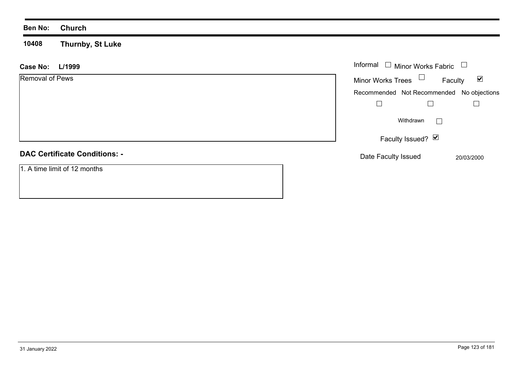#### **Ben No: Church**

**10408 Thurnby, St Luke**

| <b>Case No:</b><br>L/1999            | Informal $\square$<br>Minor Works Fabric $\Box$ |                                 |
|--------------------------------------|-------------------------------------------------|---------------------------------|
| Removal of Pews                      | $\Box$<br><b>Minor Works Trees</b>              | $\blacktriangledown$<br>Faculty |
|                                      | Recommended Not Recommended No objections       |                                 |
|                                      |                                                 |                                 |
|                                      | Withdrawn                                       |                                 |
|                                      | Faculty Issued? Ø                               |                                 |
| <b>DAC Certificate Conditions: -</b> | Date Faculty Issued                             | 20/03/2000                      |
| 1. A time limit of 12 months         |                                                 |                                 |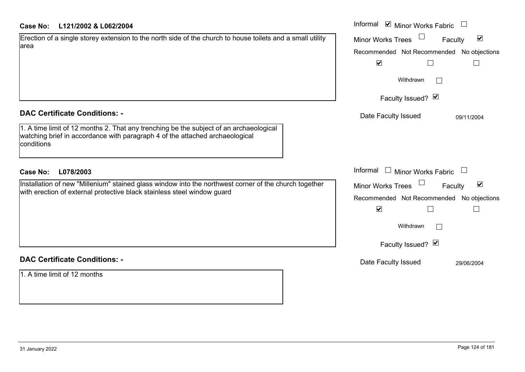|  | Case No: |  | L121/2002 & L062/2004 |
|--|----------|--|-----------------------|
|--|----------|--|-----------------------|

| <b>Case No:</b><br>L121/2002 & L062/2004                                                                                                                                             | Informal ⊠ Minor Works Fabric $\Box$                 |
|--------------------------------------------------------------------------------------------------------------------------------------------------------------------------------------|------------------------------------------------------|
| Erection of a single storey extension to the north side of the church to house toilets and a small utility                                                                           | $\blacktriangledown$<br>Minor Works Trees<br>Faculty |
| area                                                                                                                                                                                 | Recommended Not Recommended No objections            |
|                                                                                                                                                                                      | $\blacktriangledown$<br>$\Box$<br>$\vert$ $\vert$    |
|                                                                                                                                                                                      | Withdrawn                                            |
|                                                                                                                                                                                      | Faculty Issued? Ø                                    |
| <b>DAC Certificate Conditions: -</b>                                                                                                                                                 | Date Faculty Issued<br>09/11/2004                    |
| 1. A time limit of 12 months 2. That any trenching be the subject of an archaeological<br>watching brief in accordance with paragraph 4 of the attached archaeological<br>conditions |                                                      |
| <b>Case No:</b><br>L078/2003                                                                                                                                                         | Informal $\Box$ Minor Works Fabric $\Box$            |
| Installation of new "Millenium" stained glass window into the northwest corner of the church together                                                                                | $\blacktriangledown$<br>Minor Works Trees<br>Faculty |
| with erection of external protective black stainless steel window guard                                                                                                              | Recommended Not Recommended No objections            |
|                                                                                                                                                                                      | $\blacktriangledown$                                 |
|                                                                                                                                                                                      | Withdrawn                                            |
|                                                                                                                                                                                      | Faculty Issued? Ø                                    |
| <b>DAC Certificate Conditions: -</b>                                                                                                                                                 | Date Faculty Issued<br>29/06/2004                    |
| 1. A time limit of 12 months                                                                                                                                                         |                                                      |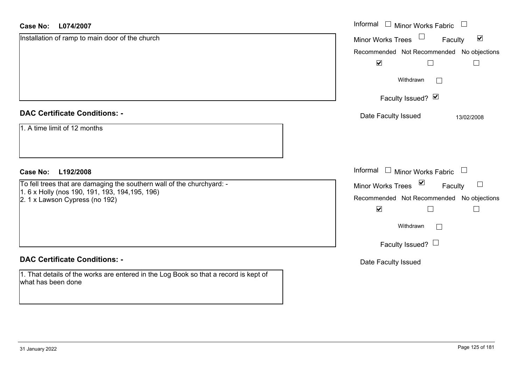| <b>Case No:</b><br>L074/2007                                                                               | Informal □ Minor Works Fabric                        |
|------------------------------------------------------------------------------------------------------------|------------------------------------------------------|
| Installation of ramp to main door of the church                                                            | $\blacktriangledown$<br>Minor Works Trees<br>Faculty |
|                                                                                                            | Recommended Not Recommended No objections            |
|                                                                                                            | $\blacktriangledown$<br>$\perp$                      |
|                                                                                                            | Withdrawn<br>$\Box$                                  |
|                                                                                                            | Faculty Issued? Ø                                    |
| <b>DAC Certificate Conditions: -</b>                                                                       | Date Faculty Issued<br>13/02/2008                    |
| 1. A time limit of 12 months                                                                               |                                                      |
| <b>Case No:</b><br>L192/2008                                                                               | Informal<br>$\Box$ Minor Works Fabric $\Box$         |
| To fell trees that are damaging the southern wall of the churchyard: -                                     | Minor Works Trees ⊠<br>$\Box$<br>Faculty             |
| 1. 6 x Holly (nos 190, 191, 193, 194, 195, 196)<br>2. 1 x Lawson Cypress (no 192)                          | Recommended Not Recommended No objections            |
|                                                                                                            | $\blacktriangledown$                                 |
|                                                                                                            | Withdrawn<br>$\Box$                                  |
|                                                                                                            | Faculty Issued? $\Box$                               |
| <b>DAC Certificate Conditions: -</b>                                                                       | Date Faculty Issued                                  |
| 1. That details of the works are entered in the Log Book so that a record is kept of<br>what has been done |                                                      |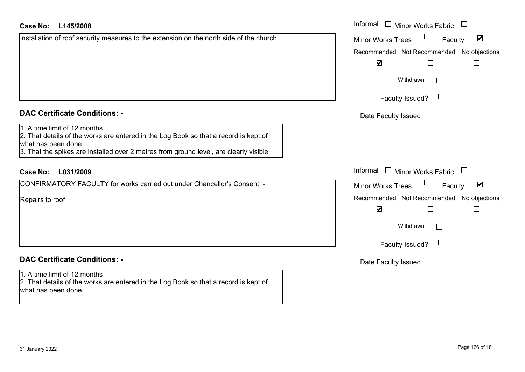#### **L145/2008Case No:** Informal

Installation of roof security measures to the extension on the north side of the church

## **DAC Certificate Conditions: -**

### 1. A time limit of 12 months

2. That details of the works are entered in the Log Book so that a record is kept of what has been done

3. That the spikes are installed over 2 metres from ground level, are clearly visible

## **L031/2009Case No:** Informal

CONFIRMATORY FACULTY for works carried out under Chancellor's Consent: -

Repairs to roof

## **DAC Certificate Conditions: -**

1. A time limit of 12 months 2. That details of the works are entered in the Log Book so that a record is kept of what has been done

| Informal<br><b>Minor Works Fabric</b>                       |
|-------------------------------------------------------------|
| $\blacktriangledown$<br><b>Minor Works Trees</b><br>Faculty |
| Recommended Not Recommended No objections                   |
| $\blacktriangledown$                                        |
| Withdrawn                                                   |
| Faculty Issued?                                             |
| Date Faculty Issued                                         |
|                                                             |
|                                                             |
| Informal<br><b>Minor Works Fabric</b>                       |
| ⊻<br><b>Minor Works Trees</b><br>Faculty                    |
| Recommended Not Recommended No objections                   |
| $\blacktriangledown$                                        |
| Withdrawn                                                   |
| Faculty Issued?                                             |
| Date Faculty Issued                                         |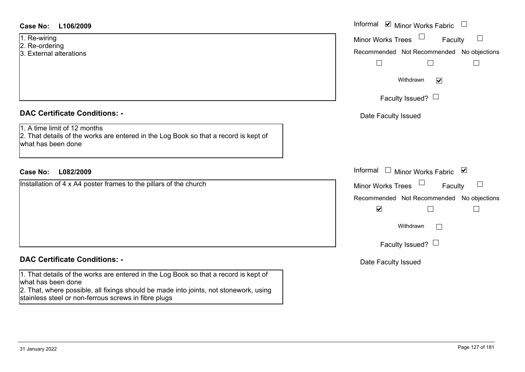#### **L106/2009Case No:** Informal

- 1. Re-wiring
- 2. Re-ordering
- 3. External alterations

### **DAC Certificate Conditions: -**

#### **DAC Certificate Conditions: -**

1. That details of the works are entered in the Log Book so that a record is kept of what has been done

2. That, where possible, all fixings should be made into joints, not stonework, using stainless steel or non-ferrous screws in fibre plugs

| <b>Case No:</b><br>L106/2009                                                                                                               | Informal <b>☑</b> Minor Works Fabric                                                |
|--------------------------------------------------------------------------------------------------------------------------------------------|-------------------------------------------------------------------------------------|
| 1. Re-wiring<br>2. Re-ordering                                                                                                             | Minor Works Trees<br>Faculty<br>$\Box$<br>Recommended Not Recommended No objections |
| 3. External alterations                                                                                                                    | $\Box$                                                                              |
|                                                                                                                                            | Withdrawn<br>$\blacktriangledown$                                                   |
|                                                                                                                                            | Faculty Issued? $\Box$                                                              |
| <b>DAC Certificate Conditions: -</b>                                                                                                       | Date Faculty Issued                                                                 |
| 1. A time limit of 12 months<br>2. That details of the works are entered in the Log Book so that a record is kept of<br>what has been done |                                                                                     |
| L082/2009<br><b>Case No:</b>                                                                                                               | Informal □ Minor Works Fabric ⊠                                                     |
| Installation of 4 x A4 poster frames to the pillars of the church                                                                          | Minor Works Trees<br>$\Box$<br>Faculty                                              |
|                                                                                                                                            | Recommended Not Recommended No objections<br>$\blacktriangledown$                   |
|                                                                                                                                            | Withdrawn<br>$\mathcal{L}_{\mathcal{A}}$                                            |
|                                                                                                                                            | Faculty Issued? $\Box$                                                              |
| <b>DAC Certificate Conditions: -</b>                                                                                                       | Date Faculty Issued                                                                 |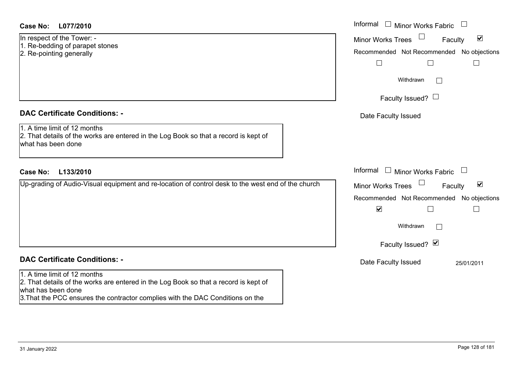### **DAC Certificate Conditions: -**

# **DAC Certificate Conditions: -**

#### 1. A time limit of 12 months

2. That details of the works are entered in the Log Book so that a record is kept of what has been done

3.That the PCC ensures the contractor complies with the DAC Conditions on the

| <b>Case No:</b><br>L077/2010                                                                                                               | Informal $\Box$ Minor Works Fabric $\Box$                                                                                                                   |
|--------------------------------------------------------------------------------------------------------------------------------------------|-------------------------------------------------------------------------------------------------------------------------------------------------------------|
| In respect of the Tower: -<br>1. Re-bedding of parapet stones<br>2. Re-pointing generally                                                  | Minor Works Trees <sup>1</sup><br>$\blacktriangledown$<br>Faculty<br>Recommended Not Recommended No objections                                              |
|                                                                                                                                            | $\Box$<br>$\mathbf{L}$<br>Withdrawn<br>$\overline{\phantom{a}}$                                                                                             |
| <b>DAC Certificate Conditions: -</b>                                                                                                       | Faculty Issued? $\Box$<br>Date Faculty Issued                                                                                                               |
| 1. A time limit of 12 months<br>2. That details of the works are entered in the Log Book so that a record is kept of<br>what has been done |                                                                                                                                                             |
| <b>Case No:</b><br>L133/2010                                                                                                               | Informal $\Box$ Minor Works Fabric $\Box$                                                                                                                   |
| Up-grading of Audio-Visual equipment and re-location of control desk to the west end of the church                                         | Minor Works Trees<br>$\blacktriangledown$<br>Faculty<br>Recommended Not Recommended No objections<br>$\blacktriangledown$<br>Withdrawn<br>$\vert \ \ \vert$ |
|                                                                                                                                            | Faculty Issued? Ø                                                                                                                                           |
| <b>DAC Certificate Conditions: -</b>                                                                                                       | Date Faculty Issued<br>25/01/2011                                                                                                                           |
| 1. A time limit of 12 months                                                                                                               |                                                                                                                                                             |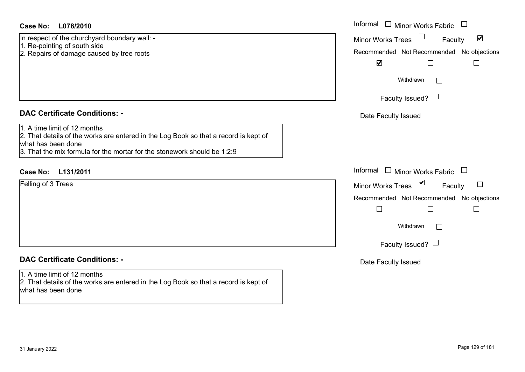| <b>Case No:</b> | L078/2010 |
|-----------------|-----------|
|-----------------|-----------|

- 1. Re-pointing of south side
- 2. Repairs of damage caused by tree roots

### **DAC Certificate Conditions: -**

### 1. A time limit of 12 months

## **DAC Certificate Conditions: -**

## 1. A time limit of 12 months

2. That details of the works are entered in the Log Book so that a record is kept of what has been done

| Case No:<br>L078/2010                                                                                                                                                                                                  | Informal $\Box$ Minor Works Fabric $\Box$                                                                                        |
|------------------------------------------------------------------------------------------------------------------------------------------------------------------------------------------------------------------------|----------------------------------------------------------------------------------------------------------------------------------|
| In respect of the churchyard boundary wall: -<br>1. Re-pointing of south side<br>2. Repairs of damage caused by tree roots                                                                                             | $\blacktriangledown$<br><b>Minor Works Trees</b><br>Faculty<br>Recommended Not Recommended No objections<br>$\blacktriangledown$ |
|                                                                                                                                                                                                                        | Withdrawn<br>$\sim$<br>Faculty Issued? $\Box$                                                                                    |
| <b>DAC Certificate Conditions: -</b>                                                                                                                                                                                   | Date Faculty Issued                                                                                                              |
| 1. A time limit of 12 months<br>2. That details of the works are entered in the Log Book so that a record is kept of<br>what has been done<br>3. That the mix formula for the mortar for the stonework should be 1:2:9 |                                                                                                                                  |
| Case No:<br>L131/2011                                                                                                                                                                                                  | Informal $\Box$ Minor Works Fabric $\Box$                                                                                        |
| Felling of 3 Trees                                                                                                                                                                                                     | Minor Works Trees ⊠<br>$\Box$<br>Faculty<br>Recommended Not Recommended No objections<br>Withdrawn<br>$\Box$                     |
|                                                                                                                                                                                                                        | Faculty Issued?                                                                                                                  |
| <b>DAC Certificate Conditions: -</b>                                                                                                                                                                                   | Date Faculty Issued                                                                                                              |
| $1\;$ A time limit of 12 monthe                                                                                                                                                                                        |                                                                                                                                  |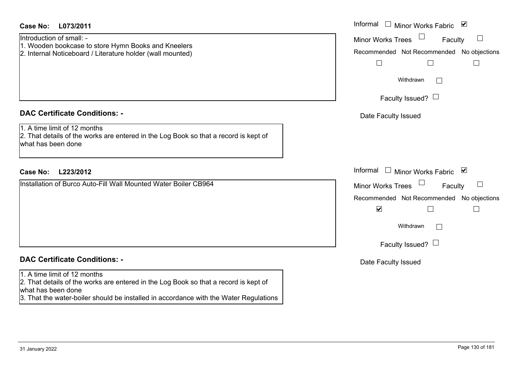| <b>Case No:</b><br>L073/2011                                                                                                                                                                                                        | Informal $\Box$ Minor Works Fabric $\Box$                                                                                                                            |
|-------------------------------------------------------------------------------------------------------------------------------------------------------------------------------------------------------------------------------------|----------------------------------------------------------------------------------------------------------------------------------------------------------------------|
| Introduction of small: -<br>1. Wooden bookcase to store Hymn Books and Kneelers<br>2. Internal Noticeboard / Literature holder (wall mounted)                                                                                       | <b>Minor Works Trees</b><br>Faculty<br>$\mathbf{I}$<br>Recommended Not Recommended No objections<br>$\Box$<br>$\Box$<br>Withdrawn                                    |
|                                                                                                                                                                                                                                     | Faculty Issued? $\Box$                                                                                                                                               |
| <b>DAC Certificate Conditions: -</b><br>1. A time limit of 12 months<br>2. That details of the works are entered in the Log Book so that a record is kept of<br>what has been done                                                  | Date Faculty Issued                                                                                                                                                  |
| L223/2012<br><b>Case No:</b>                                                                                                                                                                                                        | Informal $\Box$ Minor Works Fabric $\Box$                                                                                                                            |
| Installation of Burco Auto-Fill Wall Mounted Water Boiler CB964                                                                                                                                                                     | <b>Minor Works Trees</b><br>Faculty<br>Recommended Not Recommended No objections<br>$\blacktriangledown$<br>$\Box$<br>Withdrawn<br>$\perp$<br>Faculty Issued? $\Box$ |
| <b>DAC Certificate Conditions: -</b>                                                                                                                                                                                                | Date Faculty Issued                                                                                                                                                  |
| 1. A time limit of 12 months<br>2. That details of the works are entered in the Log Book so that a record is kept of<br>what has been done<br>3. That the water-boiler should be installed in accordance with the Water Regulations |                                                                                                                                                                      |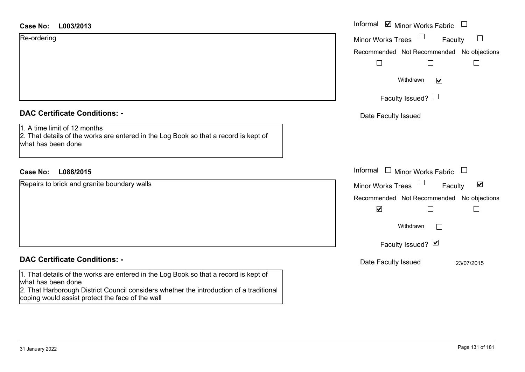| <b>Case No:</b> |  | L003/2013 |
|-----------------|--|-----------|
|-----------------|--|-----------|

| <b>Case No:</b><br>L003/2013                                                                                                               | Informal $\blacksquare$ Minor Works Fabric $\blacksquare$ |
|--------------------------------------------------------------------------------------------------------------------------------------------|-----------------------------------------------------------|
| Re-ordering                                                                                                                                | Minor Works Trees<br>Faculty<br>$\Box$                    |
|                                                                                                                                            | Recommended Not Recommended No objections                 |
|                                                                                                                                            |                                                           |
|                                                                                                                                            | Withdrawn<br>$\blacktriangledown$                         |
|                                                                                                                                            | Faculty Issued? $\Box$                                    |
| <b>DAC Certificate Conditions: -</b>                                                                                                       | Date Faculty Issued                                       |
| 1. A time limit of 12 months<br>2. That details of the works are entered in the Log Book so that a record is kept of<br>what has been done |                                                           |
| <b>Case No:</b><br>L088/2015                                                                                                               | Informal $\Box$ Minor Works Fabric $\Box$                 |
| Repairs to brick and granite boundary walls                                                                                                | Minor Works Trees<br>$\blacktriangledown$<br>Faculty      |
|                                                                                                                                            | Recommended Not Recommended No objections                 |
|                                                                                                                                            | $\blacktriangledown$<br>$\Box$                            |
|                                                                                                                                            | Withdrawn<br>Г                                            |
|                                                                                                                                            | Faculty Issued? Ø                                         |
| <b>DAC Certificate Conditions: -</b>                                                                                                       | Date Faculty Issued<br>23/07/2015                         |

1. That details of the works are entered in the Log Book so that a record is kept of what has been done

2. That Harborough District Council considers whether the introduction of a traditional coping would assist protect the face of the wall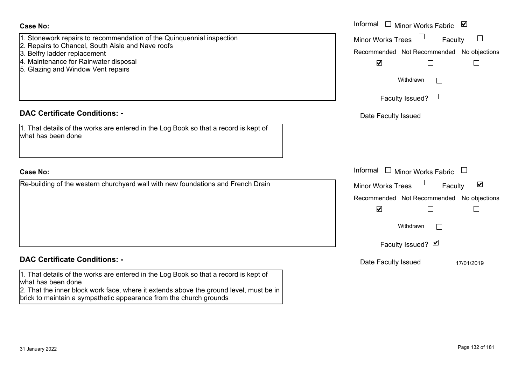| Case No:                                                                                                                                                     | Informal $\Box$ Minor Works Fabric $\Box$                   |
|--------------------------------------------------------------------------------------------------------------------------------------------------------------|-------------------------------------------------------------|
| . Stonework repairs to recommendation of the Quinquennial inspection                                                                                         | <b>Minor Works Trees</b><br>$\vert \ \ \vert$<br>Faculty    |
| 2. Repairs to Chancel, South Aisle and Nave roofs<br>3. Belfry ladder replacement                                                                            | Recommended Not Recommended No objections                   |
| 4. Maintenance for Rainwater disposal                                                                                                                        | $\blacktriangledown$                                        |
| 5. Glazing and Window Vent repairs                                                                                                                           |                                                             |
|                                                                                                                                                              | Withdrawn<br>$\mathbb{R}$                                   |
|                                                                                                                                                              | Faculty Issued? $\Box$                                      |
| <b>DAC Certificate Conditions: -</b>                                                                                                                         | Date Faculty Issued                                         |
| 1. That details of the works are entered in the Log Book so that a record is kept of<br>what has been done                                                   |                                                             |
|                                                                                                                                                              |                                                             |
| <b>Case No:</b>                                                                                                                                              | Informal<br>□ Minor Works Fabric □                          |
| Re-building of the western churchyard wall with new foundations and French Drain                                                                             | $\blacktriangledown$<br><b>Minor Works Trees</b><br>Faculty |
|                                                                                                                                                              | Recommended Not Recommended No objections                   |
|                                                                                                                                                              | $\blacktriangledown$                                        |
|                                                                                                                                                              | Withdrawn                                                   |
|                                                                                                                                                              | Faculty Issued? Ø                                           |
| <b>DAC Certificate Conditions: -</b>                                                                                                                         | Date Faculty Issued<br>17/01/2019                           |
| 1. That details of the works are entered in the Log Book so that a record is kept of<br>what has been done                                                   |                                                             |
| 2. That the inner block work face, where it extends above the ground level, must be in<br>brick to maintain a sympathetic appearance from the church grounds |                                                             |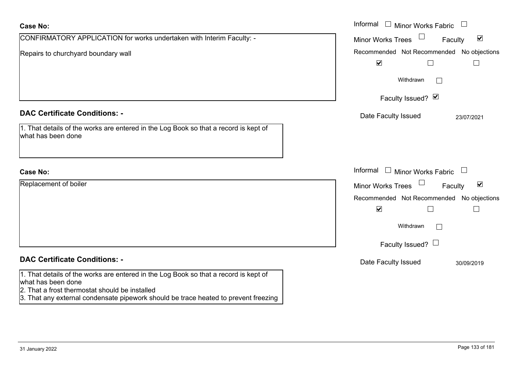| <b>Case No:</b>                                                                                                                                                                                                                                     | Informal $\Box$ Minor Works Fabric<br>$\begin{array}{c} \hline \end{array}$ |
|-----------------------------------------------------------------------------------------------------------------------------------------------------------------------------------------------------------------------------------------------------|-----------------------------------------------------------------------------|
| CONFIRMATORY APPLICATION for works undertaken with Interim Faculty: -                                                                                                                                                                               | $\blacktriangledown$<br><b>Minor Works Trees</b><br>Faculty                 |
| Repairs to churchyard boundary wall                                                                                                                                                                                                                 | Recommended Not Recommended No objections                                   |
|                                                                                                                                                                                                                                                     | $\blacktriangledown$                                                        |
|                                                                                                                                                                                                                                                     | Withdrawn<br>$\mathbb{R}^n$                                                 |
|                                                                                                                                                                                                                                                     | Faculty Issued? Ø                                                           |
| <b>DAC Certificate Conditions: -</b>                                                                                                                                                                                                                | Date Faculty Issued<br>23/07/2021                                           |
| 1. That details of the works are entered in the Log Book so that a record is kept of<br>what has been done                                                                                                                                          |                                                                             |
| <b>Case No:</b>                                                                                                                                                                                                                                     | Informal<br>$\Box$ Minor Works Fabric $\Box$                                |
| Replacement of boiler                                                                                                                                                                                                                               | Minor Works Trees<br>$\blacktriangledown$<br>Faculty                        |
|                                                                                                                                                                                                                                                     | Recommended Not Recommended No objections                                   |
|                                                                                                                                                                                                                                                     | $\blacktriangledown$                                                        |
|                                                                                                                                                                                                                                                     | Withdrawn<br>$\Box$                                                         |
|                                                                                                                                                                                                                                                     | Faculty Issued? $\Box$                                                      |
| <b>DAC Certificate Conditions: -</b>                                                                                                                                                                                                                | Date Faculty Issued<br>30/09/2019                                           |
| 1. That details of the works are entered in the Log Book so that a record is kept of<br>what has been done<br>2. That a frost thermostat should be installed<br>3. That any external condensate pipework should be trace heated to prevent freezing |                                                                             |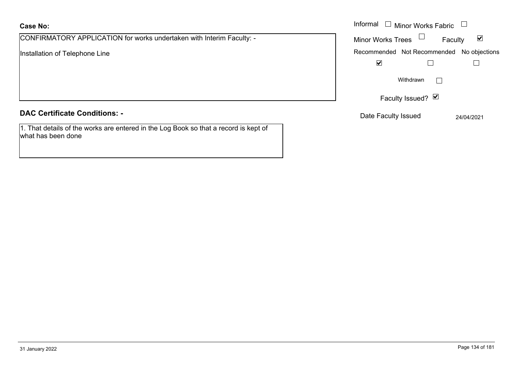## **Case No:**

CONFIRMATORY APPLICATION for works undertaken with Interim Faculty: -

Installation of Telephone Line

### **DAC Certificate Conditions: -**

1. That details of the works are entered in the Log Book so that a record is kept of what has been done

|                                                                 | Informal $\Box$ Minor Works Fabric $\Box$                   |
|-----------------------------------------------------------------|-------------------------------------------------------------|
| MATORY APPLICATION for works undertaken with Interim Faculty: - | Minor Works Trees $\Box$<br>$\blacktriangledown$<br>Faculty |
| on of Telephone Line                                            | Recommended Not Recommended No objections                   |
|                                                                 | $\blacktriangledown$                                        |
|                                                                 | Withdrawn                                                   |
|                                                                 | Faculty Issued? Ø                                           |
| rtificate Conditions: -                                         | Date Faculty Issued<br>24/04/2021                           |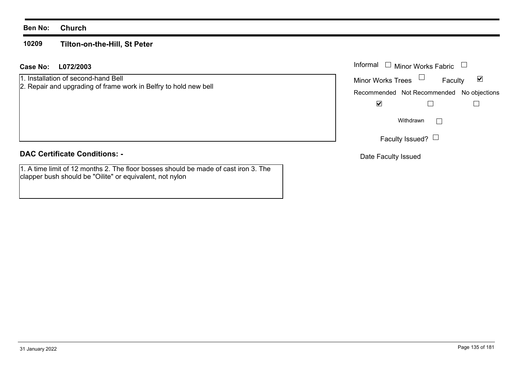#### **Ben No: Church**

#### **10209Tilton-on-the-Hill, St Peter**

#### **L072/2003Case No:** Informal

## 1. Installation of second-hand Bell

2. Repair and upgrading of frame work in Belfry to hold new bell

## **DAC Certificate Conditions: -**

1. A time limit of 12 months 2. The floor bosses should be made of cast iron 3. The clapper bush should be "Oilite" or equivalent, not nylon

| Informal ❑  Minor Works Fabric |  |                                           |  |
|--------------------------------|--|-------------------------------------------|--|
| <b>Minor Works Trees</b>       |  | M<br>Faculty                              |  |
|                                |  | Recommended Not Recommended No objections |  |
|                                |  |                                           |  |
| Withdrawn                      |  |                                           |  |
| Faculty Issued? $\Box$         |  |                                           |  |

Date Faculty Issued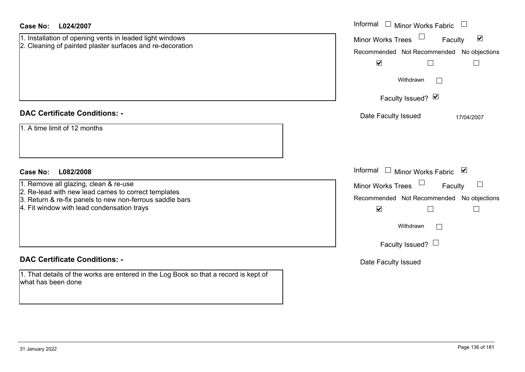| <b>Case No:</b><br>L024/2007                                                                                                                                                                                                           | Informal □ Minor Works Fabric                                                                                                                                                                                               |
|----------------------------------------------------------------------------------------------------------------------------------------------------------------------------------------------------------------------------------------|-----------------------------------------------------------------------------------------------------------------------------------------------------------------------------------------------------------------------------|
| 1. Installation of opening vents in leaded light windows<br>2. Cleaning of painted plaster surfaces and re-decoration                                                                                                                  | $\blacktriangledown$<br><b>Minor Works Trees</b><br>Faculty<br>Recommended Not Recommended No objections<br>$\blacktriangledown$<br>$\Box$<br>$\Box$<br>Withdrawn<br>Faculty Issued? Ø                                      |
| <b>DAC Certificate Conditions: -</b><br>1. A time limit of 12 months                                                                                                                                                                   | Date Faculty Issued<br>17/04/2007                                                                                                                                                                                           |
| <b>Case No:</b><br>L082/2008<br>1. Remove all glazing, clean & re-use<br>2. Re-lead with new lead cames to correct templates<br>3. Return & re-fix panels to new non-ferrous saddle bars<br>4. Fit window with lead condensation trays | Informal<br>$\Box$ Minor Works Fabric $\Box$<br><b>Minor Works Trees</b><br>Faculty<br>Recommended Not Recommended No objections<br>$\blacktriangledown$<br>$\Box$<br>$\mathbb{R}^n$<br>Withdrawn<br>Faculty Issued? $\Box$ |
| <b>DAC Certificate Conditions: -</b><br>1. That details of the works are entered in the Log Book so that a record is kept of<br>what has been done                                                                                     | Date Faculty Issued                                                                                                                                                                                                         |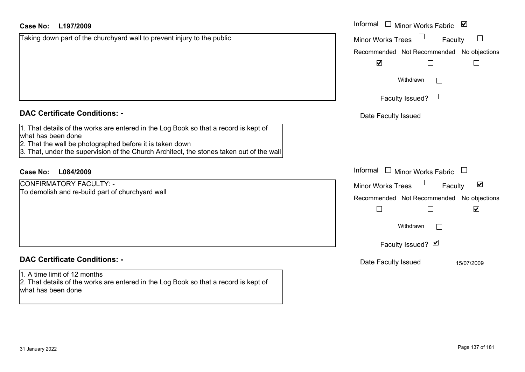| <b>Case No:</b><br>L197/2009                                                                                                                                                                                                                                       | Informal □ Minor Works Fabric ☑                             |
|--------------------------------------------------------------------------------------------------------------------------------------------------------------------------------------------------------------------------------------------------------------------|-------------------------------------------------------------|
| Taking down part of the churchyard wall to prevent injury to the public                                                                                                                                                                                            | <b>Minor Works Trees</b><br>$\Box$<br>Faculty               |
|                                                                                                                                                                                                                                                                    | Recommended Not Recommended No objections                   |
|                                                                                                                                                                                                                                                                    | $\blacktriangledown$<br>$\Box$                              |
|                                                                                                                                                                                                                                                                    | Withdrawn                                                   |
|                                                                                                                                                                                                                                                                    | Faculty Issued? $\Box$                                      |
| <b>DAC Certificate Conditions: -</b>                                                                                                                                                                                                                               | Date Faculty Issued                                         |
| 1. That details of the works are entered in the Log Book so that a record is kept of<br>what has been done<br>2. That the wall be photographed before it is taken down<br>3. That, under the supervision of the Church Architect, the stones taken out of the wall |                                                             |
| <b>Case No:</b><br>L084/2009                                                                                                                                                                                                                                       | Informal<br>$\Box$ Minor Works Fabric                       |
| CONFIRMATORY FACULTY: -                                                                                                                                                                                                                                            | $\blacktriangledown$<br><b>Minor Works Trees</b><br>Faculty |
| To demolish and re-build part of churchyard wall                                                                                                                                                                                                                   | Recommended Not Recommended No objections                   |
|                                                                                                                                                                                                                                                                    | $\overline{\phantom{a}}$<br>$\blacktriangledown$            |
|                                                                                                                                                                                                                                                                    | Withdrawn                                                   |
|                                                                                                                                                                                                                                                                    | Faculty Issued? Ø                                           |
| <b>DAC Certificate Conditions: -</b>                                                                                                                                                                                                                               | Date Faculty Issued<br>15/07/2009                           |
| 1. A time limit of 12 months<br>2. That details of the works are entered in the Log Book so that a record is kept of<br>what has been done                                                                                                                         |                                                             |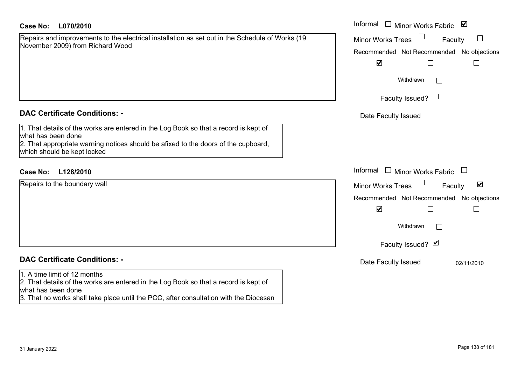#### **L070/2010Case No:** Informal

Repairs and improvements to the electrical installation as set out in the Schedule of Works (19 November 2009) from Richard Wood

#### **DAC Certificate Conditions: -**

1. That details of the works are entered in the Log Book so that a record is kept of what has been done 2. That appropriate warning notices should be afixed to the doors of the cupboard, which should be kept locked

## **L128/2010Case No:** Informal

Repairs to the boundary wall

# **DAC Certificate Conditions: -**

#### 1. A time limit of 12 months

2. That details of the works are entered in the Log Book so that a record is kept of what has been done

3. That no works shall take place until the PCC, after consultation with the Diocesan

| Informal<br>Minor Works Fabric ⊠          |
|-------------------------------------------|
| <b>Minor Works Trees</b><br>Faculty       |
| Recommended Not Recommended No objections |
| $\blacktriangledown$                      |
| Withdrawn                                 |
| Faculty Issued? $\Box$                    |
| Date Faculty Issued                       |
|                                           |
|                                           |
|                                           |
| Informal<br>Minor Works Fabric            |
| ☑<br><b>Minor Works Trees</b><br>Faculty  |
| Recommended Not Recommended No objections |
| $\blacktriangledown$                      |
| Withdrawn                                 |
| Faculty Issued? Ø                         |
| Date Faculty Issued<br>02/11/2010         |
|                                           |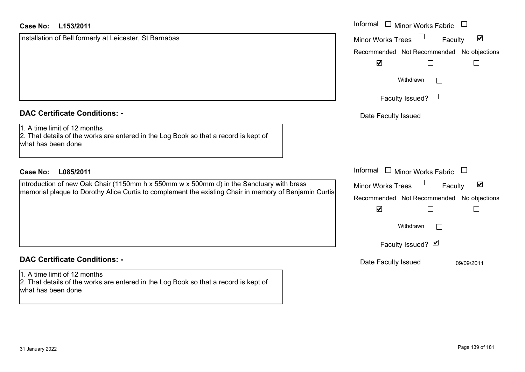| <b>Case No:</b><br>L153/2011                                                                                                               | Informal<br>$\Box$ Minor Works Fabric                       |
|--------------------------------------------------------------------------------------------------------------------------------------------|-------------------------------------------------------------|
| Installation of Bell formerly at Leicester, St Barnabas                                                                                    | $\blacktriangledown$<br><b>Minor Works Trees</b><br>Faculty |
|                                                                                                                                            | Recommended Not Recommended No objections                   |
|                                                                                                                                            | $\blacktriangledown$                                        |
|                                                                                                                                            | Withdrawn<br>$\mathbb{R}^n$                                 |
|                                                                                                                                            | Faculty Issued? $\Box$                                      |
| <b>DAC Certificate Conditions: -</b>                                                                                                       | Date Faculty Issued                                         |
| 1. A time limit of 12 months<br>2. That details of the works are entered in the Log Book so that a record is kept of<br>what has been done |                                                             |
| <b>Case No:</b><br>L085/2011                                                                                                               | Informal<br>$\Box$<br><b>Minor Works Fabric</b><br>$\Box$   |
| Introduction of new Oak Chair (1150mm h x 550mm w x 500mm d) in the Sanctuary with brass                                                   | $\blacktriangledown$<br><b>Minor Works Trees</b><br>Faculty |
| memorial plaque to Dorothy Alice Curtis to complement the existing Chair in memory of Benjamin Curtis                                      | Recommended Not Recommended No objections                   |
|                                                                                                                                            | $\blacktriangledown$                                        |
|                                                                                                                                            | Withdrawn<br>$\mathbb{R}^n$                                 |
|                                                                                                                                            | Faculty Issued? Ø                                           |
| <b>DAC Certificate Conditions: -</b>                                                                                                       | Date Faculty Issued<br>09/09/2011                           |
| 1. A time limit of 12 months<br>2. That details of the works are entered in the Log Book so that a record is kept of<br>what has been done |                                                             |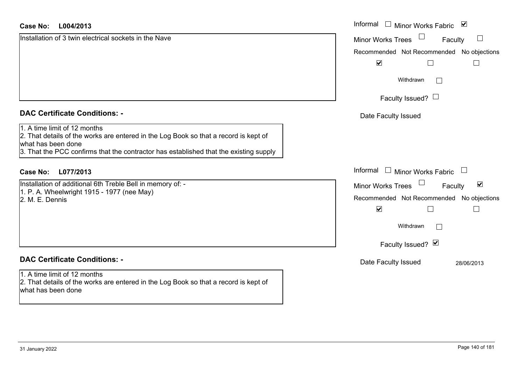#### **L004/2013 Case No:** Informal

| Installation of 3 twin electrical sockets in the Nave                                                                                                                                                                               | <b>Minor Works Trees</b><br>Faculty                  |
|-------------------------------------------------------------------------------------------------------------------------------------------------------------------------------------------------------------------------------------|------------------------------------------------------|
|                                                                                                                                                                                                                                     | Recommended Not Recommended No objections            |
|                                                                                                                                                                                                                                     | $\blacktriangledown$                                 |
|                                                                                                                                                                                                                                     | Withdrawn                                            |
|                                                                                                                                                                                                                                     | Faculty Issued? $\Box$                               |
| <b>DAC Certificate Conditions: -</b>                                                                                                                                                                                                | Date Faculty Issued                                  |
| 1. A time limit of 12 months<br>2. That details of the works are entered in the Log Book so that a record is kept of<br>what has been done<br>3. That the PCC confirms that the contractor has established that the existing supply |                                                      |
| L077/2013<br>Case No:                                                                                                                                                                                                               | Informal □ Minor Works Fabric                        |
| Installation of additional 6th Treble Bell in memory of: -<br>1. P. A. Wheelwright 1915 - 1977 (nee May)<br>2. M. E. Dennis                                                                                                         | $\blacktriangledown$<br>Minor Works Trees<br>Faculty |
|                                                                                                                                                                                                                                     | Recommended Not Recommended No objections            |
|                                                                                                                                                                                                                                     | $\blacktriangledown$                                 |
|                                                                                                                                                                                                                                     | Withdrawn                                            |
|                                                                                                                                                                                                                                     | Faculty Issued? Ø                                    |
| <b>DAC Certificate Conditions: -</b>                                                                                                                                                                                                | Date Faculty Issued<br>28/06/2013                    |
| 1. A time limit of 12 months<br>2. That details of the works are entered in the Log Book so that a record is kept of<br>what has been done                                                                                          |                                                      |
|                                                                                                                                                                                                                                     |                                                      |

Minor Works Fabric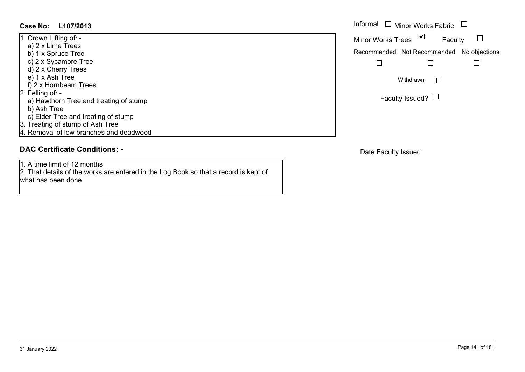1. Crown Lifting of: a) 2 x Lime Trees b) 1 x Spruce Tree c) 2 x Sycamore Tree d) 2 x Cherry Trees e) 1 x Ash Tree f) 2 x Hornbeam Trees 2. Felling of: a) Hawthorn Tree and treating of stump b) Ash Tree c) Elder Tree and treating of stump 3. Treating of stump of Ash Tree 4. Removal of low branches and deadwood

#### **DAC Certificate Conditions: -**

1. A time limit of 12 months

2. That details of the works are entered in the Log Book so that a record is kept of what has been done

|           | Informal $\Box$ Minor Works Fabric        |                 |         |  |
|-----------|-------------------------------------------|-----------------|---------|--|
|           | <b>Minor Works Trees</b>                  |                 | Faculty |  |
|           | Recommended Not Recommended No objections |                 |         |  |
|           |                                           |                 |         |  |
| Withdrawn |                                           |                 |         |  |
|           |                                           | Faculty Issued? |         |  |

Date Faculty Issued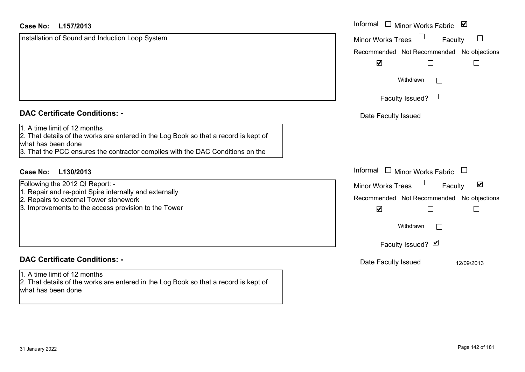| L157/2013<br>Case No:                                                                                                                                                                                                        | Informal □ Minor Works Fabric<br>$\blacktriangledown$                                                    |
|------------------------------------------------------------------------------------------------------------------------------------------------------------------------------------------------------------------------------|----------------------------------------------------------------------------------------------------------|
| Installation of Sound and Induction Loop System                                                                                                                                                                              | <b>Minor Works Trees</b><br>Faculty                                                                      |
|                                                                                                                                                                                                                              | Recommended Not Recommended No objections                                                                |
|                                                                                                                                                                                                                              | $\blacktriangledown$                                                                                     |
|                                                                                                                                                                                                                              | Withdrawn<br>$\Box$                                                                                      |
|                                                                                                                                                                                                                              | Faculty Issued? $\Box$                                                                                   |
| <b>DAC Certificate Conditions: -</b>                                                                                                                                                                                         | Date Faculty Issued                                                                                      |
| 1. A time limit of 12 months<br>2. That details of the works are entered in the Log Book so that a record is kept of<br>what has been done<br>3. That the PCC ensures the contractor complies with the DAC Conditions on the |                                                                                                          |
| L130/2013<br>Case No:                                                                                                                                                                                                        | Informal $\Box$ Minor Works Fabric                                                                       |
| Following the 2012 QI Report: -<br>1. Repair and re-point Spire internally and externally<br>2. Repairs to external Tower stonework                                                                                          | $\blacktriangledown$<br><b>Minor Works Trees</b><br>Faculty<br>Recommended Not Recommended No objections |
| 3. Improvements to the access provision to the Tower                                                                                                                                                                         | $\blacktriangledown$                                                                                     |
|                                                                                                                                                                                                                              | Withdrawn<br>$\Box$                                                                                      |
|                                                                                                                                                                                                                              | Faculty Issued? $\blacksquare$                                                                           |
| <b>DAC Certificate Conditions: -</b>                                                                                                                                                                                         | Date Faculty Issued<br>12/09/2013                                                                        |
| 1. A time limit of 12 months<br>2. That details of the works are entered in the Log Book so that a record is kept of<br>what has been done                                                                                   |                                                                                                          |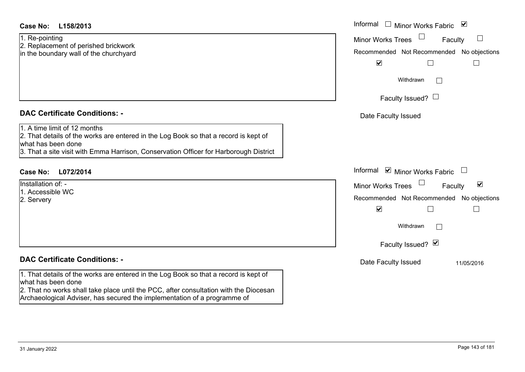1. Re-pointing 2. Replacement of perished brickwork in the boundary wall of the churchyard

#### **DAC Certificate Conditions: -**

## 1. A time limit of 12 months

2. That details of the works are entered in the Log Book so that a record is kept of what has been done

3. That a site visit with Emma Harrison, Conservation Officer for Harborough District

## **L072/2014Case No:** Informal

Installation of: -1. Accessible WC

2. Servery

## **DAC Certificate Conditions: -**

1. That details of the works are entered in the Log Book so that a record is kept of what has been done

2. That no works shall take place until the PCC, after consultation with the Diocesan Archaeological Adviser, has secured the implementation of a programme of

| L158/2013                                                                                                                                                                                     | Informal $\Box$ Minor Works Fabric $\Box$                                                                                                                   |
|-----------------------------------------------------------------------------------------------------------------------------------------------------------------------------------------------|-------------------------------------------------------------------------------------------------------------------------------------------------------------|
| inting<br>cement of perished brickwork<br>undary wall of the churchyard                                                                                                                       | Minor Works Trees<br>Faculty<br>$\Box$<br>Recommended Not Recommended No objections<br>$\blacktriangledown$                                                 |
|                                                                                                                                                                                               | Withdrawn<br>$\mathbf{L}$                                                                                                                                   |
|                                                                                                                                                                                               | Faculty Issued? $\Box$                                                                                                                                      |
| rtificate Conditions: -                                                                                                                                                                       | Date Faculty Issued                                                                                                                                         |
| limit of 12 months<br>etails of the works are entered in the Log Book so that a record is kept of<br>been done<br>site visit with Emma Harrison, Conservation Officer for Harborough District |                                                                                                                                                             |
| L072/2014                                                                                                                                                                                     | Informal ⊠ Minor Works Fabric $\Box$                                                                                                                        |
| n of: -<br>sible WC<br>.<br>V                                                                                                                                                                 | Minor Works Trees<br>$\blacktriangledown$<br>Faculty<br>Recommended Not Recommended No objections<br>$\blacktriangledown$<br>Withdrawn<br>Faculty Issued? Ø |
| rtificate Conditions: -                                                                                                                                                                       | Date Faculty Issued<br>11/05/2016                                                                                                                           |
| etails of the works are entered in the Log Book so that a record is kept of<br>heen done                                                                                                      |                                                                                                                                                             |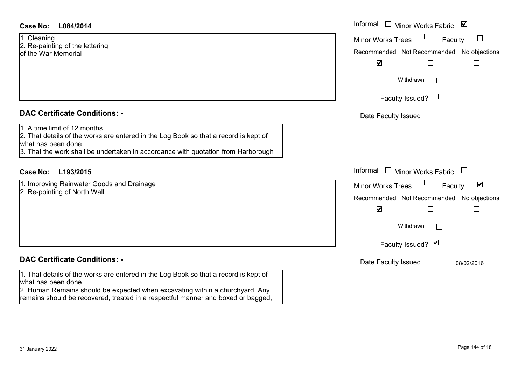| Case No: | L084/2014 |
|----------|-----------|
|----------|-----------|

1. Cleaning 2. Re-painting of the lettering of the War Memorial

### **DAC Certificate Conditions: -**

1. A time limit of 12 months

2. That details of the works are entered in the Log Book so that a record is kept of what has been done

3. That the work shall be undertaken in accordance with quotation from Harborough

## **L193/2015Case No:** Informal

1. Improving Rainwater Goods and Drainage 2. Re-pointing of North Wall

## **DAC Certificate Conditions: -**

1. That details of the works are entered in the Log Book so that a record is kept of what has been done

2. Human Remains should be expected when excavating within a churchyard. Any remains should be recovered, treated in a respectful manner and boxed or bagged,

| L084/2014                                                                                                                                                                                 | Informal<br>$\Box$ Minor Works Fabric<br>$\blacktriangledown$                                                                       |
|-------------------------------------------------------------------------------------------------------------------------------------------------------------------------------------------|-------------------------------------------------------------------------------------------------------------------------------------|
| ng<br>inting of the lettering<br>ar Memorial                                                                                                                                              | $\Box$<br><b>Minor Works Trees</b><br>Faculty<br>Recommended Not Recommended No objections<br>$\blacktriangledown$                  |
|                                                                                                                                                                                           | Withdrawn                                                                                                                           |
|                                                                                                                                                                                           | Faculty Issued? $\Box$                                                                                                              |
| rtificate Conditions: -                                                                                                                                                                   | Date Faculty Issued                                                                                                                 |
| limit of 12 months<br>etails of the works are entered in the Log Book so that a record is kept of<br>been done<br>e work shall be undertaken in accordance with quotation from Harborough |                                                                                                                                     |
| L193/2015                                                                                                                                                                                 | Informal □ Minor Works Fabric                                                                                                       |
| ving Rainwater Goods and Drainage<br>inting of North Wall                                                                                                                                 | $\Box$<br>$\blacktriangledown$<br>Minor Works Trees<br>Faculty<br>Recommended Not Recommended No objections<br>$\blacktriangledown$ |
|                                                                                                                                                                                           | Withdrawn                                                                                                                           |
|                                                                                                                                                                                           | Faculty Issued? Ø                                                                                                                   |
| rtificate Conditions: -                                                                                                                                                                   | Date Faculty Issued<br>08/02/2016                                                                                                   |
| etails of the works are entered in the Log Book so that a record is kept of<br>been done                                                                                                  |                                                                                                                                     |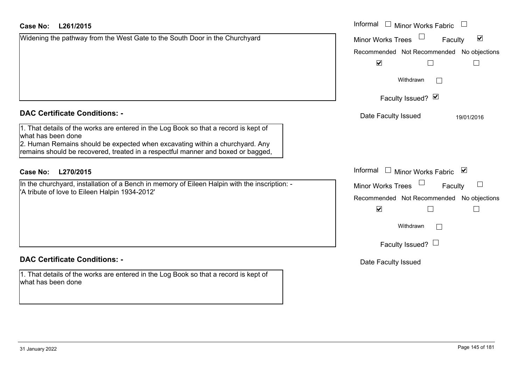| Widening the pathway from the West Gate to the South Door in the Churchyard |  |
|-----------------------------------------------------------------------------|--|
|                                                                             |  |
|                                                                             |  |
|                                                                             |  |
|                                                                             |  |
|                                                                             |  |

#### **DAC Certificate Conditions: -**

# **DAC Certificate Conditions: -**

1. That details of the works are entered in the Log Book so that a record is kept of what has been done

| <b>Case No:</b><br>L261/2015                                                                                                                                                                                                                                                   | Informal □ Minor Works Fabric                                                                                                    |
|--------------------------------------------------------------------------------------------------------------------------------------------------------------------------------------------------------------------------------------------------------------------------------|----------------------------------------------------------------------------------------------------------------------------------|
| Widening the pathway from the West Gate to the South Door in the Churchyard                                                                                                                                                                                                    | $\blacktriangledown$<br><b>Minor Works Trees</b><br>Faculty<br>Recommended Not Recommended No objections<br>$\blacktriangledown$ |
|                                                                                                                                                                                                                                                                                | Withdrawn<br>Faculty Issued? Ø                                                                                                   |
| <b>DAC Certificate Conditions: -</b>                                                                                                                                                                                                                                           | Date Faculty Issued<br>19/01/2016                                                                                                |
| 1. That details of the works are entered in the Log Book so that a record is kept of<br>what has been done<br>2. Human Remains should be expected when excavating within a churchyard. Any<br>remains should be recovered, treated in a respectful manner and boxed or bagged, |                                                                                                                                  |
| L270/2015<br><b>Case No:</b>                                                                                                                                                                                                                                                   | Informal<br>$\sim$ 100 $\pm$<br><b>Minor Works Fabric</b><br>⊻                                                                   |
| In the churchyard, installation of a Bench in memory of Eileen Halpin with the inscription: -<br>'A tribute of love to Eileen Halpin 1934-2012'                                                                                                                                | Minor Works Trees<br>Faculty<br>Recommended Not Recommended<br>No objections<br>$\blacktriangledown$<br>Withdrawn                |
|                                                                                                                                                                                                                                                                                | Faculty Issued? $\Box$                                                                                                           |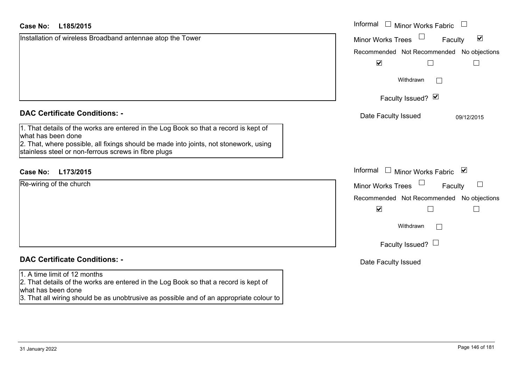| <b>Case No:</b><br>L185/2015                                                                                                                                                                                                                                | Informal<br>$\perp$<br><b>Minor Works Fabric</b>            |
|-------------------------------------------------------------------------------------------------------------------------------------------------------------------------------------------------------------------------------------------------------------|-------------------------------------------------------------|
| Installation of wireless Broadband antennae atop the Tower                                                                                                                                                                                                  | $\blacktriangledown$<br><b>Minor Works Trees</b><br>Faculty |
|                                                                                                                                                                                                                                                             | Recommended Not Recommended No objections                   |
|                                                                                                                                                                                                                                                             | $\blacktriangledown$<br>$\Box$                              |
|                                                                                                                                                                                                                                                             | Withdrawn<br>$\mathbf{I}$                                   |
|                                                                                                                                                                                                                                                             | Faculty Issued? Ø                                           |
| <b>DAC Certificate Conditions: -</b>                                                                                                                                                                                                                        | Date Faculty Issued<br>09/12/2015                           |
| 1. That details of the works are entered in the Log Book so that a record is kept of<br>what has been done<br>2. That, where possible, all fixings should be made into joints, not stonework, using<br>stainless steel or non-ferrous screws in fibre plugs |                                                             |
| L173/2015<br><b>Case No:</b>                                                                                                                                                                                                                                | Informal<br>Minor Works Fabric ⊠                            |
| Re-wiring of the church                                                                                                                                                                                                                                     | <b>Minor Works Trees</b><br>ப<br>Faculty                    |
|                                                                                                                                                                                                                                                             | Recommended Not Recommended No objections                   |
|                                                                                                                                                                                                                                                             | $\blacktriangledown$<br>$\Box$                              |
|                                                                                                                                                                                                                                                             | Withdrawn<br>$\mathbf{I}$                                   |
|                                                                                                                                                                                                                                                             | Faculty Issued? $\Box$                                      |
| <b>DAC Certificate Conditions: -</b>                                                                                                                                                                                                                        | Date Faculty Issued                                         |
| 1. A time limit of 12 months<br>2. That details of the works are entered in the Log Book so that a record is kept of<br>what has been done<br>3. That all wiring should be as unobtrusive as possible and of an appropriate colour to                       |                                                             |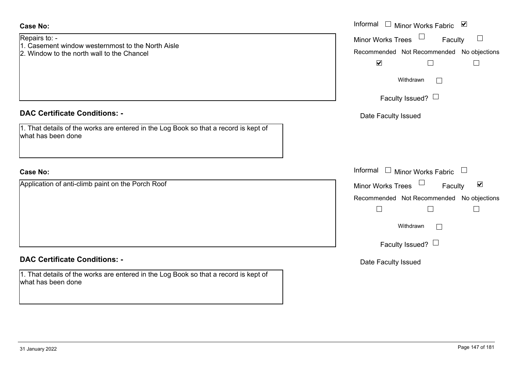| Date Faculty Issued |
|---------------------|
|                     |
|                     |
|                     |
|                     |

| <b>Case No:</b>                                                                                                  | Informal $\square$<br>Minor Works Fabric ⊠                                                                               |
|------------------------------------------------------------------------------------------------------------------|--------------------------------------------------------------------------------------------------------------------------|
| Repairs to: -<br>1. Casement window westernmost to the North Aisle<br>2. Window to the north wall to the Chancel | Minor Works Trees <sup>1</sup><br>$\Box$<br>Faculty<br>Recommended Not Recommended No objections<br>$\blacktriangledown$ |
|                                                                                                                  | Withdrawn<br>$\Box$                                                                                                      |
|                                                                                                                  | Faculty Issued? $\Box$                                                                                                   |
| <b>DAC Certificate Conditions: -</b>                                                                             | Date Faculty Issued                                                                                                      |
| 1. That details of the works are entered in the Log Book so that a record is kept of<br>what has been done       |                                                                                                                          |
| <b>Case No:</b>                                                                                                  | Informal $\Box$ Minor Works Fabric<br>$\begin{array}{c} \square \end{array}$                                             |
| Application of anti-climb paint on the Porch Roof                                                                | $\blacktriangledown$<br>Minor Works Trees<br>Faculty                                                                     |
|                                                                                                                  | Recommended Not Recommended No objections<br>$\Box$                                                                      |
|                                                                                                                  | Withdrawn<br>$\Box$                                                                                                      |
|                                                                                                                  | Faculty Issued? $\Box$                                                                                                   |
| <b>DAC Certificate Conditions: -</b>                                                                             | Date Faculty Issued                                                                                                      |
| 1. That details of the works are entered in the Log Book so that a record is kept of<br>what has been done       |                                                                                                                          |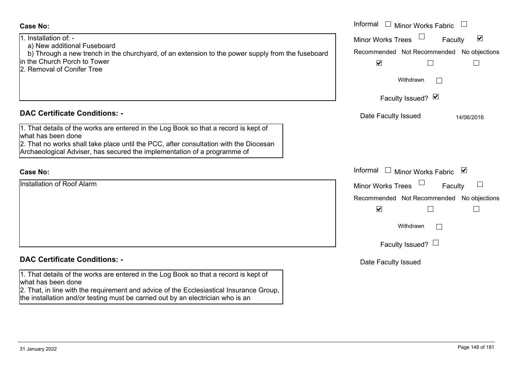| <b>Case No:</b>                                                                                                                                                                                                                                                                          | Informal<br>$\Box$ Minor Works Fabric                                                                                            |
|------------------------------------------------------------------------------------------------------------------------------------------------------------------------------------------------------------------------------------------------------------------------------------------|----------------------------------------------------------------------------------------------------------------------------------|
| 1. Installation of: -<br>a) New additional Fuseboard<br>b) Through a new trench in the churchyard, of an extension to the power supply from the fuseboard<br>lin the Church Porch to Tower<br>2. Removal of Conifer Tree                                                                 | $\blacktriangledown$<br><b>Minor Works Trees</b><br>Faculty<br>Recommended Not Recommended No objections<br>$\blacktriangledown$ |
|                                                                                                                                                                                                                                                                                          | Withdrawn<br>$\mathbf{L}$                                                                                                        |
|                                                                                                                                                                                                                                                                                          | Faculty Issued? Ø                                                                                                                |
| <b>DAC Certificate Conditions: -</b>                                                                                                                                                                                                                                                     | Date Faculty Issued<br>14/06/2016                                                                                                |
| 1. That details of the works are entered in the Log Book so that a record is kept of<br>what has been done<br>2. That no works shall take place until the PCC, after consultation with the Diocesan<br>Archaeological Adviser, has secured the implementation of a programme of          |                                                                                                                                  |
| <b>Case No:</b>                                                                                                                                                                                                                                                                          | Informal $\Box$ Minor Works Fabric<br>⊻                                                                                          |
| <b>Installation of Roof Alarm</b>                                                                                                                                                                                                                                                        | <b>Minor Works Trees</b><br>Faculty                                                                                              |
|                                                                                                                                                                                                                                                                                          | Recommended Not Recommended No objections                                                                                        |
|                                                                                                                                                                                                                                                                                          | $\blacktriangledown$                                                                                                             |
|                                                                                                                                                                                                                                                                                          | Withdrawn<br>$\mathbf{L}$                                                                                                        |
|                                                                                                                                                                                                                                                                                          | Faculty Issued? $\Box$                                                                                                           |
| <b>DAC Certificate Conditions: -</b>                                                                                                                                                                                                                                                     | Date Faculty Issued                                                                                                              |
| 1. That details of the works are entered in the Log Book so that a record is kept of<br>what has been done<br>2. That, in line with the requirement and advice of the Ecclesiastical Insurance Group,<br>the installation and/or testing must be carried out by an electrician who is an |                                                                                                                                  |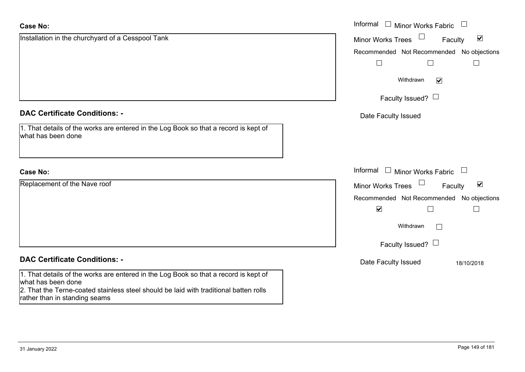| <b>Case No:</b>                                                                                                                                                                                                                      | Informal $\Box$ Minor Works Fabric $\Box$                             |
|--------------------------------------------------------------------------------------------------------------------------------------------------------------------------------------------------------------------------------------|-----------------------------------------------------------------------|
| Installation in the churchyard of a Cesspool Tank                                                                                                                                                                                    | $\Box$<br>$\blacktriangledown$<br>Minor Works Trees<br>Faculty        |
|                                                                                                                                                                                                                                      | Recommended Not Recommended No objections                             |
|                                                                                                                                                                                                                                      | Withdrawn<br>$\blacktriangledown$                                     |
|                                                                                                                                                                                                                                      | Faculty Issued? $\Box$                                                |
| <b>DAC Certificate Conditions: -</b>                                                                                                                                                                                                 | Date Faculty Issued                                                   |
| 1. That details of the works are entered in the Log Book so that a record is kept of<br>what has been done                                                                                                                           |                                                                       |
| <b>Case No:</b>                                                                                                                                                                                                                      | Informal $\Box$ Minor Works Fabric $\Box$                             |
| Replacement of the Nave roof                                                                                                                                                                                                         | $\Box$<br>$\blacktriangledown$<br><b>Minor Works Trees</b><br>Faculty |
|                                                                                                                                                                                                                                      | Recommended Not Recommended No objections                             |
|                                                                                                                                                                                                                                      | $\blacktriangledown$<br>$\mathbf{I}$                                  |
|                                                                                                                                                                                                                                      | Withdrawn                                                             |
|                                                                                                                                                                                                                                      | Faculty Issued? $\Box$                                                |
| <b>DAC Certificate Conditions: -</b>                                                                                                                                                                                                 | Date Faculty Issued<br>18/10/2018                                     |
| 1. That details of the works are entered in the Log Book so that a record is kept of<br>what has been done<br>2. That the Terne-coated stainless steel should be laid with traditional batten rolls<br>rather than in standing seams |                                                                       |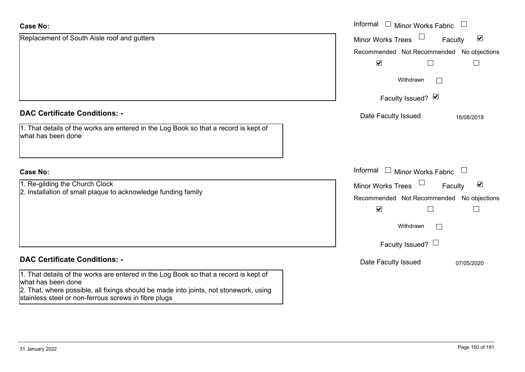| <b>Case No:</b>                                                                                                                                                                                                                                             | Informal □ Minor Works Fabric                                         |
|-------------------------------------------------------------------------------------------------------------------------------------------------------------------------------------------------------------------------------------------------------------|-----------------------------------------------------------------------|
| Replacement of South Aisle roof and gutters                                                                                                                                                                                                                 | $\Box$<br>$\blacktriangledown$<br><b>Minor Works Trees</b><br>Faculty |
|                                                                                                                                                                                                                                                             | Recommended Not Recommended<br>No objections                          |
|                                                                                                                                                                                                                                                             | $\blacktriangledown$<br>L                                             |
|                                                                                                                                                                                                                                                             | Withdrawn<br>$\vert \ \ \vert$                                        |
|                                                                                                                                                                                                                                                             | Faculty Issued? Ø                                                     |
| <b>DAC Certificate Conditions: -</b>                                                                                                                                                                                                                        | Date Faculty Issued<br>16/08/2018                                     |
| 1. That details of the works are entered in the Log Book so that a record is kept of<br>what has been done                                                                                                                                                  |                                                                       |
| <b>Case No:</b>                                                                                                                                                                                                                                             | Informal<br>$\perp$<br>Minor Works Fabric                             |
| 1. Re-gilding the Church Clock                                                                                                                                                                                                                              | $\Box$<br>$\blacktriangledown$<br><b>Minor Works Trees</b><br>Faculty |
| 2. Installation of small plaque to acknowledge funding family                                                                                                                                                                                               | Recommended Not Recommended No objections                             |
|                                                                                                                                                                                                                                                             | $\blacktriangledown$<br>$\Box$                                        |
|                                                                                                                                                                                                                                                             | Withdrawn<br>$\mathbf{L}$                                             |
|                                                                                                                                                                                                                                                             | Faculty Issued? $\Box$                                                |
| <b>DAC Certificate Conditions: -</b>                                                                                                                                                                                                                        | Date Faculty Issued<br>07/05/2020                                     |
| 1. That details of the works are entered in the Log Book so that a record is kept of<br>what has been done<br>2. That, where possible, all fixings should be made into joints, not stonework, using<br>stainless steel or non-ferrous screws in fibre plugs |                                                                       |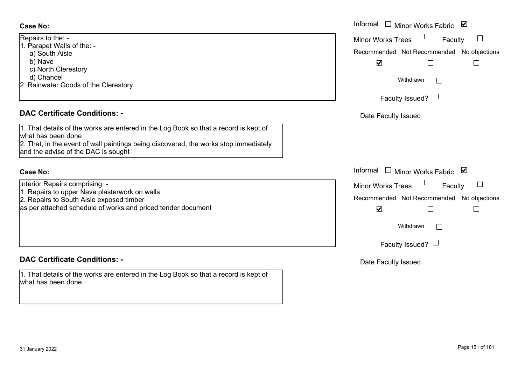#### **Case No:**

| Repairs to the: -                    |
|--------------------------------------|
| 1. Parapet Walls of the: -           |
| a) South Aisle                       |
| b) Nave                              |
| c) North Clerestory                  |
| d) Chancel                           |
| 2. Rainwater Goods of the Clerestory |
|                                      |

# **DAC Certificate Conditions: -**

1. That details of the works are entered in the Log Book so that a record is kept of what has been done 2. That, in the event of wall paintings being discovered, the works stop immediately and the advise of the DAC is sought

#### **Case No:**

Interior Repairs comprising: -

- 1. Repairs to upper Nave plasterwork on walls
- 2. Repairs to South Aisle exposed timber

as per attached schedule of works and priced tender document

# **DAC Certificate Conditions: -**

1. That details of the works are entered in the Log Book so that a record is kept of what has been done

|                                                                                                                                                                                                                                 | Informal $\Box$ Minor Works Fabric<br>⊻                                                                                                                                                                                                        |
|---------------------------------------------------------------------------------------------------------------------------------------------------------------------------------------------------------------------------------|------------------------------------------------------------------------------------------------------------------------------------------------------------------------------------------------------------------------------------------------|
| $o$ the: -<br>et Walls of the: -<br>uth Aisle<br>√e<br>th Clerestory<br>ancel<br>ater Goods of the Clerestory                                                                                                                   | <b>Minor Works Trees</b><br>$\begin{array}{c} \hline \end{array}$<br>Faculty<br>Recommended Not Recommended No objections<br>$\blacktriangledown$<br>$\vert \ \ \vert$<br>Withdrawn<br>Faculty Issued? $\Box$                                  |
| rtificate Conditions: -<br>etails of the works are entered in the Log Book so that a record is kept of<br>been done<br>n the event of wall paintings being discovered, the works stop immediately<br>dvise of the DAC is sought | Date Faculty Issued                                                                                                                                                                                                                            |
| epairs comprising: -<br>s to upper Nave plasterwork on walls<br>s to South Aisle exposed timber<br>tached schedule of works and priced tender document                                                                          | Informal $\Box$ Minor Works Fabric<br>⊻<br>$\Box$<br>Minor Works Trees<br>$\overline{\phantom{a}}$<br>Faculty<br>Recommended Not Recommended No objections<br>$\blacktriangledown$<br>$\vert \ \ \vert$<br>Withdrawn<br>Faculty Issued? $\Box$ |
| rtificate Conditions: -                                                                                                                                                                                                         | Date Faculty Issued                                                                                                                                                                                                                            |
| etails of the works are entered in the Log Book so that a record is kept of<br>been done                                                                                                                                        |                                                                                                                                                                                                                                                |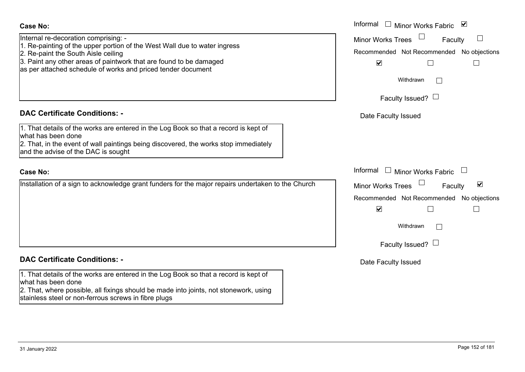| <b>Case No:</b><br>Internal re-decoration comprising: -<br>1. Re-painting of the upper portion of the West Wall due to water ingress<br>2. Re-paint the South Aisle ceiling<br>3. Paint any other areas of paintwork that are found to be damaged<br>as per attached schedule of works and priced tender document | Informal $\Box$ Minor Works Fabric<br>⊻<br>Minor Works Trees<br>Faculty<br>Recommended Not Recommended No objections<br>$\blacktriangledown$<br>П<br>$\mathbf{L}$<br>Withdrawn               |
|-------------------------------------------------------------------------------------------------------------------------------------------------------------------------------------------------------------------------------------------------------------------------------------------------------------------|----------------------------------------------------------------------------------------------------------------------------------------------------------------------------------------------|
|                                                                                                                                                                                                                                                                                                                   | Faculty Issued? $\Box$                                                                                                                                                                       |
| <b>DAC Certificate Conditions: -</b>                                                                                                                                                                                                                                                                              | Date Faculty Issued                                                                                                                                                                          |
| 1. That details of the works are entered in the Log Book so that a record is kept of<br>what has been done<br>2. That, in the event of wall paintings being discovered, the works stop immediately<br>and the advise of the DAC is sought                                                                         |                                                                                                                                                                                              |
| <b>Case No:</b>                                                                                                                                                                                                                                                                                                   | Informal $\Box$ Minor Works Fabric $\Box$                                                                                                                                                    |
| Installation of a sign to acknowledge grant funders for the major repairs undertaken to the Church                                                                                                                                                                                                                | Minor Works Trees<br>$\blacktriangledown$<br>Faculty<br>Recommended Not Recommended No objections<br>$\blacktriangledown$<br>$\overline{\phantom{a}}$<br>Withdrawn<br>Faculty Issued? $\Box$ |
| <b>DAC Certificate Conditions: -</b>                                                                                                                                                                                                                                                                              | Date Faculty Issued                                                                                                                                                                          |
| 1. That details of the works are entered in the Log Book so that a record is kept of<br>what has been done<br>2. That, where possible, all fixings should be made into joints, not stonework, using<br>stainless steel or non-ferrous screws in fibre plugs                                                       |                                                                                                                                                                                              |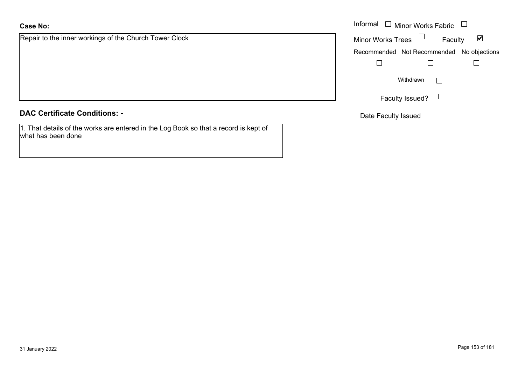# **Case No:**

Repair to the inner workings of the Church Tower Clock

**DAC Certificate Conditions: -**

1. That details of the works are entered in the Log Book so that a record is kept of what has been done

|                                              | Informal $\Box$ Minor Works Fabric $\Box$                   |  |
|----------------------------------------------|-------------------------------------------------------------|--|
| the inner workings of the Church Tower Clock | Minor Works Trees $\Box$<br>$\blacktriangledown$<br>Faculty |  |
|                                              | Recommended Not Recommended No objections                   |  |
|                                              |                                                             |  |
|                                              | Withdrawn                                                   |  |
|                                              | Faculty Issued? $\Box$                                      |  |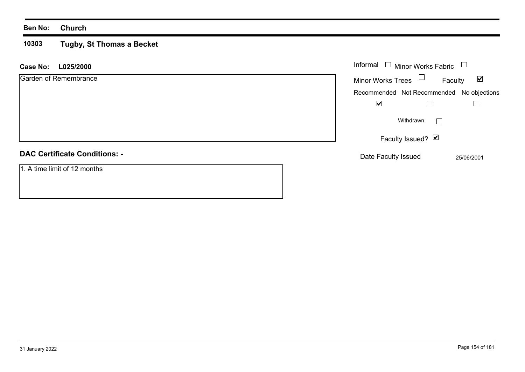#### **Ben No: Church**

#### **10303 Tugby, St Thomas a Becket**

| L025/2000<br><b>Case No:</b>         | Informal $\Box$<br>Minor Works Fabric $\quad \Box$          |
|--------------------------------------|-------------------------------------------------------------|
| Garden of Remembrance                | Minor Works Trees $\Box$<br>$\blacktriangledown$<br>Faculty |
|                                      | Recommended Not Recommended No objections                   |
|                                      | ☑                                                           |
|                                      | Withdrawn                                                   |
|                                      | Faculty Issued? Ø                                           |
| <b>DAC Certificate Conditions: -</b> | Date Faculty Issued<br>25/06/2001                           |
| 1. A time limit of 12 months         |                                                             |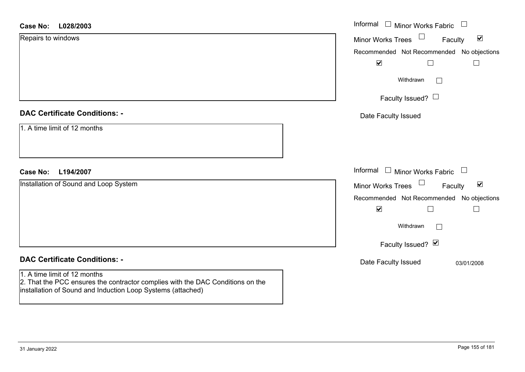| <b>Case No:</b><br>L028/2003                                                                                                                                                  | Informal □ Minor Works Fabric                        |
|-------------------------------------------------------------------------------------------------------------------------------------------------------------------------------|------------------------------------------------------|
| Repairs to windows                                                                                                                                                            | $\blacktriangledown$<br>Minor Works Trees<br>Faculty |
|                                                                                                                                                                               | Recommended Not Recommended No objections            |
|                                                                                                                                                                               | $\blacktriangledown$<br>$\perp$                      |
|                                                                                                                                                                               | Withdrawn<br>$\Box$                                  |
|                                                                                                                                                                               | Faculty Issued? $\Box$                               |
| <b>DAC Certificate Conditions: -</b>                                                                                                                                          | Date Faculty Issued                                  |
| 1. A time limit of 12 months                                                                                                                                                  |                                                      |
|                                                                                                                                                                               |                                                      |
|                                                                                                                                                                               |                                                      |
| <b>Case No:</b><br>L194/2007                                                                                                                                                  | Informal $\Box$ Minor Works Fabric                   |
| Installation of Sound and Loop System                                                                                                                                         | Minor Works Trees<br>$\blacktriangledown$<br>Faculty |
|                                                                                                                                                                               | Recommended Not Recommended No objections            |
|                                                                                                                                                                               | $\blacktriangledown$                                 |
|                                                                                                                                                                               | Withdrawn<br>$\Box$                                  |
|                                                                                                                                                                               | Faculty Issued? Ø                                    |
| <b>DAC Certificate Conditions: -</b>                                                                                                                                          | Date Faculty Issued<br>03/01/2008                    |
| 1. A time limit of 12 months<br>2. That the PCC ensures the contractor complies with the DAC Conditions on the<br>installation of Sound and Induction Loop Systems (attached) |                                                      |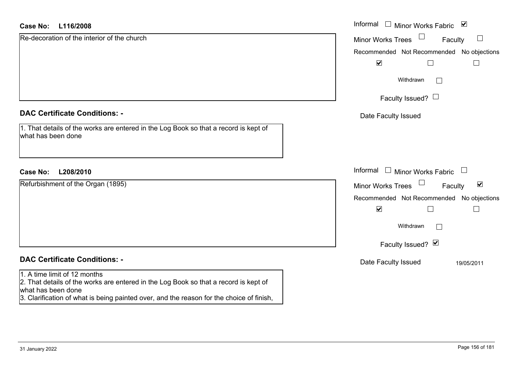| L116/2008<br><b>Case No:</b>                                                                                                     | Informal □ Minor Works Fabric ⊠                      |
|----------------------------------------------------------------------------------------------------------------------------------|------------------------------------------------------|
| Re-decoration of the interior of the church                                                                                      | $\Box$<br>Minor Works Trees<br>Faculty               |
|                                                                                                                                  | Recommended Not Recommended No objections            |
|                                                                                                                                  | $\blacktriangledown$                                 |
|                                                                                                                                  | Withdrawn                                            |
|                                                                                                                                  | Faculty Issued? $\Box$                               |
| <b>DAC Certificate Conditions: -</b>                                                                                             | Date Faculty Issued                                  |
| 1. That details of the works are entered in the Log Book so that a record is kept of<br>what has been done                       |                                                      |
|                                                                                                                                  | Informal $\Box$ Minor Works Fabric $\Box$            |
| <b>Case No:</b><br>L208/2010                                                                                                     |                                                      |
| Refurbishment of the Organ (1895)                                                                                                | $\blacktriangledown$<br>Minor Works Trees<br>Faculty |
|                                                                                                                                  | Recommended Not Recommended No objections            |
|                                                                                                                                  | $\blacktriangledown$                                 |
|                                                                                                                                  | Withdrawn                                            |
|                                                                                                                                  | Faculty Issued? Ø                                    |
| <b>DAC Certificate Conditions: -</b>                                                                                             | Date Faculty Issued<br>19/05/2011                    |
| 1. A time limit of 12 months                                                                                                     |                                                      |
| 2. That details of the works are entered in the Log Book so that a record is kept of<br>what has been done                       |                                                      |
| $\alpha$ . Obtaining the contract of the contract of the contract of the contract of $f$ and $f$ and $f$ and $f$ and $f$ and $f$ |                                                      |

3. Clarification of what is being painted over, and the reason for the choice of finish,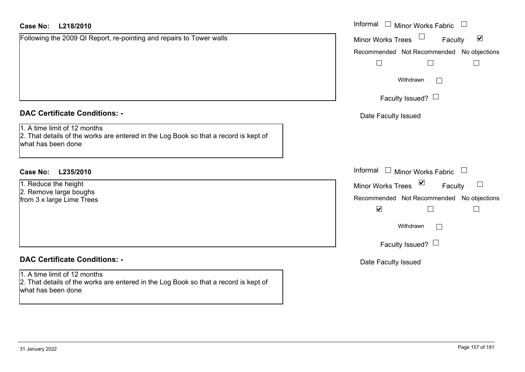# **DAC Certificate Conditions: -**

# **DAC Certificate Conditions: -**

1. A time limit of 12 months 2. That details of the works are entered in the Log Book so that a record is kept of what has been done

| <b>Case No:</b><br>L218/2010                                                                                                                                                       | Informal $\square$<br>Minor Works Fabric<br>$\Box$                                                                                                        |
|------------------------------------------------------------------------------------------------------------------------------------------------------------------------------------|-----------------------------------------------------------------------------------------------------------------------------------------------------------|
| Following the 2009 QI Report, re-pointing and repairs to Tower walls                                                                                                               | $\blacktriangledown$<br><b>Minor Works Trees</b><br>Faculty<br>Recommended Not Recommended No objections<br>Withdrawn<br>$\vert \ \ \vert$                |
| <b>DAC Certificate Conditions: -</b><br>1. A time limit of 12 months<br>2. That details of the works are entered in the Log Book so that a record is kept of<br>what has been done | Faculty Issued? $\Box$<br>Date Faculty Issued                                                                                                             |
| <b>Case No:</b><br>L235/2010<br>1. Reduce the height<br>2. Remove large boughs<br>from 3 x large Lime Trees                                                                        | Informal $\square$<br>Minor Works Fabric<br>Minor Works Trees ⊠<br>$\Box$<br>Faculty<br>Recommended Not Recommended No objections<br>$\blacktriangledown$ |
| <b>DAC Certificate Conditions: -</b>                                                                                                                                               | Withdrawn<br>$\Box$<br>Faculty Issued? $\Box$<br>Date Faculty Issued                                                                                      |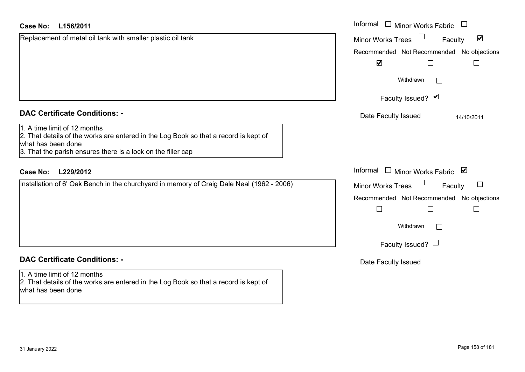| <b>Case No:</b><br>L156/2011                                                                                                                                                                               | Informal $\Box$ Minor Works Fabric $\Box$                   |
|------------------------------------------------------------------------------------------------------------------------------------------------------------------------------------------------------------|-------------------------------------------------------------|
| Replacement of metal oil tank with smaller plastic oil tank                                                                                                                                                | $\blacktriangledown$<br><b>Minor Works Trees</b><br>Faculty |
|                                                                                                                                                                                                            | Recommended Not Recommended No objections                   |
|                                                                                                                                                                                                            | $\blacktriangledown$<br>⊔<br>$\Box$                         |
|                                                                                                                                                                                                            | Withdrawn                                                   |
|                                                                                                                                                                                                            | Faculty Issued? Ø                                           |
| <b>DAC Certificate Conditions: -</b>                                                                                                                                                                       | Date Faculty Issued<br>14/10/2011                           |
| 1. A time limit of 12 months<br>2. That details of the works are entered in the Log Book so that a record is kept of<br>what has been done<br>3. That the parish ensures there is a lock on the filler cap |                                                             |
| <b>Case No:</b><br>L229/2012                                                                                                                                                                               | Informal<br>$\Box$ Minor Works Fabric $\Box$                |
| Installation of 6' Oak Bench in the churchyard in memory of Craig Dale Neal (1962 - 2006)                                                                                                                  | Minor Works Trees<br>$\sqcup$<br>Faculty                    |
|                                                                                                                                                                                                            | Recommended Not Recommended No objections                   |
|                                                                                                                                                                                                            | $\Box$<br>$\mathbb{L}$                                      |
|                                                                                                                                                                                                            | Withdrawn                                                   |
|                                                                                                                                                                                                            | Faculty Issued? $\Box$                                      |
| <b>DAC Certificate Conditions: -</b>                                                                                                                                                                       | Date Faculty Issued                                         |
| 1. A time limit of 12 months<br>2. That details of the works are entered in the Log Book so that a record is kept of<br>what has been done                                                                 |                                                             |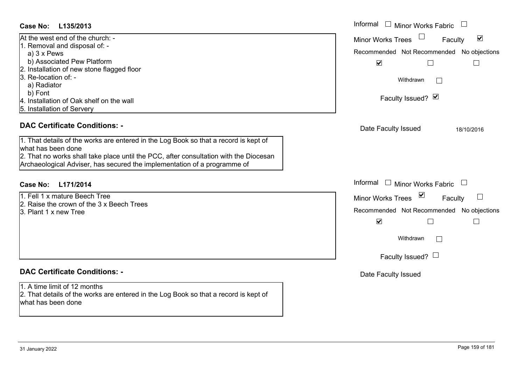| At the west end of the church: -           |  |
|--------------------------------------------|--|
| 1. Removal and disposal of: -              |  |
| a) $3 \times$ Pews                         |  |
| b) Associated Pew Platform                 |  |
| 2. Installation of new stone flagged floor |  |
| 3. Re-location of: -                       |  |
| a) Radiator                                |  |
| b) Font                                    |  |
| 4. Installation of Oak shelf on the wall   |  |
| 5. Installation of Servery                 |  |

### **DAC Certificate Conditions: -**

- 1. Fell 1 x mature Beech Tree
- 2. Raise the crown of the 3 x Beech Trees
- 3. Plant 1 x new Tree

#### **DAC Certificate Conditions: -**

1. A time limit of 12 months2. That details of the works are entered in the Log Book so that a record is kept of what has been done

| Case No:<br>L135/2013                                                                                                                                                                                                                                                                                                   | Informal $\Box$ Minor Works Fabric                                                                                                                                  |
|-------------------------------------------------------------------------------------------------------------------------------------------------------------------------------------------------------------------------------------------------------------------------------------------------------------------------|---------------------------------------------------------------------------------------------------------------------------------------------------------------------|
| At the west end of the church: -<br>1. Removal and disposal of: -<br>a) $3 \times$ Pews                                                                                                                                                                                                                                 | $\blacktriangledown$<br><b>Minor Works Trees</b><br>Faculty<br>Recommended Not Recommended No objections                                                            |
| b) Associated Pew Platform<br>2. Installation of new stone flagged floor<br>3. Re-location of: -<br>a) Radiator<br>b) Font<br>4. Installation of Oak shelf on the wall<br>5. Installation of Servery                                                                                                                    | $\blacktriangledown$<br>$\Box$<br>Withdrawn<br>Faculty Issued? Ø                                                                                                    |
| <b>DAC Certificate Conditions: -</b><br>1. That details of the works are entered in the Log Book so that a record is kept of<br>what has been done<br>2. That no works shall take place until the PCC, after consultation with the Diocesan<br>Archaeological Adviser, has secured the implementation of a programme of | Date Faculty Issued<br>18/10/2016                                                                                                                                   |
| Case No:<br>L171/2014                                                                                                                                                                                                                                                                                                   | Informal $\Box$ Minor Works Fabric $\Box$                                                                                                                           |
| 1. Fell 1 x mature Beech Tree<br>2. Raise the crown of the 3 x Beech Trees<br>3. Plant 1 x new Tree                                                                                                                                                                                                                     | $\sum$<br><b>Minor Works Trees</b><br>Faculty<br>Recommended Not Recommended No objections<br>$\blacktriangledown$<br>$\Box$<br>Withdrawn<br>Faculty Issued? $\Box$ |
| <b>DAC Certificate Conditions: -</b>                                                                                                                                                                                                                                                                                    | Date Faculty Issued                                                                                                                                                 |
| 1. A time limit of 12 months                                                                                                                                                                                                                                                                                            |                                                                                                                                                                     |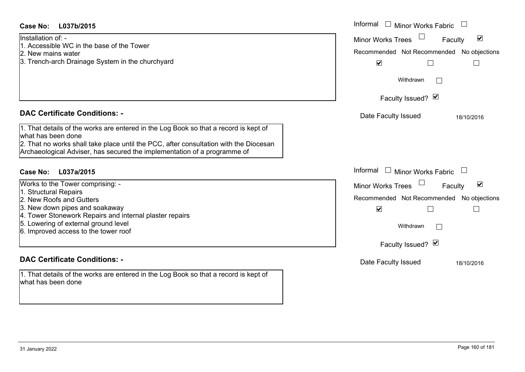| <b>Case No:</b><br>L037b/2015                                                                                                                                                                                                                                                   | Informal<br>Minor Works Fabric                                                                                                                   |
|---------------------------------------------------------------------------------------------------------------------------------------------------------------------------------------------------------------------------------------------------------------------------------|--------------------------------------------------------------------------------------------------------------------------------------------------|
| Installation of: -<br>1. Accessible WC in the base of the Tower<br>2. New mains water<br>3. Trench-arch Drainage System in the churchyard                                                                                                                                       | $\blacktriangledown$<br><b>Minor Works Trees</b><br>Faculty<br>Recommended Not Recommended<br>No objections<br>$\blacktriangledown$              |
|                                                                                                                                                                                                                                                                                 | Withdrawn                                                                                                                                        |
|                                                                                                                                                                                                                                                                                 | Faculty Issued? Ø                                                                                                                                |
| <b>DAC Certificate Conditions: -</b>                                                                                                                                                                                                                                            | Date Faculty Issued<br>18/10/2016                                                                                                                |
| 1. That details of the works are entered in the Log Book so that a record is kept of<br>what has been done<br>2. That no works shall take place until the PCC, after consultation with the Diocesan<br>Archaeological Adviser, has secured the implementation of a programme of |                                                                                                                                                  |
| Case No:<br>L037a/2015                                                                                                                                                                                                                                                          | Informal<br>$\Box$<br><b>Minor Works Fabric</b>                                                                                                  |
| Works to the Tower comprising: -<br>1. Structural Repairs<br>2. New Roofs and Gutters<br>3. New down pipes and soakaway<br>4. Tower Stonework Repairs and internal plaster repairs<br>5. Lowering of external ground level<br>6. Improved access to the tower roof              | $\blacktriangledown$<br>Minor Works Trees<br>Faculty<br>Recommended Not Recommended No objections<br>$\blacktriangledown$<br>Withdrawn<br>$\Box$ |
| <b>DAC Certificate Conditions: -</b>                                                                                                                                                                                                                                            | Faculty Issued? Ø<br>Date Faculty Issued                                                                                                         |
| 1. That details of the works are entered in the Log Book so that a record is kept of<br>what has been done                                                                                                                                                                      | 18/10/2016                                                                                                                                       |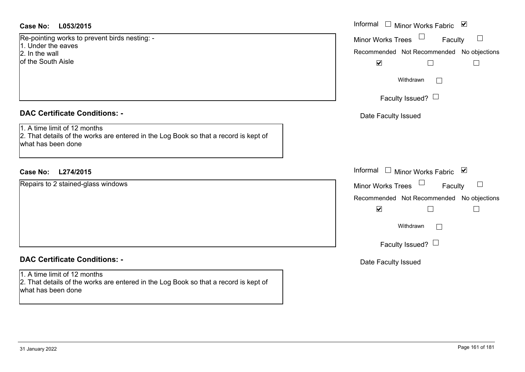### **L053/2015Case No:** Informal

Re-pointing works to prevent birds nesting: - 1. Under the eaves2. In the wallof the South Aisle

# **DAC Certificate Conditions: -**

1. A time limit of 12 months 2. That details of the works are entered in the Log Book so that a record is kept of what has been done

# **L274/2015Case No:** Informal

Repairs to 2 stained-glass windows

# **DAC Certificate Conditions: -**

1. A time limit of 12 months 2. That details of the works are entered in the Log Book so that a record is kept of what has been done

| Informal<br>☑<br><b>Minor Works Fabric</b>                        |
|-------------------------------------------------------------------|
| <b>Minor Works Trees</b><br>Faculty                               |
| Recommended Not Recommended No objections<br>$\blacktriangledown$ |
| Withdrawn                                                         |
| Faculty Issued? $\Box$                                            |
| Date Faculty Issued                                               |
|                                                                   |
|                                                                   |
| Informal<br>Minor Works Fabric ⊠                                  |
| <b>Minor Works Trees</b><br>Faculty                               |
| Recommended Not Recommended No objections<br>$\blacktriangledown$ |
| Withdrawn                                                         |
| Faculty Issued? $\Box$                                            |
| Date Faculty Issued                                               |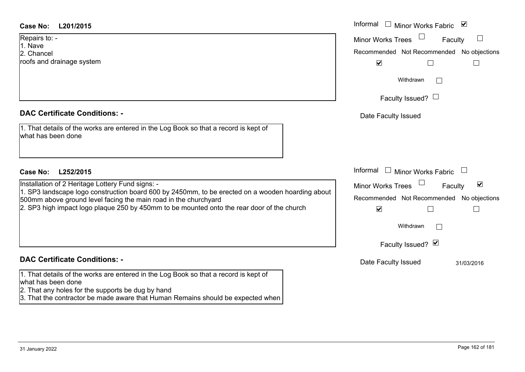# **DAC Certificate Conditions: -**

| 1. That details of the works are entered in the Log Book so that a record is kept of |  |
|--------------------------------------------------------------------------------------|--|
| what has been done                                                                   |  |

# **DAC Certificate Conditions: -**

1. That details of the works are entered in the Log Book so that a record is kept of what has been done

2. That any holes for the supports be dug by hand

3. That the contractor be made aware that Human Remains should be expected when

| <b>Case No:</b><br>L201/2015                                                                                                                                        | Informal $\Box$ Minor Works Fabric<br>⊻              |
|---------------------------------------------------------------------------------------------------------------------------------------------------------------------|------------------------------------------------------|
| Repairs to: -<br>1. Nave                                                                                                                                            | <b>Minor Works Trees</b><br>Faculty                  |
| 2. Chancel                                                                                                                                                          | Recommended Not Recommended No objections            |
| roofs and drainage system                                                                                                                                           | $\blacktriangledown$                                 |
|                                                                                                                                                                     | Withdrawn<br>$\mathbf{L}$                            |
|                                                                                                                                                                     | Faculty Issued? $\Box$                               |
| <b>DAC Certificate Conditions: -</b>                                                                                                                                | Date Faculty Issued                                  |
| 1. That details of the works are entered in the Log Book so that a record is kept of<br>what has been done                                                          |                                                      |
| Case No:<br>L252/2015                                                                                                                                               | Informal $\Box$ Minor Works Fabric $\Box$            |
| Installation of 2 Heritage Lottery Fund signs: -                                                                                                                    | $\blacktriangledown$<br>Minor Works Trees<br>Faculty |
| 1. SP3 landscape logo construction board 600 by 2450mm, to be erected on a wooden hoarding about<br>500mm above ground level facing the main road in the churchyard | Recommended Not Recommended No objections            |
| 2. SP3 high impact logo plaque 250 by 450mm to be mounted onto the rear door of the church                                                                          | $\blacktriangledown$                                 |
|                                                                                                                                                                     | Withdrawn<br>$\mathbf{L}$                            |
|                                                                                                                                                                     | Faculty Issued? Ø                                    |
| <b>DAC Certificate Conditions: -</b>                                                                                                                                | Date Faculty Issued<br>31/03/2016                    |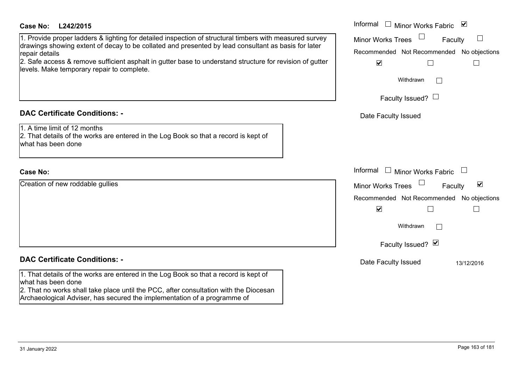#### **L242/2015Case No:** Informal

1. Provide proper ladders & lighting for detailed inspection of structural timbers with measured survey drawings showing extent of decay to be collated and presented by lead consultant as basis for later repair details

2. Safe access & remove sufficient asphalt in gutter base to understand structure for revision of gutter levels. Make temporary repair to complete.

### **DAC Certificate Conditions: -**

1. A time limit of 12 months

2. That details of the works are entered in the Log Book so that a record is kept of what has been done

#### **Case No:**

Creation of new roddable gullies

### **DAC Certificate Conditions: -**

1. That details of the works are entered in the Log Book so that a record is kept of what has been done

2. That no works shall take place until the PCC, after consultation with the Diocesan Archaeological Adviser, has secured the implementation of a programme of

| L242/2015                                                                                                                                                                                                                                                                                                                                     | Informal $\Box$<br>$\blacktriangledown$<br><b>Minor Works Fabric</b>                                                                            |
|-----------------------------------------------------------------------------------------------------------------------------------------------------------------------------------------------------------------------------------------------------------------------------------------------------------------------------------------------|-------------------------------------------------------------------------------------------------------------------------------------------------|
| e proper ladders & lighting for detailed inspection of structural timbers with measured survey<br>showing extent of decay to be collated and presented by lead consultant as basis for later<br>tails<br>ccess & remove sufficient asphalt in gutter base to understand structure for revision of gutter<br>ake temporary repair to complete. | <b>Minor Works Trees</b><br>Faculty<br>Recommended Not Recommended No objections<br>$\blacktriangledown$<br>Withdrawn<br>Faculty Issued? $\Box$ |
| rtificate Conditions: -                                                                                                                                                                                                                                                                                                                       | Date Faculty Issued                                                                                                                             |
| limit of 12 months<br>etails of the works are entered in the Log Book so that a record is kept of<br>been done                                                                                                                                                                                                                                |                                                                                                                                                 |
|                                                                                                                                                                                                                                                                                                                                               | Informal<br><b>Minor Works Fabric</b>                                                                                                           |
| of new roddable gullies                                                                                                                                                                                                                                                                                                                       | $\blacktriangledown$<br>Minor Works Trees<br>Faculty<br>Recommended Not Recommended No objections<br>$\blacktriangledown$                       |
|                                                                                                                                                                                                                                                                                                                                               | Withdrawn<br>Faculty Issued? Ø                                                                                                                  |
| rtificate Conditions: -                                                                                                                                                                                                                                                                                                                       | Date Faculty Issued<br>13/12/2016                                                                                                               |
| etails of the works are entered in the Log Book so that a record is kent of                                                                                                                                                                                                                                                                   |                                                                                                                                                 |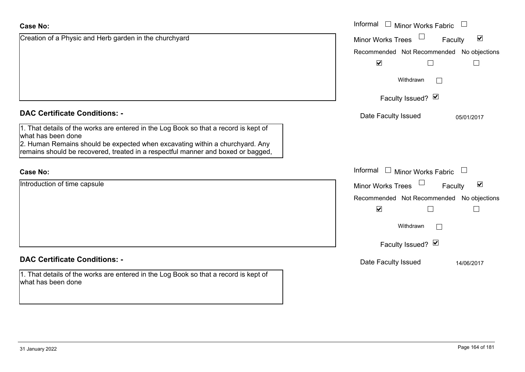| <b>Case No:</b>                                                                                                                                                                                                                                                                | Informal $\Box$ Minor Works Fabric $\Box$                   |
|--------------------------------------------------------------------------------------------------------------------------------------------------------------------------------------------------------------------------------------------------------------------------------|-------------------------------------------------------------|
| Creation of a Physic and Herb garden in the churchyard                                                                                                                                                                                                                         | $\blacktriangledown$<br><b>Minor Works Trees</b><br>Faculty |
|                                                                                                                                                                                                                                                                                | Recommended Not Recommended No objections                   |
|                                                                                                                                                                                                                                                                                | $\blacktriangledown$                                        |
|                                                                                                                                                                                                                                                                                | Withdrawn                                                   |
|                                                                                                                                                                                                                                                                                | Faculty Issued? Ø                                           |
| <b>DAC Certificate Conditions: -</b>                                                                                                                                                                                                                                           | Date Faculty Issued<br>05/01/2017                           |
| 1. That details of the works are entered in the Log Book so that a record is kept of<br>what has been done<br>2. Human Remains should be expected when excavating within a churchyard. Any<br>remains should be recovered, treated in a respectful manner and boxed or bagged, |                                                             |
| <b>Case No:</b>                                                                                                                                                                                                                                                                | Informal $\Box$ Minor Works Fabric $\Box$                   |
| Introduction of time capsule                                                                                                                                                                                                                                                   | $\blacktriangledown$<br>Minor Works Trees<br>Faculty        |
|                                                                                                                                                                                                                                                                                | Recommended Not Recommended No objections                   |
|                                                                                                                                                                                                                                                                                | $\blacktriangledown$                                        |
|                                                                                                                                                                                                                                                                                | Withdrawn                                                   |
|                                                                                                                                                                                                                                                                                | Faculty Issued? Ø                                           |
| <b>DAC Certificate Conditions: -</b>                                                                                                                                                                                                                                           | Date Faculty Issued<br>14/06/2017                           |
| 1. That details of the works are entered in the Log Book so that a record is kept of<br>what has been done                                                                                                                                                                     |                                                             |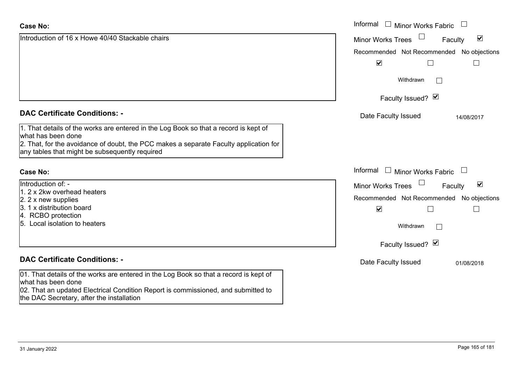| <b>Case No:</b>                                                                                                                                                                                                                                       | Informal<br>$\Box$<br>$\Box$<br><b>Minor Works Fabric</b>                  |
|-------------------------------------------------------------------------------------------------------------------------------------------------------------------------------------------------------------------------------------------------------|----------------------------------------------------------------------------|
| Introduction of 16 x Howe 40/40 Stackable chairs                                                                                                                                                                                                      | $\blacktriangledown$<br><b>Minor Works Trees</b><br>Faculty                |
|                                                                                                                                                                                                                                                       | Recommended Not Recommended No objections                                  |
|                                                                                                                                                                                                                                                       | $\blacktriangledown$                                                       |
|                                                                                                                                                                                                                                                       | Withdrawn                                                                  |
|                                                                                                                                                                                                                                                       | Faculty Issued? Ø                                                          |
| <b>DAC Certificate Conditions: -</b>                                                                                                                                                                                                                  | Date Faculty Issued<br>14/08/2017                                          |
| 1. That details of the works are entered in the Log Book so that a record is kept of<br>what has been done<br>2. That, for the avoidance of doubt, the PCC makes a separate Faculty application for<br>any tables that might be subsequently required |                                                                            |
| <b>Case No:</b>                                                                                                                                                                                                                                       | Informal<br>Minor Works Fabric<br>$\mathbf{1}$<br>$\overline{\phantom{0}}$ |
| Introduction of: -<br>1. 2 x 2kw overhead heaters                                                                                                                                                                                                     | $\blacktriangledown$<br><b>Minor Works Trees</b><br>Faculty                |
| 2. 2 x new supplies                                                                                                                                                                                                                                   | Recommended Not Recommended No objections                                  |
| 3. 1 x distribution board                                                                                                                                                                                                                             | $\blacktriangledown$                                                       |
| 4. RCBO protection<br>5. Local isolation to heaters                                                                                                                                                                                                   | Withdrawn                                                                  |
|                                                                                                                                                                                                                                                       | Faculty Issued? Ø                                                          |
| <b>DAC Certificate Conditions: -</b>                                                                                                                                                                                                                  | Date Faculty Issued<br>01/08/2018                                          |
| 01. That details of the works are entered in the Log Book so that a record is kept of<br>what has been done<br>02. That an updated Electrical Condition Report is commissioned, and submitted to<br>the DAC Secretary, after the installation         |                                                                            |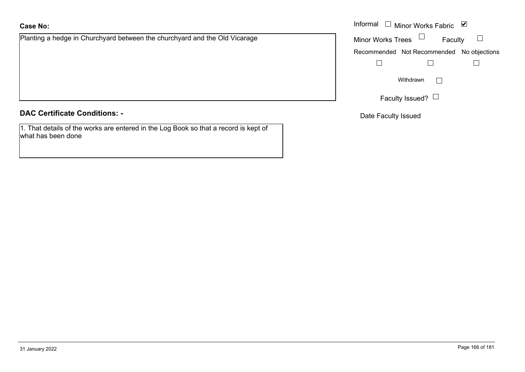# **Case No:**

Planting a hedge in Churchyard between the churchyard and the Old Vicarage

#### **DAC Certificate Conditions: -**

1. That details of the works are entered in the Log Book so that a record is kept of what has been done

|                                                                   | Informal $\Box$ Minor Works Fabric $\Box$ |
|-------------------------------------------------------------------|-------------------------------------------|
| a hedge in Churchyard between the churchyard and the Old Vicarage | <b>Minor Works Trees</b><br>Faculty       |
|                                                                   | Recommended Not Recommended No objections |
|                                                                   |                                           |
|                                                                   | Withdrawn                                 |
|                                                                   | Faculty Issued? $\Box$                    |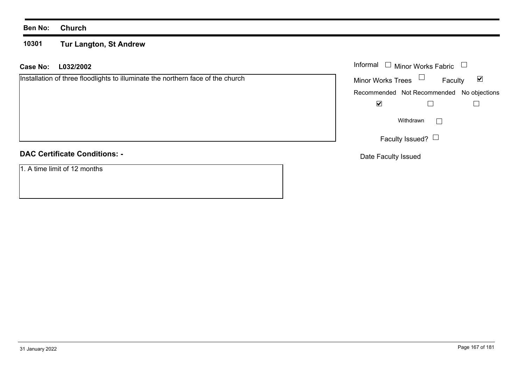#### **Ben No: Church**

#### **10301 Tur Langton, St Andrew**

|  | Case No: L032/2002 | Informal |  |
|--|--------------------|----------|--|
|--|--------------------|----------|--|

|  |  | <b>DAC Certificate Conditions: -</b> |  |
|--|--|--------------------------------------|--|
|--|--|--------------------------------------|--|

1. A time limit of 12 months

| Informal<br>$\Box$ Minor Works Fabric     |                        |         |  |
|-------------------------------------------|------------------------|---------|--|
| <b>Minor Works Trees</b>                  |                        | Faculty |  |
| Recommended Not Recommended No objections |                        |         |  |
|                                           |                        |         |  |
|                                           | Withdrawn              |         |  |
|                                           | Faculty Issued? $\Box$ |         |  |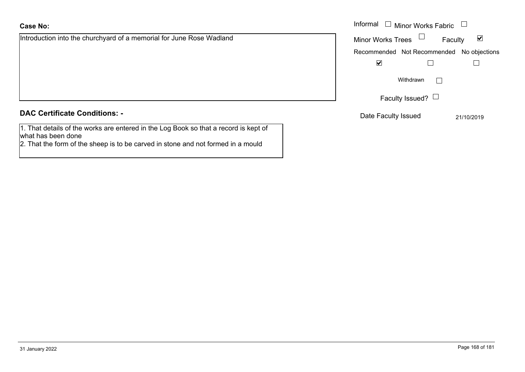Introduction into the churchyard of a memorial for June Rose Wadland

| <b>DAC Certificate Conditions: -</b> |  |
|--------------------------------------|--|
|--------------------------------------|--|

1. That details of the works are entered in the Log Book so that a record is kept of what has been done

2. That the form of the sheep is to be carved in stone and not formed in a mould

|                                                             | Informal<br>Minor Works Fabric $\Box$<br>$\Box$ |                                 |
|-------------------------------------------------------------|-------------------------------------------------|---------------------------------|
| ion into the churchyard of a memorial for June Rose Wadland | Minor Works Trees $\Box$                        | $\blacktriangledown$<br>Faculty |
|                                                             | Recommended Not Recommended No objections       |                                 |
|                                                             | $\blacktriangledown$                            |                                 |
|                                                             | Withdrawn                                       |                                 |
|                                                             | Faculty Issued? $\Box$                          |                                 |
| rtificate Conditions: -                                     | Date Faculty Issued                             | 21/10/2019                      |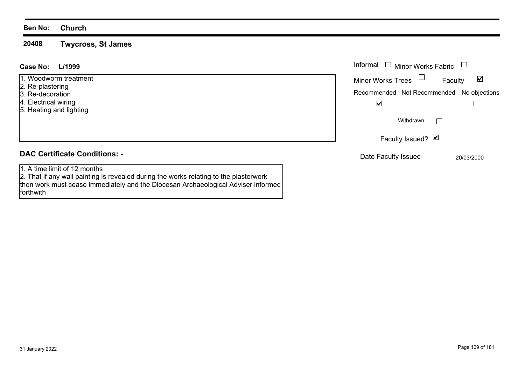#### **Ben No: Church**

**20408Twycross, St James**

#### Informal  $\Box$  Minor Works Fabric  $\Box$  Informal **L/1999Case No:**1. Woodworm treatment $\blacktriangledown$ Faculty Minor Works Trees 2. Re-plastering Recommended Not Recommended No objections 3. Re-decoration 4. Electrical wiring  $\overline{\mathbf{v}}$  $\Box$  $\Box$ 5. Heating and lighting  $\Box$ WithdrawnFaculty Issued? Ø **DAC Certificate Conditions: -**Date Faculty Issued 20/03/2000 1. A time limit of 12 months2. That if any wall painting is revealed during the works relating to the plasterwork

then work must cease immediately and the Diocesan Archaeological Adviser informed forthwith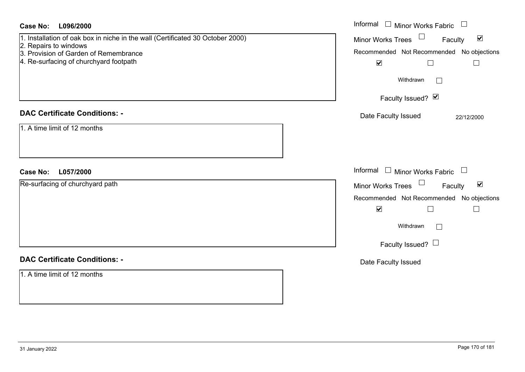| <b>Case No:</b><br>L096/2000                                                                                                                                                               | Informal □ Minor Works Fabric □                                                                                                                                                                      |
|--------------------------------------------------------------------------------------------------------------------------------------------------------------------------------------------|------------------------------------------------------------------------------------------------------------------------------------------------------------------------------------------------------|
| 1. Installation of oak box in niche in the wall (Certificated 30 October 2000)<br>2. Repairs to windows<br>3. Provision of Garden of Remembrance<br>4. Re-surfacing of churchyard footpath | Minor Works Trees $\Box$<br>$\blacktriangledown$<br>Faculty<br>Recommended Not Recommended No objections<br>$\blacktriangledown$<br>$\Box$<br>$\Box$<br>Withdrawn<br>$\Box$                          |
|                                                                                                                                                                                            | Faculty Issued? Ø                                                                                                                                                                                    |
| <b>DAC Certificate Conditions: -</b>                                                                                                                                                       | Date Faculty Issued<br>22/12/2000                                                                                                                                                                    |
| 1. A time limit of 12 months                                                                                                                                                               |                                                                                                                                                                                                      |
| <b>Case No:</b><br>L057/2000                                                                                                                                                               | Informal $\Box$ Minor Works Fabric $\Box$                                                                                                                                                            |
| Re-surfacing of churchyard path                                                                                                                                                            | Minor Works Trees<br>$\blacktriangledown$<br>Faculty<br>Recommended Not Recommended No objections<br>$\blacktriangledown$<br>$\Box$<br>$\mathbf{L}$<br>Withdrawn<br>$\Box$<br>Faculty Issued? $\Box$ |
| <b>DAC Certificate Conditions: -</b>                                                                                                                                                       | Date Faculty Issued                                                                                                                                                                                  |
| 1. A time limit of 12 months                                                                                                                                                               |                                                                                                                                                                                                      |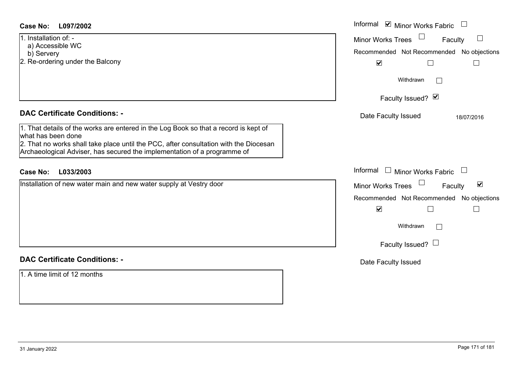| <b>Case No:</b><br>L097/2002                                                                                                                                                                                                                                                                                            | Informal <b>v</b> Minor Works Fabric                                                                        |
|-------------------------------------------------------------------------------------------------------------------------------------------------------------------------------------------------------------------------------------------------------------------------------------------------------------------------|-------------------------------------------------------------------------------------------------------------|
| 1. Installation of: -<br>a) Accessible WC<br>b) Servery<br>2. Re-ordering under the Balcony                                                                                                                                                                                                                             | Minor Works Trees<br>Faculty<br>$\Box$<br>Recommended Not Recommended No objections<br>$\blacktriangledown$ |
|                                                                                                                                                                                                                                                                                                                         | Withdrawn<br>$\Box$                                                                                         |
|                                                                                                                                                                                                                                                                                                                         | Faculty Issued? Ø                                                                                           |
| <b>DAC Certificate Conditions: -</b><br>1. That details of the works are entered in the Log Book so that a record is kept of<br>what has been done<br>2. That no works shall take place until the PCC, after consultation with the Diocesan<br>Archaeological Adviser, has secured the implementation of a programme of | Date Faculty Issued<br>18/07/2016                                                                           |
| L033/2003<br><b>Case No:</b>                                                                                                                                                                                                                                                                                            | Informal<br>$\Box$ Minor Works Fabric<br>$\begin{array}{c} \hline \end{array}$                              |
| Installation of new water main and new water supply at Vestry door                                                                                                                                                                                                                                                      | Minor Works Trees<br>$\blacktriangledown$<br>Faculty                                                        |
|                                                                                                                                                                                                                                                                                                                         | Recommended Not Recommended No objections                                                                   |
|                                                                                                                                                                                                                                                                                                                         | $\blacktriangledown$<br>$\Box$                                                                              |
|                                                                                                                                                                                                                                                                                                                         | Withdrawn<br>$\Box$                                                                                         |
|                                                                                                                                                                                                                                                                                                                         | Faculty Issued? $\Box$                                                                                      |
| <b>DAC Certificate Conditions: -</b>                                                                                                                                                                                                                                                                                    | Date Faculty Issued                                                                                         |
| 1. A time limit of 12 months                                                                                                                                                                                                                                                                                            |                                                                                                             |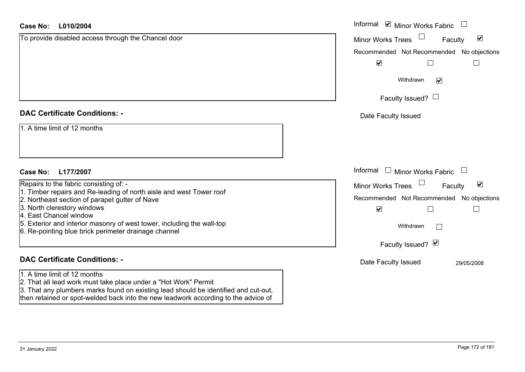| <b>Case No:</b><br>L010/2004                                                                                                                           | Informal ⊠ Minor Works Fabric                               |
|--------------------------------------------------------------------------------------------------------------------------------------------------------|-------------------------------------------------------------|
| To provide disabled access through the Chancel door                                                                                                    | $\blacktriangledown$<br>Minor Works Trees<br>Faculty        |
|                                                                                                                                                        | Recommended Not Recommended No objections                   |
|                                                                                                                                                        | $\blacktriangledown$                                        |
|                                                                                                                                                        | Withdrawn<br>$\blacktriangledown$                           |
|                                                                                                                                                        | Faculty Issued? $\Box$                                      |
| <b>DAC Certificate Conditions: -</b>                                                                                                                   | Date Faculty Issued                                         |
| 1. A time limit of 12 months                                                                                                                           |                                                             |
|                                                                                                                                                        |                                                             |
|                                                                                                                                                        |                                                             |
| L177/2007<br><b>Case No:</b>                                                                                                                           | Informal $\Box$ Minor Works Fabric $\Box$                   |
| Repairs to the fabric consisting of: -                                                                                                                 | $\blacktriangledown$<br><b>Minor Works Trees</b><br>Faculty |
| 1. Timber repairs and Re-leading of north aisle and west Tower roof<br>2. Northeast section of parapet gutter of Nave                                  | Recommended Not Recommended No objections                   |
| 3. North clerestory windows<br>4. East Chancel window                                                                                                  | $\blacktriangledown$                                        |
| 5. Exterior and interior masonry of west tower, including the wall-top<br>6. Re-pointing blue brick perimeter drainage channel                         | Withdrawn<br>$\Box$                                         |
|                                                                                                                                                        | Faculty Issued? $\blacksquare$                              |
| <b>DAC Certificate Conditions: -</b>                                                                                                                   | Date Faculty Issued<br>29/05/2008                           |
| 1. A time limit of 12 months                                                                                                                           |                                                             |
| 2. That all lead work must take place under a "Hot Work" Permit<br>3. That any plumbers marks found on existing lead should be identified and cut-out, |                                                             |

then retained or spot-welded back into the new leadwork according to the advice of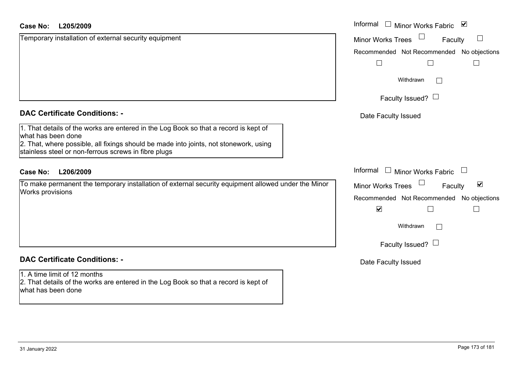#### **L205/2009Case No:**

| <b>Case No:</b><br>L205/2009                                                                                                                                                                                                                                | Informal<br>$\mathbf{I}$<br><b>Minor Works Fabric</b>                                     |
|-------------------------------------------------------------------------------------------------------------------------------------------------------------------------------------------------------------------------------------------------------------|-------------------------------------------------------------------------------------------|
| Temporary installation of external security equipment                                                                                                                                                                                                       | <b>Minor Works Trees</b><br>Fac                                                           |
|                                                                                                                                                                                                                                                             | Recommended Not Recommended                                                               |
|                                                                                                                                                                                                                                                             | Withdrawn                                                                                 |
|                                                                                                                                                                                                                                                             | Faculty Issued? $\Box$                                                                    |
| <b>DAC Certificate Conditions: -</b>                                                                                                                                                                                                                        | Date Faculty Issued                                                                       |
| 1. That details of the works are entered in the Log Book so that a record is kept of<br>what has been done<br>2. That, where possible, all fixings should be made into joints, not stonework, using<br>stainless steel or non-ferrous screws in fibre plugs |                                                                                           |
| <b>Case No:</b><br>L206/2009                                                                                                                                                                                                                                | Informal<br><b>Minor Works Fabric</b>                                                     |
| To make permanent the temporary installation of external security equipment allowed under the Minor<br>Works provisions                                                                                                                                     | <b>Minor Works Trees</b><br>Fac<br>Recommended Not Recommended<br>$\overline{\mathbf{v}}$ |
|                                                                                                                                                                                                                                                             | Withdrawn                                                                                 |
|                                                                                                                                                                                                                                                             | Faculty Issued? $\Box$                                                                    |
| <b>DAC Certificate Conditions: -</b>                                                                                                                                                                                                                        | Date Faculty Issued                                                                       |
| 1. A time limit of 12 months<br>2. That details of the works are entered in the Log Book so that a record is kept of                                                                                                                                        |                                                                                           |

d Not Recommended No objections Recommended $\Box$  $\overline{\phantom{a}}$  $\Box$ Withdrawn ılty Issued? $~\Box$ ty Issued Minor Works Fabric  $\Box$  $\blacktriangledown$ Faculty Minor Works Trees d Not Recommended No objections Recommended $\Box$  $\Box$  $\Box$ Withdrawn ılty Issued? $~\Box$ 

Faculty

 $\Box$ 

what has been done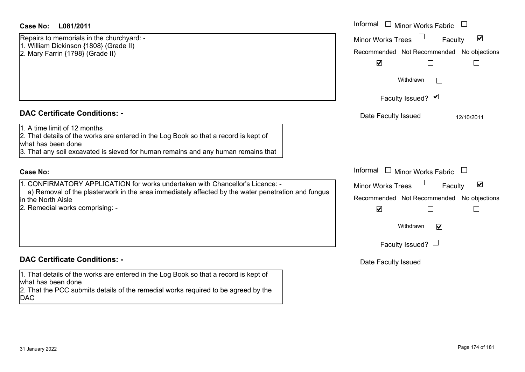#### **DAC Certificate Conditions: -**

#### **Case No:**

## **DAC Certificate Conditions: -**

1. That details of the works are entered in the Log Book so that a record is kept of what has been done 2. That the PCC submits details of the remedial works required to be agreed by the

DAC

| Case No:<br>L081/2011                                                                                                                                                                                                           | Informal<br>$\Box$<br>Minor Works Fabric                    |
|---------------------------------------------------------------------------------------------------------------------------------------------------------------------------------------------------------------------------------|-------------------------------------------------------------|
| Repairs to memorials in the churchyard: -<br>1. William Dickinson {1808} (Grade II)                                                                                                                                             | $\blacktriangledown$<br><b>Minor Works Trees</b><br>Faculty |
| 2. Mary Farrin {1798} (Grade II)                                                                                                                                                                                                | Recommended Not Recommended No objections                   |
|                                                                                                                                                                                                                                 | $\blacktriangledown$                                        |
|                                                                                                                                                                                                                                 | Withdrawn                                                   |
|                                                                                                                                                                                                                                 | Faculty Issued? Ø                                           |
| <b>DAC Certificate Conditions: -</b>                                                                                                                                                                                            | Date Faculty Issued<br>12/10/2011                           |
| 1. A time limit of 12 months<br>2. That details of the works are entered in the Log Book so that a record is kept of<br>what has been done<br>3. That any soil excavated is sieved for human remains and any human remains that |                                                             |
| <b>Case No:</b>                                                                                                                                                                                                                 | Informal<br><b>Minor Works Fabric</b>                       |
| 1. CONFIRMATORY APPLICATION for works undertaken with Chancellor's Licence: -                                                                                                                                                   | $\blacktriangledown$<br>Minor Works Trees<br>Faculty        |
| a) Removal of the plasterwork in the area immediately affected by the water penetration and fungus<br>in the North Aisle                                                                                                        | Recommended Not Recommended No objections                   |
| 2. Remedial works comprising: -                                                                                                                                                                                                 | $\blacktriangledown$                                        |
|                                                                                                                                                                                                                                 | Withdrawn<br>$\blacktriangledown$                           |
|                                                                                                                                                                                                                                 | Faculty Issued? $\Box$                                      |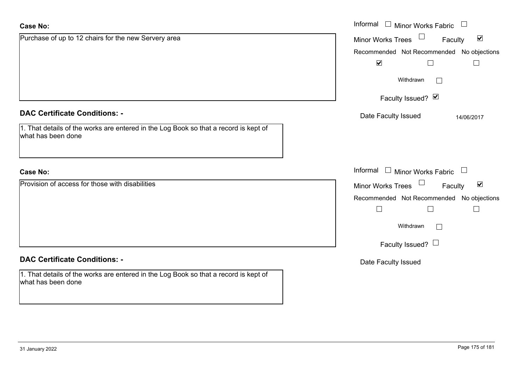| <b>Case No:</b>                                                                                            | Informal $\square$<br>Minor Works Fabric $\Box$      |
|------------------------------------------------------------------------------------------------------------|------------------------------------------------------|
| Purchase of up to 12 chairs for the new Servery area                                                       | $\blacktriangledown$<br>Minor Works Trees<br>Faculty |
|                                                                                                            | Recommended Not Recommended No objections            |
|                                                                                                            | $\blacktriangledown$<br>П                            |
|                                                                                                            | Withdrawn<br>$\mathbb{R}^n$                          |
|                                                                                                            | Faculty Issued? Ø                                    |
| <b>DAC Certificate Conditions: -</b>                                                                       | Date Faculty Issued<br>14/06/2017                    |
| 1. That details of the works are entered in the Log Book so that a record is kept of<br>what has been done |                                                      |
| <b>Case No:</b>                                                                                            | Informal<br>$\Box$ Minor Works Fabric $\Box$         |
| Provision of access for those with disabilities                                                            | $\blacktriangledown$<br>Minor Works Trees<br>Faculty |
|                                                                                                            | Recommended Not Recommended No objections            |
|                                                                                                            | $\Box$<br>$\Box$                                     |
|                                                                                                            | Withdrawn<br>$\mathbb{R}^n$                          |
|                                                                                                            | Faculty Issued? $\Box$                               |
| <b>DAC Certificate Conditions: -</b>                                                                       | Date Faculty Issued                                  |
| 1. That details of the works are entered in the Log Book so that a record is kept of<br>what has been done |                                                      |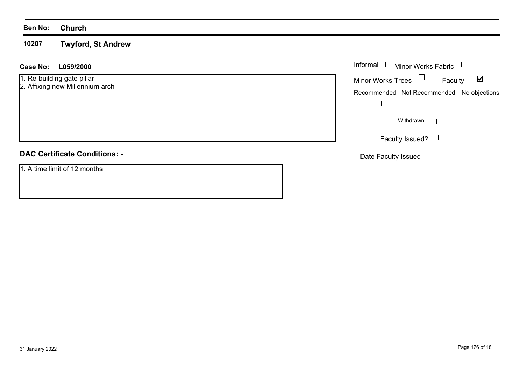#### **Ben No: Church**

**10207Twyford, St Andrew**

#### **L059/2000 Case No:** Informal

1. Re-building gate pillar

2. Affixing new Millennium arch

# **DAC Certificate Conditions: -**

1. A time limit of 12 months

| Informal                 | $\Box$ Minor Works Fabric                 |   |
|--------------------------|-------------------------------------------|---|
| <b>Minor Works Trees</b> | Faculty                                   | M |
|                          | Recommended Not Recommended No objections |   |
|                          |                                           |   |
|                          | Withdrawn                                 |   |
|                          | Faculty Issued?                           |   |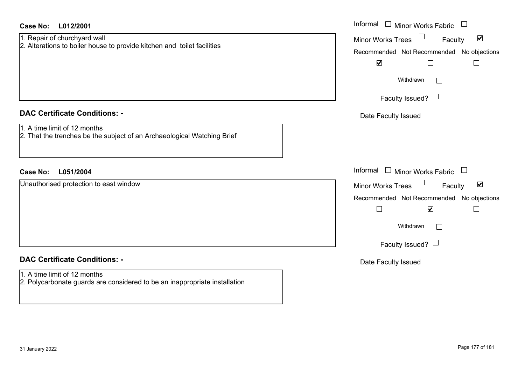| <b>Case No:</b><br>L012/2001                                                                            | Informal $\Box$ Minor Works Fabric $\Box$                                                                                                                                                                           |
|---------------------------------------------------------------------------------------------------------|---------------------------------------------------------------------------------------------------------------------------------------------------------------------------------------------------------------------|
| 1. Repair of churchyard wall<br>2. Alterations to boiler house to provide kitchen and toilet facilities | Minor Works Trees<br>$\blacktriangledown$<br>Faculty<br>Recommended Not Recommended No objections<br>$\blacktriangledown$<br>$\Box$<br>$\Box$<br>Withdrawn<br>$\Box$<br>Faculty Issued? $\Box$                      |
| <b>DAC Certificate Conditions: -</b>                                                                    | Date Faculty Issued                                                                                                                                                                                                 |
| 1. A time limit of 12 months<br>2. That the trenches be the subject of an Archaeological Watching Brief |                                                                                                                                                                                                                     |
|                                                                                                         |                                                                                                                                                                                                                     |
| <b>Case No:</b><br>L051/2004                                                                            | Informal $\Box$ Minor Works Fabric $\Box$                                                                                                                                                                           |
| Unauthorised protection to east window                                                                  | Minor Works Trees<br>$\blacktriangledown$<br>Faculty<br>Recommended Not Recommended No objections<br>$\Box$<br>$\blacktriangledown$<br>$\mathcal{L}_{\mathcal{A}}$<br>Withdrawn<br>$\Box$<br>Faculty Issued? $\Box$ |
| <b>DAC Certificate Conditions: -</b>                                                                    | Date Faculty Issued                                                                                                                                                                                                 |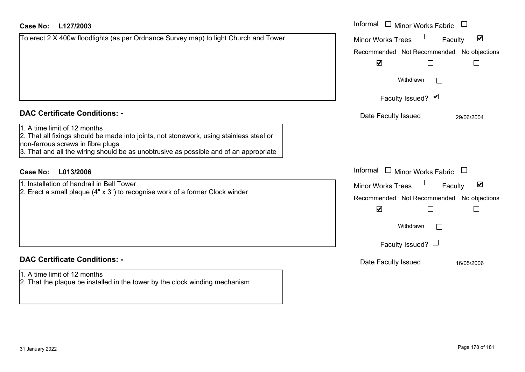### **L127/2003Case No:** Informal

| To erect 2 X 400w floodlights (as per Ordnance Survey map) to light Church and Tower |
|--------------------------------------------------------------------------------------|
|                                                                                      |
|                                                                                      |
|                                                                                      |
|                                                                                      |
|                                                                                      |
|                                                                                      |
|                                                                                      |
|                                                                                      |

### **DAC Certificate Conditions: -**

# 1. A time limit of 12 months

2. That all fixings should be made into joints, not stonework, using stainless steel or non-ferrous screws in fibre plugs 3. That and all the wiring should be as unobtrusive as possible and of an appropriate

### **L013/2006Case No:** Informal

1. Installation of handrail in Bell Tower2. Erect a small plaque (4" x 3") to recognise work of a former Clock winder

# **DAC Certificate Conditions: -**

1. A time limit of 12 months2. That the plaque be installed in the tower by the clock winding mechanism

| Informal<br><b>Minor Works Fabric</b>                              |  |
|--------------------------------------------------------------------|--|
| M<br><b>Minor Works Trees</b><br>Faculty                           |  |
| Recommended Not Recommended No objections                          |  |
| $\blacktriangledown$                                               |  |
| Withdrawn                                                          |  |
| Faculty Issued? Ø                                                  |  |
| Date Faculty Issued<br>29/06/2004                                  |  |
|                                                                    |  |
|                                                                    |  |
| Informal<br>Minor Works Fabric                                     |  |
| $\vert\bm{\mathsf{v}}\vert$<br><b>Minor Works Trees</b><br>Faculty |  |
| Recommended Not Recommended No objections<br>⊽                     |  |
| Withdrawn                                                          |  |
|                                                                    |  |
| Faculty Issued? $\Box$                                             |  |
| Date Faculty Issued<br>16/05/2006                                  |  |
|                                                                    |  |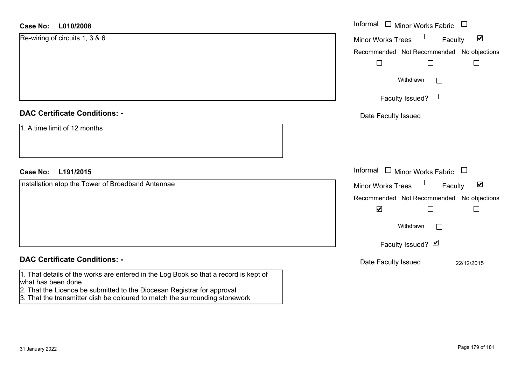| <b>Case No:</b><br>L010/2008                                                                                                                                                          | Informal $\Box$ Minor Works Fabric                             |
|---------------------------------------------------------------------------------------------------------------------------------------------------------------------------------------|----------------------------------------------------------------|
| Re-wiring of circuits 1, 3 & 6                                                                                                                                                        | $\blacktriangledown$<br>Minor Works Trees<br>Faculty           |
|                                                                                                                                                                                       | Recommended Not Recommended No objections                      |
|                                                                                                                                                                                       | $\Box$                                                         |
|                                                                                                                                                                                       | Withdrawn<br>$\vert \ \ \vert$                                 |
|                                                                                                                                                                                       | Faculty Issued? $\Box$                                         |
| <b>DAC Certificate Conditions: -</b>                                                                                                                                                  | Date Faculty Issued                                            |
| 1. A time limit of 12 months                                                                                                                                                          |                                                                |
| <b>Case No:</b><br>L191/2015                                                                                                                                                          | Informal<br>$\Box$ Minor Works Fabric                          |
| Installation atop the Tower of Broadband Antennae                                                                                                                                     | $\Box$<br>$\blacktriangledown$<br>Minor Works Trees<br>Faculty |
|                                                                                                                                                                                       | Recommended Not Recommended No objections                      |
|                                                                                                                                                                                       | $\blacktriangledown$<br>$\Box$                                 |
|                                                                                                                                                                                       | Withdrawn                                                      |
|                                                                                                                                                                                       | Faculty Issued? Ø                                              |
| <b>DAC Certificate Conditions: -</b>                                                                                                                                                  | Date Faculty Issued<br>22/12/2015                              |
| 1. That details of the works are entered in the Log Book so that a record is kept of<br>what has been done<br>2. That the Licence be submitted to the Diocesan Registrar for approval |                                                                |

3. That the transmitter dish be coloured to match the surrounding stonework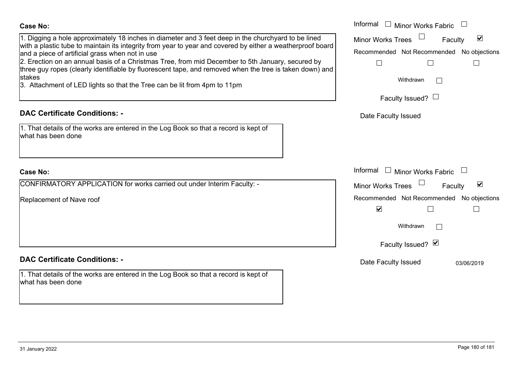#### **Case No:**

| g a hole approximately 18 inches in diameter and 3 feet deep in the churchyard to be lined<br>astic tube to maintain its integrity from year to year and covered by either a weatherproof board<br>ce of artificial grass when not in use<br>on on an annual basis of a Christmas Tree, from mid December to 5th January, secured by | Informal □ Minor Works Fabric<br>$\blacktriangledown$<br>Minor Works Trees<br>Faculty<br>Recommended Not Recommended No objections<br>$\Box$ |
|--------------------------------------------------------------------------------------------------------------------------------------------------------------------------------------------------------------------------------------------------------------------------------------------------------------------------------------|----------------------------------------------------------------------------------------------------------------------------------------------|
| r ropes (clearly identifiable by fluorescent tape, and removed when the tree is taken down) and<br>iment of LED lights so that the Tree can be lit from 4pm to 11pm                                                                                                                                                                  | Withdrawn<br>Faculty Issued? $\Box$                                                                                                          |
| rtificate Conditions: -<br>etails of the works are entered in the Log Book so that a record is kept of<br>been done                                                                                                                                                                                                                  | Date Faculty Issued                                                                                                                          |
| MATORY APPLICATION for works carried out under Interim Faculty: -                                                                                                                                                                                                                                                                    | Informal □ Minor Works Fabric<br>$\blacktriangledown$<br><b>Minor Works Trees</b><br>Faculty                                                 |
| nent of Nave roof                                                                                                                                                                                                                                                                                                                    | Recommended Not Recommended No objections<br>$\blacktriangledown$<br>Withdrawn<br>Faculty Issued? Ø                                          |
| rtificate Conditions: -                                                                                                                                                                                                                                                                                                              | Date Faculty Issued<br>03/06/2019                                                                                                            |
| staile af tha urantes and antipopel in the Law Dealers that a necessity to trant of                                                                                                                                                                                                                                                  |                                                                                                                                              |

1. Digging a hole approximately 18 inches in diameter and 3 feet deep in the churchyard with a plastic tube to maintain its integrity from year to year and covered by either a w and a piece of artificial grass when not in use

2. Erection on an annual basis of a Christmas Tree, from mid December to 5th Januar three guy ropes (clearly identifiable by fluorescent tape, and removed when the tree is stakes

3. Attachment of LED lights so that the Tree can be lit from 4pm to 11pm

## **DAC Certificate Conditions: -**

| 1. That details of the works are entered in the Log Book so that a record is kept of |  |
|--------------------------------------------------------------------------------------|--|
| what has been done                                                                   |  |

#### **Case No:**

CONFIRMATORY APPLICATION for works carried out under Interim Faculty: -

Replacement of Nave roof

# **DAC Certificate Conditions: -**

1. That details of the works are entered in the Log Book so that a record is kept of what has been done